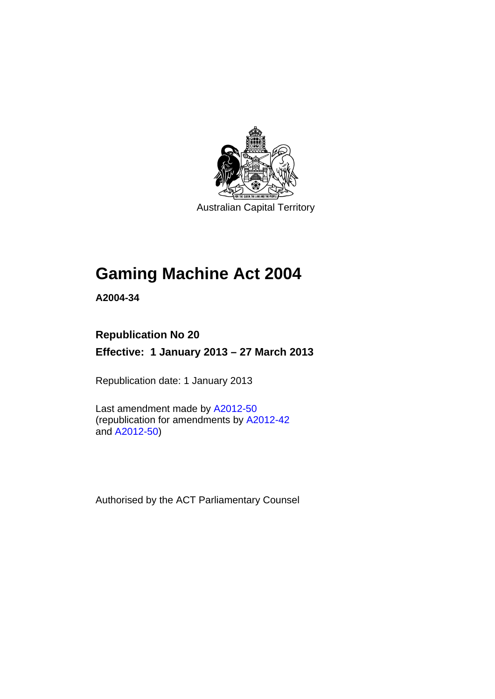

Australian Capital Territory

# **Gaming Machine Act 2004**

**A2004-34** 

# **Republication No 20 Effective: 1 January 2013 – 27 March 2013**

Republication date: 1 January 2013

Last amendment made by [A2012-50](http://www.legislation.act.gov.au/a/2012-50/default.asp) (republication for amendments by [A2012-42](http://www.legislation.act.gov.au/a/2012-42/default.asp) and [A2012-50](http://www.legislation.act.gov.au/a/2012-50/default.asp))

Authorised by the ACT Parliamentary Counsel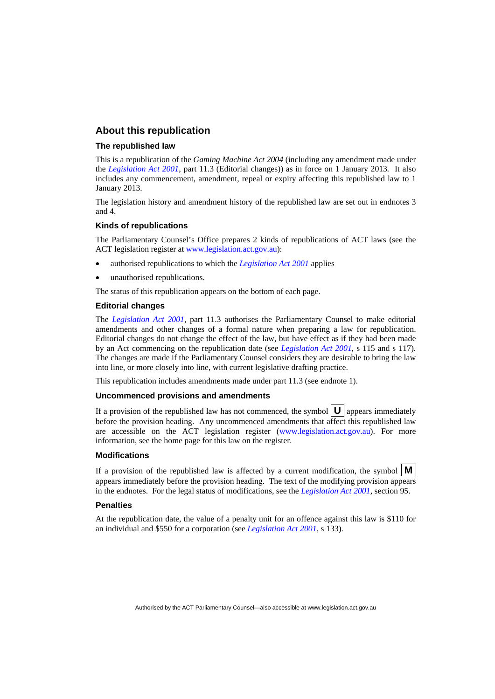### **About this republication**

### **The republished law**

This is a republication of the *Gaming Machine Act 2004* (including any amendment made under the *[Legislation Act 2001](http://www.legislation.act.gov.au/a/2001-14)*, part 11.3 (Editorial changes)) as in force on 1 January 2013*.* It also includes any commencement, amendment, repeal or expiry affecting this republished law to 1 January 2013.

The legislation history and amendment history of the republished law are set out in endnotes 3 and 4.

### **Kinds of republications**

The Parliamentary Counsel's Office prepares 2 kinds of republications of ACT laws (see the ACT legislation register at [www.legislation.act.gov.au](http://www.legislation.act.gov.au/)):

- authorised republications to which the *[Legislation Act 2001](http://www.legislation.act.gov.au/a/2001-14)* applies
- unauthorised republications.

The status of this republication appears on the bottom of each page.

#### **Editorial changes**

The *[Legislation Act 2001](http://www.legislation.act.gov.au/a/2001-14)*, part 11.3 authorises the Parliamentary Counsel to make editorial amendments and other changes of a formal nature when preparing a law for republication. Editorial changes do not change the effect of the law, but have effect as if they had been made by an Act commencing on the republication date (see *[Legislation Act 2001](http://www.legislation.act.gov.au/a/2001-14)*, s 115 and s 117). The changes are made if the Parliamentary Counsel considers they are desirable to bring the law into line, or more closely into line, with current legislative drafting practice.

This republication includes amendments made under part 11.3 (see endnote 1).

#### **Uncommenced provisions and amendments**

If a provision of the republished law has not commenced, the symbol  $\mathbf{U}$  appears immediately before the provision heading. Any uncommenced amendments that affect this republished law are accessible on the ACT legislation register [\(www.legislation.act.gov.au\)](http://www.legislation.act.gov.au/). For more information, see the home page for this law on the register.

#### **Modifications**

If a provision of the republished law is affected by a current modification, the symbol  $\mathbf{M}$ appears immediately before the provision heading. The text of the modifying provision appears in the endnotes. For the legal status of modifications, see the *[Legislation Act 2001](http://www.legislation.act.gov.au/a/2001-14)*, section 95.

#### **Penalties**

At the republication date, the value of a penalty unit for an offence against this law is \$110 for an individual and \$550 for a corporation (see *[Legislation Act 2001](http://www.legislation.act.gov.au/a/2001-14)*, s 133).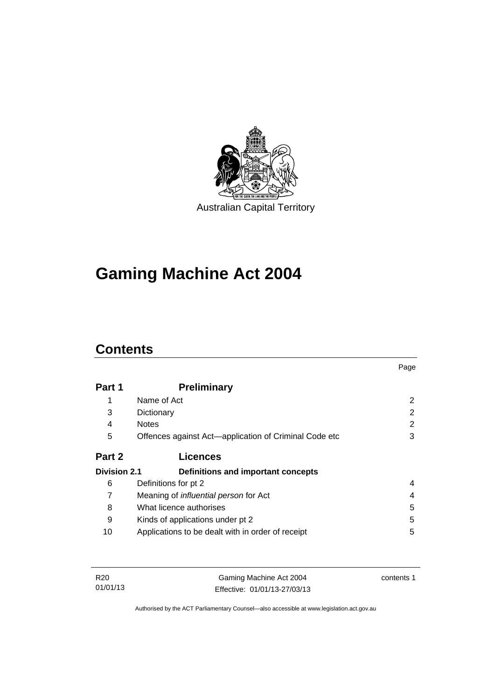

# **Gaming Machine Act 2004**

# **Contents**

|                     |                                                       | Page          |
|---------------------|-------------------------------------------------------|---------------|
| Part 1              | <b>Preliminary</b>                                    |               |
|                     | Name of Act                                           | 2             |
| 3                   | Dictionary                                            | $\mathcal{P}$ |
| 4                   | <b>Notes</b>                                          | 2             |
| 5                   | Offences against Act—application of Criminal Code etc | 3             |
| Part 2              | <b>Licences</b>                                       |               |
| <b>Division 2.1</b> | Definitions and important concepts                    |               |
| 6                   | Definitions for pt 2                                  | 4             |
| 7                   | Meaning of <i>influential person</i> for Act          | 4             |
| 8                   | What licence authorises                               | 5             |
| 9                   | Kinds of applications under pt 2                      | 5             |
| 10                  | Applications to be dealt with in order of receipt     | 5             |

| R20      | Gaming Machine Act 2004      | contents 1 |
|----------|------------------------------|------------|
| 01/01/13 | Effective: 01/01/13-27/03/13 |            |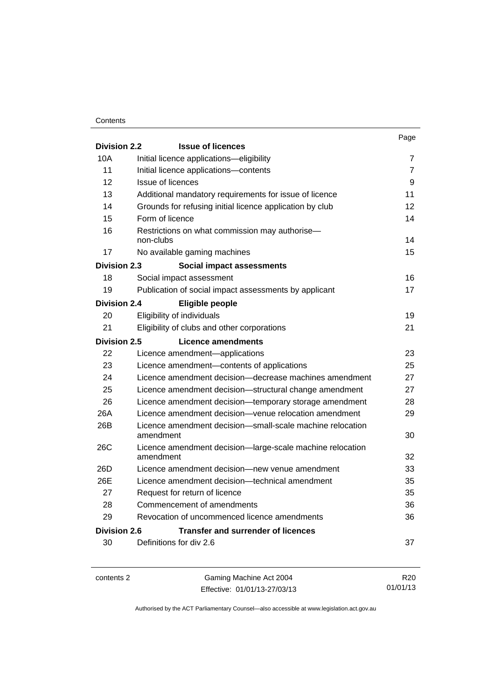### **Contents**

|                     |                                                                        | Page           |
|---------------------|------------------------------------------------------------------------|----------------|
| <b>Division 2.2</b> | <b>Issue of licences</b>                                               |                |
| 10A                 | Initial licence applications-eligibility                               | 7              |
| 11                  | Initial licence applications-contents                                  | $\overline{7}$ |
| 12                  | <b>Issue of licences</b>                                               | 9              |
| 13                  | Additional mandatory requirements for issue of licence                 | 11             |
| 14                  | Grounds for refusing initial licence application by club               | 12             |
| 15                  | Form of licence                                                        | 14             |
| 16                  | Restrictions on what commission may authorise-<br>non-clubs            | 14             |
| 17                  | No available gaming machines                                           | 15             |
| <b>Division 2.3</b> | Social impact assessments                                              |                |
| 18                  | Social impact assessment                                               | 16             |
| 19                  | Publication of social impact assessments by applicant                  | 17             |
| <b>Division 2.4</b> | Eligible people                                                        |                |
| 20                  | Eligibility of individuals                                             | 19             |
| 21                  | Eligibility of clubs and other corporations                            | 21             |
| <b>Division 2.5</b> | Licence amendments                                                     |                |
| 22                  | Licence amendment-applications                                         | 23             |
| 23                  | Licence amendment-contents of applications                             | 25             |
| 24                  | Licence amendment decision—decrease machines amendment                 | 27             |
| 25                  | Licence amendment decision-structural change amendment                 | 27             |
| 26                  | Licence amendment decision-temporary storage amendment                 | 28             |
| 26A                 | Licence amendment decision-venue relocation amendment                  | 29             |
| 26B                 | Licence amendment decision-small-scale machine relocation<br>amendment | 30             |
| <b>26C</b>          | Licence amendment decision-large-scale machine relocation              |                |
|                     | amendment                                                              | 32             |
| 26D                 | Licence amendment decision-new venue amendment                         | 33             |
| 26E                 | Licence amendment decision—technical amendment                         | 35             |
| 27                  | Request for return of licence                                          | 35             |
| 28                  | Commencement of amendments                                             | 36             |
| 29                  | Revocation of uncommenced licence amendments                           | 36             |
| Division 2.6        | <b>Transfer and surrender of licences</b>                              |                |
| 30                  | Definitions for div 2.6                                                | 37             |
|                     |                                                                        |                |

contents 2 Gaming Machine Act 2004 Effective: 01/01/13-27/03/13

R20 01/01/13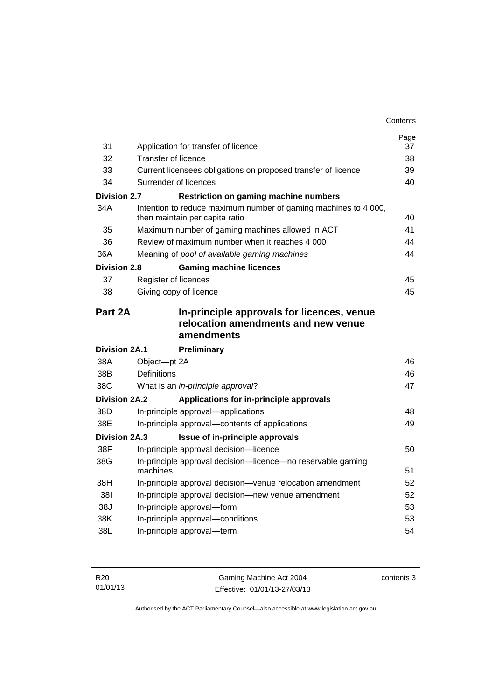| 31                   | Application for transfer of licence                                                             | Page<br>37 |
|----------------------|-------------------------------------------------------------------------------------------------|------------|
| 32                   | <b>Transfer of licence</b>                                                                      | 38         |
| 33                   | Current licensees obligations on proposed transfer of licence                                   | 39         |
| 34                   | Surrender of licences                                                                           | 40         |
| <b>Division 2.7</b>  | <b>Restriction on gaming machine numbers</b>                                                    |            |
| 34A                  | Intention to reduce maximum number of gaming machines to 4 000,                                 |            |
|                      | then maintain per capita ratio                                                                  | 40         |
| 35                   | Maximum number of gaming machines allowed in ACT                                                | 41         |
| 36                   | Review of maximum number when it reaches 4,000                                                  | 44         |
| 36A                  | Meaning of pool of available gaming machines                                                    | 44         |
| <b>Division 2.8</b>  | <b>Gaming machine licences</b>                                                                  |            |
| 37                   | Register of licences                                                                            | 45         |
| 38                   | Giving copy of licence                                                                          | 45         |
|                      |                                                                                                 |            |
| Part 2A              | In-principle approvals for licences, venue<br>relocation amendments and new venue<br>amendments |            |
| <b>Division 2A.1</b> | <b>Preliminary</b>                                                                              |            |
| 38A                  | Object-pt 2A                                                                                    | 46         |
| 38B                  | Definitions                                                                                     | 46         |
| 38C                  | What is an in-principle approval?                                                               | 47         |
| <b>Division 2A.2</b> | Applications for in-principle approvals                                                         |            |
| 38D                  | In-principle approval-applications                                                              | 48         |
| 38E                  | In-principle approval—contents of applications                                                  | 49         |
| <b>Division 2A.3</b> | Issue of in-principle approvals                                                                 |            |
| 38F                  | In-principle approval decision-licence                                                          | 50         |
| 38G                  | In-principle approval decision-licence-no reservable gaming<br>machines                         | 51         |
| 38H                  | In-principle approval decision-venue relocation amendment                                       | 52         |
| 381                  | In-principle approval decision-new venue amendment                                              | 52         |
| 38J                  | In-principle approval-form                                                                      | 53         |
| 38K                  | In-principle approval-conditions                                                                | 53         |
| 38L                  | In-principle approval-term                                                                      | 54         |

| R <sub>20</sub> | Gaming Machine Act 2004      | contents 3 |
|-----------------|------------------------------|------------|
| 01/01/13        | Effective: 01/01/13-27/03/13 |            |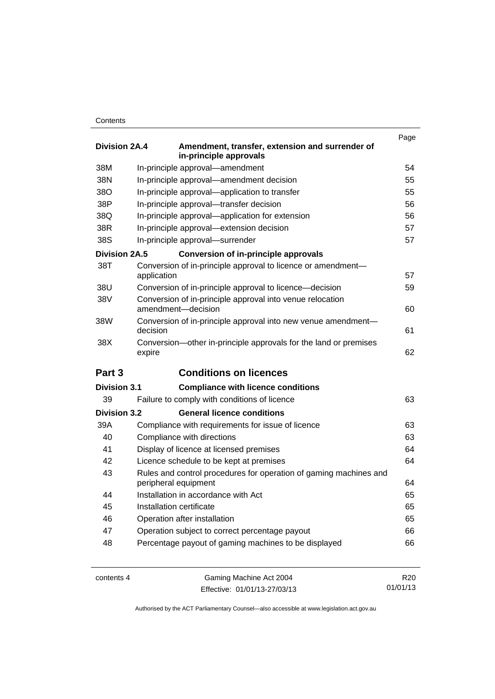### **Contents**

|                      |                                                                                 | Page |
|----------------------|---------------------------------------------------------------------------------|------|
| Division 2A.4        | Amendment, transfer, extension and surrender of<br>in-principle approvals       |      |
| 38M                  | In-principle approval-amendment                                                 | 54   |
| 38N                  | In-principle approval-amendment decision                                        | 55   |
| 38O                  | In-principle approval-application to transfer                                   | 55   |
| 38P                  | In-principle approval-transfer decision                                         | 56   |
| 38Q                  | In-principle approval-application for extension                                 | 56   |
| 38R                  | In-principle approval-extension decision                                        | 57   |
| 38S                  | In-principle approval-surrender                                                 | 57   |
| <b>Division 2A.5</b> | <b>Conversion of in-principle approvals</b>                                     |      |
| 38T                  | Conversion of in-principle approval to licence or amendment-                    |      |
|                      | application                                                                     | 57   |
| 38U                  | Conversion of in-principle approval to licence—decision                         | 59   |
| 38V                  | Conversion of in-principle approval into venue relocation<br>amendment-decision | 60   |
| 38W                  | Conversion of in-principle approval into new venue amendment-                   |      |
|                      | decision                                                                        | 61   |
| 38X                  | Conversion-other in-principle approvals for the land or premises<br>expire      |      |
|                      |                                                                                 |      |
|                      |                                                                                 | 62   |
| Part 3               | <b>Conditions on licences</b>                                                   |      |
| <b>Division 3.1</b>  | <b>Compliance with licence conditions</b>                                       |      |
| 39                   | Failure to comply with conditions of licence                                    | 63   |
| <b>Division 3.2</b>  | <b>General licence conditions</b>                                               |      |
| 39A                  | Compliance with requirements for issue of licence                               | 63   |
| 40                   | Compliance with directions                                                      | 63   |
| 41                   | Display of licence at licensed premises                                         | 64   |
| 42                   | Licence schedule to be kept at premises                                         | 64   |
| 43                   | Rules and control procedures for operation of gaming machines and               |      |
|                      | peripheral equipment                                                            | 64   |
| 44                   | Installation in accordance with Act                                             | 65   |
| 45                   | Installation certificate                                                        | 65   |
| 46                   | Operation after installation                                                    | 65   |
| 47                   | Operation subject to correct percentage payout                                  | 66   |
| 48                   | Percentage payout of gaming machines to be displayed                            | 66   |
|                      |                                                                                 |      |

contents 4 Gaming Machine Act 2004 Effective: 01/01/13-27/03/13

R20 01/01/13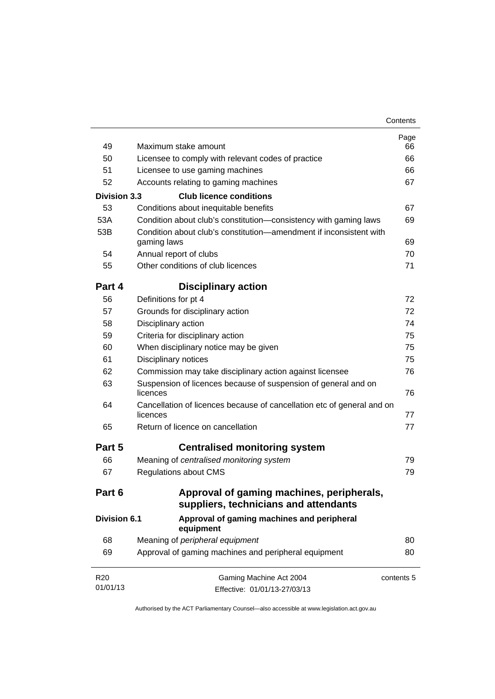| Contents |
|----------|
|----------|

| 49                  | Maximum stake amount                                                               | Page<br>66 |
|---------------------|------------------------------------------------------------------------------------|------------|
| 50                  | Licensee to comply with relevant codes of practice                                 | 66         |
| 51                  | Licensee to use gaming machines                                                    | 66         |
| 52                  | Accounts relating to gaming machines                                               | 67         |
| <b>Division 3.3</b> | <b>Club licence conditions</b>                                                     |            |
| 53                  | Conditions about inequitable benefits                                              | 67         |
| 53A                 | Condition about club's constitution-consistency with gaming laws                   | 69         |
| 53B                 | Condition about club's constitution—amendment if inconsistent with<br>gaming laws  | 69         |
| 54                  | Annual report of clubs                                                             | 70         |
| 55                  | Other conditions of club licences                                                  | 71         |
| Part 4              | <b>Disciplinary action</b>                                                         |            |
| 56                  | Definitions for pt 4                                                               | 72         |
| 57                  | Grounds for disciplinary action                                                    | 72         |
| 58                  | Disciplinary action                                                                | 74         |
| 59                  | Criteria for disciplinary action                                                   | 75         |
| 60                  | When disciplinary notice may be given                                              | 75         |
| 61                  | Disciplinary notices                                                               | 75         |
| 62                  | Commission may take disciplinary action against licensee                           | 76         |
| 63                  | Suspension of licences because of suspension of general and on<br>licences         | 76         |
| 64                  | Cancellation of licences because of cancellation etc of general and on<br>licences | 77         |
| 65                  | Return of licence on cancellation                                                  | 77         |
| Part 5              | <b>Centralised monitoring system</b>                                               |            |
| 66                  | Meaning of centralised monitoring system                                           | 79         |
| 67                  | <b>Regulations about CMS</b>                                                       | 79         |
| Part 6              | Approval of gaming machines, peripherals,<br>suppliers, technicians and attendants |            |
| <b>Division 6.1</b> | Approval of gaming machines and peripheral<br>equipment                            |            |
| 68                  | Meaning of peripheral equipment                                                    | 80         |
| 69                  | Approval of gaming machines and peripheral equipment                               | 80         |
| R <sub>20</sub>     | Gaming Machine Act 2004                                                            | contents 5 |
| 01/01/13            | Effective: 01/01/13-27/03/13                                                       |            |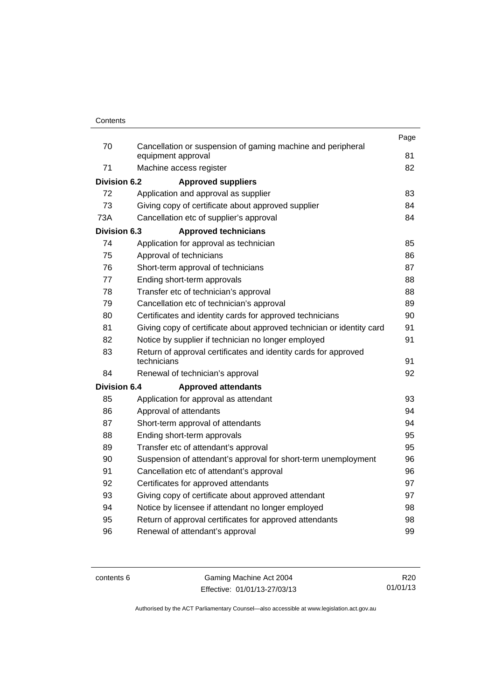|                     |                                                                                   | Page |
|---------------------|-----------------------------------------------------------------------------------|------|
| 70                  | Cancellation or suspension of gaming machine and peripheral<br>equipment approval | 81   |
| 71                  | Machine access register                                                           | 82   |
| <b>Division 6.2</b> | <b>Approved suppliers</b>                                                         |      |
| 72                  | Application and approval as supplier                                              | 83   |
| 73                  | Giving copy of certificate about approved supplier                                | 84   |
| 73A                 | Cancellation etc of supplier's approval                                           | 84   |
| Division 6.3        | <b>Approved technicians</b>                                                       |      |
| 74                  | Application for approval as technician                                            | 85   |
| 75                  | Approval of technicians                                                           | 86   |
| 76                  | Short-term approval of technicians                                                | 87   |
| 77                  | Ending short-term approvals                                                       | 88   |
| 78                  | Transfer etc of technician's approval                                             | 88   |
| 79                  | Cancellation etc of technician's approval                                         | 89   |
| 80                  | Certificates and identity cards for approved technicians                          | 90   |
| 81                  | Giving copy of certificate about approved technician or identity card             | 91   |
| 82                  | Notice by supplier if technician no longer employed                               | 91   |
| 83                  | Return of approval certificates and identity cards for approved                   |      |
|                     | technicians                                                                       | 91   |
| 84                  | Renewal of technician's approval                                                  | 92   |
| <b>Division 6.4</b> | <b>Approved attendants</b>                                                        |      |
| 85                  | Application for approval as attendant                                             | 93   |
| 86                  | Approval of attendants                                                            | 94   |
| 87                  | Short-term approval of attendants                                                 | 94   |
| 88                  | Ending short-term approvals                                                       | 95   |
| 89                  | Transfer etc of attendant's approval                                              | 95   |
| 90                  | Suspension of attendant's approval for short-term unemployment                    | 96   |
| 91                  | Cancellation etc of attendant's approval                                          | 96   |
| 92                  | Certificates for approved attendants                                              | 97   |
| 93                  | Giving copy of certificate about approved attendant                               | 97   |
| 94                  | Notice by licensee if attendant no longer employed                                | 98   |
| 95                  | Return of approval certificates for approved attendants                           | 98   |
| 96                  | Renewal of attendant's approval                                                   | 99   |
|                     |                                                                                   |      |

contents 6 Gaming Machine Act 2004 Effective: 01/01/13-27/03/13

R20 01/01/13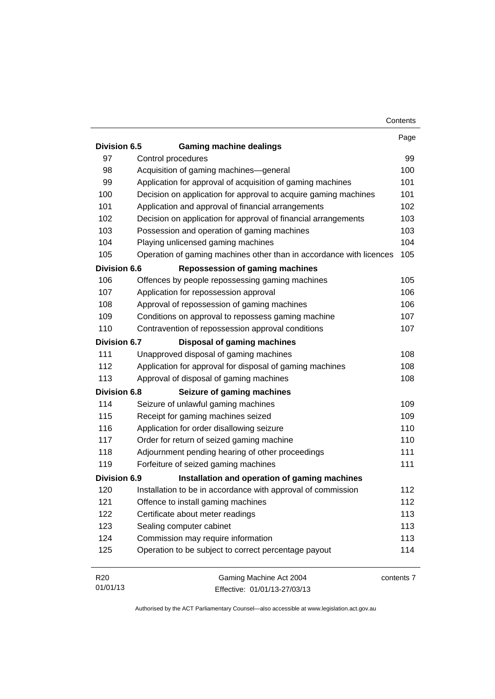|                     |                                                                     | Contents   |
|---------------------|---------------------------------------------------------------------|------------|
|                     |                                                                     | Page       |
| Division 6.5        | <b>Gaming machine dealings</b>                                      |            |
| 97                  | Control procedures                                                  | 99         |
| 98                  | Acquisition of gaming machines-general                              | 100        |
| 99                  | Application for approval of acquisition of gaming machines          | 101        |
| 100                 | Decision on application for approval to acquire gaming machines     | 101        |
| 101                 | Application and approval of financial arrangements                  | 102        |
| 102                 | Decision on application for approval of financial arrangements      | 103        |
| 103                 | Possession and operation of gaming machines                         | 103        |
| 104                 | Playing unlicensed gaming machines                                  | 104        |
| 105                 | Operation of gaming machines other than in accordance with licences | 105        |
| <b>Division 6.6</b> | <b>Repossession of gaming machines</b>                              |            |
| 106                 | Offences by people repossessing gaming machines                     | 105        |
| 107                 | Application for repossession approval                               | 106        |
| 108                 | Approval of repossession of gaming machines                         | 106        |
| 109                 | Conditions on approval to repossess gaming machine                  | 107        |
| 110                 | Contravention of repossession approval conditions                   | 107        |
| <b>Division 6.7</b> | Disposal of gaming machines                                         |            |
| 111                 | Unapproved disposal of gaming machines                              | 108        |
| 112                 | Application for approval for disposal of gaming machines            | 108        |
| 113                 | Approval of disposal of gaming machines                             | 108        |
| <b>Division 6.8</b> | Seizure of gaming machines                                          |            |
| 114                 | Seizure of unlawful gaming machines                                 | 109        |
| 115                 | Receipt for gaming machines seized                                  | 109        |
| 116                 | Application for order disallowing seizure                           | 110        |
| 117                 | Order for return of seized gaming machine                           | 110        |
| 118                 | Adjournment pending hearing of other proceedings                    | 111        |
| 119                 | Forfeiture of seized gaming machines                                | 111        |
| <b>Division 6.9</b> | Installation and operation of gaming machines                       |            |
| 120                 | Installation to be in accordance with approval of commission        | 112        |
| 121                 | Offence to install gaming machines                                  | 112        |
| 122                 | Certificate about meter readings                                    | 113        |
| 123                 | Sealing computer cabinet                                            | 113        |
| 124                 | Commission may require information                                  | 113        |
| 125                 | Operation to be subject to correct percentage payout                | 114        |
| R <sub>20</sub>     | Gaming Machine Act 2004                                             | contents 7 |
| 01/01/13            | Effective: 01/01/13-27/03/13                                        |            |

Effective: 01/01/13-27/03/13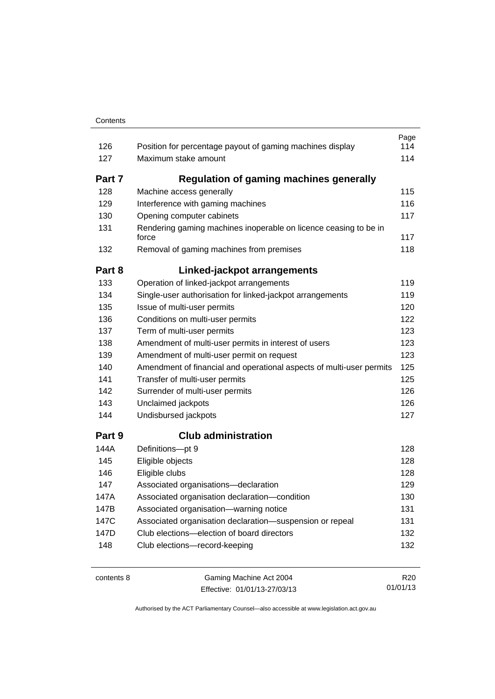|        |                                                                           | Page |
|--------|---------------------------------------------------------------------------|------|
| 126    | Position for percentage payout of gaming machines display                 | 114  |
| 127    | Maximum stake amount                                                      | 114  |
| Part 7 | <b>Regulation of gaming machines generally</b>                            |      |
| 128    | Machine access generally                                                  | 115  |
| 129    | Interference with gaming machines                                         | 116  |
| 130    | Opening computer cabinets                                                 | 117  |
| 131    | Rendering gaming machines inoperable on licence ceasing to be in<br>force | 117  |
| 132    | Removal of gaming machines from premises                                  | 118  |
| Part 8 | Linked-jackpot arrangements                                               |      |
| 133    | Operation of linked-jackpot arrangements                                  | 119  |
| 134    | Single-user authorisation for linked-jackpot arrangements                 | 119  |
| 135    | Issue of multi-user permits                                               | 120  |
| 136    | Conditions on multi-user permits                                          | 122  |
| 137    | Term of multi-user permits                                                | 123  |
| 138    | Amendment of multi-user permits in interest of users                      | 123  |
| 139    | Amendment of multi-user permit on request                                 | 123  |
| 140    | Amendment of financial and operational aspects of multi-user permits      | 125  |
| 141    | Transfer of multi-user permits                                            | 125  |
| 142    | Surrender of multi-user permits                                           | 126  |
| 143    | Unclaimed jackpots                                                        | 126  |
| 144    | Undisbursed jackpots                                                      | 127  |
| Part 9 | <b>Club administration</b>                                                |      |
| 144A   | Definitions-pt 9                                                          | 128  |
| 145    | Eligible objects                                                          | 128  |
| 146    | Eligible clubs                                                            | 128  |
| 147    | Associated organisations-declaration                                      | 129  |
| 147A   | Associated organisation declaration-condition                             | 130  |
| 147B   | Associated organisation-warning notice                                    | 131  |
| 147C   | Associated organisation declaration-suspension or repeal                  | 131  |
| 147D   | Club elections—election of board directors                                | 132  |
| 148    | Club elections-record-keeping                                             | 132  |
|        |                                                                           |      |

contents 8 Gaming Machine Act 2004 Effective: 01/01/13-27/03/13

R20 01/01/13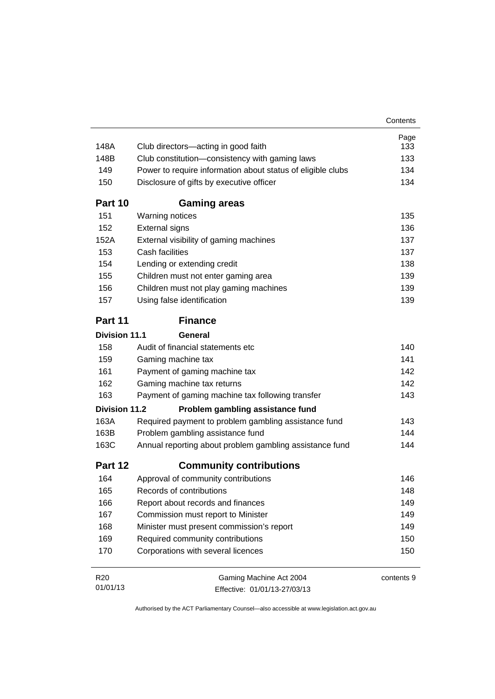|                      |                                                             | Contents   |
|----------------------|-------------------------------------------------------------|------------|
|                      |                                                             | Page       |
| 148A                 | Club directors-acting in good faith                         | 133        |
| 148B                 | Club constitution-consistency with gaming laws              | 133        |
| 149                  | Power to require information about status of eligible clubs | 134        |
| 150                  | Disclosure of gifts by executive officer                    | 134        |
| Part 10              | <b>Gaming areas</b>                                         |            |
| 151                  | Warning notices                                             | 135        |
| 152                  | <b>External signs</b>                                       | 136        |
| 152A                 | External visibility of gaming machines                      | 137        |
| 153                  | Cash facilities                                             | 137        |
| 154                  | Lending or extending credit                                 | 138        |
| 155                  | Children must not enter gaming area                         | 139        |
| 156                  | Children must not play gaming machines                      | 139        |
| 157                  | Using false identification                                  | 139        |
| Part 11              | <b>Finance</b>                                              |            |
| <b>Division 11.1</b> | General                                                     |            |
| 158                  | Audit of financial statements etc                           | 140        |
| 159                  | Gaming machine tax                                          | 141        |
| 161                  | Payment of gaming machine tax                               | 142        |
| 162                  | Gaming machine tax returns                                  | 142        |
| 163                  | Payment of gaming machine tax following transfer            | 143        |
| <b>Division 11.2</b> | Problem gambling assistance fund                            |            |
| 163A                 | Required payment to problem gambling assistance fund        | 143        |
| 163B                 | Problem gambling assistance fund                            | 144        |
| 163C                 | Annual reporting about problem gambling assistance fund     | 144        |
| Part 12              | <b>Community contributions</b>                              |            |
| 164                  | Approval of community contributions                         | 146        |
| 165                  | Records of contributions                                    | 148        |
| 166                  | Report about records and finances                           | 149        |
| 167                  | Commission must report to Minister                          | 149        |
| 168                  | Minister must present commission's report                   | 149        |
| 169                  | Required community contributions                            | 150        |
| 170                  | Corporations with several licences                          | 150        |
| R <sub>20</sub>      | Gaming Machine Act 2004                                     | contents 9 |
| 01/01/13             | Effective: 01/01/13-27/03/13                                |            |

Effective: 01/01/13-27/03/13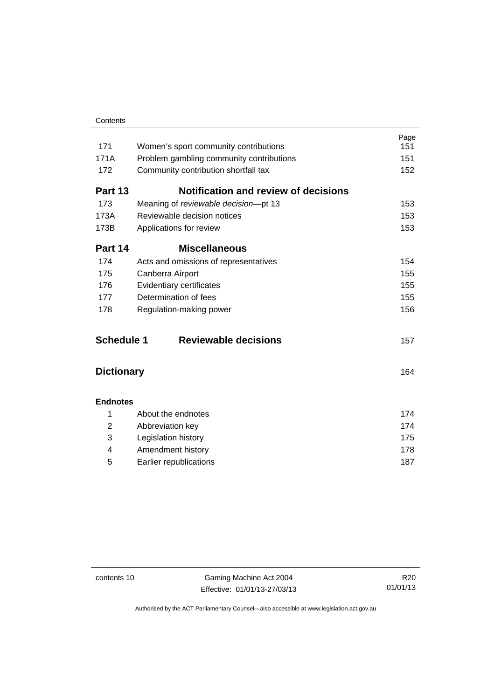| Contents |
|----------|
|          |

| 171               | Women's sport community contributions       | Page<br>151 |
|-------------------|---------------------------------------------|-------------|
| 171A              | Problem gambling community contributions    | 151         |
| 172               | Community contribution shortfall tax        | 152         |
| Part 13           | <b>Notification and review of decisions</b> |             |
| 173               | Meaning of reviewable decision-pt 13        | 153         |
| 173A              | Reviewable decision notices                 | 153         |
| 173B              | Applications for review                     | 153         |
| Part 14           | <b>Miscellaneous</b>                        |             |
| 174               | Acts and omissions of representatives       | 154         |
| 175               | Canberra Airport                            | 155         |
| 176               | Evidentiary certificates                    | 155         |
| 177               | Determination of fees                       | 155         |
| 178               | Regulation-making power                     | 156         |
| <b>Schedule 1</b> | <b>Reviewable decisions</b>                 | 157         |
| <b>Dictionary</b> |                                             | 164         |
| <b>Endnotes</b>   |                                             |             |
| 1                 | About the endnotes                          | 174         |
| $\overline{2}$    | Abbreviation key                            | 174         |
| 3                 | Legislation history                         | 175         |
| 4                 | Amendment history                           | 178         |
| 5                 | Earlier republications                      | 187         |

contents 10 Gaming Machine Act 2004 Effective: 01/01/13-27/03/13

R20 01/01/13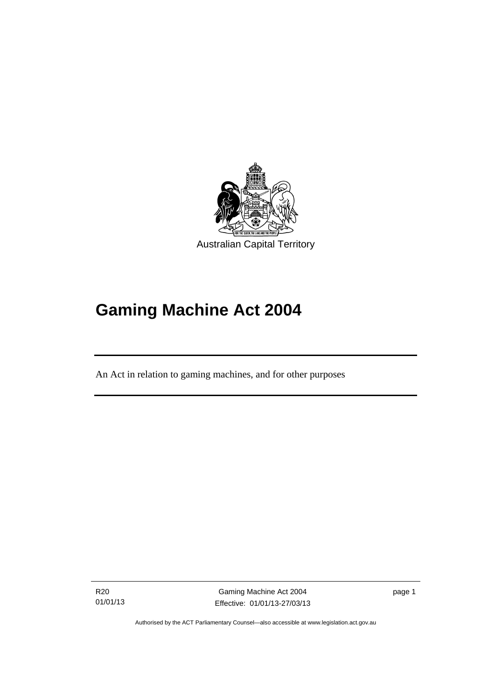

# **Gaming Machine Act 2004**

An Act in relation to gaming machines, and for other purposes

R20 01/01/13

l

Gaming Machine Act 2004 Effective: 01/01/13-27/03/13 page 1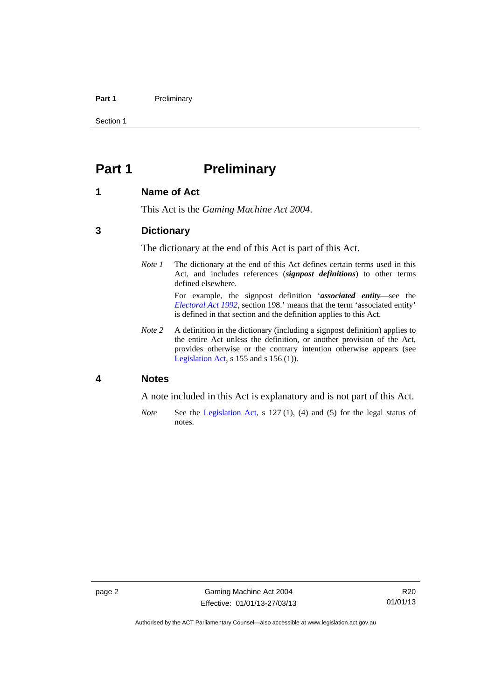### Part 1 **Preliminary**

Section 1

# <span id="page-13-0"></span>**Part 1** Preliminary

### <span id="page-13-1"></span>**1 Name of Act**

This Act is the *Gaming Machine Act 2004*.

### <span id="page-13-2"></span>**3 Dictionary**

The dictionary at the end of this Act is part of this Act.

*Note 1* The dictionary at the end of this Act defines certain terms used in this Act, and includes references (*signpost definitions*) to other terms defined elsewhere.

> For example, the signpost definition '*associated entity*—see the *[Electoral Act 1992](http://www.legislation.act.gov.au/a/1992-71)*, section 198.' means that the term 'associated entity' is defined in that section and the definition applies to this Act.

*Note 2* A definition in the dictionary (including a signpost definition) applies to the entire Act unless the definition, or another provision of the Act, provides otherwise or the contrary intention otherwise appears (see [Legislation Act,](http://www.legislation.act.gov.au/a/2001-14) s 155 and s 156 (1)).

### <span id="page-13-3"></span>**4 Notes**

A note included in this Act is explanatory and is not part of this Act.

*Note* See the [Legislation Act,](http://www.legislation.act.gov.au/a/2001-14) s 127 (1), (4) and (5) for the legal status of notes.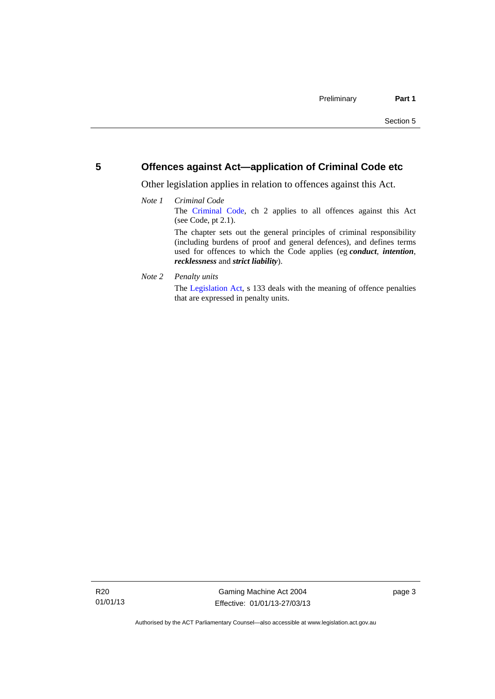### <span id="page-14-0"></span>**5 Offences against Act—application of Criminal Code etc**

Other legislation applies in relation to offences against this Act.

### *Note 1 Criminal Code* The [Criminal Code,](http://www.legislation.act.gov.au/a/2002-51) ch 2 applies to all offences against this Act (see Code, pt 2.1). The chapter sets out the general principles of criminal responsibility (including burdens of proof and general defences), and defines terms used for offences to which the Code applies (eg *conduct*, *intention*, *recklessness* and *strict liability*).

*Note 2 Penalty units* 

The [Legislation Act](http://www.legislation.act.gov.au/a/2001-14), s 133 deals with the meaning of offence penalties that are expressed in penalty units.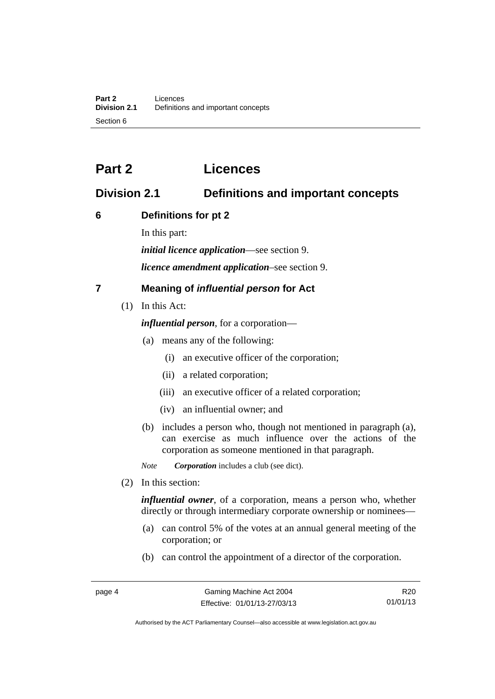# <span id="page-15-0"></span>**Part 2 Licences**

# <span id="page-15-1"></span>**Division 2.1 Definitions and important concepts**

## <span id="page-15-2"></span>**6 Definitions for pt 2**

In this part:

*initial licence application*—see section 9.

*licence amendment application*–see section 9.

# <span id="page-15-3"></span>**7 Meaning of** *influential person* **for Act**

(1) In this Act:

*influential person*, for a corporation—

- (a) means any of the following:
	- (i) an executive officer of the corporation;
	- (ii) a related corporation;
	- (iii) an executive officer of a related corporation;
	- (iv) an influential owner; and
- (b) includes a person who, though not mentioned in paragraph (a), can exercise as much influence over the actions of the corporation as someone mentioned in that paragraph.

*Note Corporation* includes a club (see dict).

(2) In this section:

*influential owner*, of a corporation, means a person who, whether directly or through intermediary corporate ownership or nominees—

- (a) can control 5% of the votes at an annual general meeting of the corporation; or
- (b) can control the appointment of a director of the corporation.

R20 01/01/13

Authorised by the ACT Parliamentary Counsel—also accessible at www.legislation.act.gov.au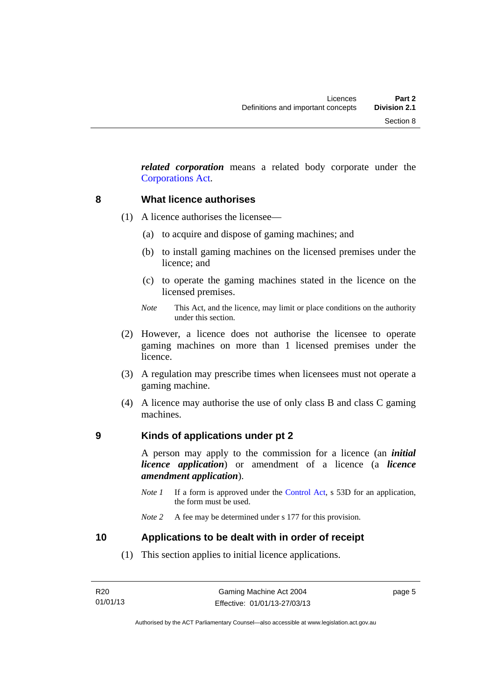*related corporation* means a related body corporate under the [Corporations Act](http://www.comlaw.gov.au/Series/C2004A00818).

### <span id="page-16-0"></span>**8 What licence authorises**

- (1) A licence authorises the licensee—
	- (a) to acquire and dispose of gaming machines; and
	- (b) to install gaming machines on the licensed premises under the licence; and
	- (c) to operate the gaming machines stated in the licence on the licensed premises.
	- *Note* This Act, and the licence, may limit or place conditions on the authority under this section.
- (2) However, a licence does not authorise the licensee to operate gaming machines on more than 1 licensed premises under the licence.
- (3) A regulation may prescribe times when licensees must not operate a gaming machine.
- (4) A licence may authorise the use of only class B and class C gaming machines.

### <span id="page-16-1"></span>**9 Kinds of applications under pt 2**

A person may apply to the commission for a licence (an *initial licence application*) or amendment of a licence (a *licence amendment application*).

*Note 1* If a form is approved under the [Control Act,](http://www.legislation.act.gov.au/a/1999-46) s 53D for an application, the form must be used.

### <span id="page-16-2"></span>**10 Applications to be dealt with in order of receipt**

(1) This section applies to initial licence applications.

page 5

*Note 2* A fee may be determined under s 177 for this provision.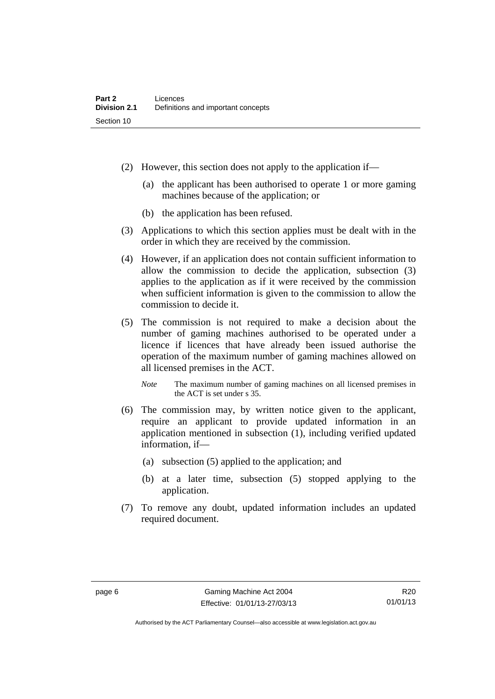- (2) However, this section does not apply to the application if—
	- (a) the applicant has been authorised to operate 1 or more gaming machines because of the application; or
	- (b) the application has been refused.
- (3) Applications to which this section applies must be dealt with in the order in which they are received by the commission.
- (4) However, if an application does not contain sufficient information to allow the commission to decide the application, subsection (3) applies to the application as if it were received by the commission when sufficient information is given to the commission to allow the commission to decide it.
- (5) The commission is not required to make a decision about the number of gaming machines authorised to be operated under a licence if licences that have already been issued authorise the operation of the maximum number of gaming machines allowed on all licensed premises in the ACT.
	- *Note* The maximum number of gaming machines on all licensed premises in the ACT is set under s 35.
- (6) The commission may, by written notice given to the applicant, require an applicant to provide updated information in an application mentioned in subsection (1), including verified updated information, if—
	- (a) subsection (5) applied to the application; and
	- (b) at a later time, subsection (5) stopped applying to the application.
- (7) To remove any doubt, updated information includes an updated required document.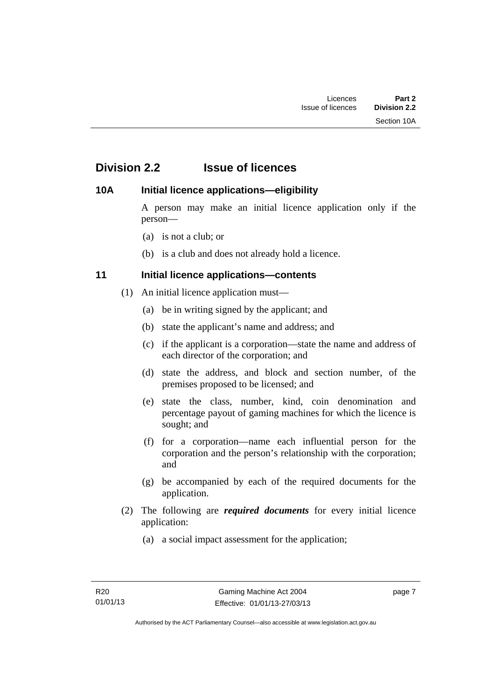# <span id="page-18-0"></span>**Division 2.2 Issue of licences**

## <span id="page-18-1"></span>**10A Initial licence applications—eligibility**

A person may make an initial licence application only if the person—

- (a) is not a club; or
- (b) is a club and does not already hold a licence.

# <span id="page-18-2"></span>**11 Initial licence applications—contents**

- (1) An initial licence application must—
	- (a) be in writing signed by the applicant; and
	- (b) state the applicant's name and address; and
	- (c) if the applicant is a corporation—state the name and address of each director of the corporation; and
	- (d) state the address, and block and section number, of the premises proposed to be licensed; and
	- (e) state the class, number, kind, coin denomination and percentage payout of gaming machines for which the licence is sought; and
	- (f) for a corporation—name each influential person for the corporation and the person's relationship with the corporation; and
	- (g) be accompanied by each of the required documents for the application.
- (2) The following are *required documents* for every initial licence application:
	- (a) a social impact assessment for the application;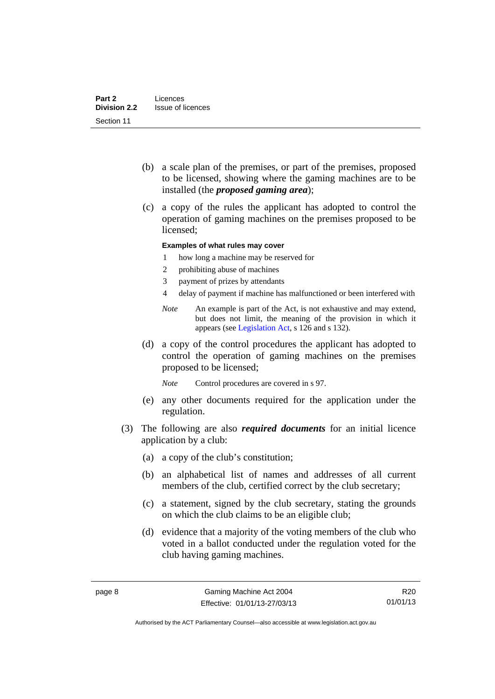- (b) a scale plan of the premises, or part of the premises, proposed to be licensed, showing where the gaming machines are to be installed (the *proposed gaming area*);
- (c) a copy of the rules the applicant has adopted to control the operation of gaming machines on the premises proposed to be licensed;

### **Examples of what rules may cover**

- 1 how long a machine may be reserved for
- 2 prohibiting abuse of machines
- 3 payment of prizes by attendants
- 4 delay of payment if machine has malfunctioned or been interfered with
- *Note* An example is part of the Act, is not exhaustive and may extend, but does not limit, the meaning of the provision in which it appears (see [Legislation Act,](http://www.legislation.act.gov.au/a/2001-14) s 126 and s 132).
- (d) a copy of the control procedures the applicant has adopted to control the operation of gaming machines on the premises proposed to be licensed;

*Note* Control procedures are covered in s 97.

- (e) any other documents required for the application under the regulation.
- (3) The following are also *required documents* for an initial licence application by a club:
	- (a) a copy of the club's constitution;
	- (b) an alphabetical list of names and addresses of all current members of the club, certified correct by the club secretary;
	- (c) a statement, signed by the club secretary, stating the grounds on which the club claims to be an eligible club;
	- (d) evidence that a majority of the voting members of the club who voted in a ballot conducted under the regulation voted for the club having gaming machines.

R20 01/01/13

Authorised by the ACT Parliamentary Counsel—also accessible at www.legislation.act.gov.au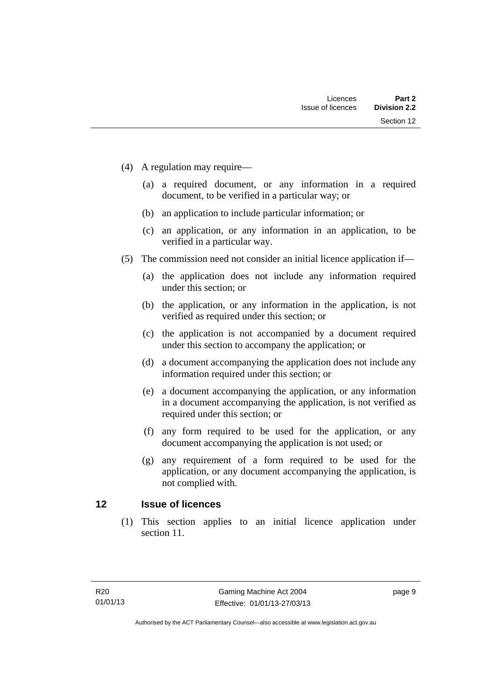- (4) A regulation may require—
	- (a) a required document, or any information in a required document, to be verified in a particular way; or
	- (b) an application to include particular information; or
	- (c) an application, or any information in an application, to be verified in a particular way.
- (5) The commission need not consider an initial licence application if—
	- (a) the application does not include any information required under this section; or
	- (b) the application, or any information in the application, is not verified as required under this section; or
	- (c) the application is not accompanied by a document required under this section to accompany the application; or
	- (d) a document accompanying the application does not include any information required under this section; or
	- (e) a document accompanying the application, or any information in a document accompanying the application, is not verified as required under this section; or
	- (f) any form required to be used for the application, or any document accompanying the application is not used; or
	- (g) any requirement of a form required to be used for the application, or any document accompanying the application, is not complied with.

## <span id="page-20-0"></span>**12 Issue of licences**

(1) This section applies to an initial licence application under section 11.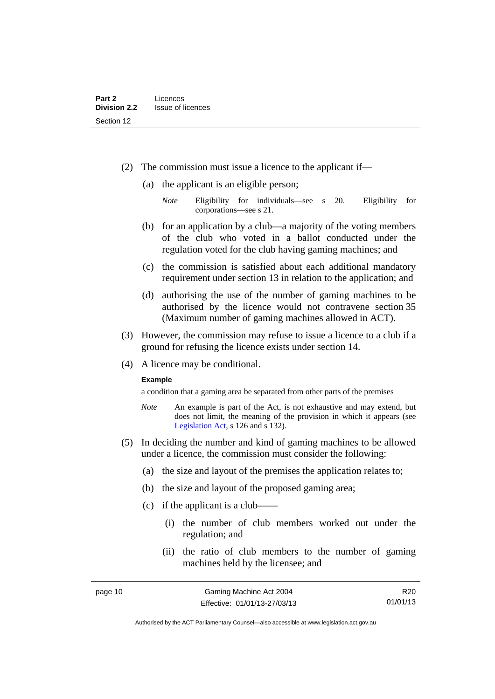- (2) The commission must issue a licence to the applicant if—
	- (a) the applicant is an eligible person;
		- *Note* Eligibility for individuals—see s 20. Eligibility for corporations—see s 21.
	- (b) for an application by a club—a majority of the voting members of the club who voted in a ballot conducted under the regulation voted for the club having gaming machines; and
	- (c) the commission is satisfied about each additional mandatory requirement under section 13 in relation to the application; and
	- (d) authorising the use of the number of gaming machines to be authorised by the licence would not contravene section 35 (Maximum number of gaming machines allowed in ACT).
- (3) However, the commission may refuse to issue a licence to a club if a ground for refusing the licence exists under section 14.
- (4) A licence may be conditional.

### **Example**

a condition that a gaming area be separated from other parts of the premises

- *Note* An example is part of the Act, is not exhaustive and may extend, but does not limit, the meaning of the provision in which it appears (see [Legislation Act,](http://www.legislation.act.gov.au/a/2001-14) s 126 and s 132).
- (5) In deciding the number and kind of gaming machines to be allowed under a licence, the commission must consider the following:
	- (a) the size and layout of the premises the application relates to;
	- (b) the size and layout of the proposed gaming area;
	- $(c)$  if the applicant is a club-
		- (i) the number of club members worked out under the regulation; and
		- (ii) the ratio of club members to the number of gaming machines held by the licensee; and

R20 01/01/13

Authorised by the ACT Parliamentary Counsel—also accessible at www.legislation.act.gov.au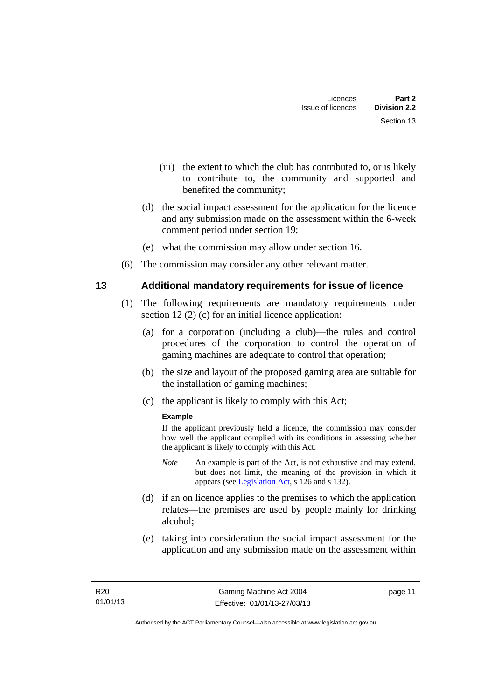- (iii) the extent to which the club has contributed to, or is likely to contribute to, the community and supported and benefited the community;
- (d) the social impact assessment for the application for the licence and any submission made on the assessment within the 6-week comment period under section 19;
- (e) what the commission may allow under section 16.
- (6) The commission may consider any other relevant matter.

## <span id="page-22-0"></span>**13 Additional mandatory requirements for issue of licence**

- (1) The following requirements are mandatory requirements under section 12 (2) (c) for an initial licence application:
	- (a) for a corporation (including a club)—the rules and control procedures of the corporation to control the operation of gaming machines are adequate to control that operation;
	- (b) the size and layout of the proposed gaming area are suitable for the installation of gaming machines;
	- (c) the applicant is likely to comply with this Act;

### **Example**

If the applicant previously held a licence, the commission may consider how well the applicant complied with its conditions in assessing whether the applicant is likely to comply with this Act.

- *Note* An example is part of the Act, is not exhaustive and may extend, but does not limit, the meaning of the provision in which it appears (see [Legislation Act,](http://www.legislation.act.gov.au/a/2001-14) s 126 and s 132).
- (d) if an on licence applies to the premises to which the application relates—the premises are used by people mainly for drinking alcohol;
- (e) taking into consideration the social impact assessment for the application and any submission made on the assessment within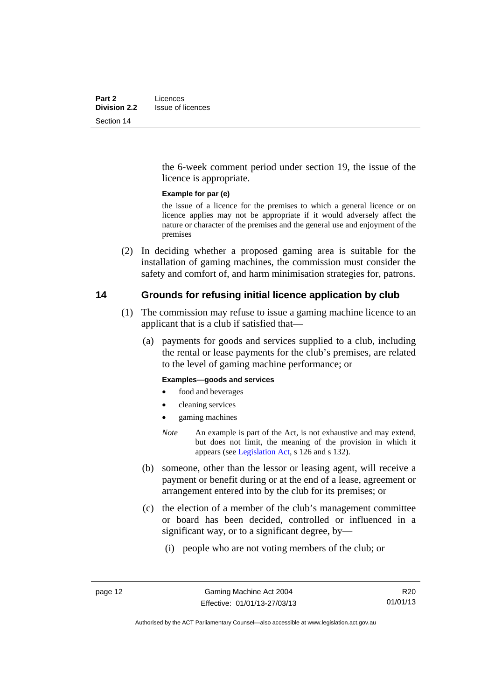the 6-week comment period under section 19, the issue of the licence is appropriate.

### **Example for par (e)**

the issue of a licence for the premises to which a general licence or on licence applies may not be appropriate if it would adversely affect the nature or character of the premises and the general use and enjoyment of the premises

 (2) In deciding whether a proposed gaming area is suitable for the installation of gaming machines, the commission must consider the safety and comfort of, and harm minimisation strategies for, patrons.

### <span id="page-23-0"></span>**14 Grounds for refusing initial licence application by club**

- (1) The commission may refuse to issue a gaming machine licence to an applicant that is a club if satisfied that—
	- (a) payments for goods and services supplied to a club, including the rental or lease payments for the club's premises, are related to the level of gaming machine performance; or

### **Examples—goods and services**

- food and beverages
- cleaning services
- gaming machines
- *Note* An example is part of the Act, is not exhaustive and may extend, but does not limit, the meaning of the provision in which it appears (see [Legislation Act,](http://www.legislation.act.gov.au/a/2001-14) s 126 and s 132).
- (b) someone, other than the lessor or leasing agent, will receive a payment or benefit during or at the end of a lease, agreement or arrangement entered into by the club for its premises; or
- (c) the election of a member of the club's management committee or board has been decided, controlled or influenced in a significant way, or to a significant degree, by—
	- (i) people who are not voting members of the club; or

R20 01/01/13

Authorised by the ACT Parliamentary Counsel—also accessible at www.legislation.act.gov.au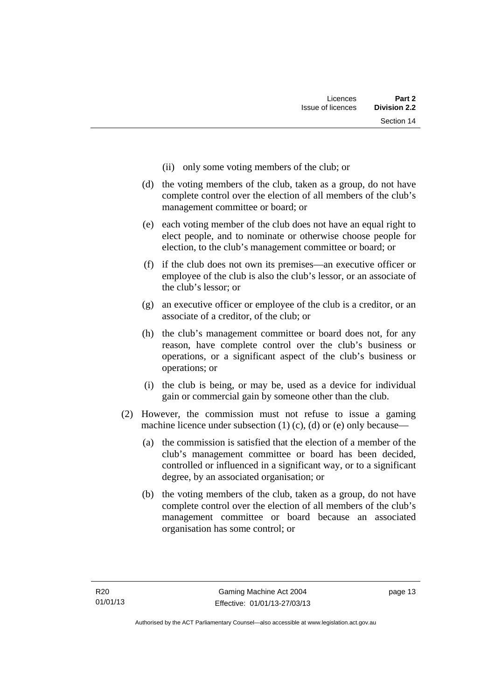- (ii) only some voting members of the club; or
- (d) the voting members of the club, taken as a group, do not have complete control over the election of all members of the club's management committee or board; or
- (e) each voting member of the club does not have an equal right to elect people, and to nominate or otherwise choose people for election, to the club's management committee or board; or
- (f) if the club does not own its premises—an executive officer or employee of the club is also the club's lessor, or an associate of the club's lessor; or
- (g) an executive officer or employee of the club is a creditor, or an associate of a creditor, of the club; or
- (h) the club's management committee or board does not, for any reason, have complete control over the club's business or operations, or a significant aspect of the club's business or operations; or
- (i) the club is being, or may be, used as a device for individual gain or commercial gain by someone other than the club.
- (2) However, the commission must not refuse to issue a gaming machine licence under subsection  $(1)$   $(c)$ ,  $(d)$  or  $(e)$  only because—
	- (a) the commission is satisfied that the election of a member of the club's management committee or board has been decided, controlled or influenced in a significant way, or to a significant degree, by an associated organisation; or
	- (b) the voting members of the club, taken as a group, do not have complete control over the election of all members of the club's management committee or board because an associated organisation has some control; or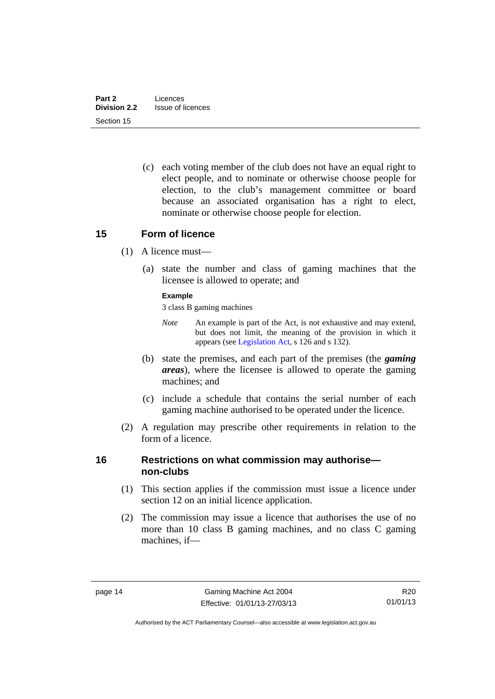(c) each voting member of the club does not have an equal right to elect people, and to nominate or otherwise choose people for election, to the club's management committee or board because an associated organisation has a right to elect, nominate or otherwise choose people for election.

### <span id="page-25-0"></span>**15 Form of licence**

- (1) A licence must—
	- (a) state the number and class of gaming machines that the licensee is allowed to operate; and

### **Example**

3 class B gaming machines

- *Note* An example is part of the Act, is not exhaustive and may extend, but does not limit, the meaning of the provision in which it appears (see [Legislation Act,](http://www.legislation.act.gov.au/a/2001-14) s 126 and s 132).
- (b) state the premises, and each part of the premises (the *gaming areas*), where the licensee is allowed to operate the gaming machines; and
- (c) include a schedule that contains the serial number of each gaming machine authorised to be operated under the licence.
- (2) A regulation may prescribe other requirements in relation to the form of a licence.

### <span id="page-25-1"></span>**16 Restrictions on what commission may authorise non-clubs**

- (1) This section applies if the commission must issue a licence under section 12 on an initial licence application.
- (2) The commission may issue a licence that authorises the use of no more than 10 class B gaming machines, and no class C gaming machines, if—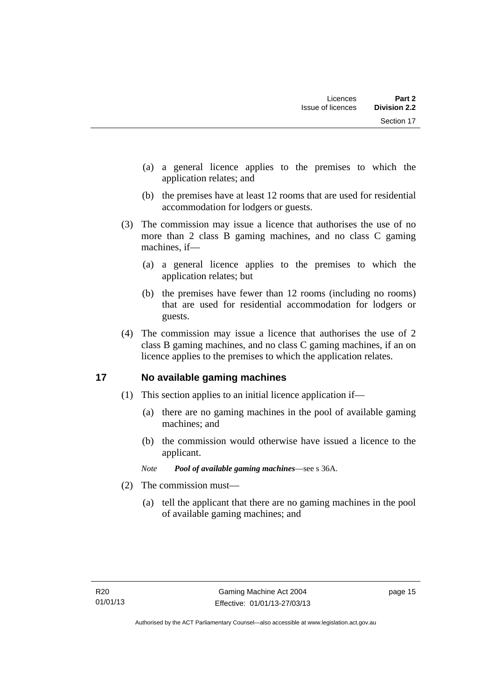- (a) a general licence applies to the premises to which the application relates; and
- (b) the premises have at least 12 rooms that are used for residential accommodation for lodgers or guests.
- (3) The commission may issue a licence that authorises the use of no more than 2 class B gaming machines, and no class C gaming machines, if—
	- (a) a general licence applies to the premises to which the application relates; but
	- (b) the premises have fewer than 12 rooms (including no rooms) that are used for residential accommodation for lodgers or guests.
- (4) The commission may issue a licence that authorises the use of 2 class B gaming machines, and no class C gaming machines, if an on licence applies to the premises to which the application relates.

# <span id="page-26-0"></span>**17 No available gaming machines**

- (1) This section applies to an initial licence application if—
	- (a) there are no gaming machines in the pool of available gaming machines; and
	- (b) the commission would otherwise have issued a licence to the applicant.
	- *Note Pool of available gaming machines*—see s 36A.
- (2) The commission must—
	- (a) tell the applicant that there are no gaming machines in the pool of available gaming machines; and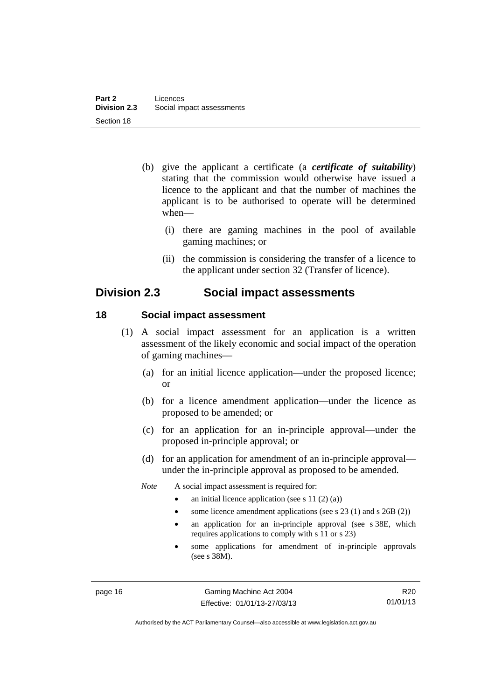- (b) give the applicant a certificate (a *certificate of suitability*) stating that the commission would otherwise have issued a licence to the applicant and that the number of machines the applicant is to be authorised to operate will be determined when—
	- (i) there are gaming machines in the pool of available gaming machines; or
	- (ii) the commission is considering the transfer of a licence to the applicant under section 32 (Transfer of licence).

# <span id="page-27-0"></span>**Division 2.3 Social impact assessments**

### <span id="page-27-1"></span>**18 Social impact assessment**

- (1) A social impact assessment for an application is a written assessment of the likely economic and social impact of the operation of gaming machines—
	- (a) for an initial licence application—under the proposed licence; or
	- (b) for a licence amendment application—under the licence as proposed to be amended; or
	- (c) for an application for an in-principle approval—under the proposed in-principle approval; or
	- (d) for an application for amendment of an in-principle approval under the in-principle approval as proposed to be amended.
	- *Note* A social impact assessment is required for:
		- an initial licence application (see s 11 (2) (a))
		- some licence amendment applications (see s 23 (1) and s 26B (2))
		- an application for an in-principle approval (see s 38E, which requires applications to comply with s 11 or s 23)
		- some applications for amendment of in-principle approvals (see s 38M).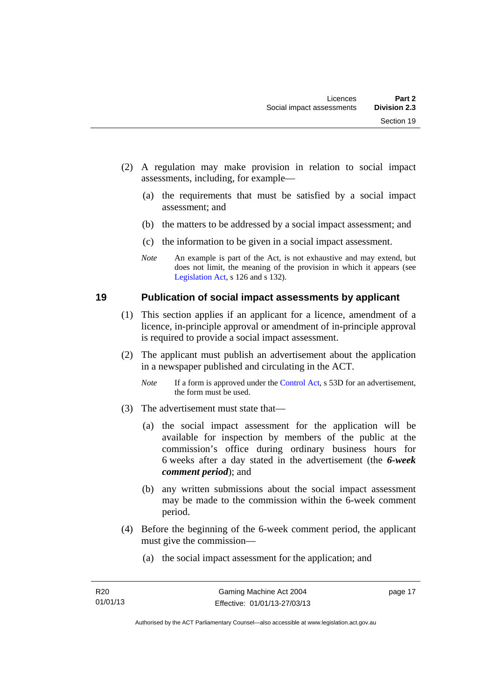- (2) A regulation may make provision in relation to social impact assessments, including, for example—
	- (a) the requirements that must be satisfied by a social impact assessment; and
	- (b) the matters to be addressed by a social impact assessment; and
	- (c) the information to be given in a social impact assessment.
	- *Note* An example is part of the Act, is not exhaustive and may extend, but does not limit, the meaning of the provision in which it appears (see [Legislation Act,](http://www.legislation.act.gov.au/a/2001-14) s 126 and s 132).

### <span id="page-28-0"></span>**19 Publication of social impact assessments by applicant**

- (1) This section applies if an applicant for a licence, amendment of a licence, in-principle approval or amendment of in-principle approval is required to provide a social impact assessment.
- (2) The applicant must publish an advertisement about the application in a newspaper published and circulating in the ACT.
	- *Note* If a form is approved under the [Control Act,](http://www.legislation.act.gov.au/a/1999-46) s 53D for an advertisement, the form must be used.
- (3) The advertisement must state that—
	- (a) the social impact assessment for the application will be available for inspection by members of the public at the commission's office during ordinary business hours for 6 weeks after a day stated in the advertisement (the *6-week comment period*); and
	- (b) any written submissions about the social impact assessment may be made to the commission within the 6-week comment period.
- (4) Before the beginning of the 6-week comment period, the applicant must give the commission—
	- (a) the social impact assessment for the application; and

page 17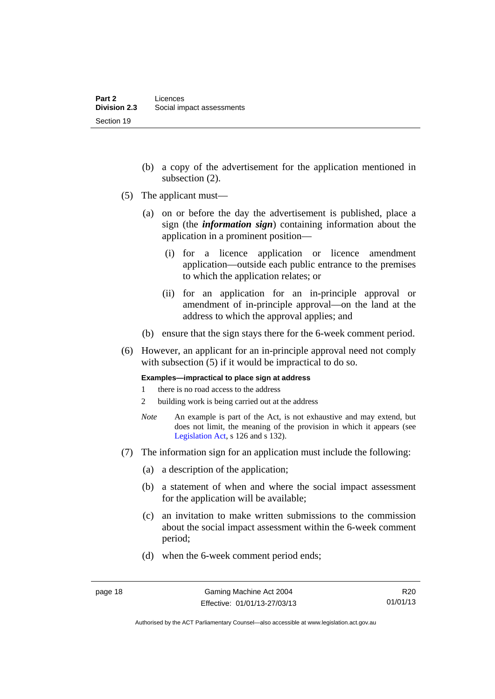- (b) a copy of the advertisement for the application mentioned in subsection (2).
- (5) The applicant must—
	- (a) on or before the day the advertisement is published, place a sign (the *information sign*) containing information about the application in a prominent position—
		- (i) for a licence application or licence amendment application—outside each public entrance to the premises to which the application relates; or
		- (ii) for an application for an in-principle approval or amendment of in-principle approval—on the land at the address to which the approval applies; and
	- (b) ensure that the sign stays there for the 6-week comment period.
- (6) However, an applicant for an in-principle approval need not comply with subsection (5) if it would be impractical to do so.

**Examples—impractical to place sign at address** 

- 1 there is no road access to the address
- 2 building work is being carried out at the address
- *Note* An example is part of the Act, is not exhaustive and may extend, but does not limit, the meaning of the provision in which it appears (see [Legislation Act,](http://www.legislation.act.gov.au/a/2001-14) s 126 and s 132).
- (7) The information sign for an application must include the following:
	- (a) a description of the application;
	- (b) a statement of when and where the social impact assessment for the application will be available;
	- (c) an invitation to make written submissions to the commission about the social impact assessment within the 6-week comment period;
	- (d) when the 6-week comment period ends;

R20 01/01/13

Authorised by the ACT Parliamentary Counsel—also accessible at www.legislation.act.gov.au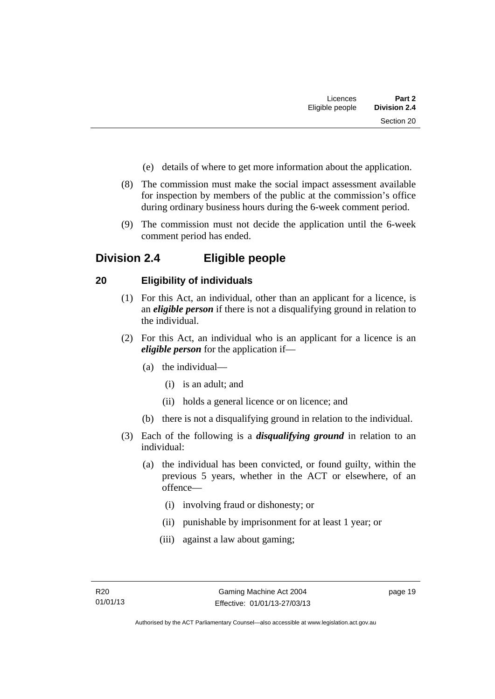- (e) details of where to get more information about the application.
- (8) The commission must make the social impact assessment available for inspection by members of the public at the commission's office during ordinary business hours during the 6-week comment period.
- (9) The commission must not decide the application until the 6-week comment period has ended.

# <span id="page-30-0"></span>**Division 2.4 Eligible people**

# <span id="page-30-1"></span>**20 Eligibility of individuals**

- (1) For this Act, an individual, other than an applicant for a licence, is an *eligible person* if there is not a disqualifying ground in relation to the individual.
- (2) For this Act, an individual who is an applicant for a licence is an *eligible person* for the application if—
	- (a) the individual—
		- (i) is an adult; and
		- (ii) holds a general licence or on licence; and
	- (b) there is not a disqualifying ground in relation to the individual.
- (3) Each of the following is a *disqualifying ground* in relation to an individual:
	- (a) the individual has been convicted, or found guilty, within the previous 5 years, whether in the ACT or elsewhere, of an offence—
		- (i) involving fraud or dishonesty; or
		- (ii) punishable by imprisonment for at least 1 year; or
		- (iii) against a law about gaming;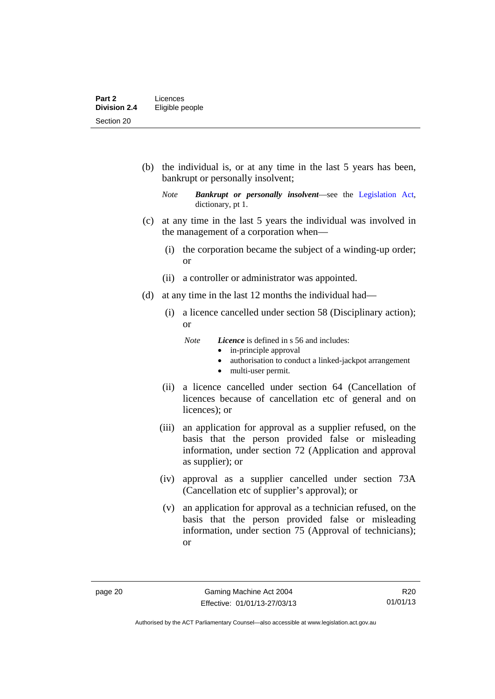(b) the individual is, or at any time in the last 5 years has been, bankrupt or personally insolvent;

- (c) at any time in the last 5 years the individual was involved in the management of a corporation when—
	- (i) the corporation became the subject of a winding-up order; or
	- (ii) a controller or administrator was appointed.
- (d) at any time in the last 12 months the individual had—
	- (i) a licence cancelled under section 58 (Disciplinary action); or
		- *Note Licence* is defined in s 56 and includes:
			- in-principle approval
			- authorisation to conduct a linked-jackpot arrangement
			- multi-user permit.
	- (ii) a licence cancelled under section 64 (Cancellation of licences because of cancellation etc of general and on licences); or
	- (iii) an application for approval as a supplier refused, on the basis that the person provided false or misleading information, under section 72 (Application and approval as supplier); or
	- (iv) approval as a supplier cancelled under section 73A (Cancellation etc of supplier's approval); or
	- (v) an application for approval as a technician refused, on the basis that the person provided false or misleading information, under section 75 (Approval of technicians); or

*Note Bankrupt or personally insolvent*—see the [Legislation Act,](http://www.legislation.act.gov.au/a/2001-14) dictionary, pt 1.

R20 01/01/13

Authorised by the ACT Parliamentary Counsel—also accessible at www.legislation.act.gov.au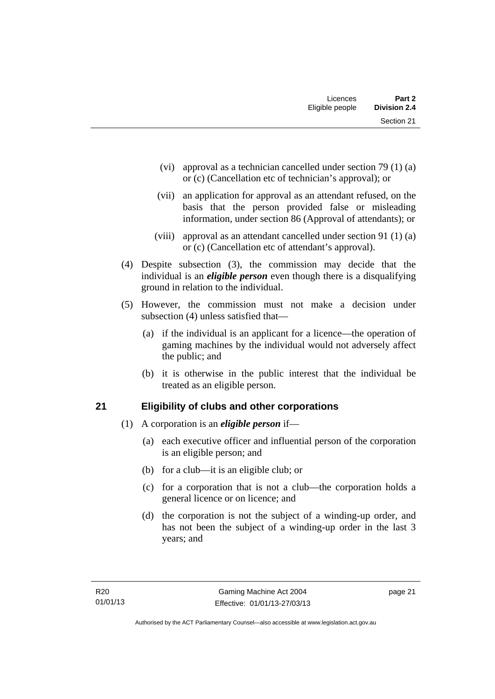| Licences        | Part 2              |
|-----------------|---------------------|
| Eligible people | <b>Division 2.4</b> |
|                 | Section 21          |

- (vi) approval as a technician cancelled under section 79 (1) (a) or (c) (Cancellation etc of technician's approval); or
- (vii) an application for approval as an attendant refused, on the basis that the person provided false or misleading information, under section 86 (Approval of attendants); or
- (viii) approval as an attendant cancelled under section 91 (1) (a) or (c) (Cancellation etc of attendant's approval).
- (4) Despite subsection (3), the commission may decide that the individual is an *eligible person* even though there is a disqualifying ground in relation to the individual.
- (5) However, the commission must not make a decision under subsection (4) unless satisfied that—
	- (a) if the individual is an applicant for a licence—the operation of gaming machines by the individual would not adversely affect the public; and
	- (b) it is otherwise in the public interest that the individual be treated as an eligible person.

## <span id="page-32-0"></span>**21 Eligibility of clubs and other corporations**

- (1) A corporation is an *eligible person* if—
	- (a) each executive officer and influential person of the corporation is an eligible person; and
	- (b) for a club—it is an eligible club; or
	- (c) for a corporation that is not a club—the corporation holds a general licence or on licence; and
	- (d) the corporation is not the subject of a winding-up order, and has not been the subject of a winding-up order in the last 3 years; and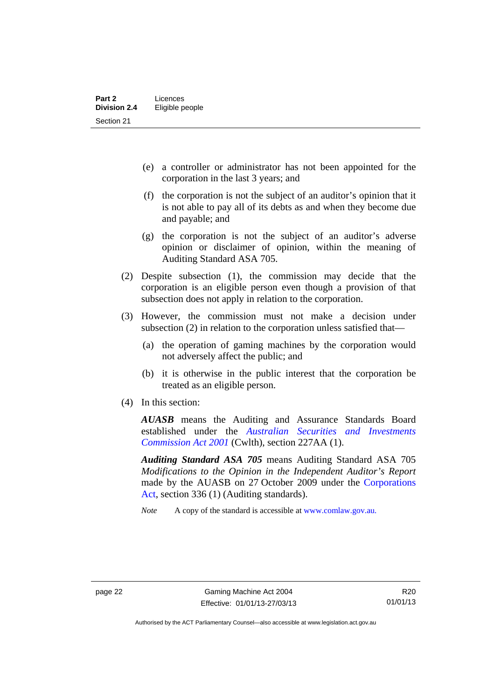- (e) a controller or administrator has not been appointed for the corporation in the last 3 years; and
- (f) the corporation is not the subject of an auditor's opinion that it is not able to pay all of its debts as and when they become due and payable; and
- (g) the corporation is not the subject of an auditor's adverse opinion or disclaimer of opinion, within the meaning of Auditing Standard ASA 705.
- (2) Despite subsection (1), the commission may decide that the corporation is an eligible person even though a provision of that subsection does not apply in relation to the corporation.
- (3) However, the commission must not make a decision under subsection (2) in relation to the corporation unless satisfied that—
	- (a) the operation of gaming machines by the corporation would not adversely affect the public; and
	- (b) it is otherwise in the public interest that the corporation be treated as an eligible person.
- (4) In this section:

*AUASB* means the Auditing and Assurance Standards Board established under the *[Australian Securities and Investments](http://www.comlaw.gov.au/Series/C2004A00819)  [Commission Act 2001](http://www.comlaw.gov.au/Series/C2004A00819)* (Cwlth), section 227AA (1).

*Auditing Standard ASA 705* means Auditing Standard ASA 705 *Modifications to the Opinion in the Independent Auditor's Report* made by the AUASB on 27 October 2009 under the [Corporations](http://www.comlaw.gov.au/Series/C2004A00818)  [Act](http://www.comlaw.gov.au/Series/C2004A00818), section 336 (1) (Auditing standards).

*Note* A copy of the standard is accessible at [www.comlaw.gov.au.](http://www.comlaw.gov.au/) 

Authorised by the ACT Parliamentary Counsel—also accessible at www.legislation.act.gov.au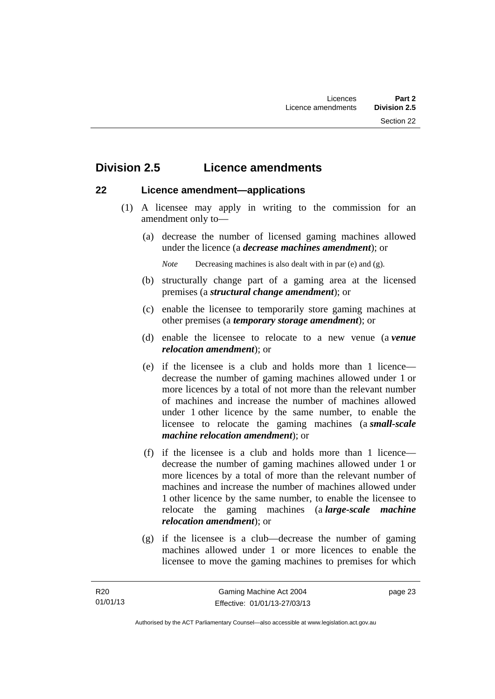# <span id="page-34-0"></span>**Division 2.5 Licence amendments**

### <span id="page-34-1"></span>**22 Licence amendment—applications**

- (1) A licensee may apply in writing to the commission for an amendment only to—
	- (a) decrease the number of licensed gaming machines allowed under the licence (a *decrease machines amendment*); or

*Note* Decreasing machines is also dealt with in par (e) and (g).

- (b) structurally change part of a gaming area at the licensed premises (a *structural change amendment*); or
- (c) enable the licensee to temporarily store gaming machines at other premises (a *temporary storage amendment*); or
- (d) enable the licensee to relocate to a new venue (a *venue relocation amendment*); or
- (e) if the licensee is a club and holds more than 1 licence decrease the number of gaming machines allowed under 1 or more licences by a total of not more than the relevant number of machines and increase the number of machines allowed under 1 other licence by the same number, to enable the licensee to relocate the gaming machines (a *small-scale machine relocation amendment*); or
- (f) if the licensee is a club and holds more than 1 licence decrease the number of gaming machines allowed under 1 or more licences by a total of more than the relevant number of machines and increase the number of machines allowed under 1 other licence by the same number, to enable the licensee to relocate the gaming machines (a *large-scale machine relocation amendment*); or
- (g) if the licensee is a club—decrease the number of gaming machines allowed under 1 or more licences to enable the licensee to move the gaming machines to premises for which

page 23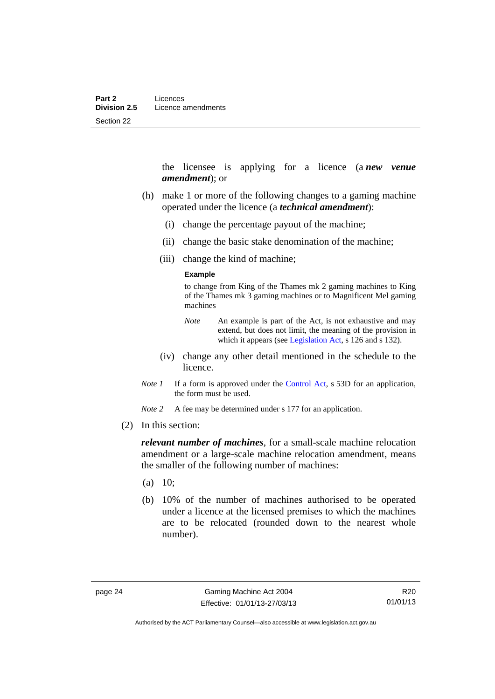the licensee is applying for a licence (a *new venue amendment*); or

- (h) make 1 or more of the following changes to a gaming machine operated under the licence (a *technical amendment*):
	- (i) change the percentage payout of the machine;
	- (ii) change the basic stake denomination of the machine;
	- (iii) change the kind of machine;

#### **Example**

to change from King of the Thames mk 2 gaming machines to King of the Thames mk 3 gaming machines or to Magnificent Mel gaming machines

- *Note* An example is part of the Act, is not exhaustive and may extend, but does not limit, the meaning of the provision in which it appears (see [Legislation Act,](http://www.legislation.act.gov.au/a/2001-14) s 126 and s 132).
- (iv) change any other detail mentioned in the schedule to the licence.
- *Note 1* If a form is approved under the [Control Act](http://www.legislation.act.gov.au/a/1999-46), s 53D for an application, the form must be used.

*Note* 2 A fee may be determined under s 177 for an application.

(2) In this section:

*relevant number of machines*, for a small-scale machine relocation amendment or a large-scale machine relocation amendment, means the smaller of the following number of machines:

- $(a)$  10;
- (b) 10% of the number of machines authorised to be operated under a licence at the licensed premises to which the machines are to be relocated (rounded down to the nearest whole number).

R20 01/01/13

Authorised by the ACT Parliamentary Counsel—also accessible at www.legislation.act.gov.au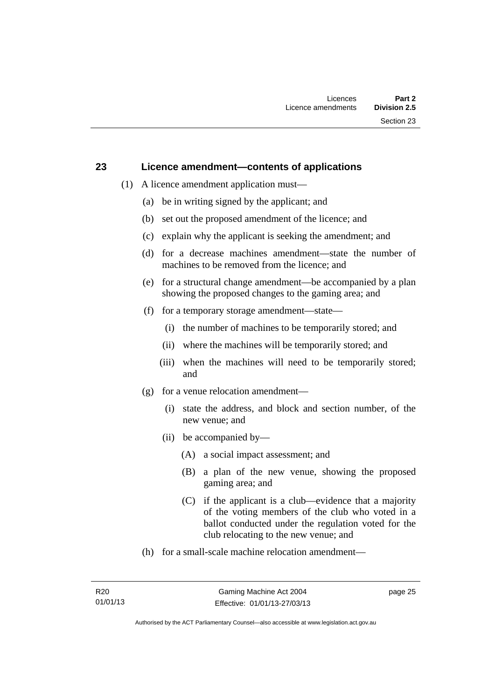#### **23 Licence amendment—contents of applications**

- (1) A licence amendment application must—
	- (a) be in writing signed by the applicant; and
	- (b) set out the proposed amendment of the licence; and
	- (c) explain why the applicant is seeking the amendment; and
	- (d) for a decrease machines amendment—state the number of machines to be removed from the licence; and
	- (e) for a structural change amendment—be accompanied by a plan showing the proposed changes to the gaming area; and
	- (f) for a temporary storage amendment—state—
		- (i) the number of machines to be temporarily stored; and
		- (ii) where the machines will be temporarily stored; and
		- (iii) when the machines will need to be temporarily stored; and
	- (g) for a venue relocation amendment—
		- (i) state the address, and block and section number, of the new venue; and
		- (ii) be accompanied by—
			- (A) a social impact assessment; and
			- (B) a plan of the new venue, showing the proposed gaming area; and
			- (C) if the applicant is a club—evidence that a majority of the voting members of the club who voted in a ballot conducted under the regulation voted for the club relocating to the new venue; and
	- (h) for a small-scale machine relocation amendment—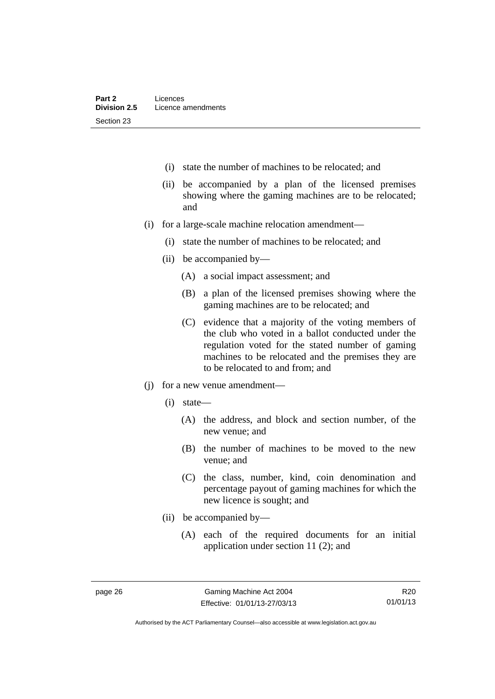- (i) state the number of machines to be relocated; and
- (ii) be accompanied by a plan of the licensed premises showing where the gaming machines are to be relocated; and
- (i) for a large-scale machine relocation amendment—
	- (i) state the number of machines to be relocated; and
	- (ii) be accompanied by—
		- (A) a social impact assessment; and
		- (B) a plan of the licensed premises showing where the gaming machines are to be relocated; and
		- (C) evidence that a majority of the voting members of the club who voted in a ballot conducted under the regulation voted for the stated number of gaming machines to be relocated and the premises they are to be relocated to and from; and
- (j) for a new venue amendment—
	- (i) state—
		- (A) the address, and block and section number, of the new venue; and
		- (B) the number of machines to be moved to the new venue; and
		- (C) the class, number, kind, coin denomination and percentage payout of gaming machines for which the new licence is sought; and
	- (ii) be accompanied by—
		- (A) each of the required documents for an initial application under section 11 (2); and

R20 01/01/13

Authorised by the ACT Parliamentary Counsel—also accessible at www.legislation.act.gov.au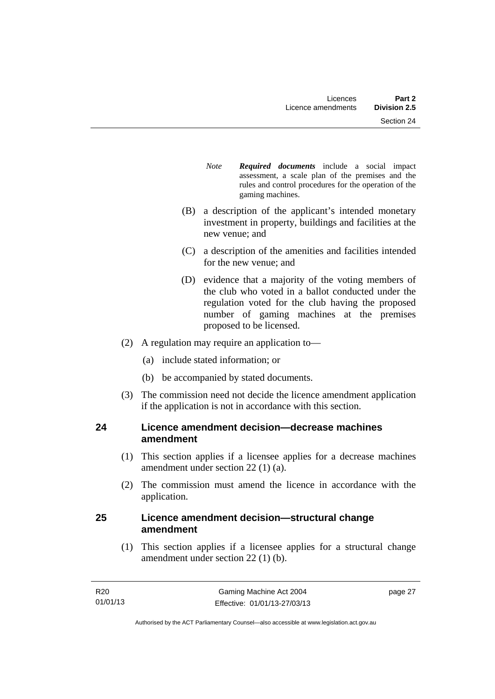- *Note Required documents* include a social impact assessment, a scale plan of the premises and the rules and control procedures for the operation of the gaming machines.
- (B) a description of the applicant's intended monetary investment in property, buildings and facilities at the new venue; and
- (C) a description of the amenities and facilities intended for the new venue; and
- (D) evidence that a majority of the voting members of the club who voted in a ballot conducted under the regulation voted for the club having the proposed number of gaming machines at the premises proposed to be licensed.
- (2) A regulation may require an application to—
	- (a) include stated information; or
	- (b) be accompanied by stated documents.
- (3) The commission need not decide the licence amendment application if the application is not in accordance with this section.

#### **24 Licence amendment decision—decrease machines amendment**

- (1) This section applies if a licensee applies for a decrease machines amendment under section 22 (1) (a).
- (2) The commission must amend the licence in accordance with the application.

#### **25 Licence amendment decision—structural change amendment**

(1) This section applies if a licensee applies for a structural change amendment under section 22 (1) (b).

page 27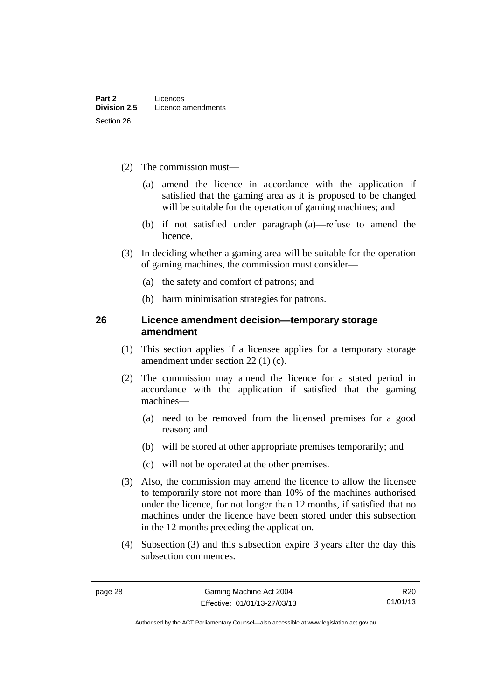- (2) The commission must—
	- (a) amend the licence in accordance with the application if satisfied that the gaming area as it is proposed to be changed will be suitable for the operation of gaming machines; and
	- (b) if not satisfied under paragraph (a)—refuse to amend the licence.
- (3) In deciding whether a gaming area will be suitable for the operation of gaming machines, the commission must consider—
	- (a) the safety and comfort of patrons; and
	- (b) harm minimisation strategies for patrons.

#### **26 Licence amendment decision—temporary storage amendment**

- (1) This section applies if a licensee applies for a temporary storage amendment under section 22 (1) (c).
- (2) The commission may amend the licence for a stated period in accordance with the application if satisfied that the gaming machines—
	- (a) need to be removed from the licensed premises for a good reason; and
	- (b) will be stored at other appropriate premises temporarily; and
	- (c) will not be operated at the other premises.
- (3) Also, the commission may amend the licence to allow the licensee to temporarily store not more than 10% of the machines authorised under the licence, for not longer than 12 months, if satisfied that no machines under the licence have been stored under this subsection in the 12 months preceding the application.
- (4) Subsection (3) and this subsection expire 3 years after the day this subsection commences.

R20 01/01/13

Authorised by the ACT Parliamentary Counsel—also accessible at www.legislation.act.gov.au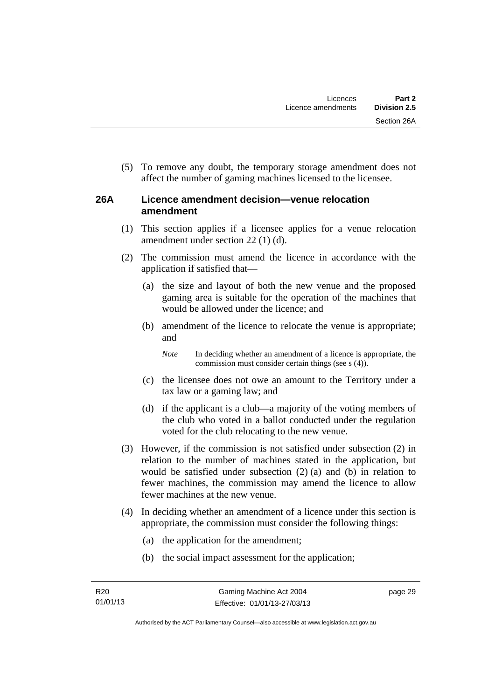(5) To remove any doubt, the temporary storage amendment does not affect the number of gaming machines licensed to the licensee.

## **26A Licence amendment decision—venue relocation amendment**

- (1) This section applies if a licensee applies for a venue relocation amendment under section 22 (1) (d).
- (2) The commission must amend the licence in accordance with the application if satisfied that—
	- (a) the size and layout of both the new venue and the proposed gaming area is suitable for the operation of the machines that would be allowed under the licence; and
	- (b) amendment of the licence to relocate the venue is appropriate; and

*Note* In deciding whether an amendment of a licence is appropriate, the commission must consider certain things (see s (4)).

- (c) the licensee does not owe an amount to the Territory under a tax law or a gaming law; and
- (d) if the applicant is a club—a majority of the voting members of the club who voted in a ballot conducted under the regulation voted for the club relocating to the new venue.
- (3) However, if the commission is not satisfied under subsection (2) in relation to the number of machines stated in the application, but would be satisfied under subsection (2) (a) and (b) in relation to fewer machines, the commission may amend the licence to allow fewer machines at the new venue.
- (4) In deciding whether an amendment of a licence under this section is appropriate, the commission must consider the following things:
	- (a) the application for the amendment;
	- (b) the social impact assessment for the application;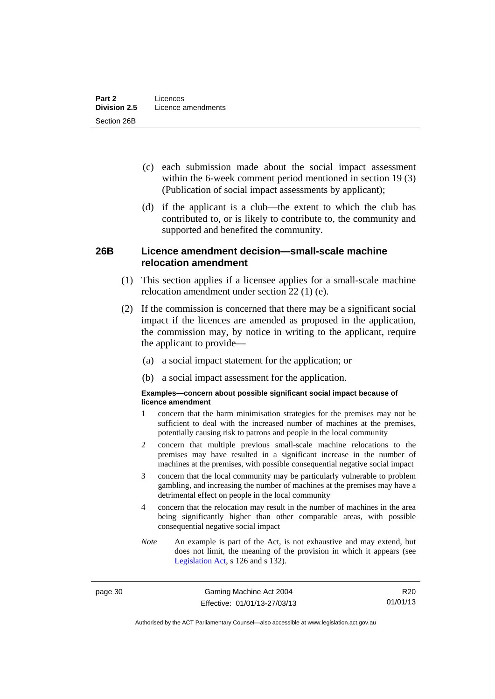- (c) each submission made about the social impact assessment within the 6-week comment period mentioned in section 19 (3) (Publication of social impact assessments by applicant);
- (d) if the applicant is a club—the extent to which the club has contributed to, or is likely to contribute to, the community and supported and benefited the community.

#### **26B Licence amendment decision—small-scale machine relocation amendment**

- (1) This section applies if a licensee applies for a small-scale machine relocation amendment under section 22 (1) (e).
- (2) If the commission is concerned that there may be a significant social impact if the licences are amended as proposed in the application, the commission may, by notice in writing to the applicant, require the applicant to provide—
	- (a) a social impact statement for the application; or
	- (b) a social impact assessment for the application.

#### **Examples—concern about possible significant social impact because of licence amendment**

- 1 concern that the harm minimisation strategies for the premises may not be sufficient to deal with the increased number of machines at the premises, potentially causing risk to patrons and people in the local community
- 2 concern that multiple previous small-scale machine relocations to the premises may have resulted in a significant increase in the number of machines at the premises, with possible consequential negative social impact
- 3 concern that the local community may be particularly vulnerable to problem gambling, and increasing the number of machines at the premises may have a detrimental effect on people in the local community
- 4 concern that the relocation may result in the number of machines in the area being significantly higher than other comparable areas, with possible consequential negative social impact
- *Note* An example is part of the Act, is not exhaustive and may extend, but does not limit, the meaning of the provision in which it appears (see [Legislation Act,](http://www.legislation.act.gov.au/a/2001-14) s 126 and s 132).

page 30 Gaming Machine Act 2004 Effective: 01/01/13-27/03/13

R20 01/01/13

Authorised by the ACT Parliamentary Counsel—also accessible at www.legislation.act.gov.au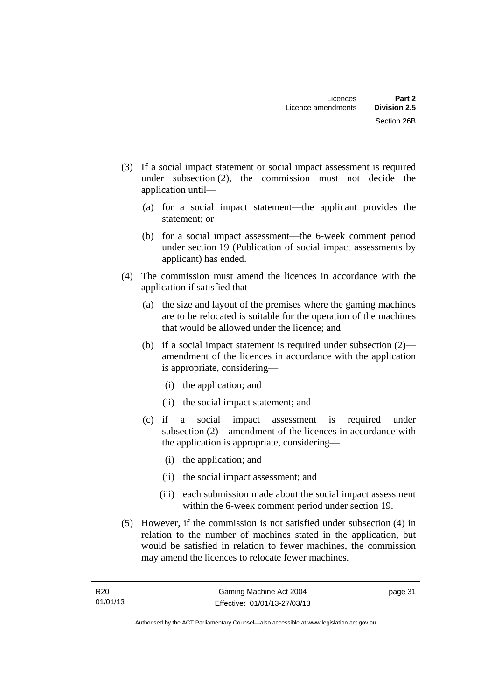- (3) If a social impact statement or social impact assessment is required under subsection (2), the commission must not decide the application until—
	- (a) for a social impact statement—the applicant provides the statement; or
	- (b) for a social impact assessment—the 6-week comment period under section 19 (Publication of social impact assessments by applicant) has ended.
- (4) The commission must amend the licences in accordance with the application if satisfied that—
	- (a) the size and layout of the premises where the gaming machines are to be relocated is suitable for the operation of the machines that would be allowed under the licence; and
	- (b) if a social impact statement is required under subsection (2) amendment of the licences in accordance with the application is appropriate, considering—
		- (i) the application; and
		- (ii) the social impact statement; and
	- (c) if a social impact assessment is required under subsection (2)—amendment of the licences in accordance with the application is appropriate, considering—
		- (i) the application; and
		- (ii) the social impact assessment; and
		- (iii) each submission made about the social impact assessment within the 6-week comment period under section 19.
- (5) However, if the commission is not satisfied under subsection (4) in relation to the number of machines stated in the application, but would be satisfied in relation to fewer machines, the commission may amend the licences to relocate fewer machines.

page 31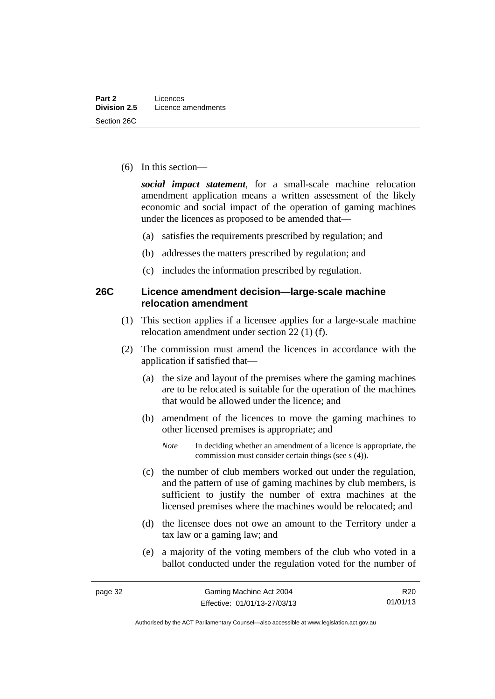(6) In this section—

*social impact statement*, for a small-scale machine relocation amendment application means a written assessment of the likely economic and social impact of the operation of gaming machines under the licences as proposed to be amended that—

- (a) satisfies the requirements prescribed by regulation; and
- (b) addresses the matters prescribed by regulation; and
- (c) includes the information prescribed by regulation.

#### **26C Licence amendment decision—large-scale machine relocation amendment**

- (1) This section applies if a licensee applies for a large-scale machine relocation amendment under section 22 (1) (f).
- (2) The commission must amend the licences in accordance with the application if satisfied that—
	- (a) the size and layout of the premises where the gaming machines are to be relocated is suitable for the operation of the machines that would be allowed under the licence; and
	- (b) amendment of the licences to move the gaming machines to other licensed premises is appropriate; and
		- *Note* In deciding whether an amendment of a licence is appropriate, the commission must consider certain things (see s (4)).
	- (c) the number of club members worked out under the regulation, and the pattern of use of gaming machines by club members, is sufficient to justify the number of extra machines at the licensed premises where the machines would be relocated; and
	- (d) the licensee does not owe an amount to the Territory under a tax law or a gaming law; and
	- (e) a majority of the voting members of the club who voted in a ballot conducted under the regulation voted for the number of

R20 01/01/13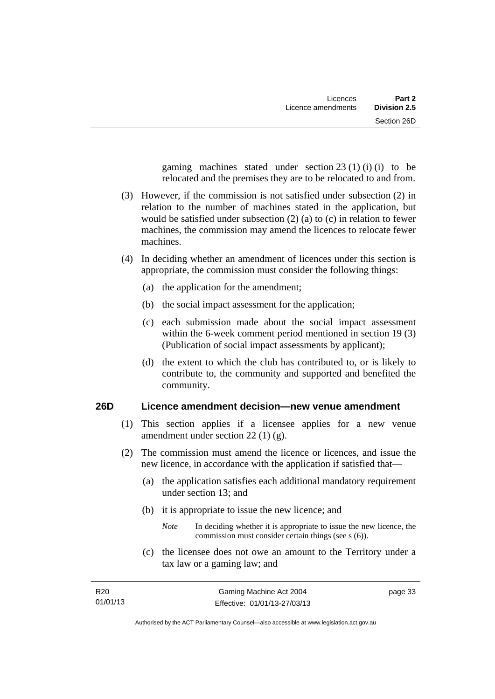gaming machines stated under section  $23(1)(i)$  (i) to be relocated and the premises they are to be relocated to and from.

- (3) However, if the commission is not satisfied under subsection (2) in relation to the number of machines stated in the application, but would be satisfied under subsection (2) (a) to (c) in relation to fewer machines, the commission may amend the licences to relocate fewer machines.
- (4) In deciding whether an amendment of licences under this section is appropriate, the commission must consider the following things:
	- (a) the application for the amendment;
	- (b) the social impact assessment for the application;
	- (c) each submission made about the social impact assessment within the 6-week comment period mentioned in section 19 (3) (Publication of social impact assessments by applicant);
	- (d) the extent to which the club has contributed to, or is likely to contribute to, the community and supported and benefited the community.

## **26D Licence amendment decision—new venue amendment**

- (1) This section applies if a licensee applies for a new venue amendment under section 22 (1) (g).
- (2) The commission must amend the licence or licences, and issue the new licence, in accordance with the application if satisfied that—
	- (a) the application satisfies each additional mandatory requirement under section 13; and
	- (b) it is appropriate to issue the new licence; and
		- *Note* In deciding whether it is appropriate to issue the new licence, the commission must consider certain things (see s (6)).
	- (c) the licensee does not owe an amount to the Territory under a tax law or a gaming law; and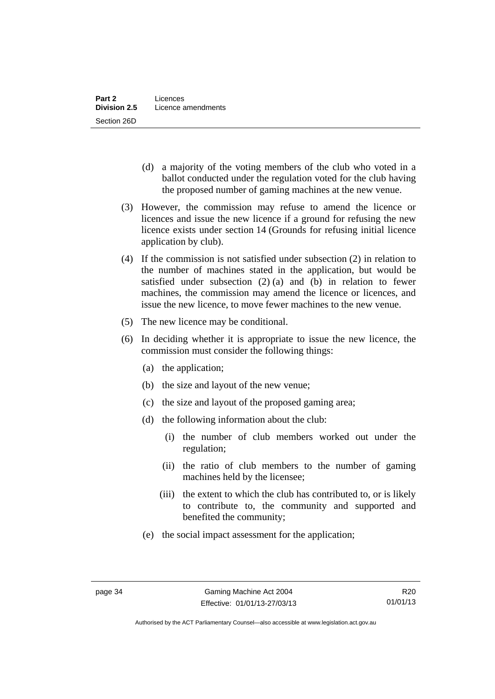- (d) a majority of the voting members of the club who voted in a ballot conducted under the regulation voted for the club having the proposed number of gaming machines at the new venue.
- (3) However, the commission may refuse to amend the licence or licences and issue the new licence if a ground for refusing the new licence exists under section 14 (Grounds for refusing initial licence application by club).
- (4) If the commission is not satisfied under subsection (2) in relation to the number of machines stated in the application, but would be satisfied under subsection (2) (a) and (b) in relation to fewer machines, the commission may amend the licence or licences, and issue the new licence, to move fewer machines to the new venue.
- (5) The new licence may be conditional.
- (6) In deciding whether it is appropriate to issue the new licence, the commission must consider the following things:
	- (a) the application;
	- (b) the size and layout of the new venue;
	- (c) the size and layout of the proposed gaming area;
	- (d) the following information about the club:
		- (i) the number of club members worked out under the regulation;
		- (ii) the ratio of club members to the number of gaming machines held by the licensee;
		- (iii) the extent to which the club has contributed to, or is likely to contribute to, the community and supported and benefited the community;
	- (e) the social impact assessment for the application;

Authorised by the ACT Parliamentary Counsel—also accessible at www.legislation.act.gov.au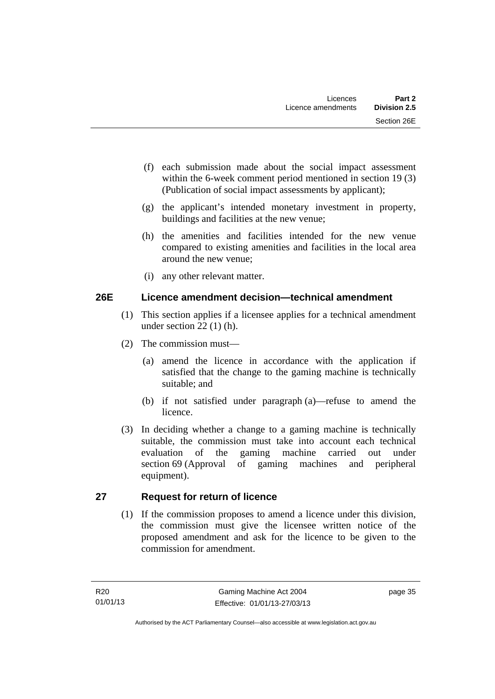- (f) each submission made about the social impact assessment within the 6-week comment period mentioned in section 19 (3) (Publication of social impact assessments by applicant);
- (g) the applicant's intended monetary investment in property, buildings and facilities at the new venue;
- (h) the amenities and facilities intended for the new venue compared to existing amenities and facilities in the local area around the new venue;
- (i) any other relevant matter.

## **26E Licence amendment decision—technical amendment**

- (1) This section applies if a licensee applies for a technical amendment under section 22 (1) (h).
- (2) The commission must—
	- (a) amend the licence in accordance with the application if satisfied that the change to the gaming machine is technically suitable; and
	- (b) if not satisfied under paragraph (a)—refuse to amend the licence.
- (3) In deciding whether a change to a gaming machine is technically suitable, the commission must take into account each technical evaluation of the gaming machine carried out under section 69 (Approval of gaming machines and peripheral equipment).

## **27 Request for return of licence**

(1) If the commission proposes to amend a licence under this division, the commission must give the licensee written notice of the proposed amendment and ask for the licence to be given to the commission for amendment.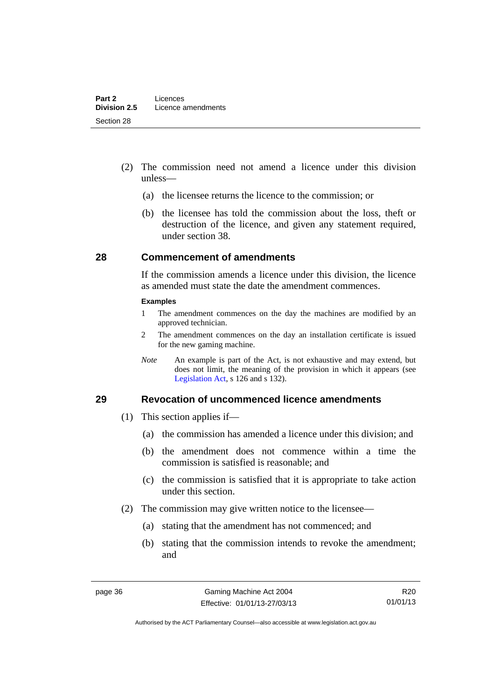- (2) The commission need not amend a licence under this division unless—
	- (a) the licensee returns the licence to the commission; or
	- (b) the licensee has told the commission about the loss, theft or destruction of the licence, and given any statement required, under section 38.

#### **28 Commencement of amendments**

If the commission amends a licence under this division, the licence as amended must state the date the amendment commences.

#### **Examples**

- 1 The amendment commences on the day the machines are modified by an approved technician.
- 2 The amendment commences on the day an installation certificate is issued for the new gaming machine.
- *Note* An example is part of the Act, is not exhaustive and may extend, but does not limit, the meaning of the provision in which it appears (see [Legislation Act,](http://www.legislation.act.gov.au/a/2001-14) s 126 and s 132).

#### **29 Revocation of uncommenced licence amendments**

- (1) This section applies if—
	- (a) the commission has amended a licence under this division; and
	- (b) the amendment does not commence within a time the commission is satisfied is reasonable; and
	- (c) the commission is satisfied that it is appropriate to take action under this section.
- (2) The commission may give written notice to the licensee—
	- (a) stating that the amendment has not commenced; and
	- (b) stating that the commission intends to revoke the amendment; and

R20 01/01/13

Authorised by the ACT Parliamentary Counsel—also accessible at www.legislation.act.gov.au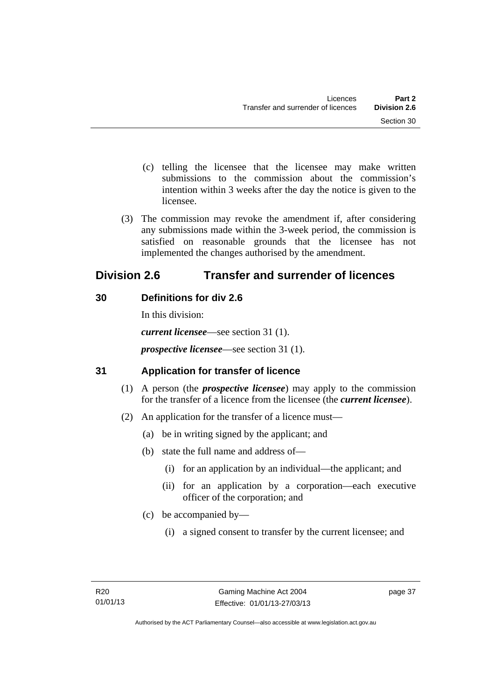- (c) telling the licensee that the licensee may make written submissions to the commission about the commission's intention within 3 weeks after the day the notice is given to the licensee.
- (3) The commission may revoke the amendment if, after considering any submissions made within the 3-week period, the commission is satisfied on reasonable grounds that the licensee has not implemented the changes authorised by the amendment.

# **Division 2.6 Transfer and surrender of licences**

# **30 Definitions for div 2.6**

In this division: *current licensee*—see section 31 (1). *prospective licensee*—see section 31 (1).

# **31 Application for transfer of licence**

- (1) A person (the *prospective licensee*) may apply to the commission for the transfer of a licence from the licensee (the *current licensee*).
- (2) An application for the transfer of a licence must—
	- (a) be in writing signed by the applicant; and
	- (b) state the full name and address of—
		- (i) for an application by an individual—the applicant; and
		- (ii) for an application by a corporation—each executive officer of the corporation; and
	- (c) be accompanied by—
		- (i) a signed consent to transfer by the current licensee; and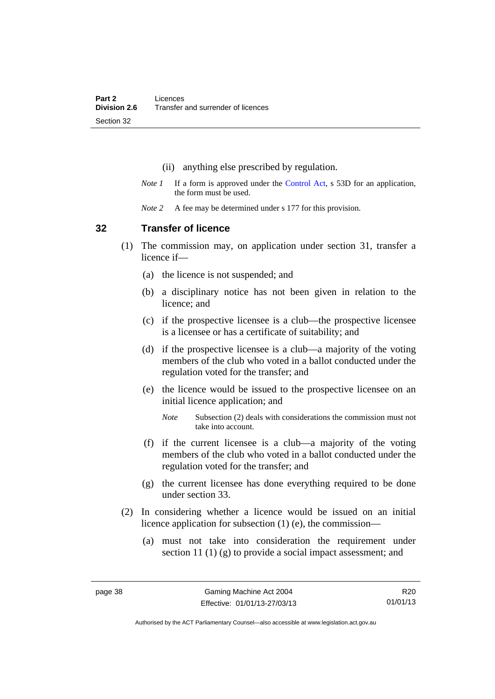- (ii) anything else prescribed by regulation.
- *Note 1* If a form is approved under the [Control Act,](http://www.legislation.act.gov.au/a/1999-46) s 53D for an application, the form must be used.
- *Note* 2 A fee may be determined under s 177 for this provision.

#### **32 Transfer of licence**

- (1) The commission may, on application under section 31, transfer a licence if—
	- (a) the licence is not suspended; and
	- (b) a disciplinary notice has not been given in relation to the licence; and
	- (c) if the prospective licensee is a club—the prospective licensee is a licensee or has a certificate of suitability; and
	- (d) if the prospective licensee is a club—a majority of the voting members of the club who voted in a ballot conducted under the regulation voted for the transfer; and
	- (e) the licence would be issued to the prospective licensee on an initial licence application; and
		- *Note* Subsection (2) deals with considerations the commission must not take into account.
	- (f) if the current licensee is a club—a majority of the voting members of the club who voted in a ballot conducted under the regulation voted for the transfer; and
	- (g) the current licensee has done everything required to be done under section 33.
- (2) In considering whether a licence would be issued on an initial licence application for subsection (1) (e), the commission—
	- (a) must not take into consideration the requirement under section 11 (1) (g) to provide a social impact assessment; and

R20 01/01/13

Authorised by the ACT Parliamentary Counsel—also accessible at www.legislation.act.gov.au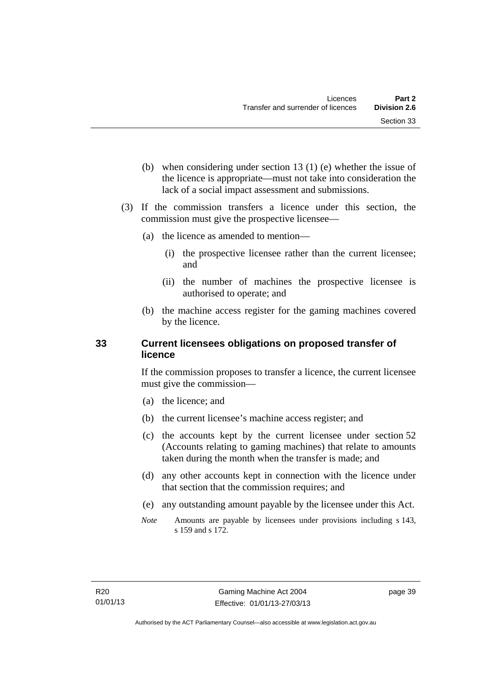- (b) when considering under section 13 (1) (e) whether the issue of the licence is appropriate—must not take into consideration the lack of a social impact assessment and submissions.
- (3) If the commission transfers a licence under this section, the commission must give the prospective licensee—
	- (a) the licence as amended to mention—
		- (i) the prospective licensee rather than the current licensee; and
		- (ii) the number of machines the prospective licensee is authorised to operate; and
	- (b) the machine access register for the gaming machines covered by the licence.

## **33 Current licensees obligations on proposed transfer of licence**

If the commission proposes to transfer a licence, the current licensee must give the commission—

- (a) the licence; and
- (b) the current licensee's machine access register; and
- (c) the accounts kept by the current licensee under section 52 (Accounts relating to gaming machines) that relate to amounts taken during the month when the transfer is made; and
- (d) any other accounts kept in connection with the licence under that section that the commission requires; and
- (e) any outstanding amount payable by the licensee under this Act.
- *Note* Amounts are payable by licensees under provisions including s 143, s 159 and s 172.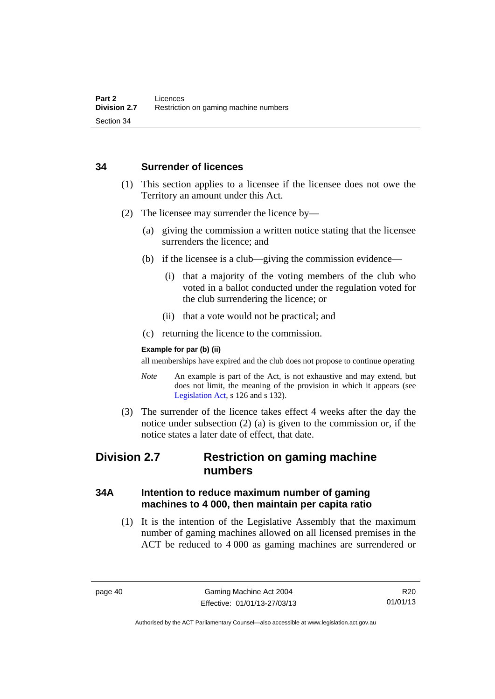#### **34 Surrender of licences**

- (1) This section applies to a licensee if the licensee does not owe the Territory an amount under this Act.
- (2) The licensee may surrender the licence by—
	- (a) giving the commission a written notice stating that the licensee surrenders the licence; and
	- (b) if the licensee is a club—giving the commission evidence—
		- (i) that a majority of the voting members of the club who voted in a ballot conducted under the regulation voted for the club surrendering the licence; or
		- (ii) that a vote would not be practical; and
	- (c) returning the licence to the commission.

#### **Example for par (b) (ii)**

all memberships have expired and the club does not propose to continue operating

- *Note* An example is part of the Act, is not exhaustive and may extend, but does not limit, the meaning of the provision in which it appears (see [Legislation Act,](http://www.legislation.act.gov.au/a/2001-14) s 126 and s 132).
- (3) The surrender of the licence takes effect 4 weeks after the day the notice under subsection (2) (a) is given to the commission or, if the notice states a later date of effect, that date.

# **Division 2.7 Restriction on gaming machine numbers**

## **34A Intention to reduce maximum number of gaming machines to 4 000, then maintain per capita ratio**

 (1) It is the intention of the Legislative Assembly that the maximum number of gaming machines allowed on all licensed premises in the ACT be reduced to 4 000 as gaming machines are surrendered or

R20 01/01/13

Authorised by the ACT Parliamentary Counsel—also accessible at www.legislation.act.gov.au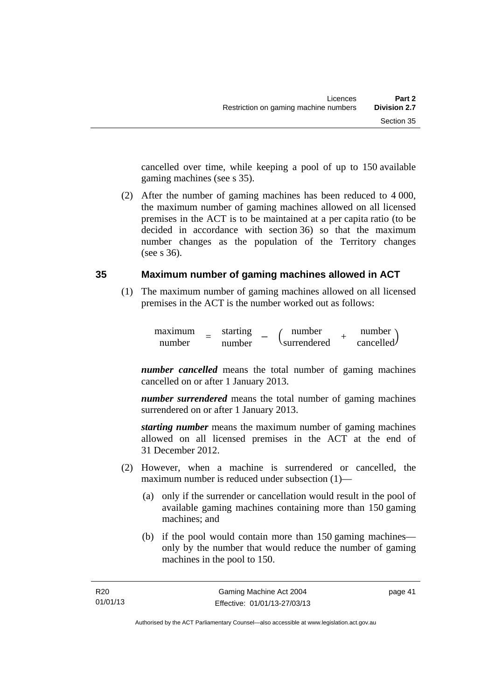cancelled over time, while keeping a pool of up to 150 available gaming machines (see s 35).

 (2) After the number of gaming machines has been reduced to 4 000, the maximum number of gaming machines allowed on all licensed premises in the ACT is to be maintained at a per capita ratio (to be decided in accordance with section 36) so that the maximum number changes as the population of the Territory changes (see s 36).

#### **35 Maximum number of gaming machines allowed in ACT**

 (1) The maximum number of gaming machines allowed on all licensed premises in the ACT is the number worked out as follows:

> maximum = starting<br>
> number = number  $\begin{array}{cc}\n\text{starting} \\
> \text{number} \\
> \text{currented}\n\end{array}$ surrendered *<sup>+</sup>* number cancelled.

*number cancelled* means the total number of gaming machines cancelled on or after 1 January 2013.

*number surrendered* means the total number of gaming machines surrendered on or after 1 January 2013.

*starting number* means the maximum number of gaming machines allowed on all licensed premises in the ACT at the end of 31 December 2012.

- (2) However, when a machine is surrendered or cancelled, the maximum number is reduced under subsection (1)—
	- (a) only if the surrender or cancellation would result in the pool of available gaming machines containing more than 150 gaming machines; and
	- (b) if the pool would contain more than 150 gaming machines only by the number that would reduce the number of gaming machines in the pool to 150.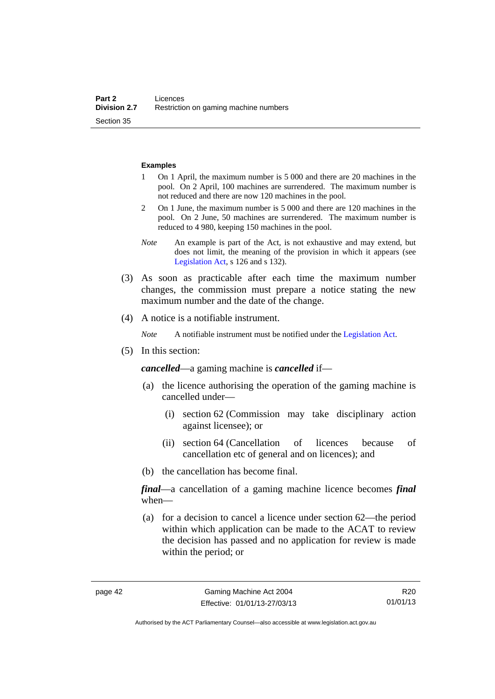#### **Examples**

- 1 On 1 April, the maximum number is 5 000 and there are 20 machines in the pool. On 2 April, 100 machines are surrendered. The maximum number is not reduced and there are now 120 machines in the pool.
- 2 On 1 June, the maximum number is 5 000 and there are 120 machines in the pool. On 2 June, 50 machines are surrendered. The maximum number is reduced to 4 980, keeping 150 machines in the pool.
- *Note* An example is part of the Act, is not exhaustive and may extend, but does not limit, the meaning of the provision in which it appears (see [Legislation Act,](http://www.legislation.act.gov.au/a/2001-14) s 126 and s 132).
- (3) As soon as practicable after each time the maximum number changes, the commission must prepare a notice stating the new maximum number and the date of the change.
- (4) A notice is a notifiable instrument.

*Note* A notifiable instrument must be notified under the [Legislation Act](http://www.legislation.act.gov.au/a/2001-14).

(5) In this section:

*cancelled*—a gaming machine is *cancelled* if—

- (a) the licence authorising the operation of the gaming machine is cancelled under—
	- (i) section 62 (Commission may take disciplinary action against licensee); or
	- (ii) section 64 (Cancellation of licences because of cancellation etc of general and on licences); and
- (b) the cancellation has become final.

*final*—a cancellation of a gaming machine licence becomes *final* when—

 (a) for a decision to cancel a licence under section 62—the period within which application can be made to the ACAT to review the decision has passed and no application for review is made within the period; or

R20 01/01/13

Authorised by the ACT Parliamentary Counsel—also accessible at www.legislation.act.gov.au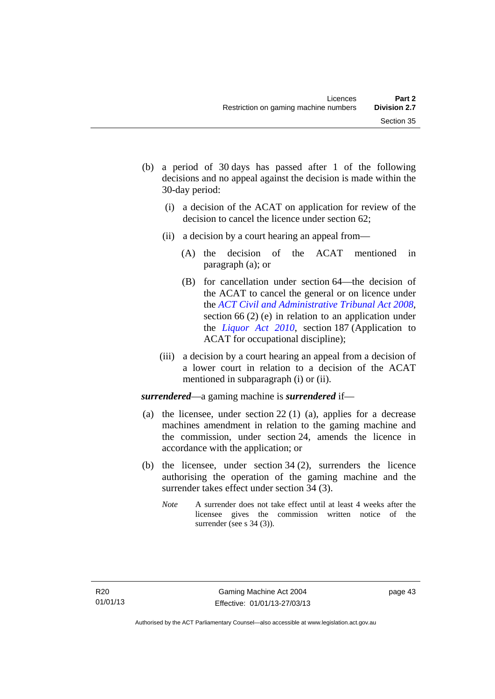- (b) a period of 30 days has passed after 1 of the following decisions and no appeal against the decision is made within the 30-day period:
	- (i) a decision of the ACAT on application for review of the decision to cancel the licence under section 62;
	- (ii) a decision by a court hearing an appeal from—
		- (A) the decision of the ACAT mentioned in paragraph (a); or
		- (B) for cancellation under section 64—the decision of the ACAT to cancel the general or on licence under the *[ACT Civil and Administrative Tribunal Act 2008](http://www.legislation.act.gov.au/a/2008-35)*, section 66 (2) (e) in relation to an application under the *[Liquor Act 2010](http://www.legislation.act.gov.au/a/2010-35)*, section 187 (Application to ACAT for occupational discipline);
	- (iii) a decision by a court hearing an appeal from a decision of a lower court in relation to a decision of the ACAT mentioned in subparagraph (i) or (ii).

*surrendered*—a gaming machine is *surrendered* if—

- (a) the licensee, under section 22 (1) (a), applies for a decrease machines amendment in relation to the gaming machine and the commission, under section 24, amends the licence in accordance with the application; or
- (b) the licensee, under section 34 (2), surrenders the licence authorising the operation of the gaming machine and the surrender takes effect under section 34 (3).
	- *Note* A surrender does not take effect until at least 4 weeks after the licensee gives the commission written notice of the surrender (see s 34 (3)).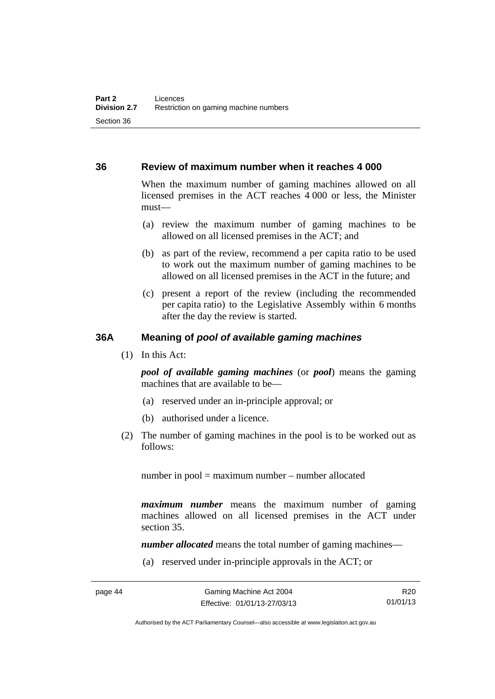#### **36 Review of maximum number when it reaches 4 000**

When the maximum number of gaming machines allowed on all licensed premises in the ACT reaches 4 000 or less, the Minister must—

- (a) review the maximum number of gaming machines to be allowed on all licensed premises in the ACT; and
- (b) as part of the review, recommend a per capita ratio to be used to work out the maximum number of gaming machines to be allowed on all licensed premises in the ACT in the future; and
- (c) present a report of the review (including the recommended per capita ratio) to the Legislative Assembly within 6 months after the day the review is started.

#### **36A Meaning of** *pool of available gaming machines*

(1) In this Act:

*pool of available gaming machines* (or *pool*) means the gaming machines that are available to be—

- (a) reserved under an in-principle approval; or
- (b) authorised under a licence.
- (2) The number of gaming machines in the pool is to be worked out as follows:

number in pool = maximum number – number allocated

*maximum number* means the maximum number of gaming machines allowed on all licensed premises in the ACT under section 35.

*number allocated* means the total number of gaming machines—

(a) reserved under in-principle approvals in the ACT; or

Authorised by the ACT Parliamentary Counsel—also accessible at www.legislation.act.gov.au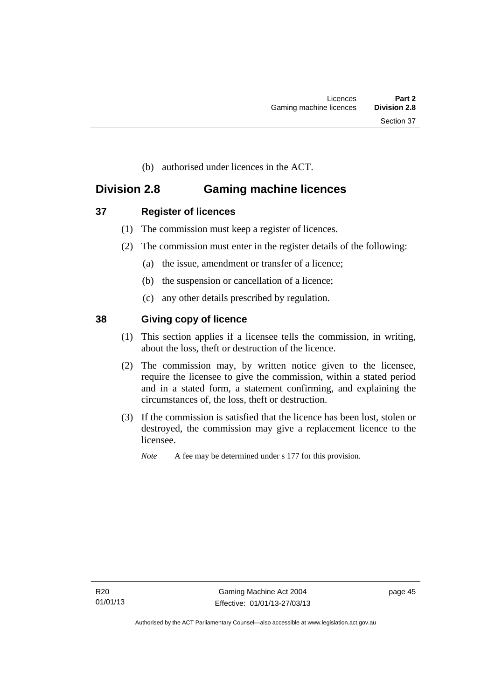(b) authorised under licences in the ACT.

# **Division 2.8 Gaming machine licences**

- **37 Register of licences** 
	- (1) The commission must keep a register of licences.
	- (2) The commission must enter in the register details of the following:
		- (a) the issue, amendment or transfer of a licence;
		- (b) the suspension or cancellation of a licence;
		- (c) any other details prescribed by regulation.

## **38 Giving copy of licence**

- (1) This section applies if a licensee tells the commission, in writing, about the loss, theft or destruction of the licence.
- (2) The commission may, by written notice given to the licensee, require the licensee to give the commission, within a stated period and in a stated form, a statement confirming, and explaining the circumstances of, the loss, theft or destruction.
- (3) If the commission is satisfied that the licence has been lost, stolen or destroyed, the commission may give a replacement licence to the licensee.

*Note* A fee may be determined under s 177 for this provision.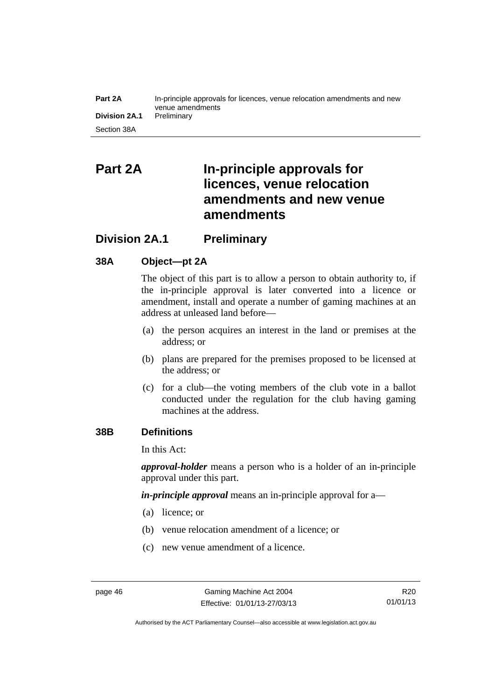#### **Part 2A** In-principle approvals for licences, venue relocation amendments and new venue amendments **Division 2A.1** Preliminary Section 38A

# **Part 2A In-principle approvals for licences, venue relocation amendments and new venue amendments**

# **Division 2A.1 Preliminary**

## **38A Object—pt 2A**

The object of this part is to allow a person to obtain authority to, if the in-principle approval is later converted into a licence or amendment, install and operate a number of gaming machines at an address at unleased land before—

- (a) the person acquires an interest in the land or premises at the address; or
- (b) plans are prepared for the premises proposed to be licensed at the address; or
- (c) for a club—the voting members of the club vote in a ballot conducted under the regulation for the club having gaming machines at the address.

## **38B Definitions**

In this Act:

*approval-holder* means a person who is a holder of an in-principle approval under this part.

*in-principle approval* means an in-principle approval for a—

- (a) licence; or
- (b) venue relocation amendment of a licence; or
- (c) new venue amendment of a licence.

Authorised by the ACT Parliamentary Counsel—also accessible at www.legislation.act.gov.au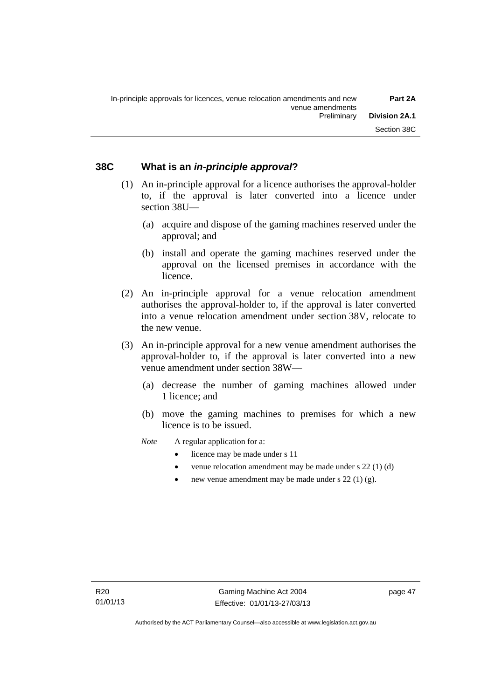#### **38C What is an** *in-principle approval***?**

- (1) An in-principle approval for a licence authorises the approval-holder to, if the approval is later converted into a licence under section 38U—
	- (a) acquire and dispose of the gaming machines reserved under the approval; and
	- (b) install and operate the gaming machines reserved under the approval on the licensed premises in accordance with the licence.
- (2) An in-principle approval for a venue relocation amendment authorises the approval-holder to, if the approval is later converted into a venue relocation amendment under section 38V, relocate to the new venue.
- (3) An in-principle approval for a new venue amendment authorises the approval-holder to, if the approval is later converted into a new venue amendment under section 38W—
	- (a) decrease the number of gaming machines allowed under 1 licence; and
	- (b) move the gaming machines to premises for which a new licence is to be issued.
	- *Note* A regular application for a:
		- licence may be made under s 11
		- venue relocation amendment may be made under s 22 (1) (d)
		- new venue amendment may be made under s 22 (1) (g).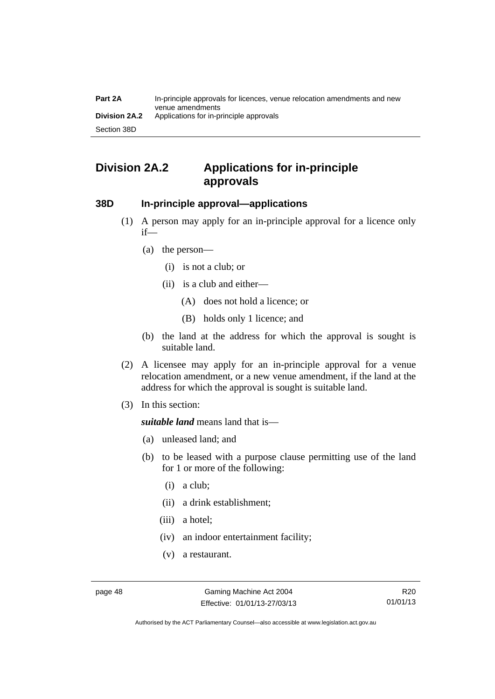# **Division 2A.2 Applications for in-principle approvals**

#### **38D In-principle approval—applications**

- (1) A person may apply for an in-principle approval for a licence only if—
	- (a) the person—
		- (i) is not a club; or
		- (ii) is a club and either—
			- (A) does not hold a licence; or
			- (B) holds only 1 licence; and
	- (b) the land at the address for which the approval is sought is suitable land.
- (2) A licensee may apply for an in-principle approval for a venue relocation amendment, or a new venue amendment, if the land at the address for which the approval is sought is suitable land.
- (3) In this section:

*suitable land* means land that is—

- (a) unleased land; and
- (b) to be leased with a purpose clause permitting use of the land for 1 or more of the following:
	- (i) a club;
	- (ii) a drink establishment;
	- (iii) a hotel;
	- (iv) an indoor entertainment facility;
	- (v) a restaurant.

Authorised by the ACT Parliamentary Counsel—also accessible at www.legislation.act.gov.au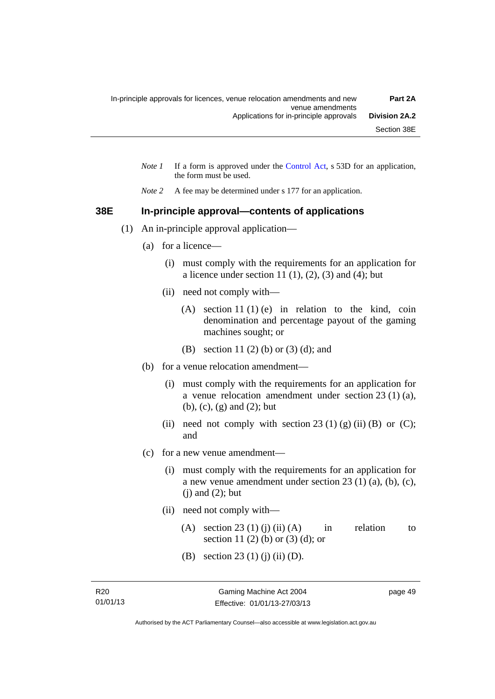- *Note 1* If a form is approved under the [Control Act](http://www.legislation.act.gov.au/a/1999-46), s 53D for an application, the form must be used.
- *Note 2* A fee may be determined under s 177 for an application.

#### **38E In-principle approval—contents of applications**

- (1) An in-principle approval application—
	- (a) for a licence—
		- (i) must comply with the requirements for an application for a licence under section 11 $(1)$ ,  $(2)$ ,  $(3)$  and  $(4)$ ; but
		- (ii) need not comply with—
			- (A) section 11 (1) (e) in relation to the kind, coin denomination and percentage payout of the gaming machines sought; or
			- (B) section 11 (2) (b) or (3) (d); and
	- (b) for a venue relocation amendment—
		- (i) must comply with the requirements for an application for a venue relocation amendment under section 23 (1) (a), (b), (c), (g) and (2); but
		- (ii) need not comply with section 23 (1) (g) (ii) (B) or (C); and
	- (c) for a new venue amendment—
		- (i) must comply with the requirements for an application for a new venue amendment under section 23 (1) (a), (b), (c),  $(i)$  and  $(2)$ ; but
		- (ii) need not comply with—
			- (A) section 23 (1) (j) (ii) (A) in relation to section 11 (2) (b) or (3) (d); or
			- (B) section 23 (1) (j) (ii) (D).

page 49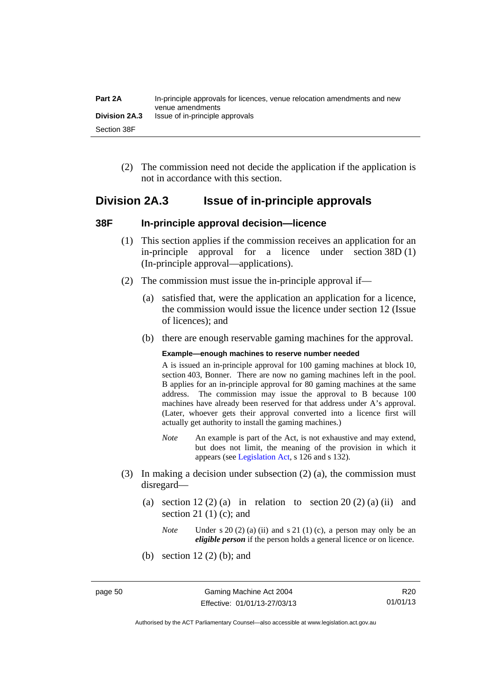| Part 2A       | In-principle approvals for licences, venue relocation amendments and new<br>venue amendments |
|---------------|----------------------------------------------------------------------------------------------|
| Division 2A.3 | Issue of in-principle approvals                                                              |
| Section 38F   |                                                                                              |

 (2) The commission need not decide the application if the application is not in accordance with this section.

## **Division 2A.3 Issue of in-principle approvals**

#### **38F In-principle approval decision—licence**

- (1) This section applies if the commission receives an application for an in-principle approval for a licence under section 38D (1) (In-principle approval—applications).
- (2) The commission must issue the in-principle approval if—
	- (a) satisfied that, were the application an application for a licence, the commission would issue the licence under section 12 (Issue of licences); and
	- (b) there are enough reservable gaming machines for the approval.

#### **Example—enough machines to reserve number needed**

A is issued an in-principle approval for 100 gaming machines at block 10, section 403, Bonner. There are now no gaming machines left in the pool. B applies for an in-principle approval for 80 gaming machines at the same address. The commission may issue the approval to B because 100 machines have already been reserved for that address under A's approval. (Later, whoever gets their approval converted into a licence first will actually get authority to install the gaming machines.)

- *Note* An example is part of the Act, is not exhaustive and may extend, but does not limit, the meaning of the provision in which it appears (see [Legislation Act,](http://www.legislation.act.gov.au/a/2001-14) s 126 and s 132).
- (3) In making a decision under subsection (2) (a), the commission must disregard—
	- (a) section  $12(2)(a)$  in relation to section  $20(2)(a)$  (ii) and section 21 $(1)$  $(c)$ ; and
		- *Note* Under s 20 (2) (a) (ii) and s 21 (1) (c), a person may only be an *eligible person* if the person holds a general licence or on licence.
	- (b) section 12 (2) (b); and

R20 01/01/13

Authorised by the ACT Parliamentary Counsel—also accessible at www.legislation.act.gov.au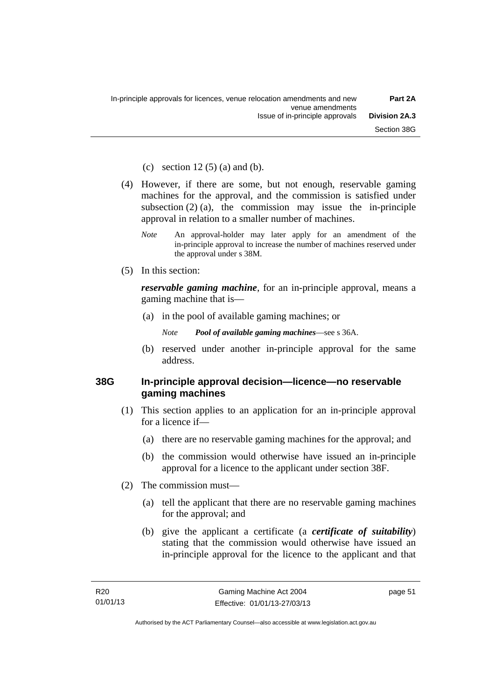(c) section  $12(5)$  (a) and (b).

- (4) However, if there are some, but not enough, reservable gaming machines for the approval, and the commission is satisfied under subsection  $(2)$  (a), the commission may issue the in-principle approval in relation to a smaller number of machines.
	- *Note* An approval-holder may later apply for an amendment of the in-principle approval to increase the number of machines reserved under the approval under s 38M.
- (5) In this section:

*reservable gaming machine*, for an in-principle approval, means a gaming machine that is—

- (a) in the pool of available gaming machines; or
	- *Note Pool of available gaming machines*—see s 36A.
- (b) reserved under another in-principle approval for the same address.

#### **38G In-principle approval decision—licence—no reservable gaming machines**

- (1) This section applies to an application for an in-principle approval for a licence if—
	- (a) there are no reservable gaming machines for the approval; and
	- (b) the commission would otherwise have issued an in-principle approval for a licence to the applicant under section 38F.
- (2) The commission must—
	- (a) tell the applicant that there are no reservable gaming machines for the approval; and
	- (b) give the applicant a certificate (a *certificate of suitability*) stating that the commission would otherwise have issued an in-principle approval for the licence to the applicant and that

page 51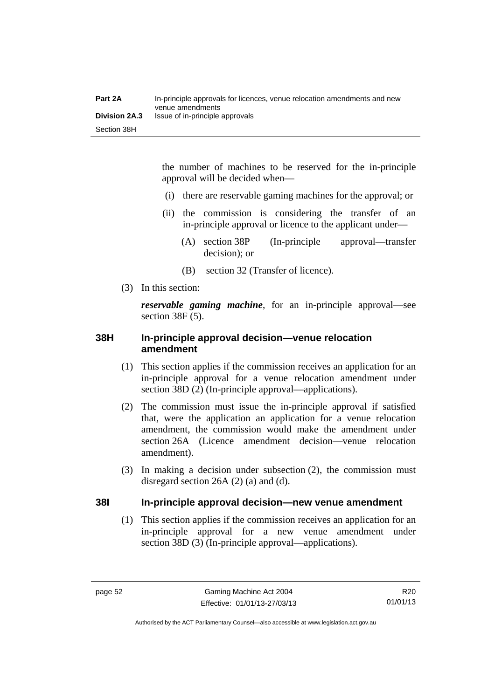the number of machines to be reserved for the in-principle approval will be decided when—

- (i) there are reservable gaming machines for the approval; or
- (ii) the commission is considering the transfer of an in-principle approval or licence to the applicant under—
	- (A) section 38P (In-principle approval—transfer decision); or
	- (B) section 32 (Transfer of licence).
- (3) In this section:

*reservable gaming machine*, for an in-principle approval—see section 38F (5).

#### **38H In-principle approval decision—venue relocation amendment**

- (1) This section applies if the commission receives an application for an in-principle approval for a venue relocation amendment under section 38D (2) (In-principle approval—applications).
- (2) The commission must issue the in-principle approval if satisfied that, were the application an application for a venue relocation amendment, the commission would make the amendment under section 26A (Licence amendment decision—venue relocation amendment).
- (3) In making a decision under subsection (2), the commission must disregard section 26A (2) (a) and (d).

#### **38I In-principle approval decision—new venue amendment**

(1) This section applies if the commission receives an application for an in-principle approval for a new venue amendment under section 38D (3) (In-principle approval—applications).

Authorised by the ACT Parliamentary Counsel—also accessible at www.legislation.act.gov.au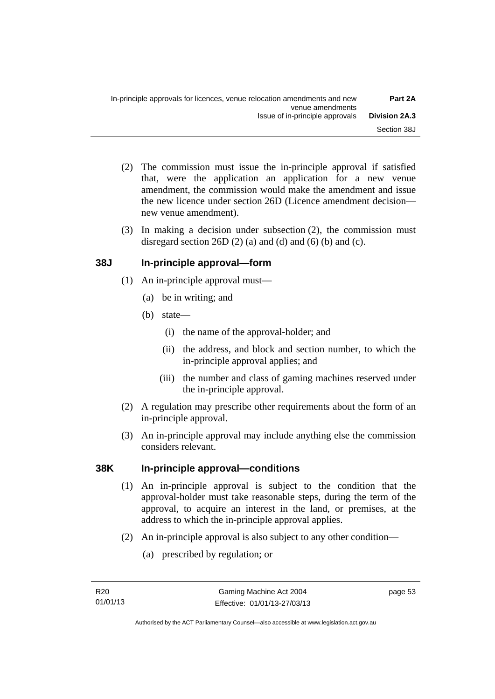- (2) The commission must issue the in-principle approval if satisfied that, were the application an application for a new venue amendment, the commission would make the amendment and issue the new licence under section 26D (Licence amendment decision new venue amendment).
- (3) In making a decision under subsection (2), the commission must disregard section 26D  $(2)$  (a) and  $(d)$  and  $(6)$  (b) and  $(c)$ .

## **38J In-principle approval—form**

- (1) An in-principle approval must—
	- (a) be in writing; and
	- (b) state—
		- (i) the name of the approval-holder; and
		- (ii) the address, and block and section number, to which the in-principle approval applies; and
		- (iii) the number and class of gaming machines reserved under the in-principle approval.
- (2) A regulation may prescribe other requirements about the form of an in-principle approval.
- (3) An in-principle approval may include anything else the commission considers relevant.

## **38K In-principle approval—conditions**

- (1) An in-principle approval is subject to the condition that the approval-holder must take reasonable steps, during the term of the approval, to acquire an interest in the land, or premises, at the address to which the in-principle approval applies.
- (2) An in-principle approval is also subject to any other condition—
	- (a) prescribed by regulation; or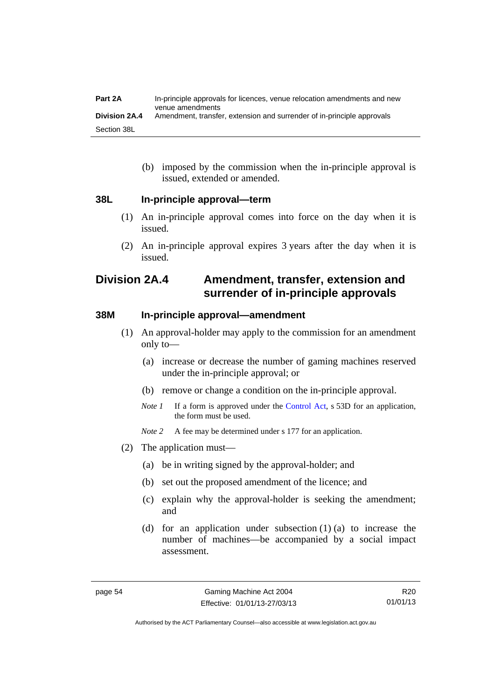(b) imposed by the commission when the in-principle approval is issued, extended or amended.

#### **38L In-principle approval—term**

- (1) An in-principle approval comes into force on the day when it is issued.
- (2) An in-principle approval expires 3 years after the day when it is issued.

# **Division 2A.4 Amendment, transfer, extension and surrender of in-principle approvals**

#### **38M In-principle approval—amendment**

- (1) An approval-holder may apply to the commission for an amendment only to—
	- (a) increase or decrease the number of gaming machines reserved under the in-principle approval; or
	- (b) remove or change a condition on the in-principle approval.
	- *Note 1* If a form is approved under the [Control Act](http://www.legislation.act.gov.au/a/1999-46), s 53D for an application, the form must be used.
	- *Note* 2 A fee may be determined under s 177 for an application.
- (2) The application must—
	- (a) be in writing signed by the approval-holder; and
	- (b) set out the proposed amendment of the licence; and
	- (c) explain why the approval-holder is seeking the amendment; and
	- (d) for an application under subsection (1) (a) to increase the number of machines—be accompanied by a social impact assessment.

R20 01/01/13

Authorised by the ACT Parliamentary Counsel—also accessible at www.legislation.act.gov.au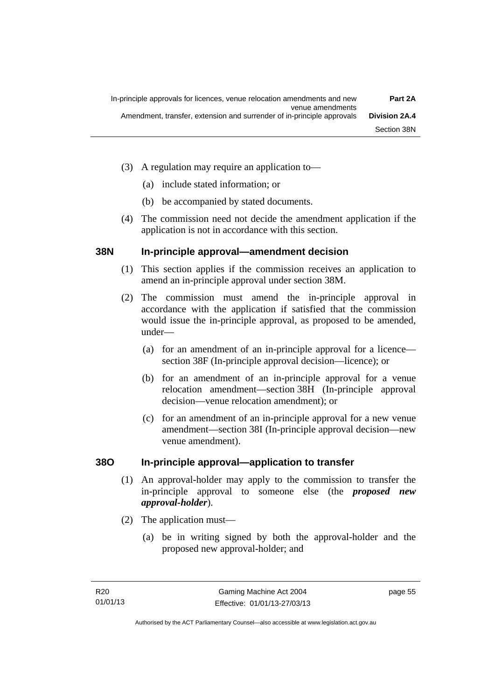- (3) A regulation may require an application to—
	- (a) include stated information; or
	- (b) be accompanied by stated documents.
- (4) The commission need not decide the amendment application if the application is not in accordance with this section.

#### **38N In-principle approval—amendment decision**

- (1) This section applies if the commission receives an application to amend an in-principle approval under section 38M.
- (2) The commission must amend the in-principle approval in accordance with the application if satisfied that the commission would issue the in-principle approval, as proposed to be amended, under—
	- (a) for an amendment of an in-principle approval for a licence section 38F (In-principle approval decision—licence); or
	- (b) for an amendment of an in-principle approval for a venue relocation amendment—section 38H (In-principle approval decision—venue relocation amendment); or
	- (c) for an amendment of an in-principle approval for a new venue amendment—section 38I (In-principle approval decision—new venue amendment).

## **38O In-principle approval—application to transfer**

- (1) An approval-holder may apply to the commission to transfer the in-principle approval to someone else (the *proposed new approval-holder*).
- (2) The application must—
	- (a) be in writing signed by both the approval-holder and the proposed new approval-holder; and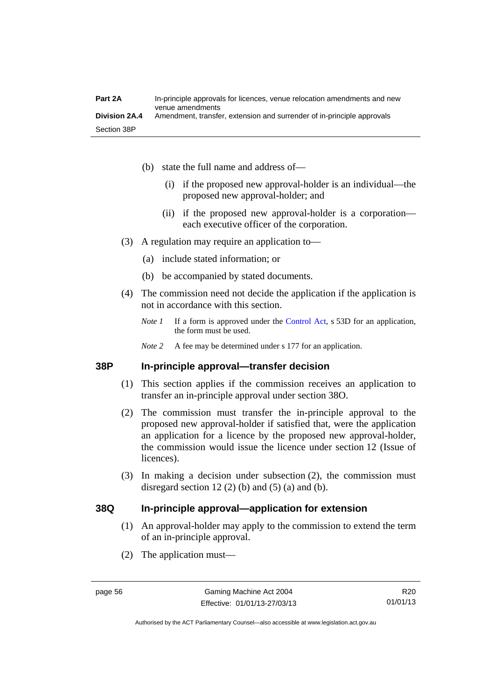- (b) state the full name and address of—
	- (i) if the proposed new approval-holder is an individual—the proposed new approval-holder; and
	- (ii) if the proposed new approval-holder is a corporation each executive officer of the corporation.
- (3) A regulation may require an application to—
	- (a) include stated information; or
	- (b) be accompanied by stated documents.
- (4) The commission need not decide the application if the application is not in accordance with this section.
	- *Note 1* If a form is approved under the [Control Act](http://www.legislation.act.gov.au/a/1999-46), s 53D for an application, the form must be used.
	- *Note* 2 A fee may be determined under s 177 for an application.

#### **38P In-principle approval—transfer decision**

- (1) This section applies if the commission receives an application to transfer an in-principle approval under section 38O.
- (2) The commission must transfer the in-principle approval to the proposed new approval-holder if satisfied that, were the application an application for a licence by the proposed new approval-holder, the commission would issue the licence under section 12 (Issue of licences).
- (3) In making a decision under subsection (2), the commission must disregard section 12 (2) (b) and (5) (a) and (b).

#### **38Q In-principle approval—application for extension**

- (1) An approval-holder may apply to the commission to extend the term of an in-principle approval.
- (2) The application must—

Authorised by the ACT Parliamentary Counsel—also accessible at www.legislation.act.gov.au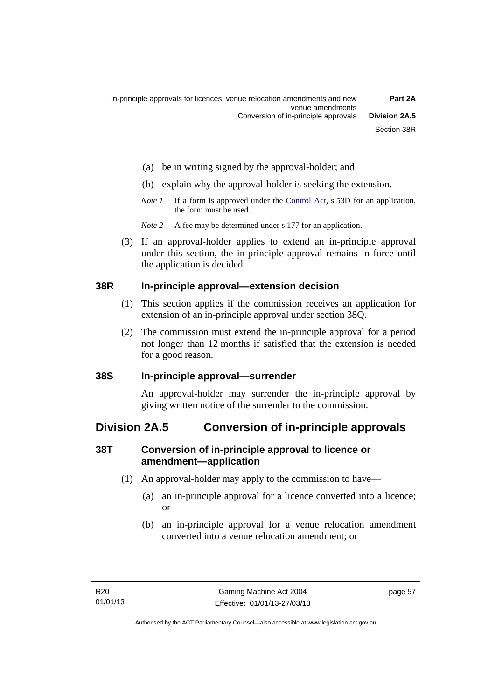- (a) be in writing signed by the approval-holder; and
- (b) explain why the approval-holder is seeking the extension.
- *Note 1* If a form is approved under the [Control Act](http://www.legislation.act.gov.au/a/1999-46), s 53D for an application, the form must be used.
- *Note 2* A fee may be determined under s 177 for an application.
- (3) If an approval-holder applies to extend an in-principle approval under this section, the in-principle approval remains in force until the application is decided.

#### **38R In-principle approval—extension decision**

- (1) This section applies if the commission receives an application for extension of an in-principle approval under section 38Q.
- (2) The commission must extend the in-principle approval for a period not longer than 12 months if satisfied that the extension is needed for a good reason.

#### **38S In-principle approval—surrender**

An approval-holder may surrender the in-principle approval by giving written notice of the surrender to the commission.

# **Division 2A.5 Conversion of in-principle approvals**

## **38T Conversion of in-principle approval to licence or amendment—application**

- (1) An approval-holder may apply to the commission to have—
	- (a) an in-principle approval for a licence converted into a licence; or
	- (b) an in-principle approval for a venue relocation amendment converted into a venue relocation amendment; or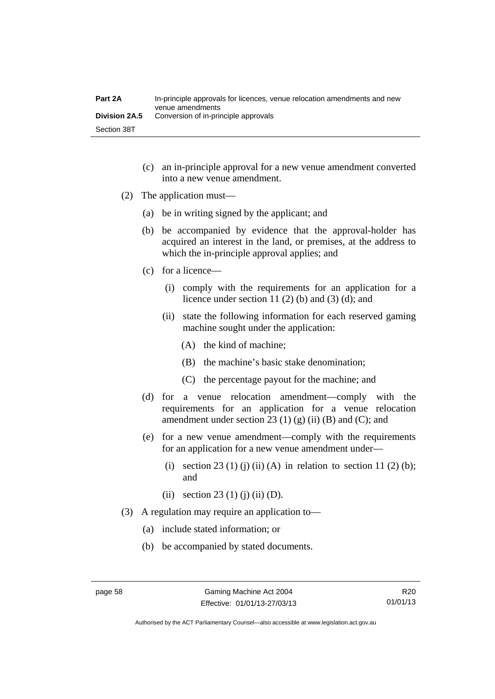| Part 2A              | In-principle approvals for licences, venue relocation amendments and new<br>venue amendments |
|----------------------|----------------------------------------------------------------------------------------------|
| <b>Division 2A.5</b> | Conversion of in-principle approvals                                                         |
| Section 38T          |                                                                                              |

- (c) an in-principle approval for a new venue amendment converted into a new venue amendment.
- (2) The application must—
	- (a) be in writing signed by the applicant; and
	- (b) be accompanied by evidence that the approval-holder has acquired an interest in the land, or premises, at the address to which the in-principle approval applies; and
	- (c) for a licence—
		- (i) comply with the requirements for an application for a licence under section 11 $(2)$  $(b)$  and  $(3)$  $(d)$ ; and
		- (ii) state the following information for each reserved gaming machine sought under the application:
			- (A) the kind of machine;
			- (B) the machine's basic stake denomination;
			- (C) the percentage payout for the machine; and
	- (d) for a venue relocation amendment—comply with the requirements for an application for a venue relocation amendment under section 23 (1) (g) (ii) (B) and (C); and
	- (e) for a new venue amendment—comply with the requirements for an application for a new venue amendment under—
		- (i) section 23 (1) (j) (ii) (A) in relation to section 11 (2) (b); and
		- (ii) section 23 (1) (j) (ii) (D).
- (3) A regulation may require an application to—
	- (a) include stated information; or
	- (b) be accompanied by stated documents.

R20 01/01/13

Authorised by the ACT Parliamentary Counsel—also accessible at www.legislation.act.gov.au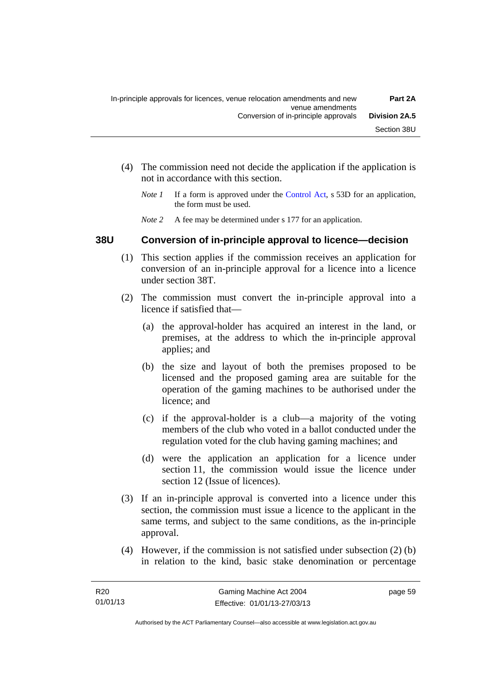- (4) The commission need not decide the application if the application is not in accordance with this section.
	- *Note 1* If a form is approved under the [Control Act](http://www.legislation.act.gov.au/a/1999-46), s 53D for an application, the form must be used.
	- *Note* 2 A fee may be determined under s 177 for an application.

#### **38U Conversion of in-principle approval to licence—decision**

- (1) This section applies if the commission receives an application for conversion of an in-principle approval for a licence into a licence under section 38T.
- (2) The commission must convert the in-principle approval into a licence if satisfied that—
	- (a) the approval-holder has acquired an interest in the land, or premises, at the address to which the in-principle approval applies; and
	- (b) the size and layout of both the premises proposed to be licensed and the proposed gaming area are suitable for the operation of the gaming machines to be authorised under the licence; and
	- (c) if the approval-holder is a club—a majority of the voting members of the club who voted in a ballot conducted under the regulation voted for the club having gaming machines; and
	- (d) were the application an application for a licence under section 11, the commission would issue the licence under section 12 (Issue of licences).
- (3) If an in-principle approval is converted into a licence under this section, the commission must issue a licence to the applicant in the same terms, and subject to the same conditions, as the in-principle approval.
- (4) However, if the commission is not satisfied under subsection (2) (b) in relation to the kind, basic stake denomination or percentage

page 59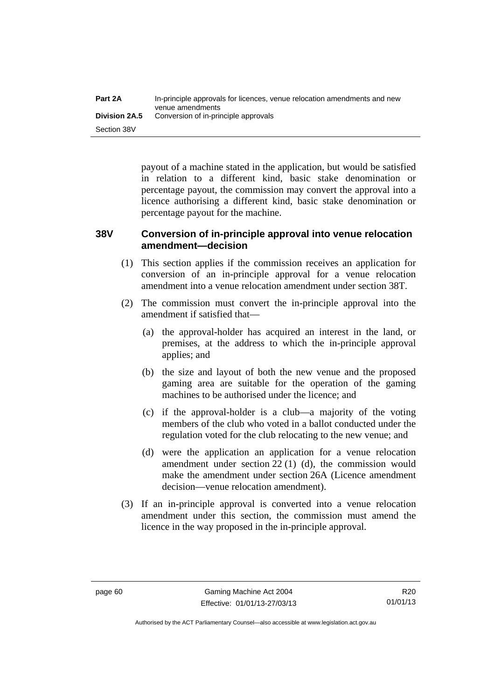payout of a machine stated in the application, but would be satisfied in relation to a different kind, basic stake denomination or percentage payout, the commission may convert the approval into a licence authorising a different kind, basic stake denomination or percentage payout for the machine.

#### **38V Conversion of in-principle approval into venue relocation amendment—decision**

- (1) This section applies if the commission receives an application for conversion of an in-principle approval for a venue relocation amendment into a venue relocation amendment under section 38T.
- (2) The commission must convert the in-principle approval into the amendment if satisfied that—
	- (a) the approval-holder has acquired an interest in the land, or premises, at the address to which the in-principle approval applies; and
	- (b) the size and layout of both the new venue and the proposed gaming area are suitable for the operation of the gaming machines to be authorised under the licence; and
	- (c) if the approval-holder is a club—a majority of the voting members of the club who voted in a ballot conducted under the regulation voted for the club relocating to the new venue; and
	- (d) were the application an application for a venue relocation amendment under section 22 (1) (d), the commission would make the amendment under section 26A (Licence amendment decision—venue relocation amendment).
- (3) If an in-principle approval is converted into a venue relocation amendment under this section, the commission must amend the licence in the way proposed in the in-principle approval.

Authorised by the ACT Parliamentary Counsel—also accessible at www.legislation.act.gov.au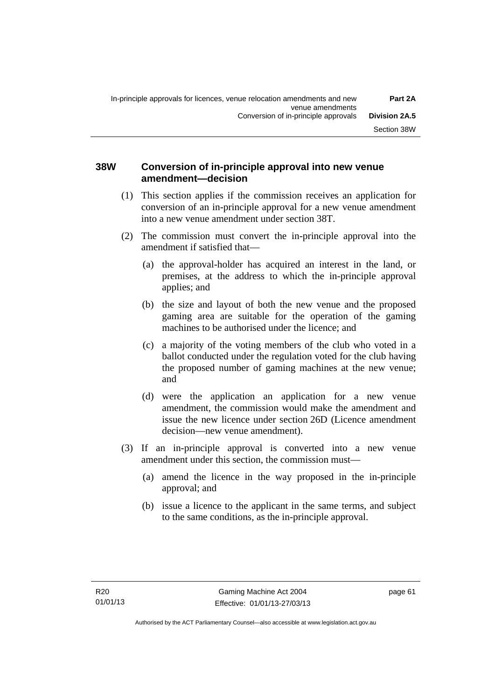#### **38W Conversion of in-principle approval into new venue amendment—decision**

- (1) This section applies if the commission receives an application for conversion of an in-principle approval for a new venue amendment into a new venue amendment under section 38T.
- (2) The commission must convert the in-principle approval into the amendment if satisfied that—
	- (a) the approval-holder has acquired an interest in the land, or premises, at the address to which the in-principle approval applies; and
	- (b) the size and layout of both the new venue and the proposed gaming area are suitable for the operation of the gaming machines to be authorised under the licence; and
	- (c) a majority of the voting members of the club who voted in a ballot conducted under the regulation voted for the club having the proposed number of gaming machines at the new venue; and
	- (d) were the application an application for a new venue amendment, the commission would make the amendment and issue the new licence under section 26D (Licence amendment decision—new venue amendment).
- (3) If an in-principle approval is converted into a new venue amendment under this section, the commission must—
	- (a) amend the licence in the way proposed in the in-principle approval; and
	- (b) issue a licence to the applicant in the same terms, and subject to the same conditions, as the in-principle approval.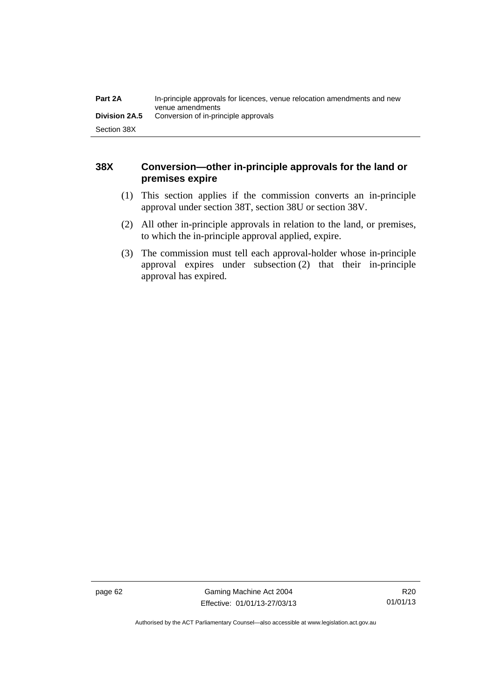| Part 2A              | In-principle approvals for licences, venue relocation amendments and new<br>venue amendments |
|----------------------|----------------------------------------------------------------------------------------------|
| <b>Division 2A.5</b> | Conversion of in-principle approvals                                                         |
| Section 38X          |                                                                                              |

## **38X Conversion—other in-principle approvals for the land or premises expire**

- (1) This section applies if the commission converts an in-principle approval under section 38T, section 38U or section 38V.
- (2) All other in-principle approvals in relation to the land, or premises, to which the in-principle approval applied, expire.
- (3) The commission must tell each approval-holder whose in-principle approval expires under subsection (2) that their in-principle approval has expired.

page 62 Gaming Machine Act 2004 Effective: 01/01/13-27/03/13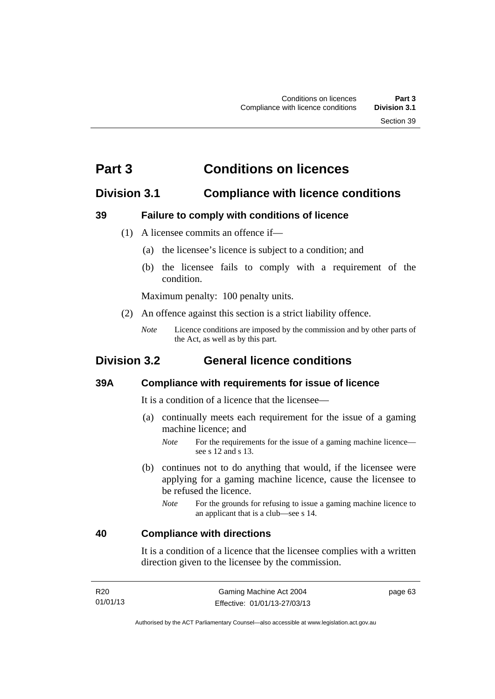# **Part 3 Conditions on licences**

## **Division 3.1 Compliance with licence conditions**

#### **39 Failure to comply with conditions of licence**

- (1) A licensee commits an offence if—
	- (a) the licensee's licence is subject to a condition; and
	- (b) the licensee fails to comply with a requirement of the condition.

Maximum penalty: 100 penalty units.

- (2) An offence against this section is a strict liability offence.
	- *Note* Licence conditions are imposed by the commission and by other parts of the Act, as well as by this part.

# **Division 3.2 General licence conditions**

#### **39A Compliance with requirements for issue of licence**

It is a condition of a licence that the licensee—

- (a) continually meets each requirement for the issue of a gaming machine licence; and
	- *Note* For the requirements for the issue of a gaming machine licence see s 12 and s 13.
- (b) continues not to do anything that would, if the licensee were applying for a gaming machine licence, cause the licensee to be refused the licence.
	- *Note* For the grounds for refusing to issue a gaming machine licence to an applicant that is a club—see s 14.

#### **40 Compliance with directions**

It is a condition of a licence that the licensee complies with a written direction given to the licensee by the commission.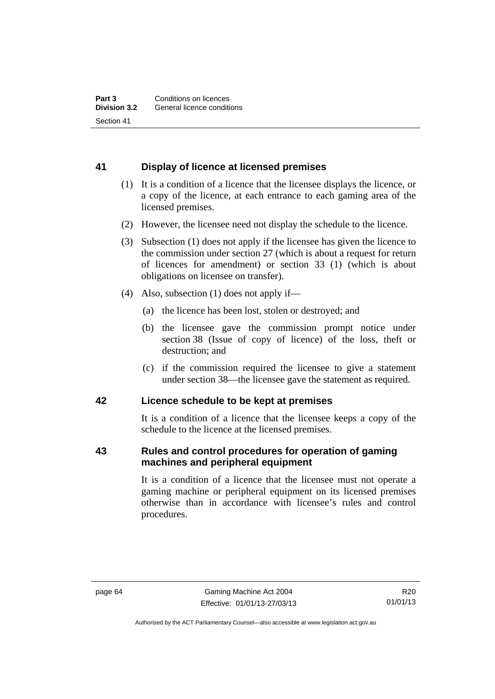## **41 Display of licence at licensed premises**

- (1) It is a condition of a licence that the licensee displays the licence, or a copy of the licence, at each entrance to each gaming area of the licensed premises.
- (2) However, the licensee need not display the schedule to the licence.
- (3) Subsection (1) does not apply if the licensee has given the licence to the commission under section 27 (which is about a request for return of licences for amendment) or section 33 (1) (which is about obligations on licensee on transfer).
- (4) Also, subsection (1) does not apply if—
	- (a) the licence has been lost, stolen or destroyed; and
	- (b) the licensee gave the commission prompt notice under section 38 (Issue of copy of licence) of the loss, theft or destruction; and
	- (c) if the commission required the licensee to give a statement under section 38—the licensee gave the statement as required.

#### **42 Licence schedule to be kept at premises**

It is a condition of a licence that the licensee keeps a copy of the schedule to the licence at the licensed premises.

#### **43 Rules and control procedures for operation of gaming machines and peripheral equipment**

It is a condition of a licence that the licensee must not operate a gaming machine or peripheral equipment on its licensed premises otherwise than in accordance with licensee's rules and control procedures.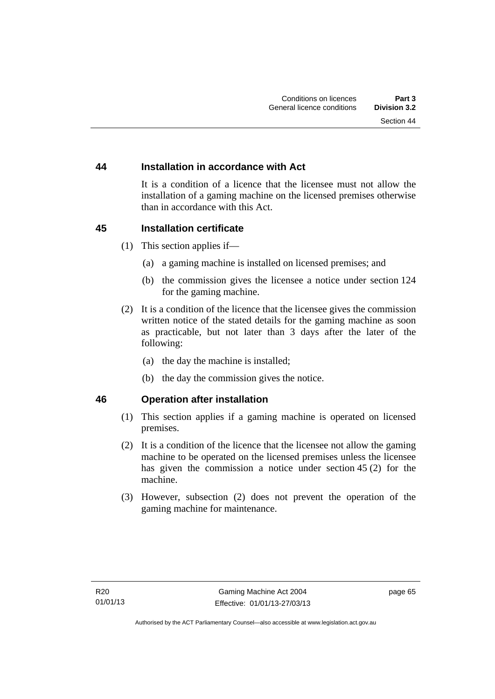#### **44 Installation in accordance with Act**

It is a condition of a licence that the licensee must not allow the installation of a gaming machine on the licensed premises otherwise than in accordance with this Act.

#### **45 Installation certificate**

- (1) This section applies if—
	- (a) a gaming machine is installed on licensed premises; and
	- (b) the commission gives the licensee a notice under section 124 for the gaming machine.
- (2) It is a condition of the licence that the licensee gives the commission written notice of the stated details for the gaming machine as soon as practicable, but not later than 3 days after the later of the following:
	- (a) the day the machine is installed;
	- (b) the day the commission gives the notice.

#### **46 Operation after installation**

- (1) This section applies if a gaming machine is operated on licensed premises.
- (2) It is a condition of the licence that the licensee not allow the gaming machine to be operated on the licensed premises unless the licensee has given the commission a notice under section 45 (2) for the machine.
- (3) However, subsection (2) does not prevent the operation of the gaming machine for maintenance.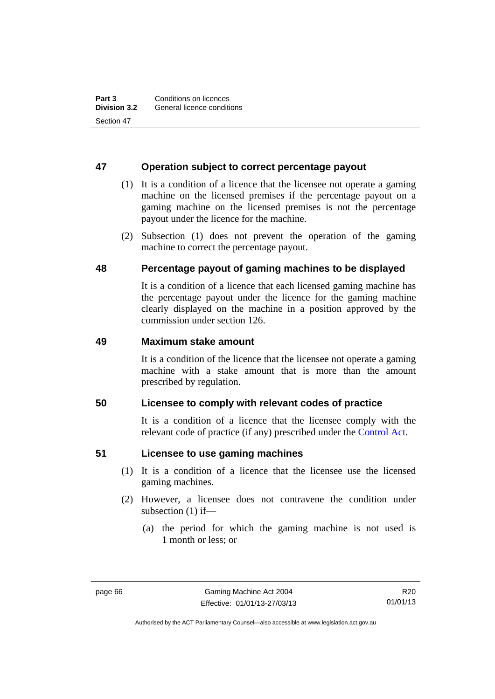#### **47 Operation subject to correct percentage payout**

- (1) It is a condition of a licence that the licensee not operate a gaming machine on the licensed premises if the percentage payout on a gaming machine on the licensed premises is not the percentage payout under the licence for the machine.
- (2) Subsection (1) does not prevent the operation of the gaming machine to correct the percentage payout.

#### **48 Percentage payout of gaming machines to be displayed**

It is a condition of a licence that each licensed gaming machine has the percentage payout under the licence for the gaming machine clearly displayed on the machine in a position approved by the commission under section 126.

#### **49 Maximum stake amount**

It is a condition of the licence that the licensee not operate a gaming machine with a stake amount that is more than the amount prescribed by regulation.

#### **50 Licensee to comply with relevant codes of practice**

It is a condition of a licence that the licensee comply with the relevant code of practice (if any) prescribed under the [Control Act.](http://www.legislation.act.gov.au/a/1999-46)

#### **51 Licensee to use gaming machines**

- (1) It is a condition of a licence that the licensee use the licensed gaming machines.
- (2) However, a licensee does not contravene the condition under subsection (1) if—
	- (a) the period for which the gaming machine is not used is 1 month or less; or

R20 01/01/13

Authorised by the ACT Parliamentary Counsel—also accessible at www.legislation.act.gov.au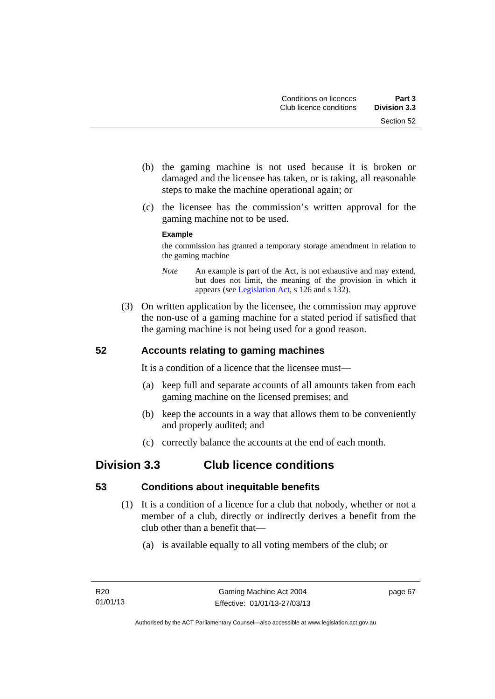- (b) the gaming machine is not used because it is broken or damaged and the licensee has taken, or is taking, all reasonable steps to make the machine operational again; or
- (c) the licensee has the commission's written approval for the gaming machine not to be used.

#### **Example**

the commission has granted a temporary storage amendment in relation to the gaming machine

- *Note* An example is part of the Act, is not exhaustive and may extend, but does not limit, the meaning of the provision in which it appears (see [Legislation Act,](http://www.legislation.act.gov.au/a/2001-14) s 126 and s 132).
- (3) On written application by the licensee, the commission may approve the non-use of a gaming machine for a stated period if satisfied that the gaming machine is not being used for a good reason.

## **52 Accounts relating to gaming machines**

It is a condition of a licence that the licensee must—

- (a) keep full and separate accounts of all amounts taken from each gaming machine on the licensed premises; and
- (b) keep the accounts in a way that allows them to be conveniently and properly audited; and
- (c) correctly balance the accounts at the end of each month.

# **Division 3.3 Club licence conditions**

## **53 Conditions about inequitable benefits**

- (1) It is a condition of a licence for a club that nobody, whether or not a member of a club, directly or indirectly derives a benefit from the club other than a benefit that—
	- (a) is available equally to all voting members of the club; or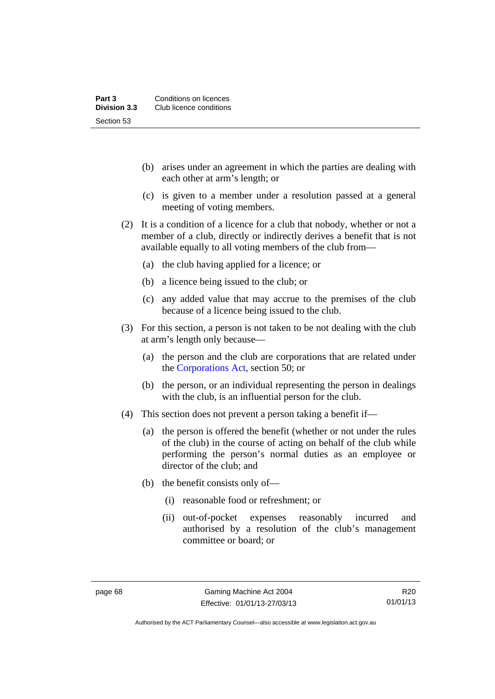- (b) arises under an agreement in which the parties are dealing with each other at arm's length; or
- (c) is given to a member under a resolution passed at a general meeting of voting members.
- (2) It is a condition of a licence for a club that nobody, whether or not a member of a club, directly or indirectly derives a benefit that is not available equally to all voting members of the club from—
	- (a) the club having applied for a licence; or
	- (b) a licence being issued to the club; or
	- (c) any added value that may accrue to the premises of the club because of a licence being issued to the club.
- (3) For this section, a person is not taken to be not dealing with the club at arm's length only because—
	- (a) the person and the club are corporations that are related under the [Corporations Act,](http://www.comlaw.gov.au/Series/C2004A00818) section 50; or
	- (b) the person, or an individual representing the person in dealings with the club, is an influential person for the club.
- (4) This section does not prevent a person taking a benefit if—
	- (a) the person is offered the benefit (whether or not under the rules of the club) in the course of acting on behalf of the club while performing the person's normal duties as an employee or director of the club; and
	- (b) the benefit consists only of—
		- (i) reasonable food or refreshment; or
		- (ii) out-of-pocket expenses reasonably incurred and authorised by a resolution of the club's management committee or board; or

Authorised by the ACT Parliamentary Counsel—also accessible at www.legislation.act.gov.au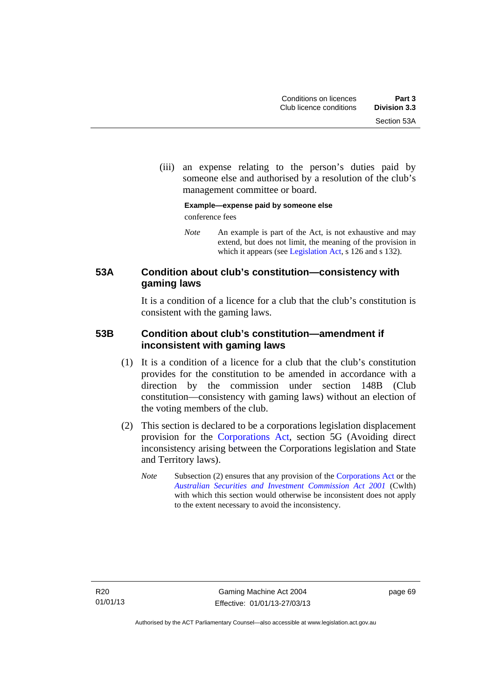(iii) an expense relating to the person's duties paid by someone else and authorised by a resolution of the club's management committee or board.

#### **Example—expense paid by someone else**  conference fees

*Note* An example is part of the Act, is not exhaustive and may extend, but does not limit, the meaning of the provision in which it appears (see [Legislation Act,](http://www.legislation.act.gov.au/a/2001-14) s 126 and s 132).

## **53A Condition about club's constitution—consistency with gaming laws**

It is a condition of a licence for a club that the club's constitution is consistent with the gaming laws.

#### **53B Condition about club's constitution—amendment if inconsistent with gaming laws**

- (1) It is a condition of a licence for a club that the club's constitution provides for the constitution to be amended in accordance with a direction by the commission under section 148B (Club constitution—consistency with gaming laws) without an election of the voting members of the club.
- (2) This section is declared to be a corporations legislation displacement provision for the [Corporations Act](http://www.comlaw.gov.au/Series/C2004A00818), section 5G (Avoiding direct inconsistency arising between the Corporations legislation and State and Territory laws).
	- *Note* Subsection (2) ensures that any provision of the [Corporations Act](http://www.comlaw.gov.au/Series/C2004A00818) or the *[Australian Securities and Investment Commission Act 2001](http://www.comlaw.gov.au/Series/C2004A00819)* (Cwlth) with which this section would otherwise be inconsistent does not apply to the extent necessary to avoid the inconsistency.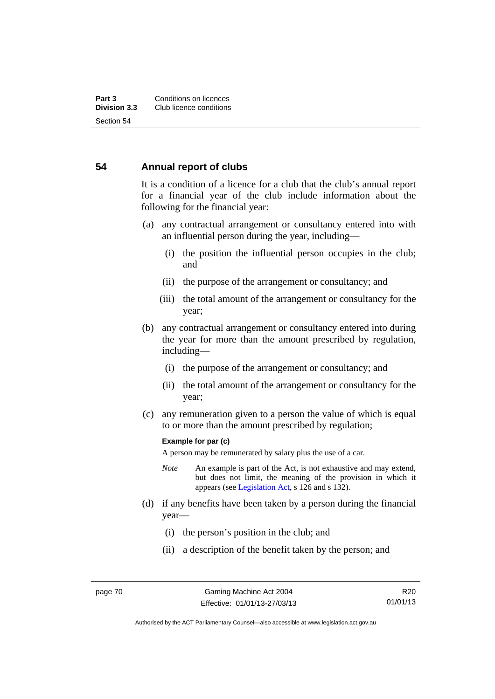#### **54 Annual report of clubs**

It is a condition of a licence for a club that the club's annual report for a financial year of the club include information about the following for the financial year:

- (a) any contractual arrangement or consultancy entered into with an influential person during the year, including—
	- (i) the position the influential person occupies in the club; and
	- (ii) the purpose of the arrangement or consultancy; and
	- (iii) the total amount of the arrangement or consultancy for the year;
- (b) any contractual arrangement or consultancy entered into during the year for more than the amount prescribed by regulation, including—
	- (i) the purpose of the arrangement or consultancy; and
	- (ii) the total amount of the arrangement or consultancy for the year;
- (c) any remuneration given to a person the value of which is equal to or more than the amount prescribed by regulation;

#### **Example for par (c)**

A person may be remunerated by salary plus the use of a car.

- *Note* An example is part of the Act, is not exhaustive and may extend, but does not limit, the meaning of the provision in which it appears (see [Legislation Act,](http://www.legislation.act.gov.au/a/2001-14) s 126 and s 132).
- (d) if any benefits have been taken by a person during the financial year—
	- (i) the person's position in the club; and
	- (ii) a description of the benefit taken by the person; and

R20 01/01/13

Authorised by the ACT Parliamentary Counsel—also accessible at www.legislation.act.gov.au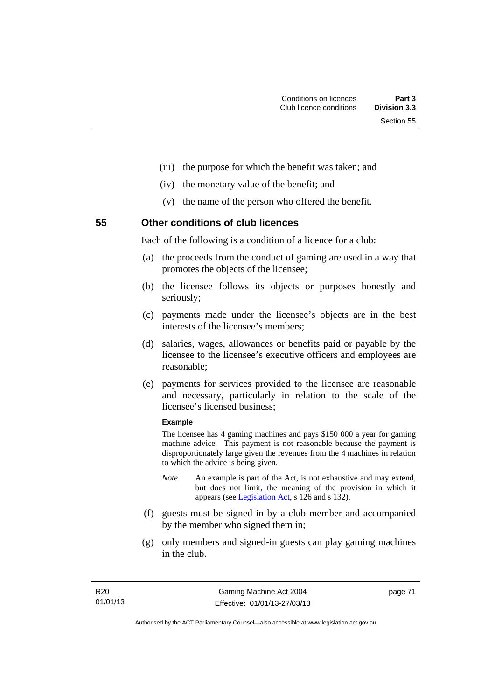- (iii) the purpose for which the benefit was taken; and
- (iv) the monetary value of the benefit; and
- (v) the name of the person who offered the benefit.

**55 Other conditions of club licences** 

Each of the following is a condition of a licence for a club:

- (a) the proceeds from the conduct of gaming are used in a way that promotes the objects of the licensee;
- (b) the licensee follows its objects or purposes honestly and seriously;
- (c) payments made under the licensee's objects are in the best interests of the licensee's members;
- (d) salaries, wages, allowances or benefits paid or payable by the licensee to the licensee's executive officers and employees are reasonable;
- (e) payments for services provided to the licensee are reasonable and necessary, particularly in relation to the scale of the licensee's licensed business;

#### **Example**

The licensee has 4 gaming machines and pays \$150 000 a year for gaming machine advice. This payment is not reasonable because the payment is disproportionately large given the revenues from the 4 machines in relation to which the advice is being given.

- *Note* An example is part of the Act, is not exhaustive and may extend, but does not limit, the meaning of the provision in which it appears (see [Legislation Act,](http://www.legislation.act.gov.au/a/2001-14) s 126 and s 132).
- (f) guests must be signed in by a club member and accompanied by the member who signed them in;
- (g) only members and signed-in guests can play gaming machines in the club.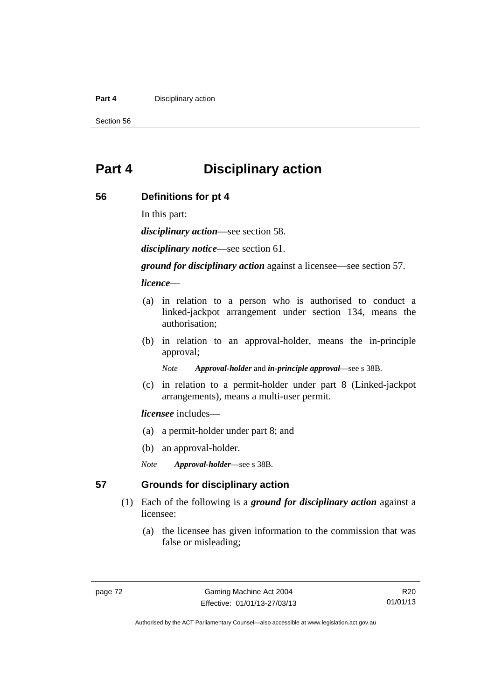#### **Part 4 Disciplinary action**

Section 56

# **Part 4 Disciplinary action**

#### **56 Definitions for pt 4**

In this part:

*disciplinary action*—see section 58.

*disciplinary notice*—see section 61.

*ground for disciplinary action* against a licensee—see section 57.

*licence*—

- (a) in relation to a person who is authorised to conduct a linked-jackpot arrangement under section 134, means the authorisation;
- (b) in relation to an approval-holder, means the in-principle approval;

*Note Approval-holder* and *in-principle approval*—see s 38B.

 (c) in relation to a permit-holder under part 8 (Linked-jackpot arrangements), means a multi-user permit.

#### *licensee* includes—

- (a) a permit-holder under part 8; and
- (b) an approval-holder.
- *Note Approval-holder*—see s 38B.

#### **57 Grounds for disciplinary action**

- (1) Each of the following is a *ground for disciplinary action* against a licensee:
	- (a) the licensee has given information to the commission that was false or misleading;

R20 01/01/13

Authorised by the ACT Parliamentary Counsel—also accessible at www.legislation.act.gov.au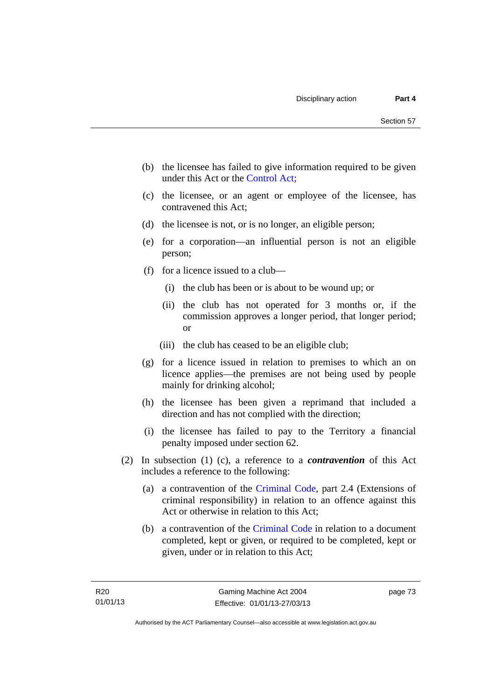- (b) the licensee has failed to give information required to be given under this Act or the [Control Act;](http://www.legislation.act.gov.au/a/1999-46)
- (c) the licensee, or an agent or employee of the licensee, has contravened this Act;
- (d) the licensee is not, or is no longer, an eligible person;
- (e) for a corporation—an influential person is not an eligible person;
- (f) for a licence issued to a club—
	- (i) the club has been or is about to be wound up; or
	- (ii) the club has not operated for 3 months or, if the commission approves a longer period, that longer period; or
	- (iii) the club has ceased to be an eligible club;
- (g) for a licence issued in relation to premises to which an on licence applies—the premises are not being used by people mainly for drinking alcohol;
- (h) the licensee has been given a reprimand that included a direction and has not complied with the direction;
- (i) the licensee has failed to pay to the Territory a financial penalty imposed under section 62.
- (2) In subsection (1) (c), a reference to a *contravention* of this Act includes a reference to the following:
	- (a) a contravention of the [Criminal Code](http://www.legislation.act.gov.au/a/2002-51), part 2.4 (Extensions of criminal responsibility) in relation to an offence against this Act or otherwise in relation to this Act;
	- (b) a contravention of the [Criminal Code](http://www.legislation.act.gov.au/a/2002-51) in relation to a document completed, kept or given, or required to be completed, kept or given, under or in relation to this Act;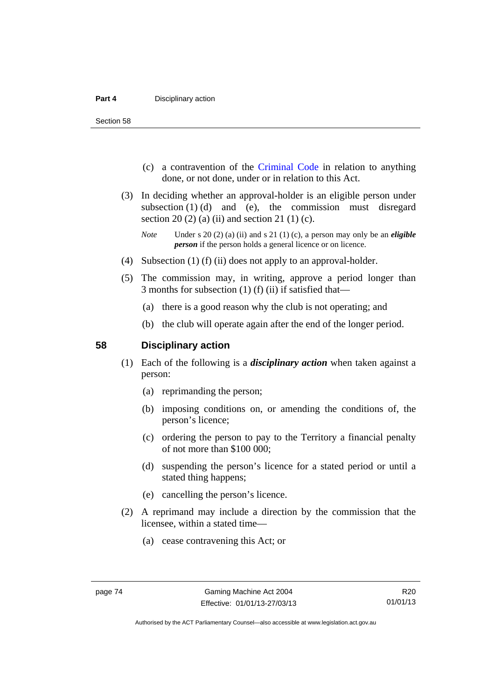Section 58

- (c) a contravention of the [Criminal Code](http://www.legislation.act.gov.au/a/2002-51) in relation to anything done, or not done, under or in relation to this Act.
- (3) In deciding whether an approval-holder is an eligible person under subsection  $(1)$   $(d)$  and  $(e)$ , the commission must disregard section 20 (2) (a) (ii) and section 21 (1) (c).

- (4) Subsection (1) (f) (ii) does not apply to an approval-holder.
- (5) The commission may, in writing, approve a period longer than 3 months for subsection (1) (f) (ii) if satisfied that—
	- (a) there is a good reason why the club is not operating; and
	- (b) the club will operate again after the end of the longer period.

#### **58 Disciplinary action**

- (1) Each of the following is a *disciplinary action* when taken against a person:
	- (a) reprimanding the person;
	- (b) imposing conditions on, or amending the conditions of, the person's licence;
	- (c) ordering the person to pay to the Territory a financial penalty of not more than \$100 000;
	- (d) suspending the person's licence for a stated period or until a stated thing happens;
	- (e) cancelling the person's licence.
- (2) A reprimand may include a direction by the commission that the licensee, within a stated time—
	- (a) cease contravening this Act; or

*Note* Under s 20 (2) (a) (ii) and s 21 (1) (c), a person may only be an *eligible person* if the person holds a general licence or on licence.

Authorised by the ACT Parliamentary Counsel—also accessible at www.legislation.act.gov.au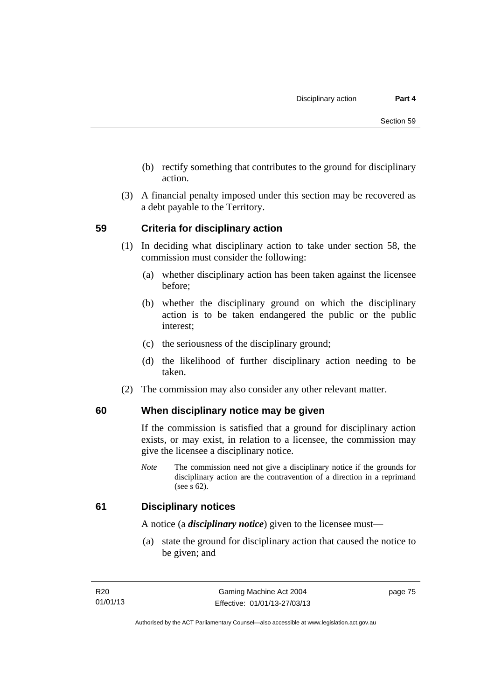- (b) rectify something that contributes to the ground for disciplinary action.
- (3) A financial penalty imposed under this section may be recovered as a debt payable to the Territory.

#### **59 Criteria for disciplinary action**

- (1) In deciding what disciplinary action to take under section 58, the commission must consider the following:
	- (a) whether disciplinary action has been taken against the licensee before;
	- (b) whether the disciplinary ground on which the disciplinary action is to be taken endangered the public or the public interest;
	- (c) the seriousness of the disciplinary ground;
	- (d) the likelihood of further disciplinary action needing to be taken.
- (2) The commission may also consider any other relevant matter.

## **60 When disciplinary notice may be given**

If the commission is satisfied that a ground for disciplinary action exists, or may exist, in relation to a licensee, the commission may give the licensee a disciplinary notice.

*Note* The commission need not give a disciplinary notice if the grounds for disciplinary action are the contravention of a direction in a reprimand (see s 62).

#### **61 Disciplinary notices**

A notice (a *disciplinary notice*) given to the licensee must—

 (a) state the ground for disciplinary action that caused the notice to be given; and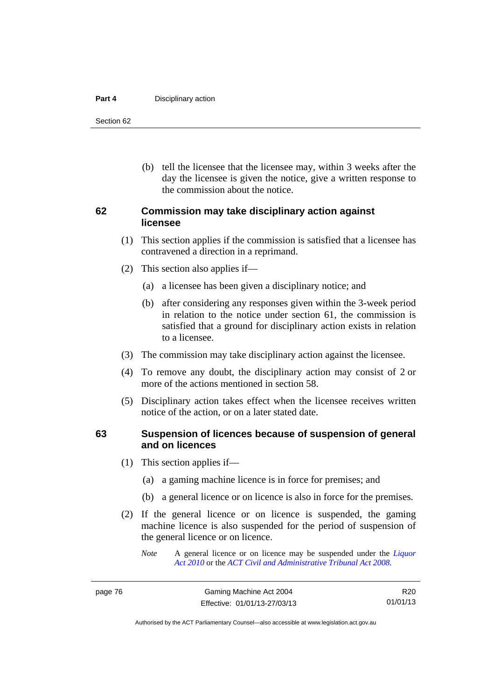#### **Part 4 Disciplinary action**

Section 62

 (b) tell the licensee that the licensee may, within 3 weeks after the day the licensee is given the notice, give a written response to the commission about the notice.

#### **62 Commission may take disciplinary action against licensee**

- (1) This section applies if the commission is satisfied that a licensee has contravened a direction in a reprimand.
- (2) This section also applies if—
	- (a) a licensee has been given a disciplinary notice; and
	- (b) after considering any responses given within the 3-week period in relation to the notice under section 61, the commission is satisfied that a ground for disciplinary action exists in relation to a licensee.
- (3) The commission may take disciplinary action against the licensee.
- (4) To remove any doubt, the disciplinary action may consist of 2 or more of the actions mentioned in section 58.
- (5) Disciplinary action takes effect when the licensee receives written notice of the action, or on a later stated date.

#### **63 Suspension of licences because of suspension of general and on licences**

- (1) This section applies if—
	- (a) a gaming machine licence is in force for premises; and
	- (b) a general licence or on licence is also in force for the premises.
- (2) If the general licence or on licence is suspended, the gaming machine licence is also suspended for the period of suspension of the general licence or on licence.
	- *Note* A general licence or on licence may be suspended under the *[Liquor](http://www.legislation.act.gov.au/a/2010-35)  [Act 2010](http://www.legislation.act.gov.au/a/2010-35)* or the *[ACT Civil and Administrative Tribunal Act 2008.](http://www.legislation.act.gov.au/a/2008-35)*

Authorised by the ACT Parliamentary Counsel—also accessible at www.legislation.act.gov.au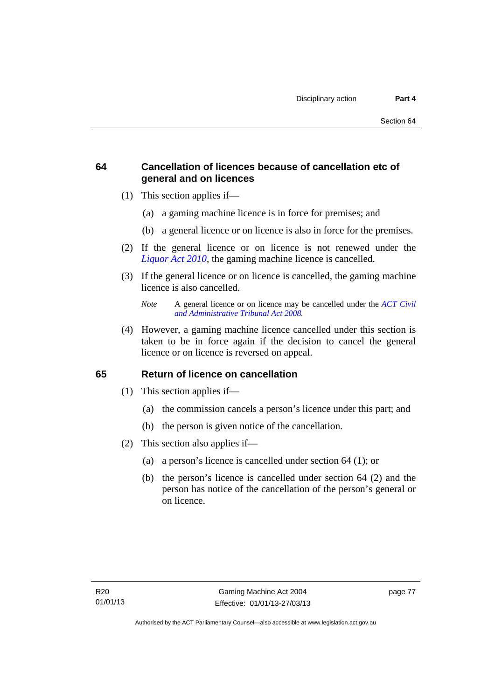## **64 Cancellation of licences because of cancellation etc of general and on licences**

- (1) This section applies if—
	- (a) a gaming machine licence is in force for premises; and
	- (b) a general licence or on licence is also in force for the premises.
- (2) If the general licence or on licence is not renewed under the *[Liquor Act 2010](http://www.legislation.act.gov.au/a/2010-35)*, the gaming machine licence is cancelled.
- (3) If the general licence or on licence is cancelled, the gaming machine licence is also cancelled.

 (4) However, a gaming machine licence cancelled under this section is taken to be in force again if the decision to cancel the general licence or on licence is reversed on appeal.

## **65 Return of licence on cancellation**

- (1) This section applies if—
	- (a) the commission cancels a person's licence under this part; and
	- (b) the person is given notice of the cancellation.
- (2) This section also applies if—
	- (a) a person's licence is cancelled under section 64 (1); or
	- (b) the person's licence is cancelled under section 64 (2) and the person has notice of the cancellation of the person's general or on licence.

*Note* A general licence or on licence may be cancelled under the *[ACT Civil](http://www.legislation.act.gov.au/a/2008-35)  [and Administrative Tribunal Act 2008](http://www.legislation.act.gov.au/a/2008-35).*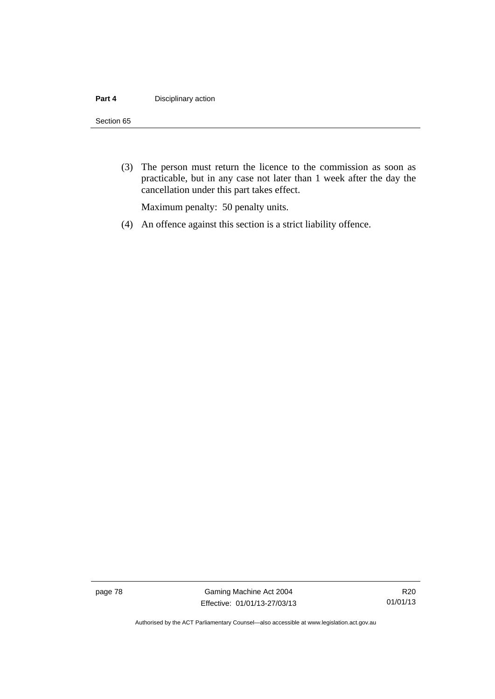#### **Part 4 Disciplinary action**

#### Section 65

 (3) The person must return the licence to the commission as soon as practicable, but in any case not later than 1 week after the day the cancellation under this part takes effect.

Maximum penalty: 50 penalty units.

(4) An offence against this section is a strict liability offence.

page 78 Gaming Machine Act 2004 Effective: 01/01/13-27/03/13

Authorised by the ACT Parliamentary Counsel—also accessible at www.legislation.act.gov.au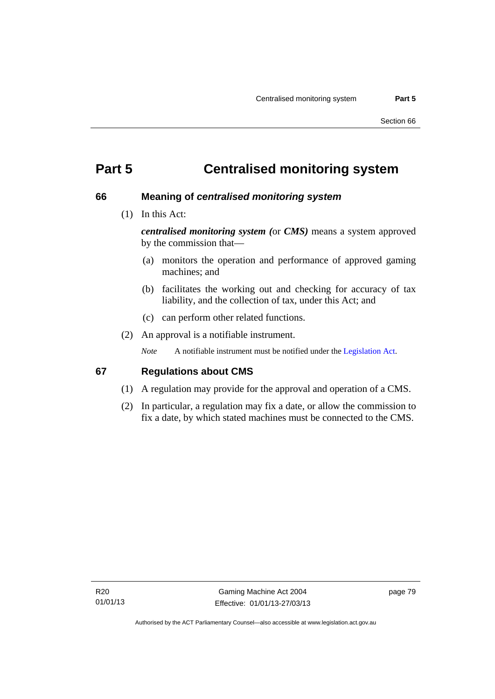# **Part 5 Centralised monitoring system**

#### **66 Meaning of** *centralised monitoring system*

(1) In this Act:

*centralised monitoring system (*or *CMS)* means a system approved by the commission that—

- (a) monitors the operation and performance of approved gaming machines; and
- (b) facilitates the working out and checking for accuracy of tax liability, and the collection of tax, under this Act; and
- (c) can perform other related functions.
- (2) An approval is a notifiable instrument.

*Note* A notifiable instrument must be notified under the [Legislation Act](http://www.legislation.act.gov.au/a/2001-14).

#### **67 Regulations about CMS**

- (1) A regulation may provide for the approval and operation of a CMS.
- (2) In particular, a regulation may fix a date, or allow the commission to fix a date, by which stated machines must be connected to the CMS.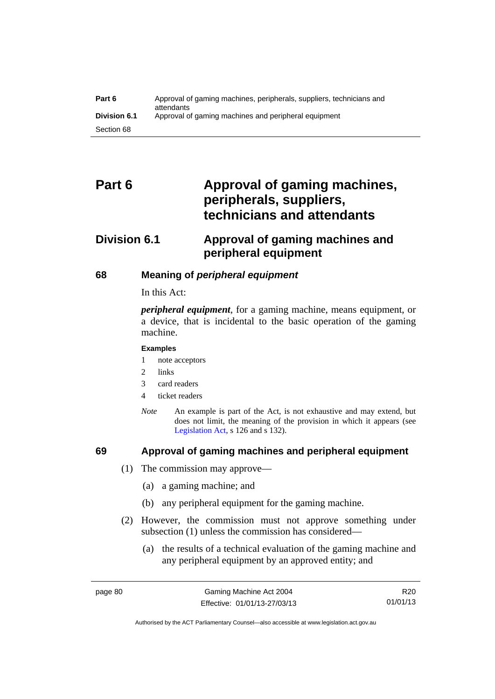| Part 6              | Approval of gaming machines, peripherals, suppliers, technicians and<br>attendants |
|---------------------|------------------------------------------------------------------------------------|
| <b>Division 6.1</b> | Approval of gaming machines and peripheral equipment                               |
| Section 68          |                                                                                    |

# Part 6 **Approval of gaming machines, peripherals, suppliers, technicians and attendants**

# **Division 6.1 Approval of gaming machines and peripheral equipment**

## **68 Meaning of** *peripheral equipment*

In this Act:

*peripheral equipment*, for a gaming machine, means equipment, or a device, that is incidental to the basic operation of the gaming machine.

#### **Examples**

- 1 note acceptors
- 2 links
- 3 card readers
- 4 ticket readers
- *Note* An example is part of the Act, is not exhaustive and may extend, but does not limit, the meaning of the provision in which it appears (see [Legislation Act,](http://www.legislation.act.gov.au/a/2001-14) s 126 and s 132).

#### **69 Approval of gaming machines and peripheral equipment**

- (1) The commission may approve—
	- (a) a gaming machine; and
	- (b) any peripheral equipment for the gaming machine.
- (2) However, the commission must not approve something under subsection (1) unless the commission has considered—
	- (a) the results of a technical evaluation of the gaming machine and any peripheral equipment by an approved entity; and

Authorised by the ACT Parliamentary Counsel—also accessible at www.legislation.act.gov.au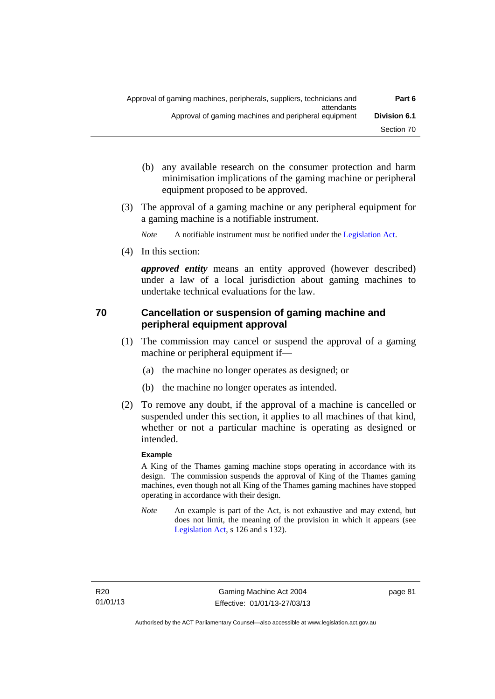- (b) any available research on the consumer protection and harm minimisation implications of the gaming machine or peripheral equipment proposed to be approved.
- (3) The approval of a gaming machine or any peripheral equipment for a gaming machine is a notifiable instrument.

*Note* A notifiable instrument must be notified under the [Legislation Act](http://www.legislation.act.gov.au/a/2001-14).

(4) In this section:

*approved entity* means an entity approved (however described) under a law of a local jurisdiction about gaming machines to undertake technical evaluations for the law.

## **70 Cancellation or suspension of gaming machine and peripheral equipment approval**

- (1) The commission may cancel or suspend the approval of a gaming machine or peripheral equipment if—
	- (a) the machine no longer operates as designed; or
	- (b) the machine no longer operates as intended.
- (2) To remove any doubt, if the approval of a machine is cancelled or suspended under this section, it applies to all machines of that kind, whether or not a particular machine is operating as designed or intended.

#### **Example**

A King of the Thames gaming machine stops operating in accordance with its design. The commission suspends the approval of King of the Thames gaming machines, even though not all King of the Thames gaming machines have stopped operating in accordance with their design.

*Note* An example is part of the Act, is not exhaustive and may extend, but does not limit, the meaning of the provision in which it appears (see [Legislation Act,](http://www.legislation.act.gov.au/a/2001-14) s 126 and s 132).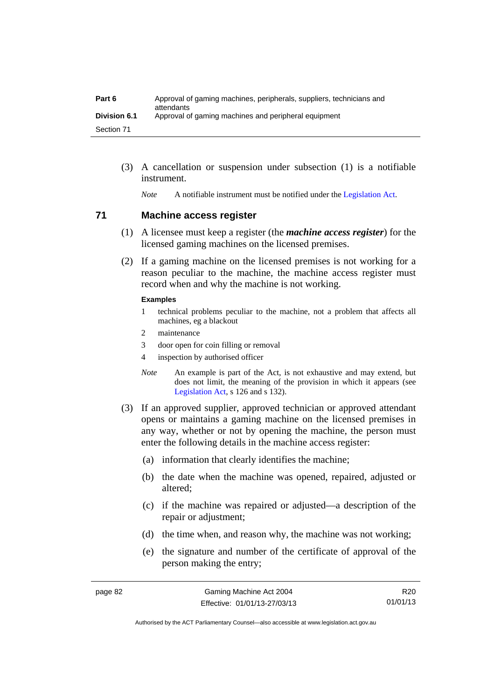| Part 6              | Approval of gaming machines, peripherals, suppliers, technicians and<br>attendants |
|---------------------|------------------------------------------------------------------------------------|
| <b>Division 6.1</b> | Approval of gaming machines and peripheral equipment                               |
| Section 71          |                                                                                    |

 (3) A cancellation or suspension under subsection (1) is a notifiable instrument.

*Note* A notifiable instrument must be notified under the [Legislation Act](http://www.legislation.act.gov.au/a/2001-14).

#### **71 Machine access register**

- (1) A licensee must keep a register (the *machine access register*) for the licensed gaming machines on the licensed premises.
- (2) If a gaming machine on the licensed premises is not working for a reason peculiar to the machine, the machine access register must record when and why the machine is not working.

#### **Examples**

- 1 technical problems peculiar to the machine, not a problem that affects all machines, eg a blackout
- 2 maintenance
- 3 door open for coin filling or removal
- 4 inspection by authorised officer
- *Note* An example is part of the Act, is not exhaustive and may extend, but does not limit, the meaning of the provision in which it appears (see [Legislation Act,](http://www.legislation.act.gov.au/a/2001-14) s 126 and s 132).
- (3) If an approved supplier, approved technician or approved attendant opens or maintains a gaming machine on the licensed premises in any way, whether or not by opening the machine, the person must enter the following details in the machine access register:
	- (a) information that clearly identifies the machine;
	- (b) the date when the machine was opened, repaired, adjusted or altered;
	- (c) if the machine was repaired or adjusted—a description of the repair or adjustment;
	- (d) the time when, and reason why, the machine was not working;
	- (e) the signature and number of the certificate of approval of the person making the entry;

R20 01/01/13

Authorised by the ACT Parliamentary Counsel—also accessible at www.legislation.act.gov.au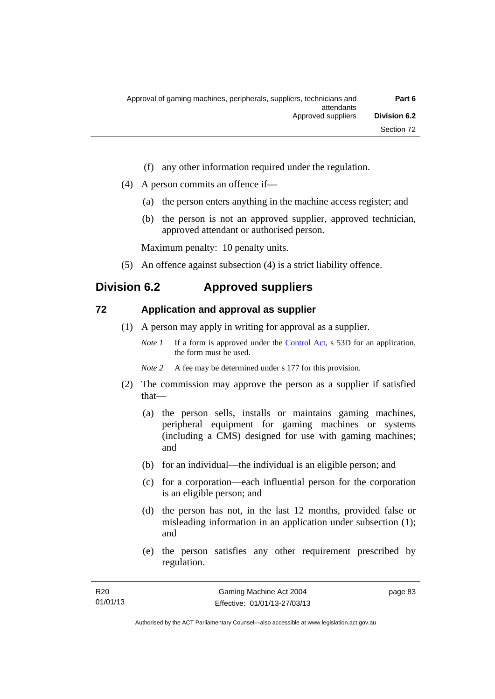- (f) any other information required under the regulation.
- (4) A person commits an offence if—
	- (a) the person enters anything in the machine access register; and
	- (b) the person is not an approved supplier, approved technician, approved attendant or authorised person.

Maximum penalty: 10 penalty units.

(5) An offence against subsection (4) is a strict liability offence.

# **Division 6.2 Approved suppliers**

#### **72 Application and approval as supplier**

- (1) A person may apply in writing for approval as a supplier.
	- *Note 1* If a form is approved under the [Control Act,](http://www.legislation.act.gov.au/a/1999-46) s 53D for an application, the form must be used.
	- *Note* 2 A fee may be determined under s 177 for this provision.
- (2) The commission may approve the person as a supplier if satisfied that—
	- (a) the person sells, installs or maintains gaming machines, peripheral equipment for gaming machines or systems (including a CMS) designed for use with gaming machines; and
	- (b) for an individual—the individual is an eligible person; and
	- (c) for a corporation—each influential person for the corporation is an eligible person; and
	- (d) the person has not, in the last 12 months, provided false or misleading information in an application under subsection (1); and
	- (e) the person satisfies any other requirement prescribed by regulation.

page 83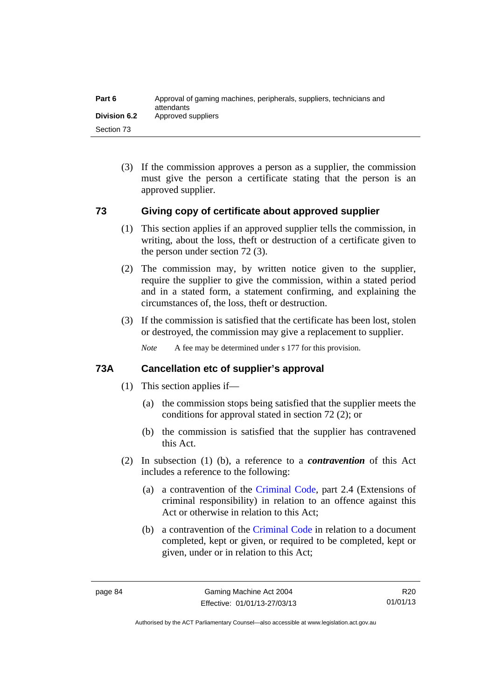| Part 6       | Approval of gaming machines, peripherals, suppliers, technicians and<br>attendants |
|--------------|------------------------------------------------------------------------------------|
| Division 6.2 | Approved suppliers                                                                 |
| Section 73   |                                                                                    |

 (3) If the commission approves a person as a supplier, the commission must give the person a certificate stating that the person is an approved supplier.

#### **73 Giving copy of certificate about approved supplier**

- (1) This section applies if an approved supplier tells the commission, in writing, about the loss, theft or destruction of a certificate given to the person under section 72 (3).
- (2) The commission may, by written notice given to the supplier, require the supplier to give the commission, within a stated period and in a stated form, a statement confirming, and explaining the circumstances of, the loss, theft or destruction.
- (3) If the commission is satisfied that the certificate has been lost, stolen or destroyed, the commission may give a replacement to supplier.

*Note* A fee may be determined under s 177 for this provision.

#### **73A Cancellation etc of supplier's approval**

- (1) This section applies if—
	- (a) the commission stops being satisfied that the supplier meets the conditions for approval stated in section 72 (2); or
	- (b) the commission is satisfied that the supplier has contravened this Act.
- (2) In subsection (1) (b), a reference to a *contravention* of this Act includes a reference to the following:
	- (a) a contravention of the [Criminal Code](http://www.legislation.act.gov.au/a/2002-51), part 2.4 (Extensions of criminal responsibility) in relation to an offence against this Act or otherwise in relation to this Act;
	- (b) a contravention of the [Criminal Code](http://www.legislation.act.gov.au/a/2002-51) in relation to a document completed, kept or given, or required to be completed, kept or given, under or in relation to this Act;

R20 01/01/13

Authorised by the ACT Parliamentary Counsel—also accessible at www.legislation.act.gov.au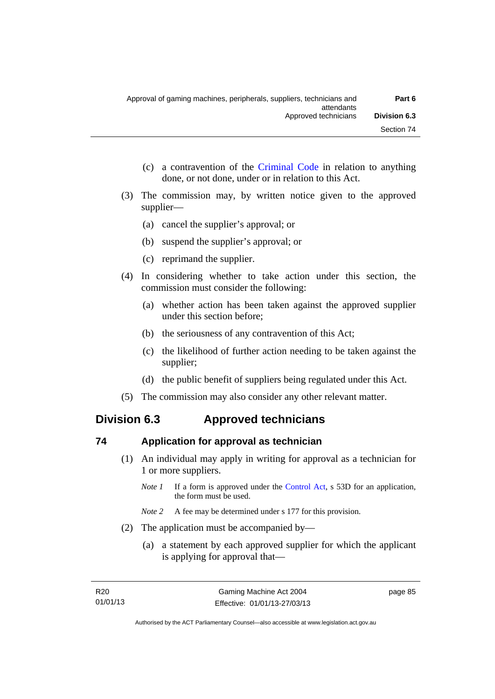- (c) a contravention of the [Criminal Code](http://www.legislation.act.gov.au/a/2002-51) in relation to anything done, or not done, under or in relation to this Act.
- (3) The commission may, by written notice given to the approved supplier—
	- (a) cancel the supplier's approval; or
	- (b) suspend the supplier's approval; or
	- (c) reprimand the supplier.
- (4) In considering whether to take action under this section, the commission must consider the following:
	- (a) whether action has been taken against the approved supplier under this section before;
	- (b) the seriousness of any contravention of this Act;
	- (c) the likelihood of further action needing to be taken against the supplier;
	- (d) the public benefit of suppliers being regulated under this Act.
- (5) The commission may also consider any other relevant matter.

# **Division 6.3 Approved technicians**

## **74 Application for approval as technician**

- (1) An individual may apply in writing for approval as a technician for 1 or more suppliers.
	- *Note 1* If a form is approved under the [Control Act,](http://www.legislation.act.gov.au/a/1999-46) s 53D for an application, the form must be used.
	- *Note* 2 A fee may be determined under s 177 for this provision.
- (2) The application must be accompanied by—
	- (a) a statement by each approved supplier for which the applicant is applying for approval that—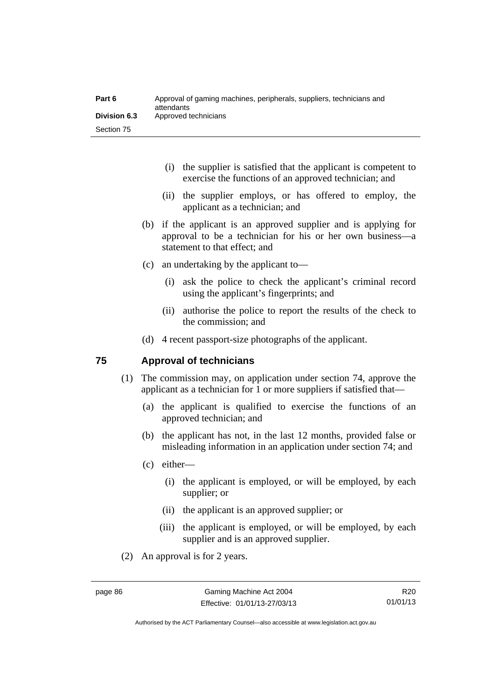| Part 6              | Approval of gaming machines, peripherals, suppliers, technicians and<br>attendants |
|---------------------|------------------------------------------------------------------------------------|
| <b>Division 6.3</b> | Approved technicians                                                               |
| Section 75          |                                                                                    |

- (i) the supplier is satisfied that the applicant is competent to exercise the functions of an approved technician; and
- (ii) the supplier employs, or has offered to employ, the applicant as a technician; and
- (b) if the applicant is an approved supplier and is applying for approval to be a technician for his or her own business—a statement to that effect; and
- (c) an undertaking by the applicant to—
	- (i) ask the police to check the applicant's criminal record using the applicant's fingerprints; and
	- (ii) authorise the police to report the results of the check to the commission; and
- (d) 4 recent passport-size photographs of the applicant.

#### **75 Approval of technicians**

- (1) The commission may, on application under section 74, approve the applicant as a technician for 1 or more suppliers if satisfied that—
	- (a) the applicant is qualified to exercise the functions of an approved technician; and
	- (b) the applicant has not, in the last 12 months, provided false or misleading information in an application under section 74; and
	- (c) either—
		- (i) the applicant is employed, or will be employed, by each supplier; or
		- (ii) the applicant is an approved supplier; or
		- (iii) the applicant is employed, or will be employed, by each supplier and is an approved supplier.
- (2) An approval is for 2 years.

R20 01/01/13

Authorised by the ACT Parliamentary Counsel—also accessible at www.legislation.act.gov.au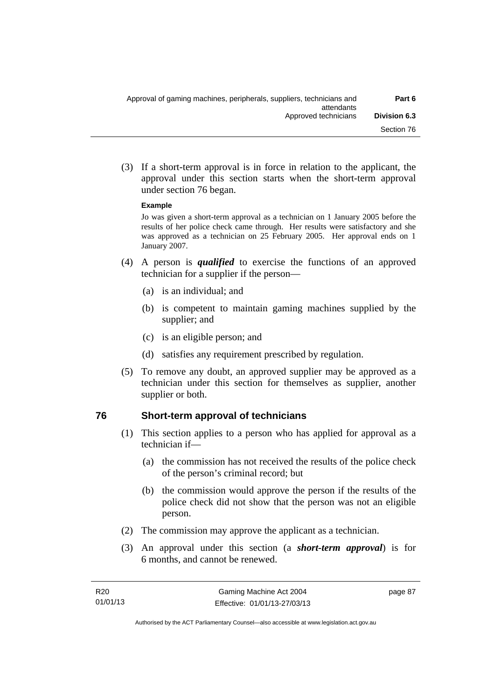(3) If a short-term approval is in force in relation to the applicant, the approval under this section starts when the short-term approval under section 76 began.

#### **Example**

Jo was given a short-term approval as a technician on 1 January 2005 before the results of her police check came through. Her results were satisfactory and she was approved as a technician on 25 February 2005. Her approval ends on 1 January 2007.

- (4) A person is *qualified* to exercise the functions of an approved technician for a supplier if the person—
	- (a) is an individual; and
	- (b) is competent to maintain gaming machines supplied by the supplier; and
	- (c) is an eligible person; and
	- (d) satisfies any requirement prescribed by regulation.
- (5) To remove any doubt, an approved supplier may be approved as a technician under this section for themselves as supplier, another supplier or both.

#### **76 Short-term approval of technicians**

- (1) This section applies to a person who has applied for approval as a technician if—
	- (a) the commission has not received the results of the police check of the person's criminal record; but
	- (b) the commission would approve the person if the results of the police check did not show that the person was not an eligible person.
- (2) The commission may approve the applicant as a technician.
- (3) An approval under this section (a *short-term approval*) is for 6 months, and cannot be renewed.

page 87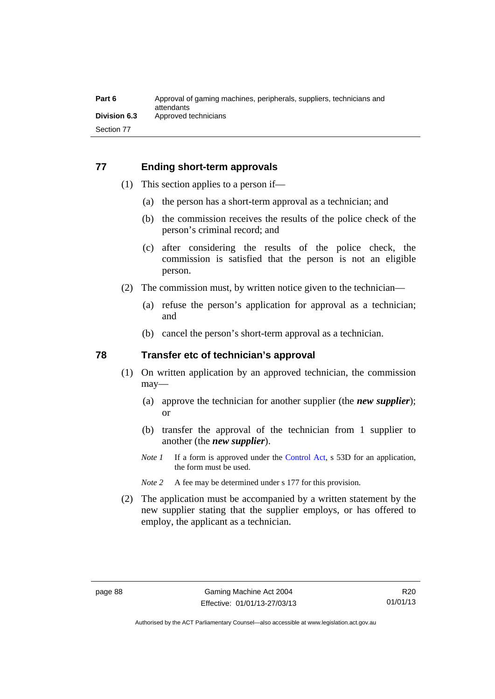#### **77 Ending short-term approvals**

- (1) This section applies to a person if—
	- (a) the person has a short-term approval as a technician; and
	- (b) the commission receives the results of the police check of the person's criminal record; and
	- (c) after considering the results of the police check, the commission is satisfied that the person is not an eligible person.
- (2) The commission must, by written notice given to the technician—
	- (a) refuse the person's application for approval as a technician; and
	- (b) cancel the person's short-term approval as a technician.

#### **78 Transfer etc of technician's approval**

- (1) On written application by an approved technician, the commission may—
	- (a) approve the technician for another supplier (the *new supplier*); or
	- (b) transfer the approval of the technician from 1 supplier to another (the *new supplier*).
	- *Note 1* If a form is approved under the [Control Act,](http://www.legislation.act.gov.au/a/1999-46) s 53D for an application, the form must be used.
	- *Note* 2 A fee may be determined under s 177 for this provision.
- (2) The application must be accompanied by a written statement by the new supplier stating that the supplier employs, or has offered to employ, the applicant as a technician.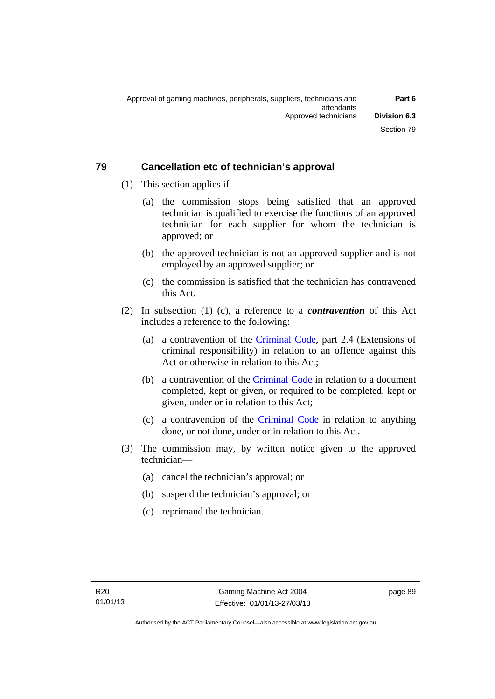## **79 Cancellation etc of technician's approval**

- (1) This section applies if—
	- (a) the commission stops being satisfied that an approved technician is qualified to exercise the functions of an approved technician for each supplier for whom the technician is approved; or
	- (b) the approved technician is not an approved supplier and is not employed by an approved supplier; or
	- (c) the commission is satisfied that the technician has contravened this Act.
- (2) In subsection (1) (c), a reference to a *contravention* of this Act includes a reference to the following:
	- (a) a contravention of the [Criminal Code](http://www.legislation.act.gov.au/a/2002-51), part 2.4 (Extensions of criminal responsibility) in relation to an offence against this Act or otherwise in relation to this Act;
	- (b) a contravention of the [Criminal Code](http://www.legislation.act.gov.au/a/2002-51) in relation to a document completed, kept or given, or required to be completed, kept or given, under or in relation to this Act;
	- (c) a contravention of the [Criminal Code](http://www.legislation.act.gov.au/a/2002-51) in relation to anything done, or not done, under or in relation to this Act.
- (3) The commission may, by written notice given to the approved technician—
	- (a) cancel the technician's approval; or
	- (b) suspend the technician's approval; or
	- (c) reprimand the technician.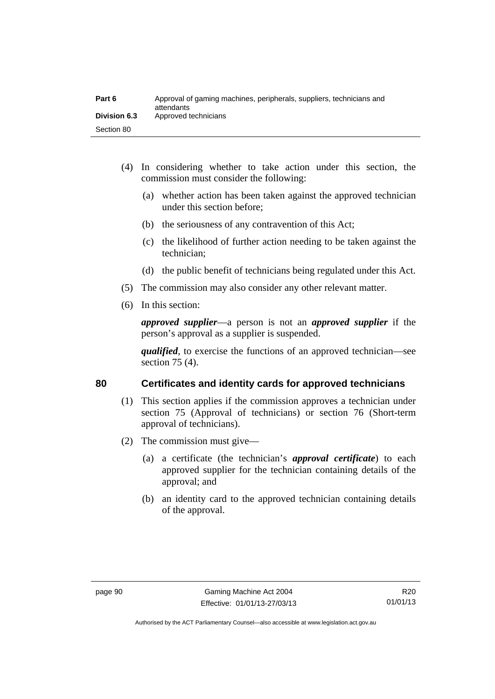| Part 6              | Approval of gaming machines, peripherals, suppliers, technicians and<br>attendants |
|---------------------|------------------------------------------------------------------------------------|
| <b>Division 6.3</b> | Approved technicians                                                               |
| Section 80          |                                                                                    |

- (4) In considering whether to take action under this section, the commission must consider the following:
	- (a) whether action has been taken against the approved technician under this section before;
	- (b) the seriousness of any contravention of this Act;
	- (c) the likelihood of further action needing to be taken against the technician;
	- (d) the public benefit of technicians being regulated under this Act.
- (5) The commission may also consider any other relevant matter.
- (6) In this section:

*approved supplier*—a person is not an *approved supplier* if the person's approval as a supplier is suspended.

*qualified*, to exercise the functions of an approved technician—see section 75 (4).

#### **80 Certificates and identity cards for approved technicians**

- (1) This section applies if the commission approves a technician under section 75 (Approval of technicians) or section 76 (Short-term approval of technicians).
- (2) The commission must give—
	- (a) a certificate (the technician's *approval certificate*) to each approved supplier for the technician containing details of the approval; and
	- (b) an identity card to the approved technician containing details of the approval.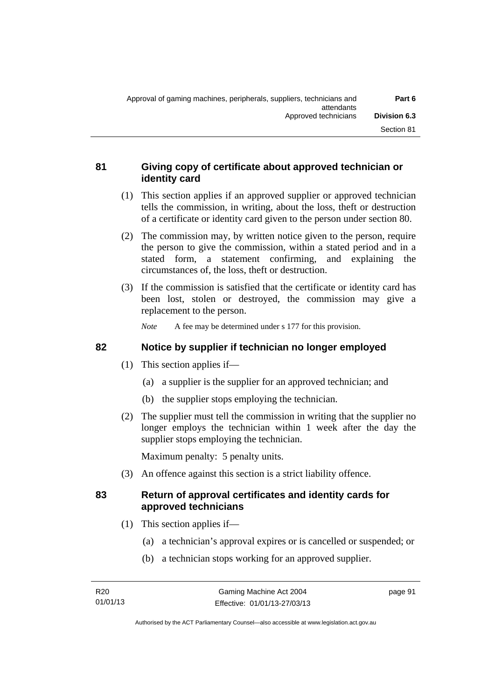## **81 Giving copy of certificate about approved technician or identity card**

- (1) This section applies if an approved supplier or approved technician tells the commission, in writing, about the loss, theft or destruction of a certificate or identity card given to the person under section 80.
- (2) The commission may, by written notice given to the person, require the person to give the commission, within a stated period and in a stated form, a statement confirming, and explaining the circumstances of, the loss, theft or destruction.
- (3) If the commission is satisfied that the certificate or identity card has been lost, stolen or destroyed, the commission may give a replacement to the person.

*Note* A fee may be determined under s 177 for this provision.

## **82 Notice by supplier if technician no longer employed**

- (1) This section applies if—
	- (a) a supplier is the supplier for an approved technician; and
	- (b) the supplier stops employing the technician.
- (2) The supplier must tell the commission in writing that the supplier no longer employs the technician within 1 week after the day the supplier stops employing the technician.

Maximum penalty: 5 penalty units.

(3) An offence against this section is a strict liability offence.

## **83 Return of approval certificates and identity cards for approved technicians**

- (1) This section applies if—
	- (a) a technician's approval expires or is cancelled or suspended; or
	- (b) a technician stops working for an approved supplier.

page 91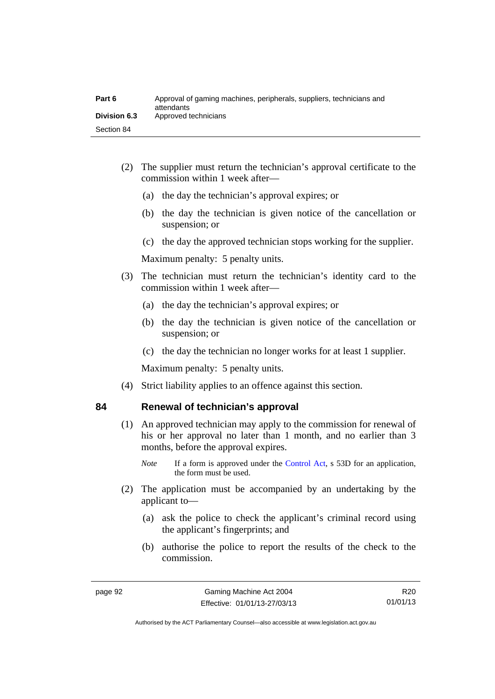| Part 6              | Approval of gaming machines, peripherals, suppliers, technicians and<br>attendants |
|---------------------|------------------------------------------------------------------------------------|
| <b>Division 6.3</b> | Approved technicians                                                               |
| Section 84          |                                                                                    |

- (2) The supplier must return the technician's approval certificate to the commission within 1 week after—
	- (a) the day the technician's approval expires; or
	- (b) the day the technician is given notice of the cancellation or suspension; or
	- (c) the day the approved technician stops working for the supplier.

Maximum penalty: 5 penalty units.

- (3) The technician must return the technician's identity card to the commission within 1 week after—
	- (a) the day the technician's approval expires; or
	- (b) the day the technician is given notice of the cancellation or suspension; or
	- (c) the day the technician no longer works for at least 1 supplier.

Maximum penalty: 5 penalty units.

(4) Strict liability applies to an offence against this section.

# **84 Renewal of technician's approval**

- (1) An approved technician may apply to the commission for renewal of his or her approval no later than 1 month, and no earlier than 3 months, before the approval expires.
	- *Note* If a form is approved under the [Control Act,](http://www.legislation.act.gov.au/a/1999-46) s 53D for an application, the form must be used.
- (2) The application must be accompanied by an undertaking by the applicant to—
	- (a) ask the police to check the applicant's criminal record using the applicant's fingerprints; and
	- (b) authorise the police to report the results of the check to the commission.

R20 01/01/13

Authorised by the ACT Parliamentary Counsel—also accessible at www.legislation.act.gov.au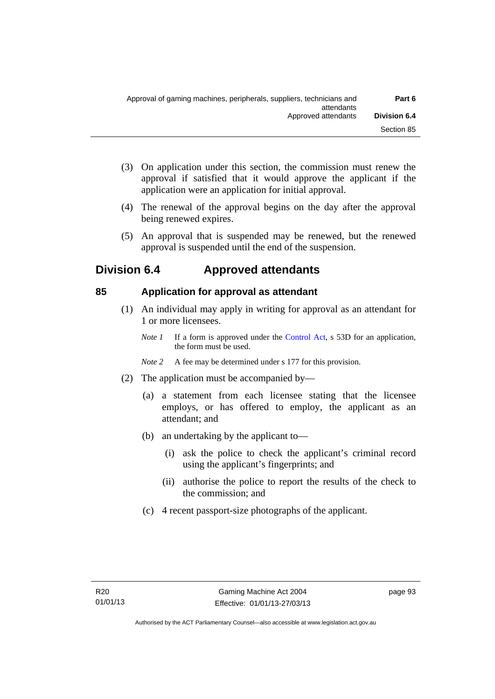- (3) On application under this section, the commission must renew the approval if satisfied that it would approve the applicant if the application were an application for initial approval.
- (4) The renewal of the approval begins on the day after the approval being renewed expires.
- (5) An approval that is suspended may be renewed, but the renewed approval is suspended until the end of the suspension.

# **Division 6.4 Approved attendants**

# **85 Application for approval as attendant**

- (1) An individual may apply in writing for approval as an attendant for 1 or more licensees.
	- *Note 1* If a form is approved under the [Control Act,](http://www.legislation.act.gov.au/a/1999-46) s 53D for an application, the form must be used.
	- *Note 2* A fee may be determined under s 177 for this provision.
- (2) The application must be accompanied by—
	- (a) a statement from each licensee stating that the licensee employs, or has offered to employ, the applicant as an attendant; and
	- (b) an undertaking by the applicant to—
		- (i) ask the police to check the applicant's criminal record using the applicant's fingerprints; and
		- (ii) authorise the police to report the results of the check to the commission; and
	- (c) 4 recent passport-size photographs of the applicant.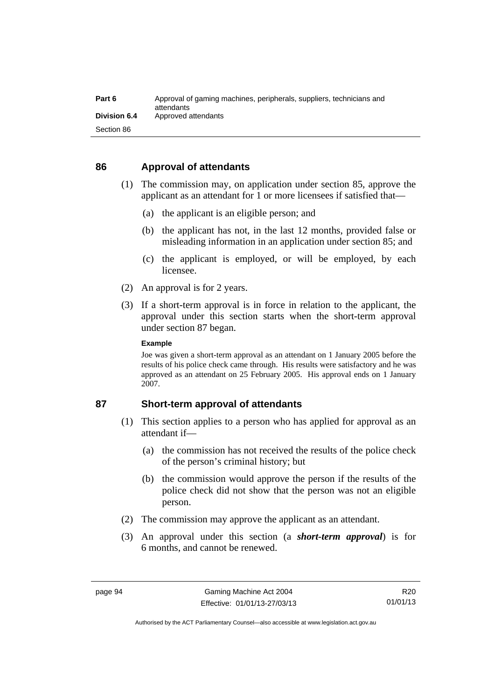| Part 6              | Approval of gaming machines, peripherals, suppliers, technicians and<br>attendants |
|---------------------|------------------------------------------------------------------------------------|
| <b>Division 6.4</b> | Approved attendants                                                                |
| Section 86          |                                                                                    |

#### **86 Approval of attendants**

- (1) The commission may, on application under section 85, approve the applicant as an attendant for 1 or more licensees if satisfied that—
	- (a) the applicant is an eligible person; and
	- (b) the applicant has not, in the last 12 months, provided false or misleading information in an application under section 85; and
	- (c) the applicant is employed, or will be employed, by each licensee.
- (2) An approval is for 2 years.
- (3) If a short-term approval is in force in relation to the applicant, the approval under this section starts when the short-term approval under section 87 began.

#### **Example**

Joe was given a short-term approval as an attendant on 1 January 2005 before the results of his police check came through. His results were satisfactory and he was approved as an attendant on 25 February 2005. His approval ends on 1 January 2007.

#### **87 Short-term approval of attendants**

- (1) This section applies to a person who has applied for approval as an attendant if—
	- (a) the commission has not received the results of the police check of the person's criminal history; but
	- (b) the commission would approve the person if the results of the police check did not show that the person was not an eligible person.
- (2) The commission may approve the applicant as an attendant.
- (3) An approval under this section (a *short-term approval*) is for 6 months, and cannot be renewed.

Authorised by the ACT Parliamentary Counsel—also accessible at www.legislation.act.gov.au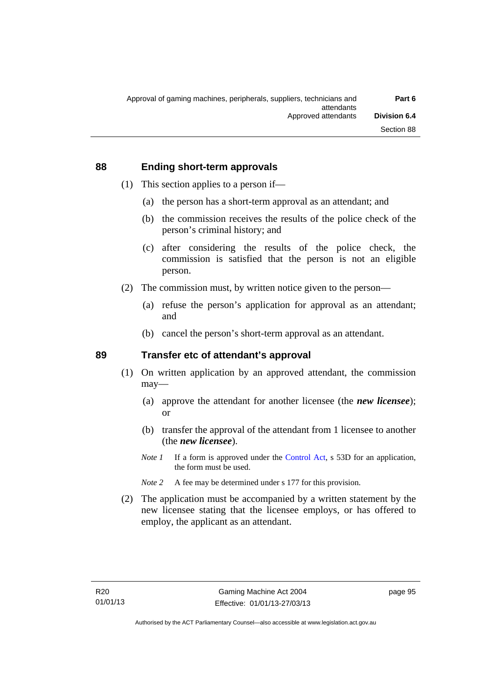#### **88 Ending short-term approvals**

- (1) This section applies to a person if—
	- (a) the person has a short-term approval as an attendant; and
	- (b) the commission receives the results of the police check of the person's criminal history; and
	- (c) after considering the results of the police check, the commission is satisfied that the person is not an eligible person.
- (2) The commission must, by written notice given to the person—
	- (a) refuse the person's application for approval as an attendant; and
	- (b) cancel the person's short-term approval as an attendant.

#### **89 Transfer etc of attendant's approval**

- (1) On written application by an approved attendant, the commission may—
	- (a) approve the attendant for another licensee (the *new licensee*); or
	- (b) transfer the approval of the attendant from 1 licensee to another (the *new licensee*).
	- *Note 1* If a form is approved under the [Control Act,](http://www.legislation.act.gov.au/a/1999-46) s 53D for an application, the form must be used.
	- *Note* 2 A fee may be determined under s 177 for this provision.
- (2) The application must be accompanied by a written statement by the new licensee stating that the licensee employs, or has offered to employ, the applicant as an attendant.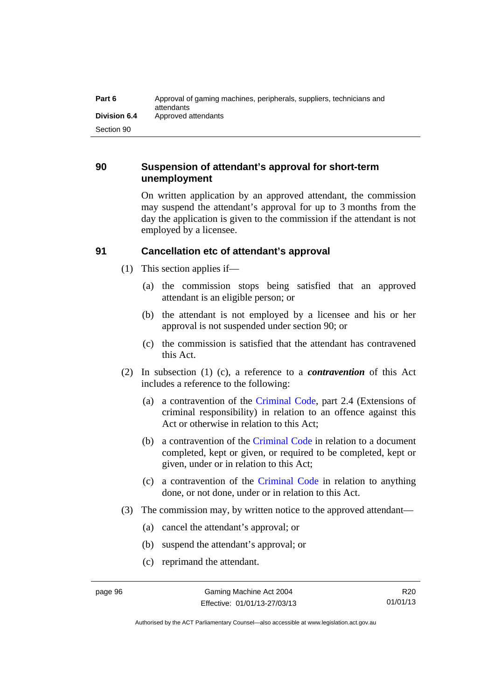| Part 6       | Approval of gaming machines, peripherals, suppliers, technicians and<br>attendants |
|--------------|------------------------------------------------------------------------------------|
| Division 6.4 | Approved attendants                                                                |
| Section 90   |                                                                                    |

#### **90 Suspension of attendant's approval for short-term unemployment**

On written application by an approved attendant, the commission may suspend the attendant's approval for up to 3 months from the day the application is given to the commission if the attendant is not employed by a licensee.

## **91 Cancellation etc of attendant's approval**

- (1) This section applies if—
	- (a) the commission stops being satisfied that an approved attendant is an eligible person; or
	- (b) the attendant is not employed by a licensee and his or her approval is not suspended under section 90; or
	- (c) the commission is satisfied that the attendant has contravened this Act.
- (2) In subsection (1) (c), a reference to a *contravention* of this Act includes a reference to the following:
	- (a) a contravention of the [Criminal Code](http://www.legislation.act.gov.au/a/2002-51), part 2.4 (Extensions of criminal responsibility) in relation to an offence against this Act or otherwise in relation to this Act;
	- (b) a contravention of the [Criminal Code](http://www.legislation.act.gov.au/a/2002-51) in relation to a document completed, kept or given, or required to be completed, kept or given, under or in relation to this Act;
	- (c) a contravention of the [Criminal Code](http://www.legislation.act.gov.au/a/2002-51) in relation to anything done, or not done, under or in relation to this Act.
- (3) The commission may, by written notice to the approved attendant—
	- (a) cancel the attendant's approval; or
	- (b) suspend the attendant's approval; or
	- (c) reprimand the attendant.

R20 01/01/13

Authorised by the ACT Parliamentary Counsel—also accessible at www.legislation.act.gov.au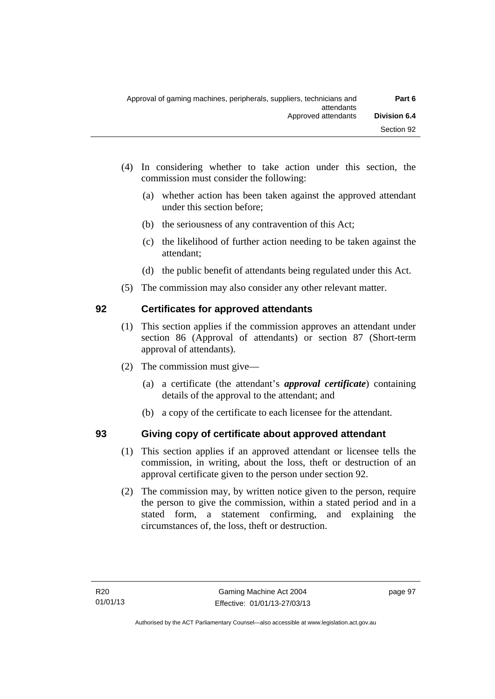- (4) In considering whether to take action under this section, the commission must consider the following:
	- (a) whether action has been taken against the approved attendant under this section before;
	- (b) the seriousness of any contravention of this Act;
	- (c) the likelihood of further action needing to be taken against the attendant;
	- (d) the public benefit of attendants being regulated under this Act.
- (5) The commission may also consider any other relevant matter.

### **92 Certificates for approved attendants**

- (1) This section applies if the commission approves an attendant under section 86 (Approval of attendants) or section 87 (Short-term approval of attendants).
- (2) The commission must give—
	- (a) a certificate (the attendant's *approval certificate*) containing details of the approval to the attendant; and
	- (b) a copy of the certificate to each licensee for the attendant.

### **93 Giving copy of certificate about approved attendant**

- (1) This section applies if an approved attendant or licensee tells the commission, in writing, about the loss, theft or destruction of an approval certificate given to the person under section 92.
- (2) The commission may, by written notice given to the person, require the person to give the commission, within a stated period and in a stated form, a statement confirming, and explaining the circumstances of, the loss, theft or destruction.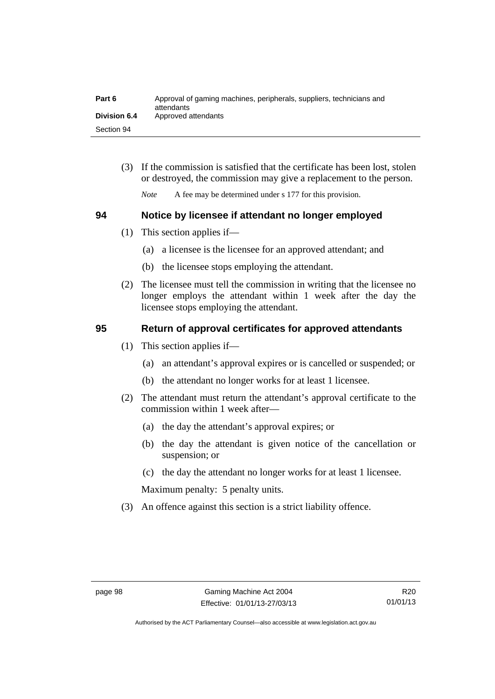| Part 6              | Approval of gaming machines, peripherals, suppliers, technicians and<br>attendants |
|---------------------|------------------------------------------------------------------------------------|
| <b>Division 6.4</b> | Approved attendants                                                                |
| Section 94          |                                                                                    |

 (3) If the commission is satisfied that the certificate has been lost, stolen or destroyed, the commission may give a replacement to the person.

*Note* A fee may be determined under s 177 for this provision.

### **94 Notice by licensee if attendant no longer employed**

- (1) This section applies if—
	- (a) a licensee is the licensee for an approved attendant; and
	- (b) the licensee stops employing the attendant.
- (2) The licensee must tell the commission in writing that the licensee no longer employs the attendant within 1 week after the day the licensee stops employing the attendant.

### **95 Return of approval certificates for approved attendants**

- (1) This section applies if—
	- (a) an attendant's approval expires or is cancelled or suspended; or
	- (b) the attendant no longer works for at least 1 licensee.
- (2) The attendant must return the attendant's approval certificate to the commission within 1 week after—
	- (a) the day the attendant's approval expires; or
	- (b) the day the attendant is given notice of the cancellation or suspension; or
	- (c) the day the attendant no longer works for at least 1 licensee.

Maximum penalty: 5 penalty units.

(3) An offence against this section is a strict liability offence.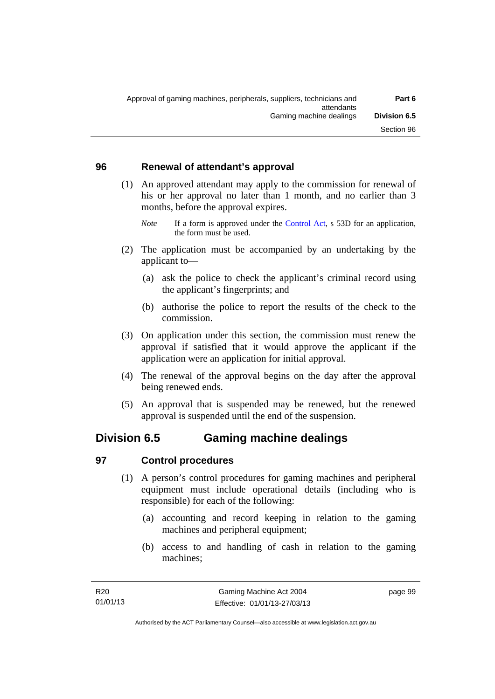### **96 Renewal of attendant's approval**

- (1) An approved attendant may apply to the commission for renewal of his or her approval no later than 1 month, and no earlier than 3 months, before the approval expires.
	- *Note* If a form is approved under the [Control Act,](http://www.legislation.act.gov.au/a/1999-46) s 53D for an application, the form must be used.
- (2) The application must be accompanied by an undertaking by the applicant to—
	- (a) ask the police to check the applicant's criminal record using the applicant's fingerprints; and
	- (b) authorise the police to report the results of the check to the commission.
- (3) On application under this section, the commission must renew the approval if satisfied that it would approve the applicant if the application were an application for initial approval.
- (4) The renewal of the approval begins on the day after the approval being renewed ends.
- (5) An approval that is suspended may be renewed, but the renewed approval is suspended until the end of the suspension.

## **Division 6.5 Gaming machine dealings**

### **97 Control procedures**

- (1) A person's control procedures for gaming machines and peripheral equipment must include operational details (including who is responsible) for each of the following:
	- (a) accounting and record keeping in relation to the gaming machines and peripheral equipment;
	- (b) access to and handling of cash in relation to the gaming machines;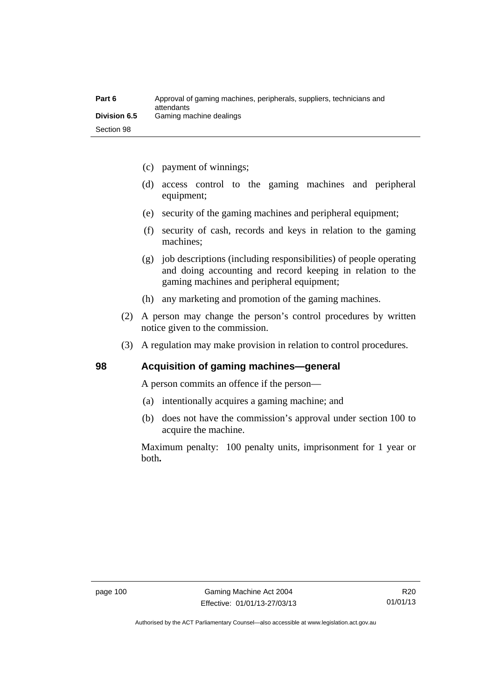| Part 6              | Approval of gaming machines, peripherals, suppliers, technicians and<br>attendants |
|---------------------|------------------------------------------------------------------------------------|
| <b>Division 6.5</b> | Gaming machine dealings                                                            |
| Section 98          |                                                                                    |

- (c) payment of winnings;
- (d) access control to the gaming machines and peripheral equipment;
- (e) security of the gaming machines and peripheral equipment;
- (f) security of cash, records and keys in relation to the gaming machines;
- (g) job descriptions (including responsibilities) of people operating and doing accounting and record keeping in relation to the gaming machines and peripheral equipment;
- (h) any marketing and promotion of the gaming machines.
- (2) A person may change the person's control procedures by written notice given to the commission.
- (3) A regulation may make provision in relation to control procedures.

### **98 Acquisition of gaming machines—general**

A person commits an offence if the person—

- (a) intentionally acquires a gaming machine; and
- (b) does not have the commission's approval under section 100 to acquire the machine.

Maximum penalty: 100 penalty units, imprisonment for 1 year or both**.**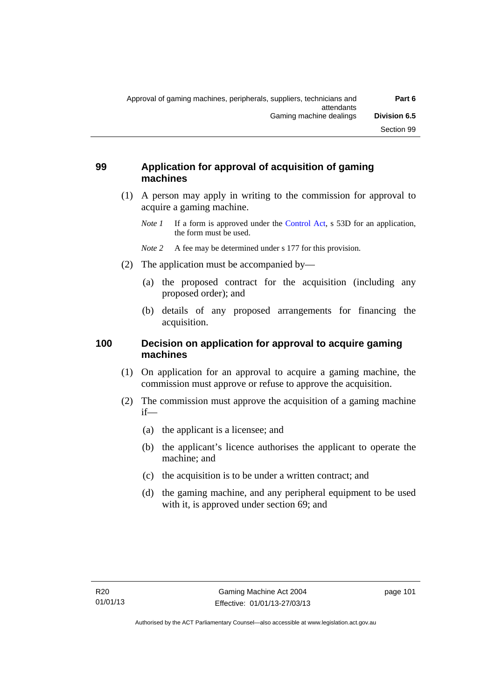### **99 Application for approval of acquisition of gaming machines**

- (1) A person may apply in writing to the commission for approval to acquire a gaming machine.
	- *Note 1* If a form is approved under the [Control Act,](http://www.legislation.act.gov.au/a/1999-46) s 53D for an application, the form must be used.
	- *Note* 2 A fee may be determined under s 177 for this provision.
- (2) The application must be accompanied by—
	- (a) the proposed contract for the acquisition (including any proposed order); and
	- (b) details of any proposed arrangements for financing the acquisition.

### **100 Decision on application for approval to acquire gaming machines**

- (1) On application for an approval to acquire a gaming machine, the commission must approve or refuse to approve the acquisition.
- (2) The commission must approve the acquisition of a gaming machine if—
	- (a) the applicant is a licensee; and
	- (b) the applicant's licence authorises the applicant to operate the machine; and
	- (c) the acquisition is to be under a written contract; and
	- (d) the gaming machine, and any peripheral equipment to be used with it, is approved under section 69; and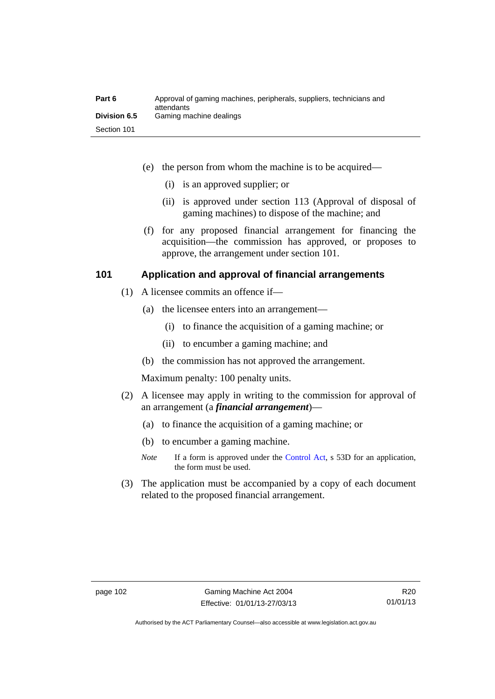| Part 6              | Approval of gaming machines, peripherals, suppliers, technicians and<br>attendants |
|---------------------|------------------------------------------------------------------------------------|
| <b>Division 6.5</b> | Gaming machine dealings                                                            |
| Section 101         |                                                                                    |

- (e) the person from whom the machine is to be acquired—
	- (i) is an approved supplier; or
	- (ii) is approved under section 113 (Approval of disposal of gaming machines) to dispose of the machine; and
- (f) for any proposed financial arrangement for financing the acquisition—the commission has approved, or proposes to approve, the arrangement under section 101.

### **101 Application and approval of financial arrangements**

- (1) A licensee commits an offence if—
	- (a) the licensee enters into an arrangement—
		- (i) to finance the acquisition of a gaming machine; or
		- (ii) to encumber a gaming machine; and
	- (b) the commission has not approved the arrangement.

Maximum penalty: 100 penalty units.

- (2) A licensee may apply in writing to the commission for approval of an arrangement (a *financial arrangement*)—
	- (a) to finance the acquisition of a gaming machine; or
	- (b) to encumber a gaming machine.
	- *Note* If a form is approved under the [Control Act,](http://www.legislation.act.gov.au/a/1999-46) s 53D for an application, the form must be used.
- (3) The application must be accompanied by a copy of each document related to the proposed financial arrangement.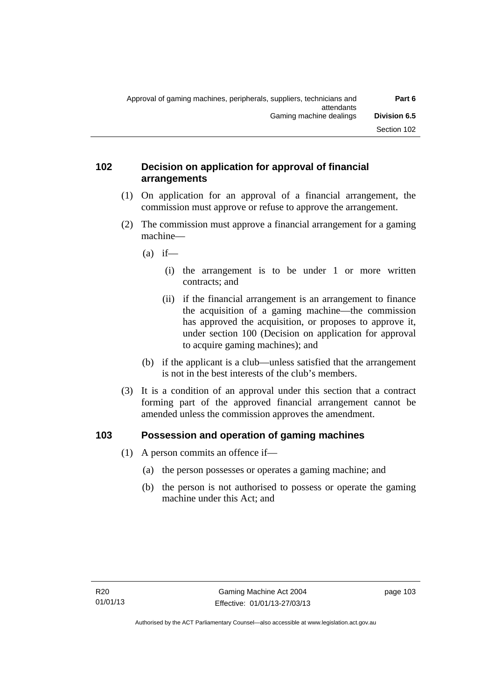### **102 Decision on application for approval of financial arrangements**

- (1) On application for an approval of a financial arrangement, the commission must approve or refuse to approve the arrangement.
- (2) The commission must approve a financial arrangement for a gaming machine—
	- $(a)$  if—
		- (i) the arrangement is to be under 1 or more written contracts; and
		- (ii) if the financial arrangement is an arrangement to finance the acquisition of a gaming machine—the commission has approved the acquisition, or proposes to approve it, under section 100 (Decision on application for approval to acquire gaming machines); and
	- (b) if the applicant is a club—unless satisfied that the arrangement is not in the best interests of the club's members.
- (3) It is a condition of an approval under this section that a contract forming part of the approved financial arrangement cannot be amended unless the commission approves the amendment.

### **103 Possession and operation of gaming machines**

- (1) A person commits an offence if—
	- (a) the person possesses or operates a gaming machine; and
	- (b) the person is not authorised to possess or operate the gaming machine under this Act; and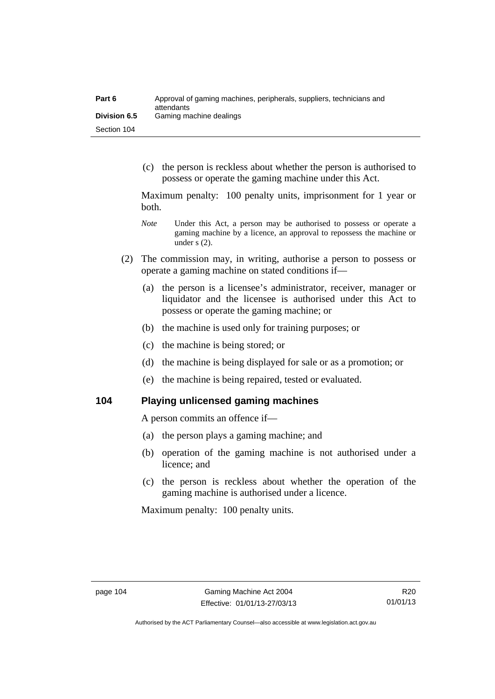| Part 6              | Approval of gaming machines, peripherals, suppliers, technicians and<br>attendants |
|---------------------|------------------------------------------------------------------------------------|
| <b>Division 6.5</b> | Gaming machine dealings                                                            |
| Section 104         |                                                                                    |

 (c) the person is reckless about whether the person is authorised to possess or operate the gaming machine under this Act.

Maximum penalty: 100 penalty units, imprisonment for 1 year or both.

- *Note* **Under this Act, a person may be authorised to possess or operate a** gaming machine by a licence, an approval to repossess the machine or under s (2).
- (2) The commission may, in writing, authorise a person to possess or operate a gaming machine on stated conditions if—
	- (a) the person is a licensee's administrator, receiver, manager or liquidator and the licensee is authorised under this Act to possess or operate the gaming machine; or
	- (b) the machine is used only for training purposes; or
	- (c) the machine is being stored; or
	- (d) the machine is being displayed for sale or as a promotion; or
	- (e) the machine is being repaired, tested or evaluated.

**104 Playing unlicensed gaming machines** 

A person commits an offence if—

- (a) the person plays a gaming machine; and
- (b) operation of the gaming machine is not authorised under a licence; and
- (c) the person is reckless about whether the operation of the gaming machine is authorised under a licence.

Maximum penalty: 100 penalty units.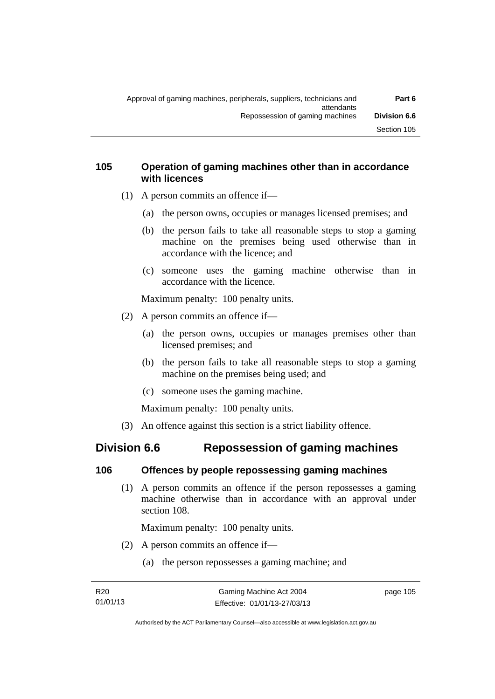### **105 Operation of gaming machines other than in accordance with licences**

- (1) A person commits an offence if—
	- (a) the person owns, occupies or manages licensed premises; and
	- (b) the person fails to take all reasonable steps to stop a gaming machine on the premises being used otherwise than in accordance with the licence; and
	- (c) someone uses the gaming machine otherwise than in accordance with the licence.

Maximum penalty: 100 penalty units.

- (2) A person commits an offence if—
	- (a) the person owns, occupies or manages premises other than licensed premises; and
	- (b) the person fails to take all reasonable steps to stop a gaming machine on the premises being used; and
	- (c) someone uses the gaming machine.

Maximum penalty: 100 penalty units.

(3) An offence against this section is a strict liability offence.

# **Division 6.6 Repossession of gaming machines**

### **106 Offences by people repossessing gaming machines**

 (1) A person commits an offence if the person repossesses a gaming machine otherwise than in accordance with an approval under section 108.

Maximum penalty: 100 penalty units.

- (2) A person commits an offence if—
	- (a) the person repossesses a gaming machine; and

page 105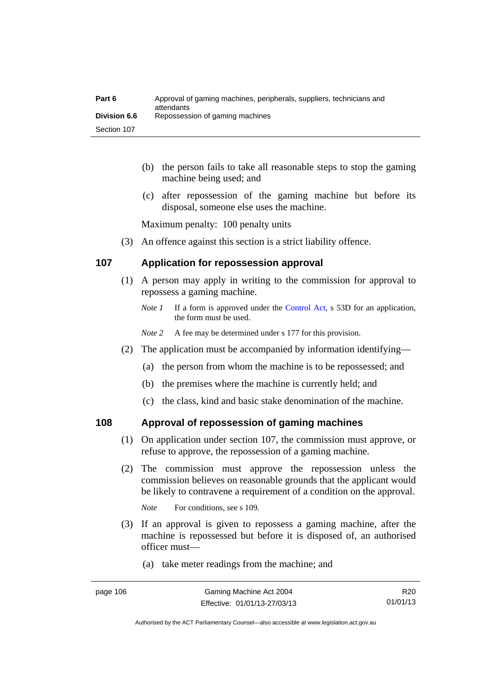| Part 6              | Approval of gaming machines, peripherals, suppliers, technicians and<br>attendants |
|---------------------|------------------------------------------------------------------------------------|
| <b>Division 6.6</b> | Repossession of gaming machines                                                    |
| Section 107         |                                                                                    |

- (b) the person fails to take all reasonable steps to stop the gaming machine being used; and
- (c) after repossession of the gaming machine but before its disposal, someone else uses the machine.

Maximum penalty: 100 penalty units

(3) An offence against this section is a strict liability offence.

### **107 Application for repossession approval**

- (1) A person may apply in writing to the commission for approval to repossess a gaming machine.
	- *Note 1* If a form is approved under the [Control Act,](http://www.legislation.act.gov.au/a/1999-46) s 53D for an application, the form must be used.
	- *Note 2* A fee may be determined under s 177 for this provision.
- (2) The application must be accompanied by information identifying—
	- (a) the person from whom the machine is to be repossessed; and
	- (b) the premises where the machine is currently held; and
	- (c) the class, kind and basic stake denomination of the machine.

### **108 Approval of repossession of gaming machines**

- (1) On application under section 107, the commission must approve, or refuse to approve, the repossession of a gaming machine.
- (2) The commission must approve the repossession unless the commission believes on reasonable grounds that the applicant would be likely to contravene a requirement of a condition on the approval.

*Note* For conditions, see s 109.

- (3) If an approval is given to repossess a gaming machine, after the machine is repossessed but before it is disposed of, an authorised officer must—
	- (a) take meter readings from the machine; and

R20 01/01/13

Authorised by the ACT Parliamentary Counsel—also accessible at www.legislation.act.gov.au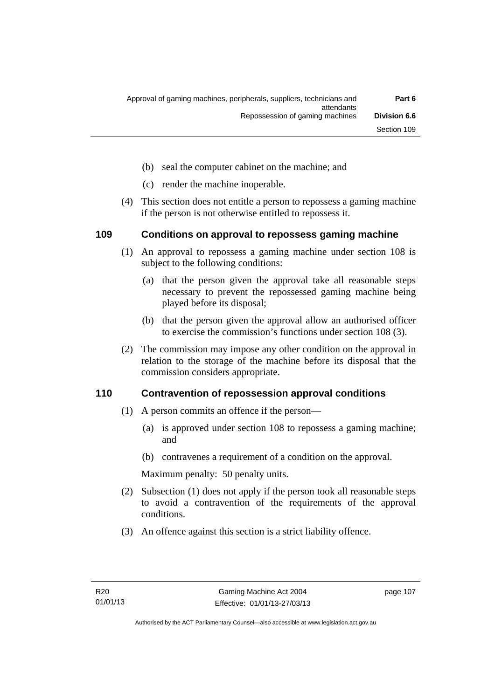- (b) seal the computer cabinet on the machine; and
- (c) render the machine inoperable.
- (4) This section does not entitle a person to repossess a gaming machine if the person is not otherwise entitled to repossess it.

### **109 Conditions on approval to repossess gaming machine**

- (1) An approval to repossess a gaming machine under section 108 is subject to the following conditions:
	- (a) that the person given the approval take all reasonable steps necessary to prevent the repossessed gaming machine being played before its disposal;
	- (b) that the person given the approval allow an authorised officer to exercise the commission's functions under section 108 (3).
- (2) The commission may impose any other condition on the approval in relation to the storage of the machine before its disposal that the commission considers appropriate.

### **110 Contravention of repossession approval conditions**

- (1) A person commits an offence if the person—
	- (a) is approved under section 108 to repossess a gaming machine; and
	- (b) contravenes a requirement of a condition on the approval.

Maximum penalty: 50 penalty units.

- (2) Subsection (1) does not apply if the person took all reasonable steps to avoid a contravention of the requirements of the approval conditions.
- (3) An offence against this section is a strict liability offence.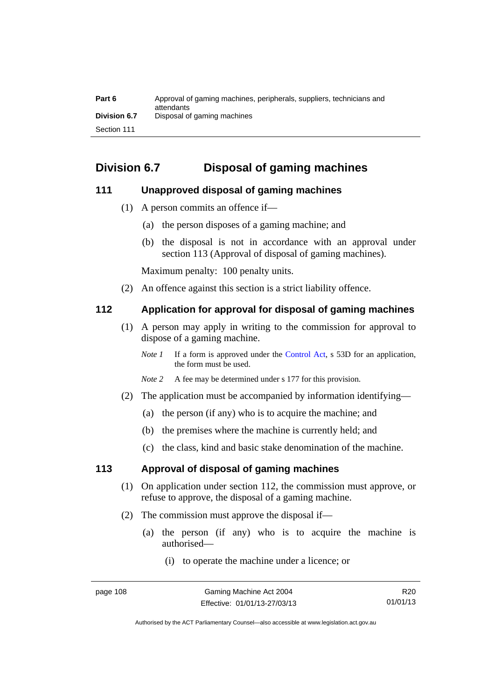| Part 6              | Approval of gaming machines, peripherals, suppliers, technicians and<br>attendants |
|---------------------|------------------------------------------------------------------------------------|
| <b>Division 6.7</b> | Disposal of gaming machines                                                        |
| Section 111         |                                                                                    |

# **Division 6.7 Disposal of gaming machines**

### **111 Unapproved disposal of gaming machines**

- (1) A person commits an offence if—
	- (a) the person disposes of a gaming machine; and
	- (b) the disposal is not in accordance with an approval under section 113 (Approval of disposal of gaming machines).

Maximum penalty: 100 penalty units.

(2) An offence against this section is a strict liability offence.

### **112 Application for approval for disposal of gaming machines**

- (1) A person may apply in writing to the commission for approval to dispose of a gaming machine.
	- *Note 1* If a form is approved under the [Control Act,](http://www.legislation.act.gov.au/a/1999-46) s 53D for an application, the form must be used.
	- *Note 2* A fee may be determined under s 177 for this provision.
- (2) The application must be accompanied by information identifying—
	- (a) the person (if any) who is to acquire the machine; and
	- (b) the premises where the machine is currently held; and
	- (c) the class, kind and basic stake denomination of the machine.

### **113 Approval of disposal of gaming machines**

- (1) On application under section 112, the commission must approve, or refuse to approve, the disposal of a gaming machine.
- (2) The commission must approve the disposal if—
	- (a) the person (if any) who is to acquire the machine is authorised—
		- (i) to operate the machine under a licence; or

Authorised by the ACT Parliamentary Counsel—also accessible at www.legislation.act.gov.au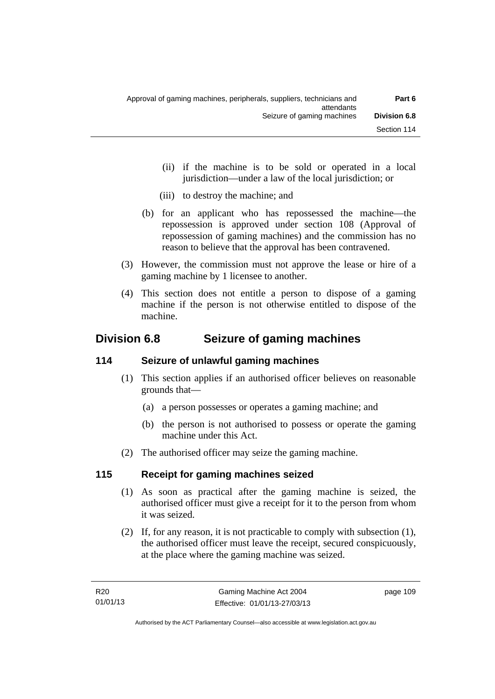- (ii) if the machine is to be sold or operated in a local jurisdiction—under a law of the local jurisdiction; or
- (iii) to destroy the machine; and
- (b) for an applicant who has repossessed the machine—the repossession is approved under section 108 (Approval of repossession of gaming machines) and the commission has no reason to believe that the approval has been contravened.
- (3) However, the commission must not approve the lease or hire of a gaming machine by 1 licensee to another.
- (4) This section does not entitle a person to dispose of a gaming machine if the person is not otherwise entitled to dispose of the machine.

# **Division 6.8 Seizure of gaming machines**

## **114 Seizure of unlawful gaming machines**

- (1) This section applies if an authorised officer believes on reasonable grounds that—
	- (a) a person possesses or operates a gaming machine; and
	- (b) the person is not authorised to possess or operate the gaming machine under this Act.
- (2) The authorised officer may seize the gaming machine.

### **115 Receipt for gaming machines seized**

- (1) As soon as practical after the gaming machine is seized, the authorised officer must give a receipt for it to the person from whom it was seized.
- (2) If, for any reason, it is not practicable to comply with subsection (1), the authorised officer must leave the receipt, secured conspicuously, at the place where the gaming machine was seized.

page 109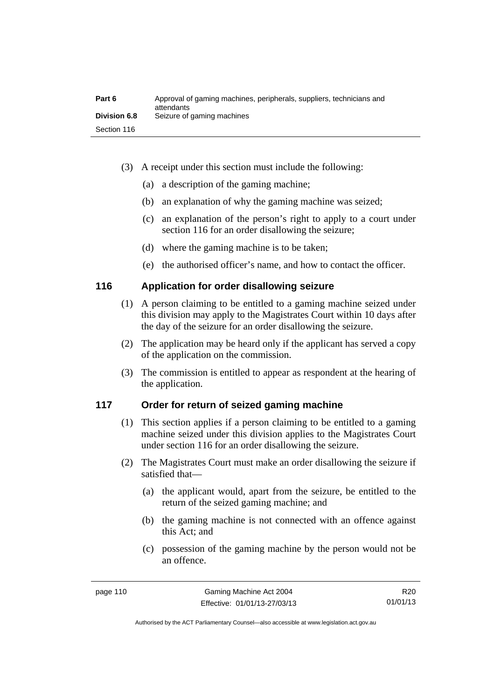| Part 6              | Approval of gaming machines, peripherals, suppliers, technicians and<br>attendants |
|---------------------|------------------------------------------------------------------------------------|
| <b>Division 6.8</b> | Seizure of gaming machines                                                         |
| Section 116         |                                                                                    |

- (3) A receipt under this section must include the following:
	- (a) a description of the gaming machine;
	- (b) an explanation of why the gaming machine was seized;
	- (c) an explanation of the person's right to apply to a court under section 116 for an order disallowing the seizure;
	- (d) where the gaming machine is to be taken;
	- (e) the authorised officer's name, and how to contact the officer.

### **116 Application for order disallowing seizure**

- (1) A person claiming to be entitled to a gaming machine seized under this division may apply to the Magistrates Court within 10 days after the day of the seizure for an order disallowing the seizure.
- (2) The application may be heard only if the applicant has served a copy of the application on the commission.
- (3) The commission is entitled to appear as respondent at the hearing of the application.

### **117 Order for return of seized gaming machine**

- (1) This section applies if a person claiming to be entitled to a gaming machine seized under this division applies to the Magistrates Court under section 116 for an order disallowing the seizure.
- (2) The Magistrates Court must make an order disallowing the seizure if satisfied that—
	- (a) the applicant would, apart from the seizure, be entitled to the return of the seized gaming machine; and
	- (b) the gaming machine is not connected with an offence against this Act; and
	- (c) possession of the gaming machine by the person would not be an offence.

R20 01/01/13

Authorised by the ACT Parliamentary Counsel—also accessible at www.legislation.act.gov.au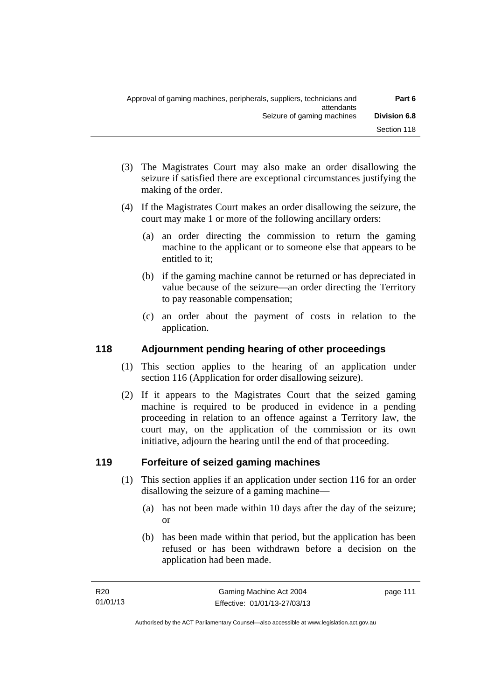- (3) The Magistrates Court may also make an order disallowing the seizure if satisfied there are exceptional circumstances justifying the making of the order.
- (4) If the Magistrates Court makes an order disallowing the seizure, the court may make 1 or more of the following ancillary orders:
	- (a) an order directing the commission to return the gaming machine to the applicant or to someone else that appears to be entitled to it;
	- (b) if the gaming machine cannot be returned or has depreciated in value because of the seizure—an order directing the Territory to pay reasonable compensation;
	- (c) an order about the payment of costs in relation to the application.

### **118 Adjournment pending hearing of other proceedings**

- (1) This section applies to the hearing of an application under section 116 (Application for order disallowing seizure).
- (2) If it appears to the Magistrates Court that the seized gaming machine is required to be produced in evidence in a pending proceeding in relation to an offence against a Territory law, the court may, on the application of the commission or its own initiative, adjourn the hearing until the end of that proceeding.

## **119 Forfeiture of seized gaming machines**

- (1) This section applies if an application under section 116 for an order disallowing the seizure of a gaming machine—
	- (a) has not been made within 10 days after the day of the seizure; or
	- (b) has been made within that period, but the application has been refused or has been withdrawn before a decision on the application had been made.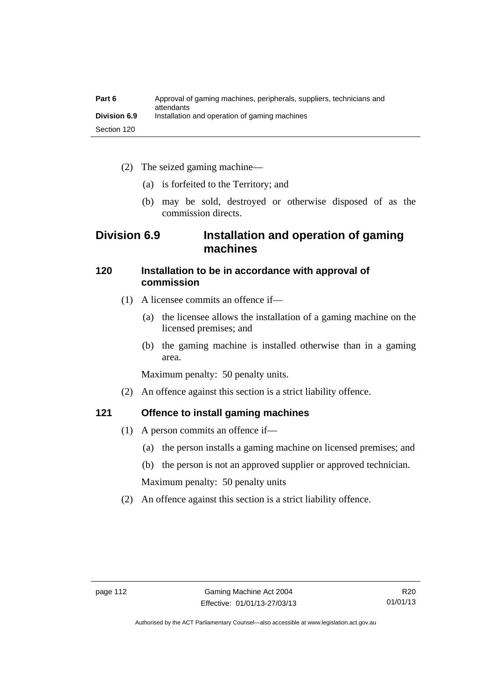| Part 6              | Approval of gaming machines, peripherals, suppliers, technicians and<br>attendants |
|---------------------|------------------------------------------------------------------------------------|
| <b>Division 6.9</b> | Installation and operation of gaming machines                                      |
| Section 120         |                                                                                    |

- (2) The seized gaming machine—
	- (a) is forfeited to the Territory; and
	- (b) may be sold, destroyed or otherwise disposed of as the commission directs.

## **Division 6.9 Installation and operation of gaming machines**

### **120 Installation to be in accordance with approval of commission**

- (1) A licensee commits an offence if—
	- (a) the licensee allows the installation of a gaming machine on the licensed premises; and
	- (b) the gaming machine is installed otherwise than in a gaming area.

Maximum penalty: 50 penalty units.

(2) An offence against this section is a strict liability offence.

### **121 Offence to install gaming machines**

- (1) A person commits an offence if—
	- (a) the person installs a gaming machine on licensed premises; and
	- (b) the person is not an approved supplier or approved technician.

Maximum penalty: 50 penalty units

(2) An offence against this section is a strict liability offence.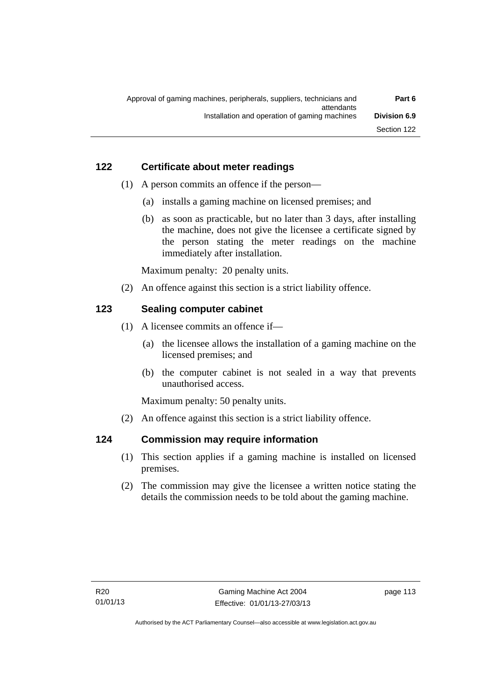### **122 Certificate about meter readings**

- (1) A person commits an offence if the person—
	- (a) installs a gaming machine on licensed premises; and
	- (b) as soon as practicable, but no later than 3 days, after installing the machine, does not give the licensee a certificate signed by the person stating the meter readings on the machine immediately after installation.

Maximum penalty: 20 penalty units.

(2) An offence against this section is a strict liability offence.

### **123 Sealing computer cabinet**

- (1) A licensee commits an offence if—
	- (a) the licensee allows the installation of a gaming machine on the licensed premises; and
	- (b) the computer cabinet is not sealed in a way that prevents unauthorised access.

Maximum penalty: 50 penalty units.

(2) An offence against this section is a strict liability offence.

### **124 Commission may require information**

- (1) This section applies if a gaming machine is installed on licensed premises.
- (2) The commission may give the licensee a written notice stating the details the commission needs to be told about the gaming machine.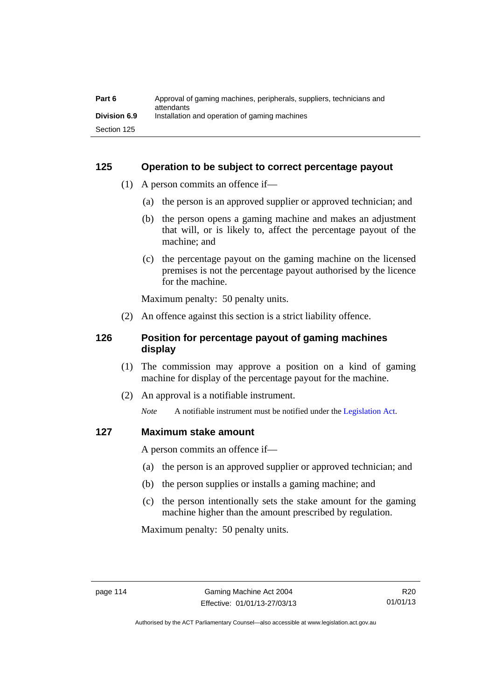| Part 6              | Approval of gaming machines, peripherals, suppliers, technicians and<br>attendants |
|---------------------|------------------------------------------------------------------------------------|
| <b>Division 6.9</b> | Installation and operation of gaming machines                                      |
| Section 125         |                                                                                    |

### **125 Operation to be subject to correct percentage payout**

- (1) A person commits an offence if—
	- (a) the person is an approved supplier or approved technician; and
	- (b) the person opens a gaming machine and makes an adjustment that will, or is likely to, affect the percentage payout of the machine; and
	- (c) the percentage payout on the gaming machine on the licensed premises is not the percentage payout authorised by the licence for the machine.

Maximum penalty: 50 penalty units.

(2) An offence against this section is a strict liability offence.

### **126 Position for percentage payout of gaming machines display**

- (1) The commission may approve a position on a kind of gaming machine for display of the percentage payout for the machine.
- (2) An approval is a notifiable instrument.

*Note* A notifiable instrument must be notified under the [Legislation Act](http://www.legislation.act.gov.au/a/2001-14).

### **127 Maximum stake amount**

A person commits an offence if—

- (a) the person is an approved supplier or approved technician; and
- (b) the person supplies or installs a gaming machine; and
- (c) the person intentionally sets the stake amount for the gaming machine higher than the amount prescribed by regulation.

Maximum penalty: 50 penalty units.

Authorised by the ACT Parliamentary Counsel—also accessible at www.legislation.act.gov.au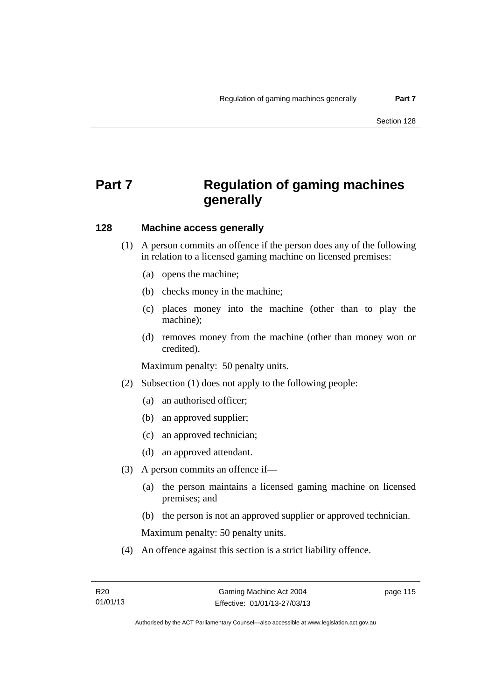# **Part 7 Regulation of gaming machines generally**

### **128 Machine access generally**

- (1) A person commits an offence if the person does any of the following in relation to a licensed gaming machine on licensed premises:
	- (a) opens the machine;
	- (b) checks money in the machine;
	- (c) places money into the machine (other than to play the machine);
	- (d) removes money from the machine (other than money won or credited).

Maximum penalty: 50 penalty units.

- (2) Subsection (1) does not apply to the following people:
	- (a) an authorised officer;
	- (b) an approved supplier;
	- (c) an approved technician;
	- (d) an approved attendant.
- (3) A person commits an offence if—
	- (a) the person maintains a licensed gaming machine on licensed premises; and
	- (b) the person is not an approved supplier or approved technician.

Maximum penalty: 50 penalty units.

(4) An offence against this section is a strict liability offence.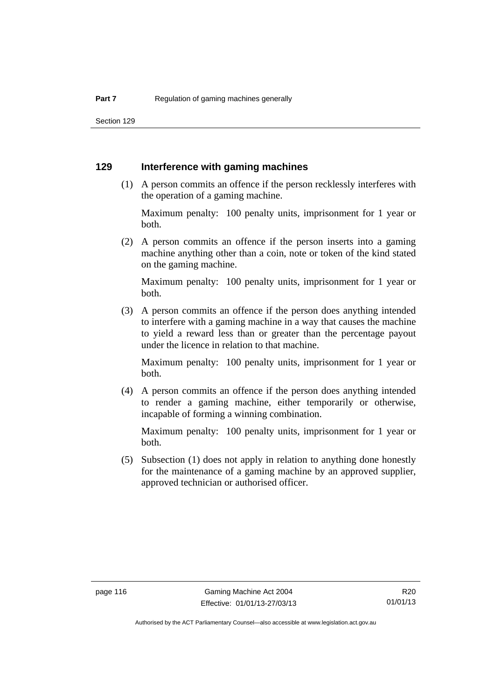Section 129

### **129 Interference with gaming machines**

 (1) A person commits an offence if the person recklessly interferes with the operation of a gaming machine.

Maximum penalty: 100 penalty units, imprisonment for 1 year or both.

 (2) A person commits an offence if the person inserts into a gaming machine anything other than a coin, note or token of the kind stated on the gaming machine.

Maximum penalty: 100 penalty units, imprisonment for 1 year or both.

 (3) A person commits an offence if the person does anything intended to interfere with a gaming machine in a way that causes the machine to yield a reward less than or greater than the percentage payout under the licence in relation to that machine.

Maximum penalty: 100 penalty units, imprisonment for 1 year or both.

 (4) A person commits an offence if the person does anything intended to render a gaming machine, either temporarily or otherwise, incapable of forming a winning combination.

Maximum penalty: 100 penalty units, imprisonment for 1 year or both.

 (5) Subsection (1) does not apply in relation to anything done honestly for the maintenance of a gaming machine by an approved supplier, approved technician or authorised officer.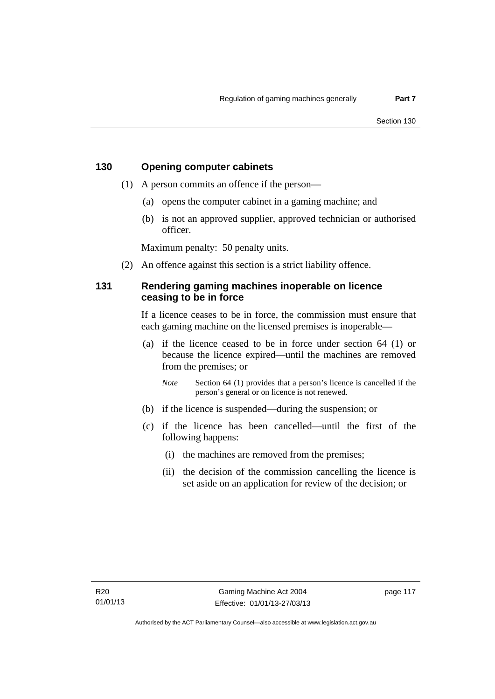### **130 Opening computer cabinets**

- (1) A person commits an offence if the person—
	- (a) opens the computer cabinet in a gaming machine; and
	- (b) is not an approved supplier, approved technician or authorised officer.

Maximum penalty: 50 penalty units.

(2) An offence against this section is a strict liability offence.

### **131 Rendering gaming machines inoperable on licence ceasing to be in force**

If a licence ceases to be in force, the commission must ensure that each gaming machine on the licensed premises is inoperable—

 (a) if the licence ceased to be in force under section 64 (1) or because the licence expired—until the machines are removed from the premises; or

*Note* Section 64 (1) provides that a person's licence is cancelled if the person's general or on licence is not renewed.

- (b) if the licence is suspended—during the suspension; or
- (c) if the licence has been cancelled—until the first of the following happens:
	- (i) the machines are removed from the premises;
	- (ii) the decision of the commission cancelling the licence is set aside on an application for review of the decision; or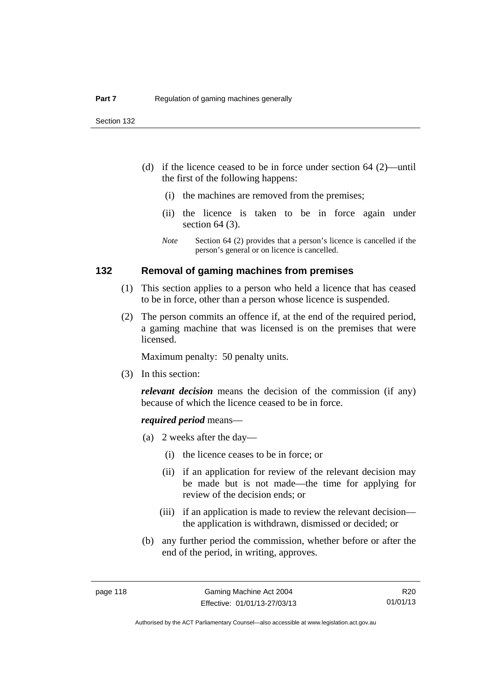- (d) if the licence ceased to be in force under section 64 (2)—until the first of the following happens:
	- (i) the machines are removed from the premises;
	- (ii) the licence is taken to be in force again under section 64 (3).
	- *Note* Section 64 (2) provides that a person's licence is cancelled if the person's general or on licence is cancelled.

### **132 Removal of gaming machines from premises**

- (1) This section applies to a person who held a licence that has ceased to be in force, other than a person whose licence is suspended.
- (2) The person commits an offence if, at the end of the required period, a gaming machine that was licensed is on the premises that were licensed.

Maximum penalty: 50 penalty units.

(3) In this section:

*relevant decision* means the decision of the commission (if any) because of which the licence ceased to be in force.

### *required period* means—

- (a) 2 weeks after the day—
	- (i) the licence ceases to be in force; or
	- (ii) if an application for review of the relevant decision may be made but is not made—the time for applying for review of the decision ends; or
	- (iii) if an application is made to review the relevant decision the application is withdrawn, dismissed or decided; or
- (b) any further period the commission, whether before or after the end of the period, in writing, approves.

R20 01/01/13

Authorised by the ACT Parliamentary Counsel—also accessible at www.legislation.act.gov.au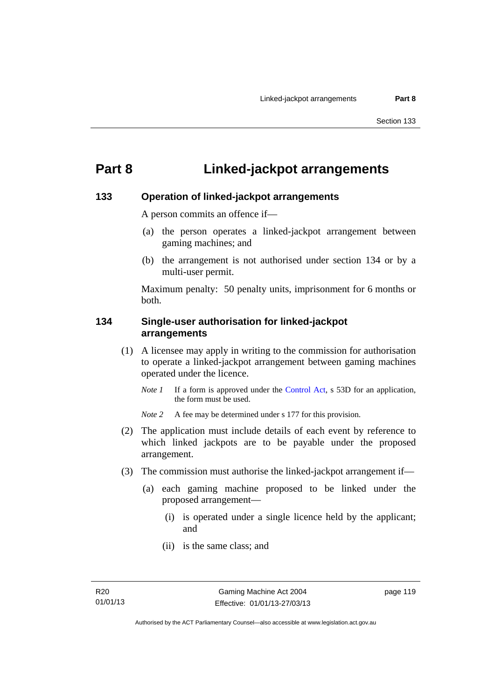# **Part 8 Linked-jackpot arrangements**

### **133 Operation of linked-jackpot arrangements**

A person commits an offence if—

- (a) the person operates a linked-jackpot arrangement between gaming machines; and
- (b) the arrangement is not authorised under section 134 or by a multi-user permit.

Maximum penalty: 50 penalty units, imprisonment for 6 months or both.

### **134 Single-user authorisation for linked-jackpot arrangements**

- (1) A licensee may apply in writing to the commission for authorisation to operate a linked-jackpot arrangement between gaming machines operated under the licence.
	- *Note 1* If a form is approved under the [Control Act,](http://www.legislation.act.gov.au/a/1999-46) s 53D for an application, the form must be used.

*Note* 2 A fee may be determined under s 177 for this provision.

- (2) The application must include details of each event by reference to which linked jackpots are to be payable under the proposed arrangement.
- (3) The commission must authorise the linked-jackpot arrangement if—
	- (a) each gaming machine proposed to be linked under the proposed arrangement—
		- (i) is operated under a single licence held by the applicant; and
		- (ii) is the same class; and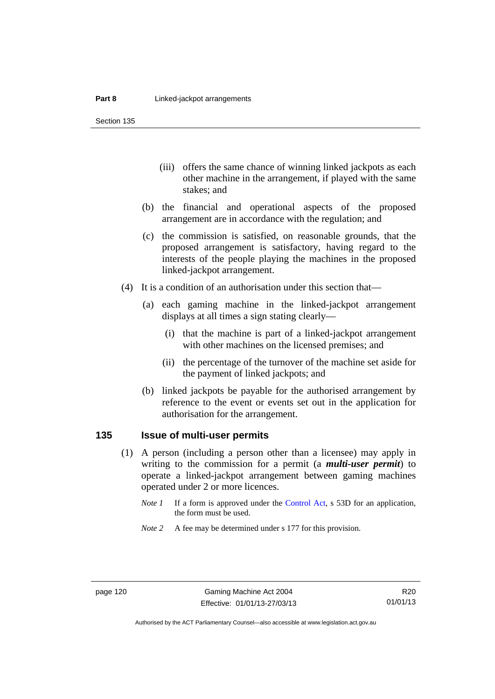Section 135

- (iii) offers the same chance of winning linked jackpots as each other machine in the arrangement, if played with the same stakes; and
- (b) the financial and operational aspects of the proposed arrangement are in accordance with the regulation; and
- (c) the commission is satisfied, on reasonable grounds, that the proposed arrangement is satisfactory, having regard to the interests of the people playing the machines in the proposed linked-jackpot arrangement.
- (4) It is a condition of an authorisation under this section that—
	- (a) each gaming machine in the linked-jackpot arrangement displays at all times a sign stating clearly—
		- (i) that the machine is part of a linked-jackpot arrangement with other machines on the licensed premises; and
		- (ii) the percentage of the turnover of the machine set aside for the payment of linked jackpots; and
	- (b) linked jackpots be payable for the authorised arrangement by reference to the event or events set out in the application for authorisation for the arrangement.

### **135 Issue of multi-user permits**

- (1) A person (including a person other than a licensee) may apply in writing to the commission for a permit (a *multi-user permit*) to operate a linked-jackpot arrangement between gaming machines operated under 2 or more licences.
	- *Note 1* If a form is approved under the [Control Act,](http://www.legislation.act.gov.au/a/1999-46) s 53D for an application, the form must be used.
	- *Note* 2 A fee may be determined under s 177 for this provision.

R20 01/01/13

Authorised by the ACT Parliamentary Counsel—also accessible at www.legislation.act.gov.au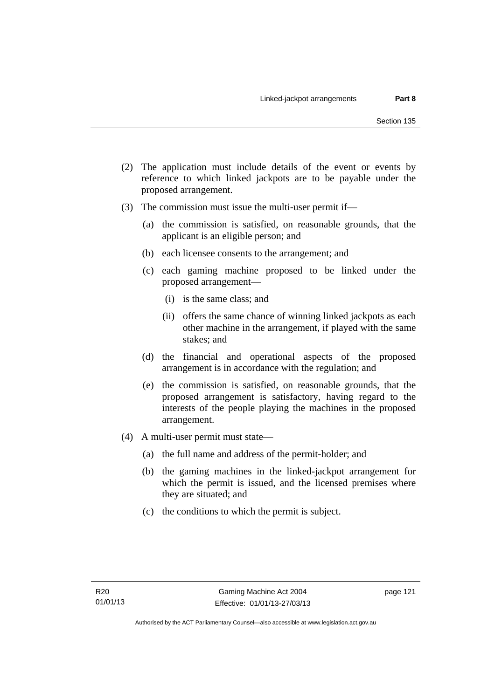- (2) The application must include details of the event or events by reference to which linked jackpots are to be payable under the proposed arrangement.
- (3) The commission must issue the multi-user permit if—
	- (a) the commission is satisfied, on reasonable grounds, that the applicant is an eligible person; and
	- (b) each licensee consents to the arrangement; and
	- (c) each gaming machine proposed to be linked under the proposed arrangement—
		- (i) is the same class; and
		- (ii) offers the same chance of winning linked jackpots as each other machine in the arrangement, if played with the same stakes; and
	- (d) the financial and operational aspects of the proposed arrangement is in accordance with the regulation; and
	- (e) the commission is satisfied, on reasonable grounds, that the proposed arrangement is satisfactory, having regard to the interests of the people playing the machines in the proposed arrangement.
- (4) A multi-user permit must state—
	- (a) the full name and address of the permit-holder; and
	- (b) the gaming machines in the linked-jackpot arrangement for which the permit is issued, and the licensed premises where they are situated; and
	- (c) the conditions to which the permit is subject.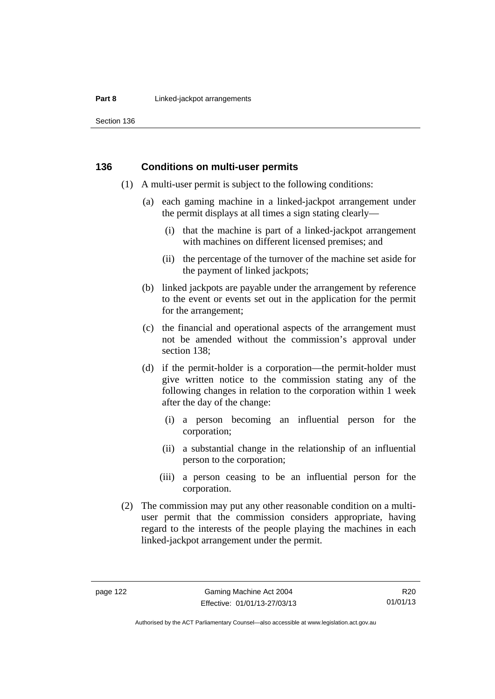### **Part 8 Linked-jackpot arrangements**

Section 136

### **136 Conditions on multi-user permits**

- (1) A multi-user permit is subject to the following conditions:
	- (a) each gaming machine in a linked-jackpot arrangement under the permit displays at all times a sign stating clearly—
		- (i) that the machine is part of a linked-jackpot arrangement with machines on different licensed premises; and
		- (ii) the percentage of the turnover of the machine set aside for the payment of linked jackpots;
	- (b) linked jackpots are payable under the arrangement by reference to the event or events set out in the application for the permit for the arrangement;
	- (c) the financial and operational aspects of the arrangement must not be amended without the commission's approval under section 138;
	- (d) if the permit-holder is a corporation—the permit-holder must give written notice to the commission stating any of the following changes in relation to the corporation within 1 week after the day of the change:
		- (i) a person becoming an influential person for the corporation;
		- (ii) a substantial change in the relationship of an influential person to the corporation;
		- (iii) a person ceasing to be an influential person for the corporation.
- (2) The commission may put any other reasonable condition on a multiuser permit that the commission considers appropriate, having regard to the interests of the people playing the machines in each linked-jackpot arrangement under the permit.

Authorised by the ACT Parliamentary Counsel—also accessible at www.legislation.act.gov.au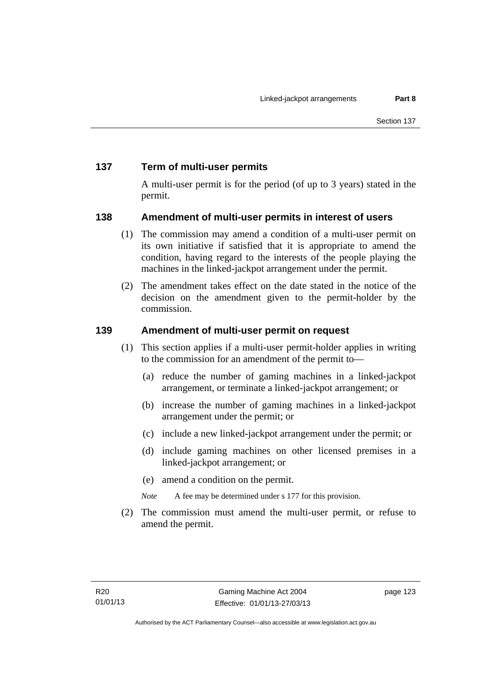### **137 Term of multi-user permits**

A multi-user permit is for the period (of up to 3 years) stated in the permit.

### **138 Amendment of multi-user permits in interest of users**

- (1) The commission may amend a condition of a multi-user permit on its own initiative if satisfied that it is appropriate to amend the condition, having regard to the interests of the people playing the machines in the linked-jackpot arrangement under the permit.
- (2) The amendment takes effect on the date stated in the notice of the decision on the amendment given to the permit-holder by the commission.

### **139 Amendment of multi-user permit on request**

- (1) This section applies if a multi-user permit-holder applies in writing to the commission for an amendment of the permit to—
	- (a) reduce the number of gaming machines in a linked-jackpot arrangement, or terminate a linked-jackpot arrangement; or
	- (b) increase the number of gaming machines in a linked-jackpot arrangement under the permit; or
	- (c) include a new linked-jackpot arrangement under the permit; or
	- (d) include gaming machines on other licensed premises in a linked-jackpot arrangement; or
	- (e) amend a condition on the permit.

*Note* A fee may be determined under s 177 for this provision.

 (2) The commission must amend the multi-user permit, or refuse to amend the permit.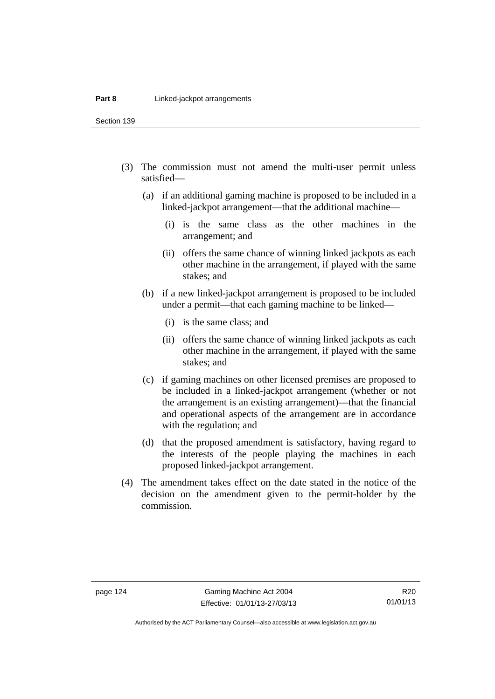Section 139

- (3) The commission must not amend the multi-user permit unless satisfied—
	- (a) if an additional gaming machine is proposed to be included in a linked-jackpot arrangement—that the additional machine—
		- (i) is the same class as the other machines in the arrangement; and
		- (ii) offers the same chance of winning linked jackpots as each other machine in the arrangement, if played with the same stakes; and
	- (b) if a new linked-jackpot arrangement is proposed to be included under a permit—that each gaming machine to be linked—
		- (i) is the same class; and
		- (ii) offers the same chance of winning linked jackpots as each other machine in the arrangement, if played with the same stakes; and
	- (c) if gaming machines on other licensed premises are proposed to be included in a linked-jackpot arrangement (whether or not the arrangement is an existing arrangement)—that the financial and operational aspects of the arrangement are in accordance with the regulation; and
	- (d) that the proposed amendment is satisfactory, having regard to the interests of the people playing the machines in each proposed linked-jackpot arrangement.
- (4) The amendment takes effect on the date stated in the notice of the decision on the amendment given to the permit-holder by the commission.

Authorised by the ACT Parliamentary Counsel—also accessible at www.legislation.act.gov.au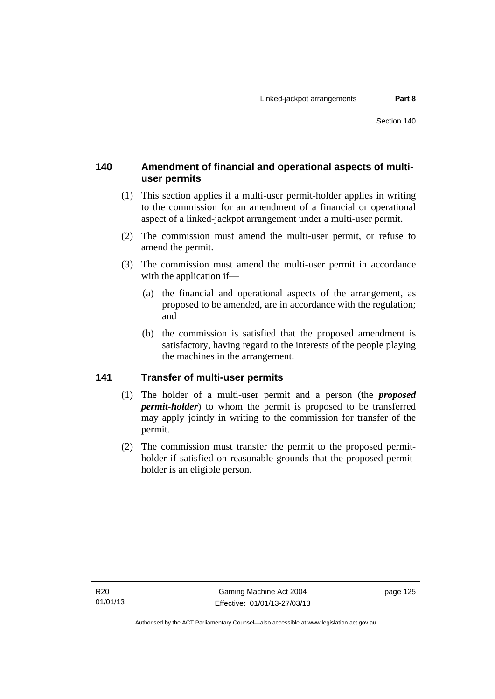### **140 Amendment of financial and operational aspects of multiuser permits**

- (1) This section applies if a multi-user permit-holder applies in writing to the commission for an amendment of a financial or operational aspect of a linked-jackpot arrangement under a multi-user permit.
- (2) The commission must amend the multi-user permit, or refuse to amend the permit.
- (3) The commission must amend the multi-user permit in accordance with the application if—
	- (a) the financial and operational aspects of the arrangement, as proposed to be amended, are in accordance with the regulation; and
	- (b) the commission is satisfied that the proposed amendment is satisfactory, having regard to the interests of the people playing the machines in the arrangement.

### **141 Transfer of multi-user permits**

- (1) The holder of a multi-user permit and a person (the *proposed permit-holder*) to whom the permit is proposed to be transferred may apply jointly in writing to the commission for transfer of the permit.
- (2) The commission must transfer the permit to the proposed permitholder if satisfied on reasonable grounds that the proposed permitholder is an eligible person.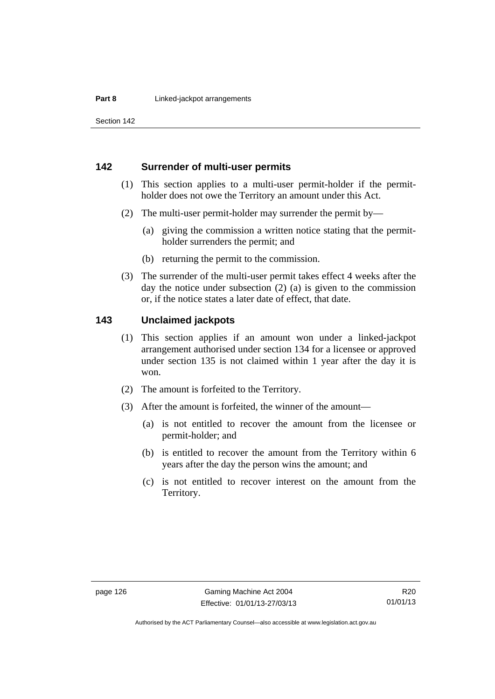Section 142

### **142 Surrender of multi-user permits**

- (1) This section applies to a multi-user permit-holder if the permitholder does not owe the Territory an amount under this Act.
- (2) The multi-user permit-holder may surrender the permit by—
	- (a) giving the commission a written notice stating that the permitholder surrenders the permit; and
	- (b) returning the permit to the commission.
- (3) The surrender of the multi-user permit takes effect 4 weeks after the day the notice under subsection (2) (a) is given to the commission or, if the notice states a later date of effect, that date.

### **143 Unclaimed jackpots**

- (1) This section applies if an amount won under a linked-jackpot arrangement authorised under section 134 for a licensee or approved under section 135 is not claimed within 1 year after the day it is won.
- (2) The amount is forfeited to the Territory.
- (3) After the amount is forfeited, the winner of the amount—
	- (a) is not entitled to recover the amount from the licensee or permit-holder; and
	- (b) is entitled to recover the amount from the Territory within 6 years after the day the person wins the amount; and
	- (c) is not entitled to recover interest on the amount from the Territory.

Authorised by the ACT Parliamentary Counsel—also accessible at www.legislation.act.gov.au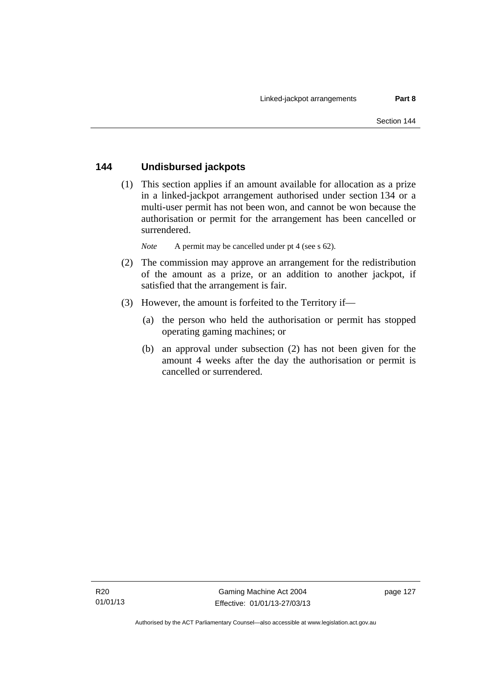### **144 Undisbursed jackpots**

 (1) This section applies if an amount available for allocation as a prize in a linked-jackpot arrangement authorised under section 134 or a multi-user permit has not been won, and cannot be won because the authorisation or permit for the arrangement has been cancelled or surrendered.

*Note* A permit may be cancelled under pt 4 (see s 62).

- (2) The commission may approve an arrangement for the redistribution of the amount as a prize, or an addition to another jackpot, if satisfied that the arrangement is fair.
- (3) However, the amount is forfeited to the Territory if—
	- (a) the person who held the authorisation or permit has stopped operating gaming machines; or
	- (b) an approval under subsection (2) has not been given for the amount 4 weeks after the day the authorisation or permit is cancelled or surrendered.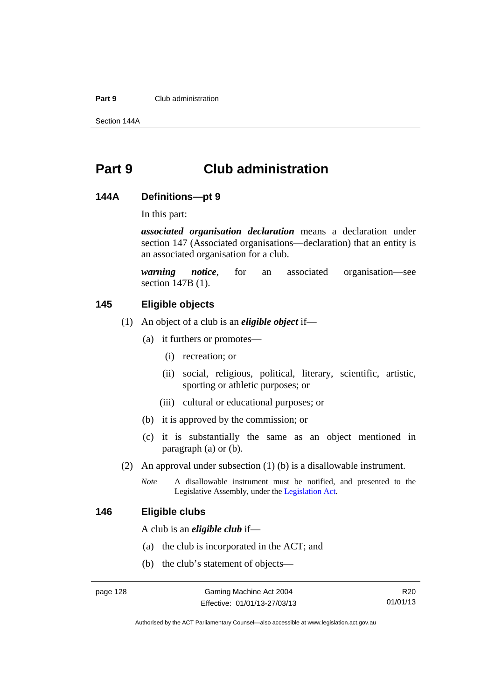### **Part 9** Club administration

Section 144A

# **Part 9 Club administration**

### **144A Definitions—pt 9**

In this part:

*associated organisation declaration* means a declaration under section 147 (Associated organisations—declaration) that an entity is an associated organisation for a club.

*warning notice*, for an associated organisation—see section 147B (1).

### **145 Eligible objects**

- (1) An object of a club is an *eligible object* if—
	- (a) it furthers or promotes—
		- (i) recreation; or
		- (ii) social, religious, political, literary, scientific, artistic, sporting or athletic purposes; or
		- (iii) cultural or educational purposes; or
	- (b) it is approved by the commission; or
	- (c) it is substantially the same as an object mentioned in paragraph (a) or (b).
- (2) An approval under subsection (1) (b) is a disallowable instrument.
	- *Note* A disallowable instrument must be notified, and presented to the Legislative Assembly, under the [Legislation Act.](http://www.legislation.act.gov.au/a/2001-14)

### **146 Eligible clubs**

A club is an *eligible club* if—

- (a) the club is incorporated in the ACT; and
- (b) the club's statement of objects—

R20 01/01/13

Authorised by the ACT Parliamentary Counsel—also accessible at www.legislation.act.gov.au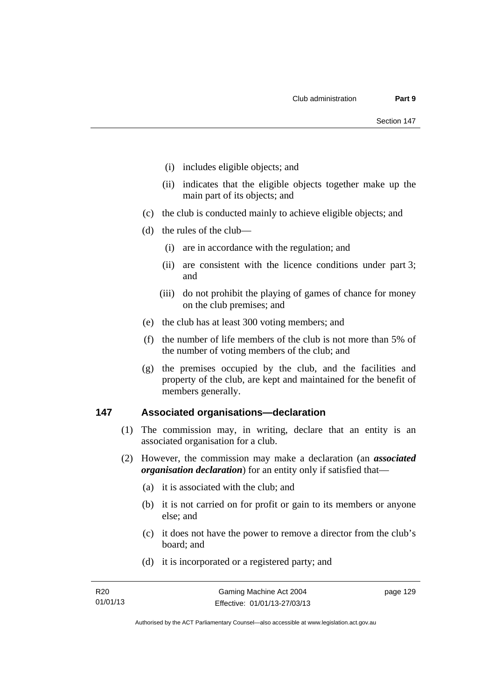- (i) includes eligible objects; and
- (ii) indicates that the eligible objects together make up the main part of its objects; and
- (c) the club is conducted mainly to achieve eligible objects; and
- (d) the rules of the club—
	- (i) are in accordance with the regulation; and
	- (ii) are consistent with the licence conditions under part 3; and
	- (iii) do not prohibit the playing of games of chance for money on the club premises; and
- (e) the club has at least 300 voting members; and
- (f) the number of life members of the club is not more than 5% of the number of voting members of the club; and
- (g) the premises occupied by the club, and the facilities and property of the club, are kept and maintained for the benefit of members generally.

### **147 Associated organisations—declaration**

- (1) The commission may, in writing, declare that an entity is an associated organisation for a club.
- (2) However, the commission may make a declaration (an *associated organisation declaration*) for an entity only if satisfied that—
	- (a) it is associated with the club; and
	- (b) it is not carried on for profit or gain to its members or anyone else; and
	- (c) it does not have the power to remove a director from the club's board; and
	- (d) it is incorporated or a registered party; and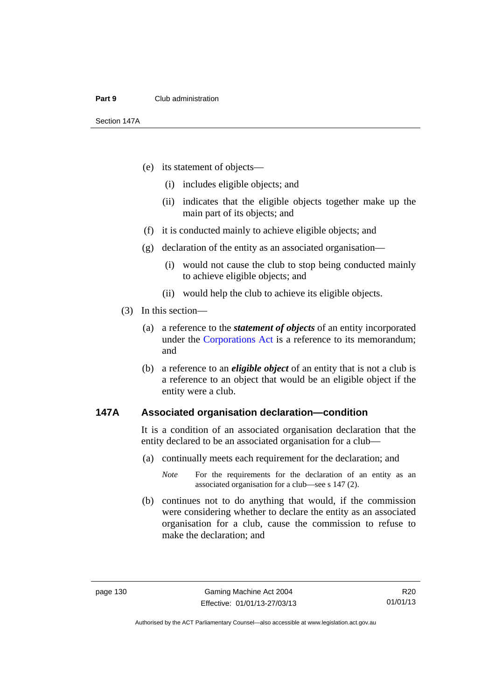### **Part 9** Club administration

Section 147A

- (e) its statement of objects—
	- (i) includes eligible objects; and
	- (ii) indicates that the eligible objects together make up the main part of its objects; and
- (f) it is conducted mainly to achieve eligible objects; and
- (g) declaration of the entity as an associated organisation—
	- (i) would not cause the club to stop being conducted mainly to achieve eligible objects; and
	- (ii) would help the club to achieve its eligible objects.
- (3) In this section—
	- (a) a reference to the *statement of objects* of an entity incorporated under the [Corporations Act](http://www.comlaw.gov.au/Series/C2004A00818) is a reference to its memorandum; and
	- (b) a reference to an *eligible object* of an entity that is not a club is a reference to an object that would be an eligible object if the entity were a club.

### **147A Associated organisation declaration—condition**

It is a condition of an associated organisation declaration that the entity declared to be an associated organisation for a club—

(a) continually meets each requirement for the declaration; and

 (b) continues not to do anything that would, if the commission were considering whether to declare the entity as an associated organisation for a club, cause the commission to refuse to make the declaration; and

*Note* For the requirements for the declaration of an entity as an associated organisation for a club—see s 147 (2).

R20 01/01/13

Authorised by the ACT Parliamentary Counsel—also accessible at www.legislation.act.gov.au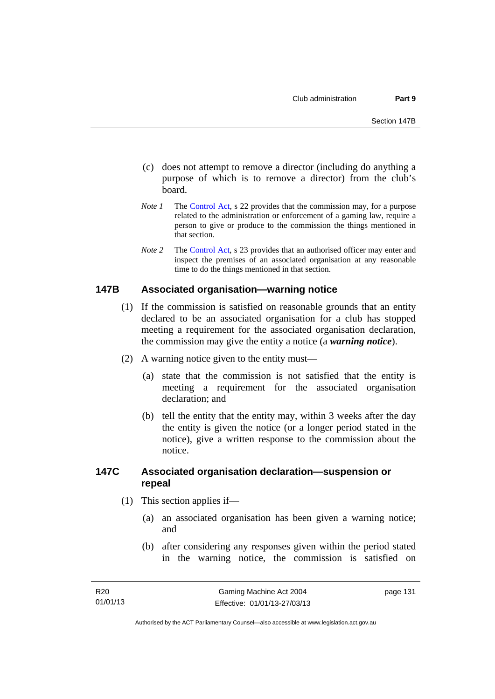- (c) does not attempt to remove a director (including do anything a purpose of which is to remove a director) from the club's board.
- *Note 1* The [Control Act,](http://www.legislation.act.gov.au/a/1999-46) s 22 provides that the commission may, for a purpose related to the administration or enforcement of a gaming law, require a person to give or produce to the commission the things mentioned in that section.
- *Note 2* The [Control Act](http://www.legislation.act.gov.au/a/1999-46), s 23 provides that an authorised officer may enter and inspect the premises of an associated organisation at any reasonable time to do the things mentioned in that section.

### **147B Associated organisation—warning notice**

- (1) If the commission is satisfied on reasonable grounds that an entity declared to be an associated organisation for a club has stopped meeting a requirement for the associated organisation declaration, the commission may give the entity a notice (a *warning notice*).
- (2) A warning notice given to the entity must—
	- (a) state that the commission is not satisfied that the entity is meeting a requirement for the associated organisation declaration; and
	- (b) tell the entity that the entity may, within 3 weeks after the day the entity is given the notice (or a longer period stated in the notice), give a written response to the commission about the notice.

### **147C Associated organisation declaration—suspension or repeal**

- (1) This section applies if—
	- (a) an associated organisation has been given a warning notice; and
	- (b) after considering any responses given within the period stated in the warning notice, the commission is satisfied on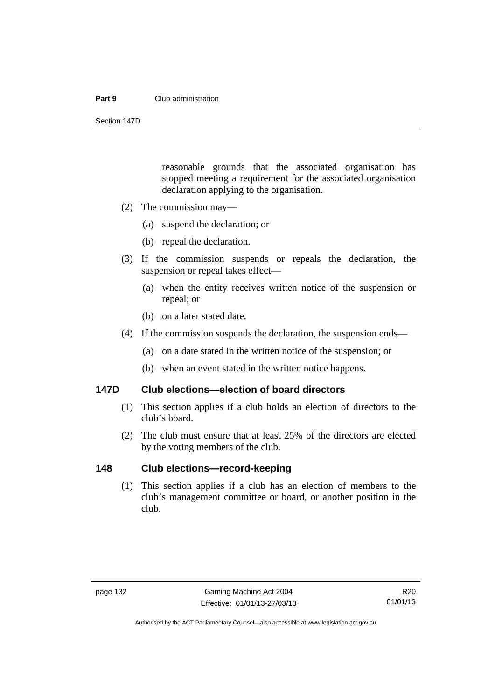### **Part 9** Club administration

Section 147D

reasonable grounds that the associated organisation has stopped meeting a requirement for the associated organisation declaration applying to the organisation.

- (2) The commission may—
	- (a) suspend the declaration; or
	- (b) repeal the declaration.
- (3) If the commission suspends or repeals the declaration, the suspension or repeal takes effect—
	- (a) when the entity receives written notice of the suspension or repeal; or
	- (b) on a later stated date.
- (4) If the commission suspends the declaration, the suspension ends—
	- (a) on a date stated in the written notice of the suspension; or
	- (b) when an event stated in the written notice happens.

### **147D Club elections—election of board directors**

- (1) This section applies if a club holds an election of directors to the club's board.
- (2) The club must ensure that at least 25% of the directors are elected by the voting members of the club.

### **148 Club elections—record-keeping**

 (1) This section applies if a club has an election of members to the club's management committee or board, or another position in the club.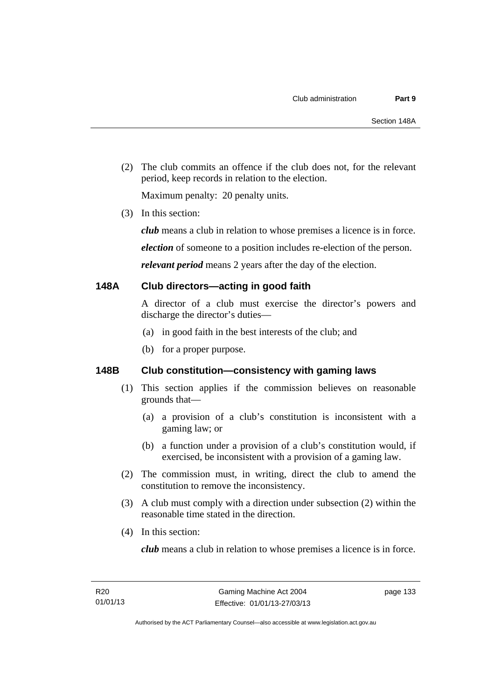(2) The club commits an offence if the club does not, for the relevant period, keep records in relation to the election.

Maximum penalty: 20 penalty units.

(3) In this section:

*club* means a club in relation to whose premises a licence is in force.

*election* of someone to a position includes re-election of the person.

*relevant period* means 2 years after the day of the election.

#### **148A Club directors—acting in good faith**

A director of a club must exercise the director's powers and discharge the director's duties—

- (a) in good faith in the best interests of the club; and
- (b) for a proper purpose.

#### **148B Club constitution—consistency with gaming laws**

- (1) This section applies if the commission believes on reasonable grounds that—
	- (a) a provision of a club's constitution is inconsistent with a gaming law; or
	- (b) a function under a provision of a club's constitution would, if exercised, be inconsistent with a provision of a gaming law.
- (2) The commission must, in writing, direct the club to amend the constitution to remove the inconsistency.
- (3) A club must comply with a direction under subsection (2) within the reasonable time stated in the direction.
- (4) In this section:

*club* means a club in relation to whose premises a licence is in force.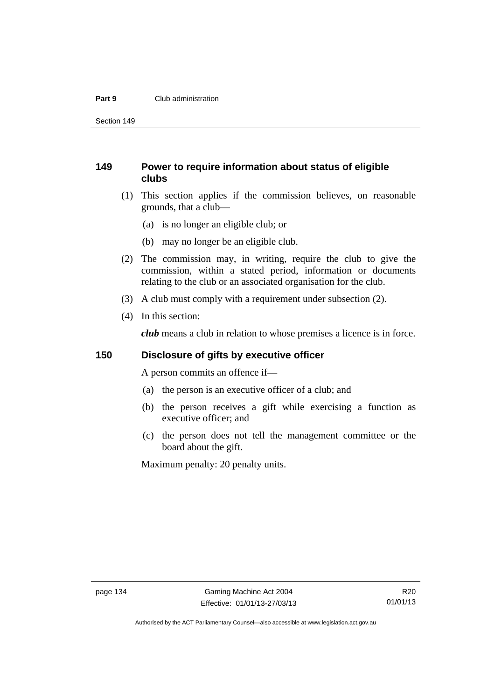#### **Part 9** Club administration

Section 149

#### **149 Power to require information about status of eligible clubs**

- (1) This section applies if the commission believes, on reasonable grounds, that a club—
	- (a) is no longer an eligible club; or
	- (b) may no longer be an eligible club.
- (2) The commission may, in writing, require the club to give the commission, within a stated period, information or documents relating to the club or an associated organisation for the club.
- (3) A club must comply with a requirement under subsection (2).
- (4) In this section:

*club* means a club in relation to whose premises a licence is in force.

#### **150 Disclosure of gifts by executive officer**

A person commits an offence if—

- (a) the person is an executive officer of a club; and
- (b) the person receives a gift while exercising a function as executive officer; and
- (c) the person does not tell the management committee or the board about the gift.

Maximum penalty: 20 penalty units.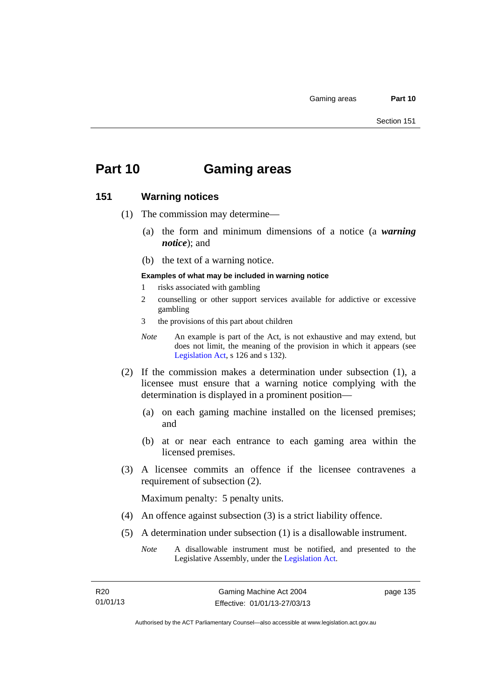# **Part 10 Gaming areas**

#### **151 Warning notices**

- (1) The commission may determine—
	- (a) the form and minimum dimensions of a notice (a *warning notice*); and
	- (b) the text of a warning notice.
	- **Examples of what may be included in warning notice**
	- 1 risks associated with gambling
	- 2 counselling or other support services available for addictive or excessive gambling
	- 3 the provisions of this part about children
	- *Note* An example is part of the Act, is not exhaustive and may extend, but does not limit, the meaning of the provision in which it appears (see [Legislation Act,](http://www.legislation.act.gov.au/a/2001-14) s 126 and s 132).
- (2) If the commission makes a determination under subsection (1), a licensee must ensure that a warning notice complying with the determination is displayed in a prominent position—
	- (a) on each gaming machine installed on the licensed premises; and
	- (b) at or near each entrance to each gaming area within the licensed premises.
- (3) A licensee commits an offence if the licensee contravenes a requirement of subsection (2).

Maximum penalty: 5 penalty units.

- (4) An offence against subsection (3) is a strict liability offence.
- (5) A determination under subsection (1) is a disallowable instrument.
	- *Note* A disallowable instrument must be notified, and presented to the Legislative Assembly, under the [Legislation Act.](http://www.legislation.act.gov.au/a/2001-14)

page 135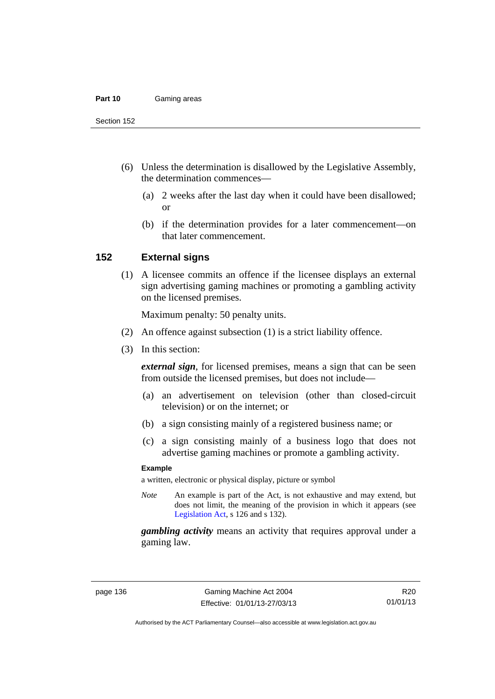#### **Part 10** Gaming areas

Section 152

- (6) Unless the determination is disallowed by the Legislative Assembly, the determination commences—
	- (a) 2 weeks after the last day when it could have been disallowed; or
	- (b) if the determination provides for a later commencement—on that later commencement.

#### **152 External signs**

 (1) A licensee commits an offence if the licensee displays an external sign advertising gaming machines or promoting a gambling activity on the licensed premises.

Maximum penalty: 50 penalty units.

- (2) An offence against subsection (1) is a strict liability offence.
- (3) In this section:

*external sign*, for licensed premises, means a sign that can be seen from outside the licensed premises, but does not include—

- (a) an advertisement on television (other than closed-circuit television) or on the internet; or
- (b) a sign consisting mainly of a registered business name; or
- (c) a sign consisting mainly of a business logo that does not advertise gaming machines or promote a gambling activity.

#### **Example**

a written, electronic or physical display, picture or symbol

*Note* An example is part of the Act, is not exhaustive and may extend, but does not limit, the meaning of the provision in which it appears (see [Legislation Act,](http://www.legislation.act.gov.au/a/2001-14) s 126 and s 132).

*gambling activity* means an activity that requires approval under a gaming law.

Authorised by the ACT Parliamentary Counsel—also accessible at www.legislation.act.gov.au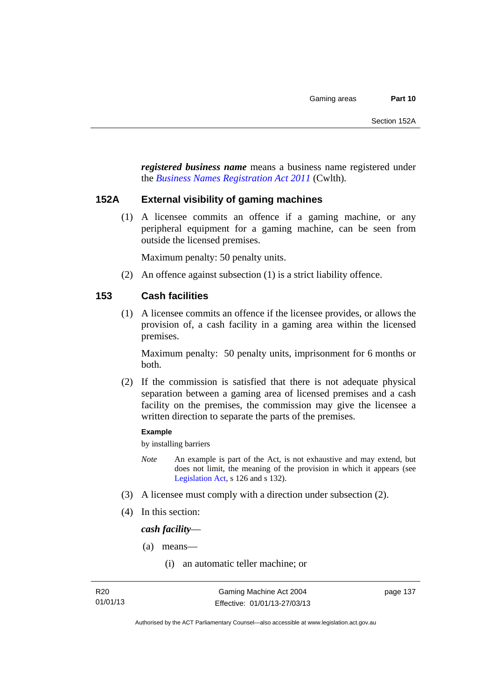*registered business name* means a business name registered under the *[Business Names Registration Act 2011](http://www.comlaw.gov.au/Series/C2011A00126)* (Cwlth)*.*

#### **152A External visibility of gaming machines**

 (1) A licensee commits an offence if a gaming machine, or any peripheral equipment for a gaming machine, can be seen from outside the licensed premises.

Maximum penalty: 50 penalty units.

(2) An offence against subsection (1) is a strict liability offence.

#### **153 Cash facilities**

 (1) A licensee commits an offence if the licensee provides, or allows the provision of, a cash facility in a gaming area within the licensed premises.

Maximum penalty: 50 penalty units, imprisonment for 6 months or both.

 (2) If the commission is satisfied that there is not adequate physical separation between a gaming area of licensed premises and a cash facility on the premises, the commission may give the licensee a written direction to separate the parts of the premises.

#### **Example**

by installing barriers

- *Note* An example is part of the Act, is not exhaustive and may extend, but does not limit, the meaning of the provision in which it appears (see [Legislation Act,](http://www.legislation.act.gov.au/a/2001-14) s 126 and s 132).
- (3) A licensee must comply with a direction under subsection (2).
- (4) In this section:

*cash facility*—

- (a) means—
	- (i) an automatic teller machine; or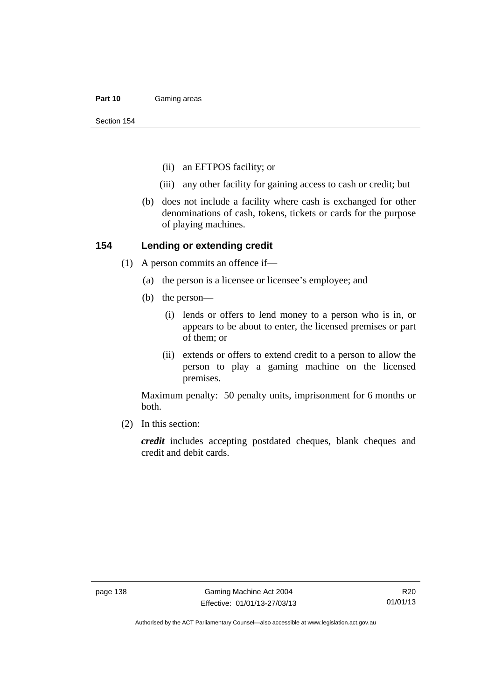#### **Part 10** Gaming areas

Section 154

- (ii) an EFTPOS facility; or
- (iii) any other facility for gaining access to cash or credit; but
- (b) does not include a facility where cash is exchanged for other denominations of cash, tokens, tickets or cards for the purpose of playing machines.

#### **154 Lending or extending credit**

- (1) A person commits an offence if—
	- (a) the person is a licensee or licensee's employee; and
	- (b) the person—
		- (i) lends or offers to lend money to a person who is in, or appears to be about to enter, the licensed premises or part of them; or
		- (ii) extends or offers to extend credit to a person to allow the person to play a gaming machine on the licensed premises.

Maximum penalty: 50 penalty units, imprisonment for 6 months or both.

(2) In this section:

*credit* includes accepting postdated cheques, blank cheques and credit and debit cards.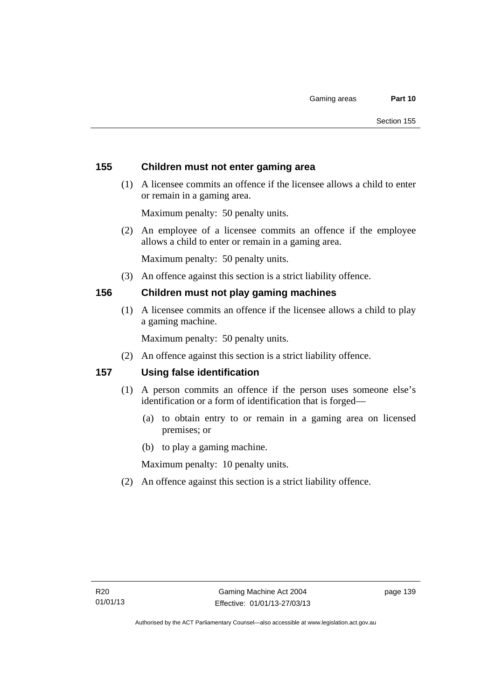#### **155 Children must not enter gaming area**

 (1) A licensee commits an offence if the licensee allows a child to enter or remain in a gaming area.

Maximum penalty: 50 penalty units.

 (2) An employee of a licensee commits an offence if the employee allows a child to enter or remain in a gaming area.

Maximum penalty: 50 penalty units.

(3) An offence against this section is a strict liability offence.

#### **156 Children must not play gaming machines**

 (1) A licensee commits an offence if the licensee allows a child to play a gaming machine.

Maximum penalty: 50 penalty units.

(2) An offence against this section is a strict liability offence.

#### **157 Using false identification**

- (1) A person commits an offence if the person uses someone else's identification or a form of identification that is forged—
	- (a) to obtain entry to or remain in a gaming area on licensed premises; or
	- (b) to play a gaming machine.

Maximum penalty: 10 penalty units.

(2) An offence against this section is a strict liability offence.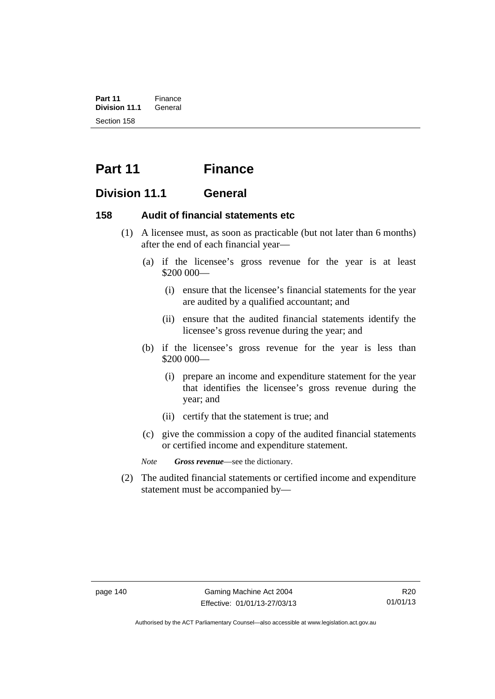**Part 11** Finance<br>**Division 11.1** General **Division 11.1** Section 158

# **Part 11 Finance**

#### **Division 11.1 General**

#### **158 Audit of financial statements etc**

- (1) A licensee must, as soon as practicable (but not later than 6 months) after the end of each financial year—
	- (a) if the licensee's gross revenue for the year is at least \$200 000—
		- (i) ensure that the licensee's financial statements for the year are audited by a qualified accountant; and
		- (ii) ensure that the audited financial statements identify the licensee's gross revenue during the year; and
	- (b) if the licensee's gross revenue for the year is less than \$200 000—
		- (i) prepare an income and expenditure statement for the year that identifies the licensee's gross revenue during the year; and
		- (ii) certify that the statement is true; and
	- (c) give the commission a copy of the audited financial statements or certified income and expenditure statement.

*Note Gross revenue*—see the dictionary.

 (2) The audited financial statements or certified income and expenditure statement must be accompanied by—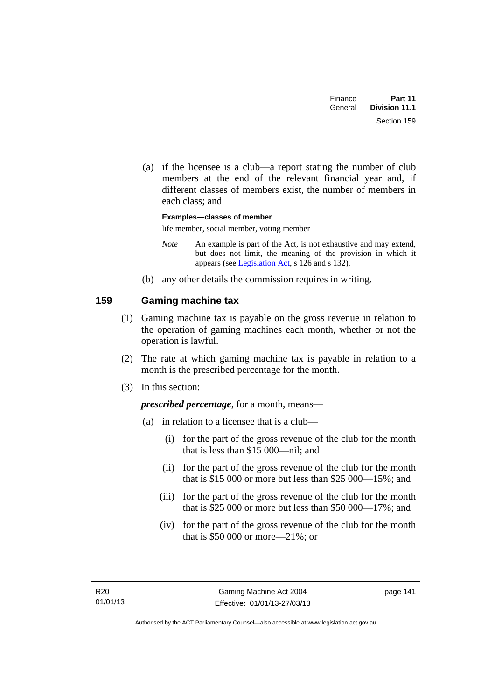| Finance | Part 11       |
|---------|---------------|
| General | Division 11.1 |
|         | Section 159   |

 (a) if the licensee is a club—a report stating the number of club members at the end of the relevant financial year and, if different classes of members exist, the number of members in each class; and

**Examples—classes of member**  life member, social member, voting member

- *Note* An example is part of the Act, is not exhaustive and may extend, but does not limit, the meaning of the provision in which it appears (see [Legislation Act,](http://www.legislation.act.gov.au/a/2001-14) s 126 and s 132).
- (b) any other details the commission requires in writing.

### **159 Gaming machine tax**

- (1) Gaming machine tax is payable on the gross revenue in relation to the operation of gaming machines each month, whether or not the operation is lawful.
- (2) The rate at which gaming machine tax is payable in relation to a month is the prescribed percentage for the month.
- (3) In this section:

*prescribed percentage*, for a month, means—

- (a) in relation to a licensee that is a club—
	- (i) for the part of the gross revenue of the club for the month that is less than \$15 000—nil; and
	- (ii) for the part of the gross revenue of the club for the month that is \$15 000 or more but less than \$25 000—15%; and
	- (iii) for the part of the gross revenue of the club for the month that is \$25 000 or more but less than \$50 000—17%; and
	- (iv) for the part of the gross revenue of the club for the month that is \$50 000 or more—21%; or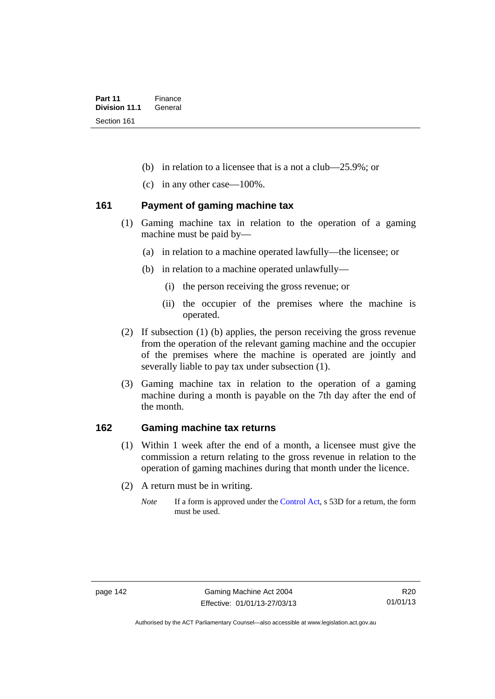- (b) in relation to a licensee that is a not a club—25.9%; or
- (c) in any other case—100%.

#### **161 Payment of gaming machine tax**

- (1) Gaming machine tax in relation to the operation of a gaming machine must be paid by—
	- (a) in relation to a machine operated lawfully—the licensee; or
	- (b) in relation to a machine operated unlawfully—
		- (i) the person receiving the gross revenue; or
		- (ii) the occupier of the premises where the machine is operated.
- (2) If subsection (1) (b) applies, the person receiving the gross revenue from the operation of the relevant gaming machine and the occupier of the premises where the machine is operated are jointly and severally liable to pay tax under subsection (1).
- (3) Gaming machine tax in relation to the operation of a gaming machine during a month is payable on the 7th day after the end of the month.

#### **162 Gaming machine tax returns**

- (1) Within 1 week after the end of a month, a licensee must give the commission a return relating to the gross revenue in relation to the operation of gaming machines during that month under the licence.
- (2) A return must be in writing.
	- *Note* If a form is approved under the [Control Act,](http://www.legislation.act.gov.au/a/1999-46) s 53D for a return, the form must be used.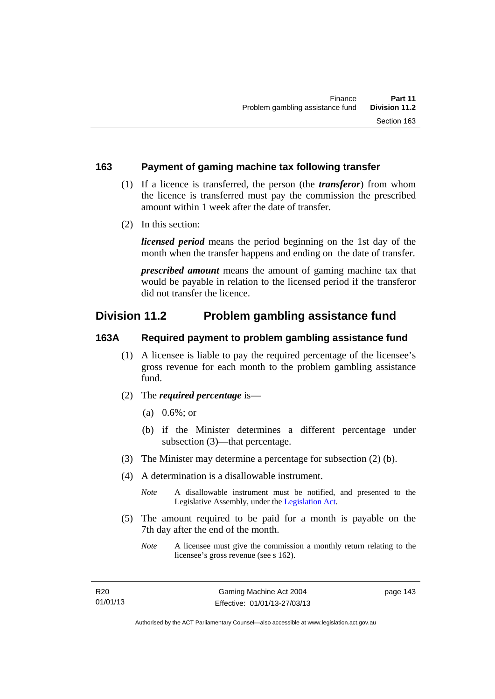#### **163 Payment of gaming machine tax following transfer**

- (1) If a licence is transferred, the person (the *transferor*) from whom the licence is transferred must pay the commission the prescribed amount within 1 week after the date of transfer.
- (2) In this section:

*licensed period* means the period beginning on the 1st day of the month when the transfer happens and ending on the date of transfer.

*prescribed amount* means the amount of gaming machine tax that would be payable in relation to the licensed period if the transferor did not transfer the licence.

## **Division 11.2 Problem gambling assistance fund**

#### **163A Required payment to problem gambling assistance fund**

- (1) A licensee is liable to pay the required percentage of the licensee's gross revenue for each month to the problem gambling assistance fund.
- (2) The *required percentage* is—
	- (a) 0.6%; or
	- (b) if the Minister determines a different percentage under subsection (3)—that percentage.
- (3) The Minister may determine a percentage for subsection (2) (b).
- (4) A determination is a disallowable instrument.

*Note* A disallowable instrument must be notified, and presented to the Legislative Assembly, under the [Legislation Act.](http://www.legislation.act.gov.au/a/2001-14)

- (5) The amount required to be paid for a month is payable on the 7th day after the end of the month.
	- *Note* A licensee must give the commission a monthly return relating to the licensee's gross revenue (see s 162).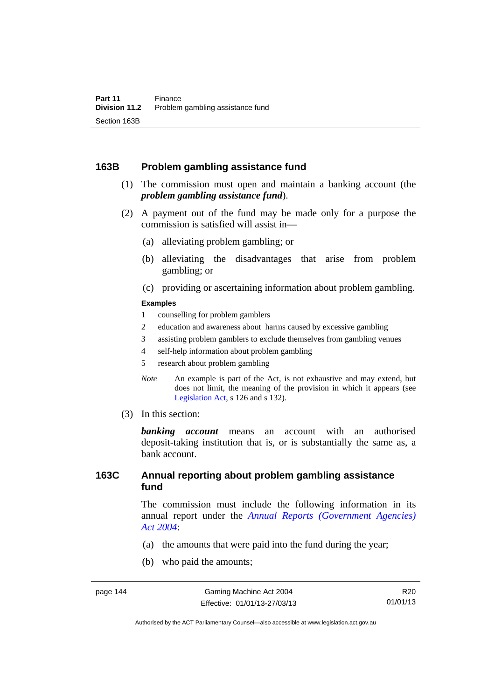#### **163B Problem gambling assistance fund**

- (1) The commission must open and maintain a banking account (the *problem gambling assistance fund*).
- (2) A payment out of the fund may be made only for a purpose the commission is satisfied will assist in—
	- (a) alleviating problem gambling; or
	- (b) alleviating the disadvantages that arise from problem gambling; or
	- (c) providing or ascertaining information about problem gambling.

#### **Examples**

- 1 counselling for problem gamblers
- 2 education and awareness about harms caused by excessive gambling
- 3 assisting problem gamblers to exclude themselves from gambling venues
- 4 self-help information about problem gambling
- 5 research about problem gambling
- *Note* An example is part of the Act, is not exhaustive and may extend, but does not limit, the meaning of the provision in which it appears (see [Legislation Act,](http://www.legislation.act.gov.au/a/2001-14) s 126 and s 132).
- (3) In this section:

*banking account* means an account with an authorised deposit-taking institution that is, or is substantially the same as, a bank account.

#### **163C Annual reporting about problem gambling assistance fund**

The commission must include the following information in its annual report under the *[Annual Reports \(Government Agencies\)](http://www.legislation.act.gov.au/a/2004-8)  [Act 2004](http://www.legislation.act.gov.au/a/2004-8)*:

- (a) the amounts that were paid into the fund during the year;
- (b) who paid the amounts;

Authorised by the ACT Parliamentary Counsel—also accessible at www.legislation.act.gov.au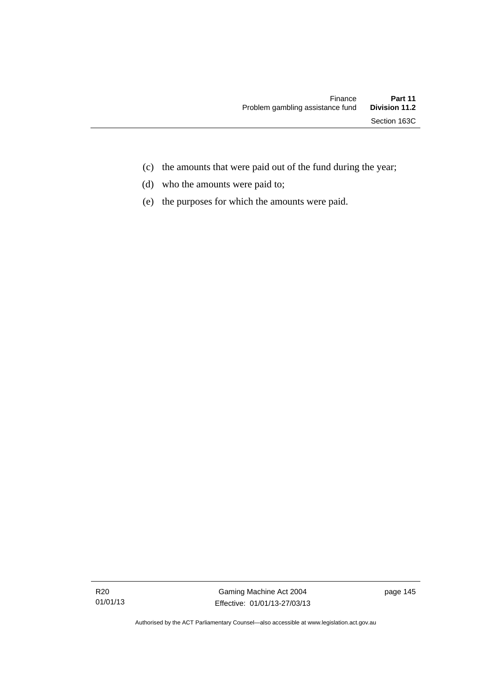- (c) the amounts that were paid out of the fund during the year;
- (d) who the amounts were paid to;
- (e) the purposes for which the amounts were paid.

R20 01/01/13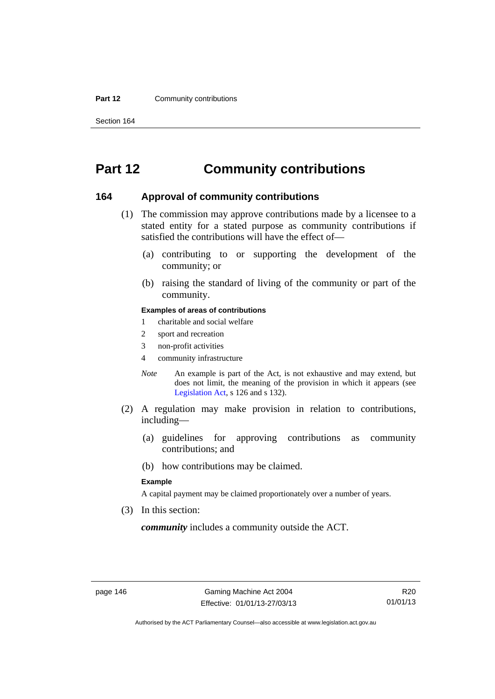#### **Part 12 Community contributions**

Section 164

# **Part 12 Community contributions**

#### **164 Approval of community contributions**

- (1) The commission may approve contributions made by a licensee to a stated entity for a stated purpose as community contributions if satisfied the contributions will have the effect of—
	- (a) contributing to or supporting the development of the community; or
	- (b) raising the standard of living of the community or part of the community.

#### **Examples of areas of contributions**

- 1 charitable and social welfare
- 2 sport and recreation
- 3 non-profit activities
- 4 community infrastructure
- *Note* An example is part of the Act, is not exhaustive and may extend, but does not limit, the meaning of the provision in which it appears (see [Legislation Act,](http://www.legislation.act.gov.au/a/2001-14) s 126 and s 132).
- (2) A regulation may make provision in relation to contributions, including—
	- (a) guidelines for approving contributions as community contributions; and
	- (b) how contributions may be claimed.

#### **Example**

A capital payment may be claimed proportionately over a number of years.

(3) In this section:

*community* includes a community outside the ACT.

R20 01/01/13

Authorised by the ACT Parliamentary Counsel—also accessible at www.legislation.act.gov.au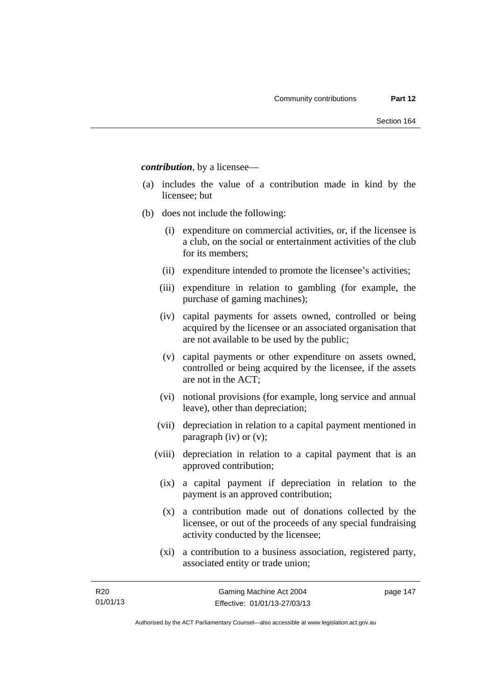*contribution*, by a licensee—

- (a) includes the value of a contribution made in kind by the licensee; but
- (b) does not include the following:
	- (i) expenditure on commercial activities, or, if the licensee is a club, on the social or entertainment activities of the club for its members;
	- (ii) expenditure intended to promote the licensee's activities;
	- (iii) expenditure in relation to gambling (for example, the purchase of gaming machines);
	- (iv) capital payments for assets owned, controlled or being acquired by the licensee or an associated organisation that are not available to be used by the public;
	- (v) capital payments or other expenditure on assets owned, controlled or being acquired by the licensee, if the assets are not in the ACT;
	- (vi) notional provisions (for example, long service and annual leave), other than depreciation;
	- (vii) depreciation in relation to a capital payment mentioned in paragraph (iv) or (v);
	- (viii) depreciation in relation to a capital payment that is an approved contribution;
		- (ix) a capital payment if depreciation in relation to the payment is an approved contribution;
		- (x) a contribution made out of donations collected by the licensee, or out of the proceeds of any special fundraising activity conducted by the licensee;
		- (xi) a contribution to a business association, registered party, associated entity or trade union;

page 147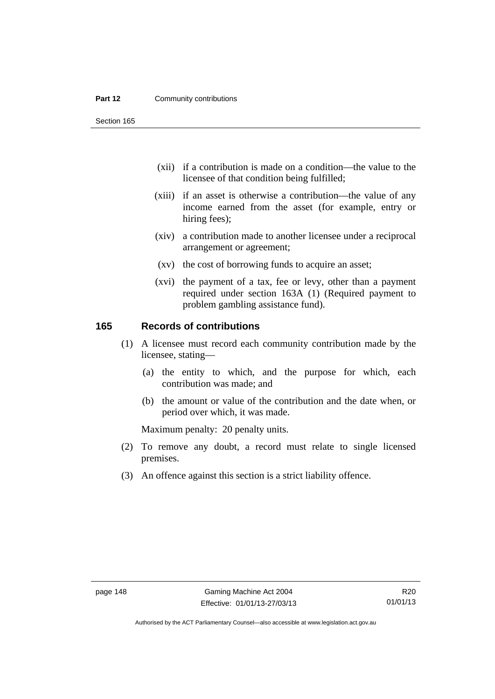#### **Part 12 Community contributions**

Section 165

- (xii) if a contribution is made on a condition—the value to the licensee of that condition being fulfilled;
- (xiii) if an asset is otherwise a contribution—the value of any income earned from the asset (for example, entry or hiring fees);
- (xiv) a contribution made to another licensee under a reciprocal arrangement or agreement;
- (xv) the cost of borrowing funds to acquire an asset;
- (xvi) the payment of a tax, fee or levy, other than a payment required under section 163A (1) (Required payment to problem gambling assistance fund).

#### **165 Records of contributions**

- (1) A licensee must record each community contribution made by the licensee, stating—
	- (a) the entity to which, and the purpose for which, each contribution was made; and
	- (b) the amount or value of the contribution and the date when, or period over which, it was made.

Maximum penalty: 20 penalty units.

- (2) To remove any doubt, a record must relate to single licensed premises.
- (3) An offence against this section is a strict liability offence.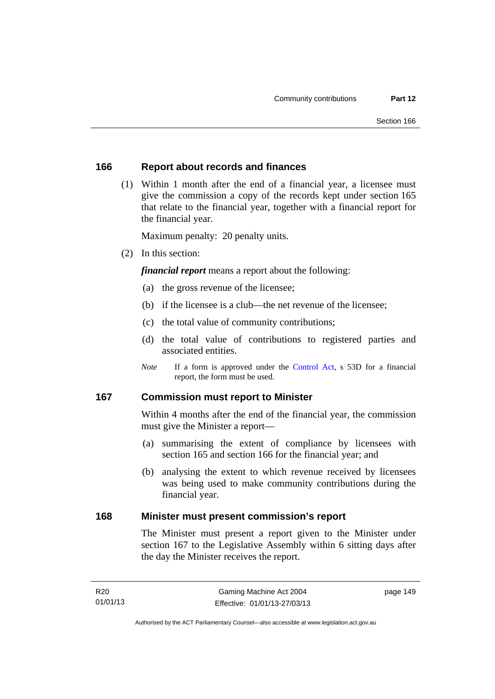#### **166 Report about records and finances**

 (1) Within 1 month after the end of a financial year, a licensee must give the commission a copy of the records kept under section 165 that relate to the financial year, together with a financial report for the financial year.

Maximum penalty: 20 penalty units.

(2) In this section:

*financial report* means a report about the following:

- (a) the gross revenue of the licensee;
- (b) if the licensee is a club—the net revenue of the licensee;
- (c) the total value of community contributions;
- (d) the total value of contributions to registered parties and associated entities.
- *Note* If a form is approved under the [Control Act](http://www.legislation.act.gov.au/a/1999-46), s 53D for a financial report, the form must be used.

#### **167 Commission must report to Minister**

Within 4 months after the end of the financial year, the commission must give the Minister a report—

- (a) summarising the extent of compliance by licensees with section 165 and section 166 for the financial year; and
- (b) analysing the extent to which revenue received by licensees was being used to make community contributions during the financial year.

#### **168 Minister must present commission's report**

The Minister must present a report given to the Minister under section 167 to the Legislative Assembly within 6 sitting days after the day the Minister receives the report.

page 149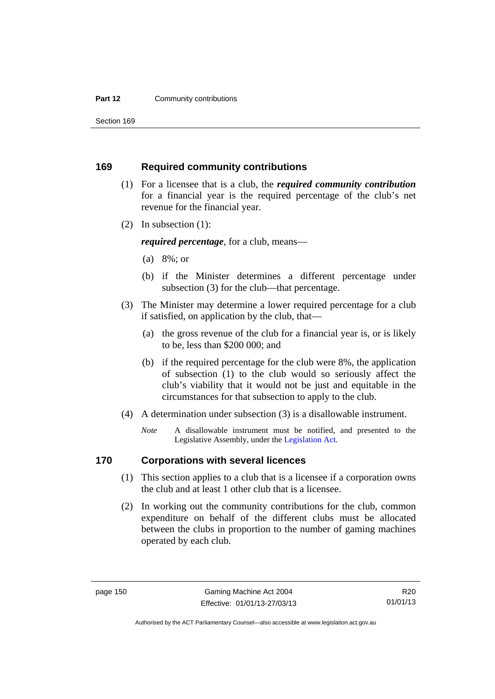#### **Part 12 Community contributions**

Section 169

#### **169 Required community contributions**

- (1) For a licensee that is a club, the *required community contribution* for a financial year is the required percentage of the club's net revenue for the financial year.
- (2) In subsection (1):

*required percentage*, for a club, means—

- (a) 8%; or
- (b) if the Minister determines a different percentage under subsection (3) for the club—that percentage.
- (3) The Minister may determine a lower required percentage for a club if satisfied, on application by the club, that—
	- (a) the gross revenue of the club for a financial year is, or is likely to be, less than \$200 000; and
	- (b) if the required percentage for the club were 8%, the application of subsection (1) to the club would so seriously affect the club's viability that it would not be just and equitable in the circumstances for that subsection to apply to the club.
- (4) A determination under subsection (3) is a disallowable instrument.
	- *Note* A disallowable instrument must be notified, and presented to the Legislative Assembly, under the [Legislation Act.](http://www.legislation.act.gov.au/a/2001-14)

#### **170 Corporations with several licences**

- (1) This section applies to a club that is a licensee if a corporation owns the club and at least 1 other club that is a licensee.
- (2) In working out the community contributions for the club, common expenditure on behalf of the different clubs must be allocated between the clubs in proportion to the number of gaming machines operated by each club.

R20 01/01/13

Authorised by the ACT Parliamentary Counsel—also accessible at www.legislation.act.gov.au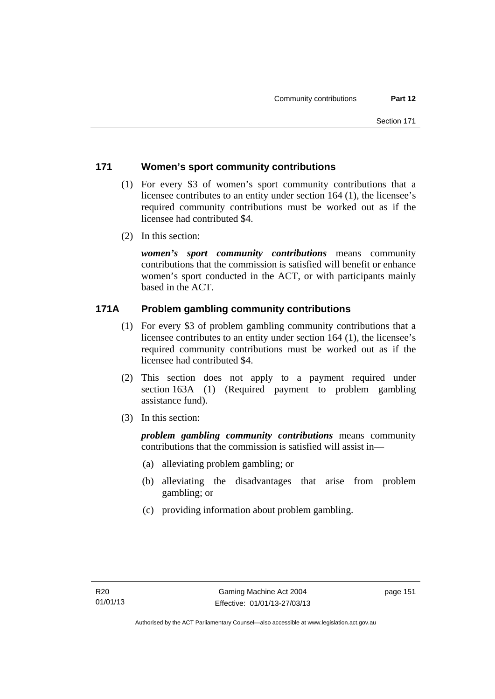#### **171 Women's sport community contributions**

- (1) For every \$3 of women's sport community contributions that a licensee contributes to an entity under section 164 (1), the licensee's required community contributions must be worked out as if the licensee had contributed \$4.
- (2) In this section:

*women's sport community contributions* means community contributions that the commission is satisfied will benefit or enhance women's sport conducted in the ACT, or with participants mainly based in the ACT.

#### **171A Problem gambling community contributions**

- (1) For every \$3 of problem gambling community contributions that a licensee contributes to an entity under section 164 (1), the licensee's required community contributions must be worked out as if the licensee had contributed \$4.
- (2) This section does not apply to a payment required under section 163A (1) (Required payment to problem gambling assistance fund).
- (3) In this section:

*problem gambling community contributions* means community contributions that the commission is satisfied will assist in—

- (a) alleviating problem gambling; or
- (b) alleviating the disadvantages that arise from problem gambling; or
- (c) providing information about problem gambling.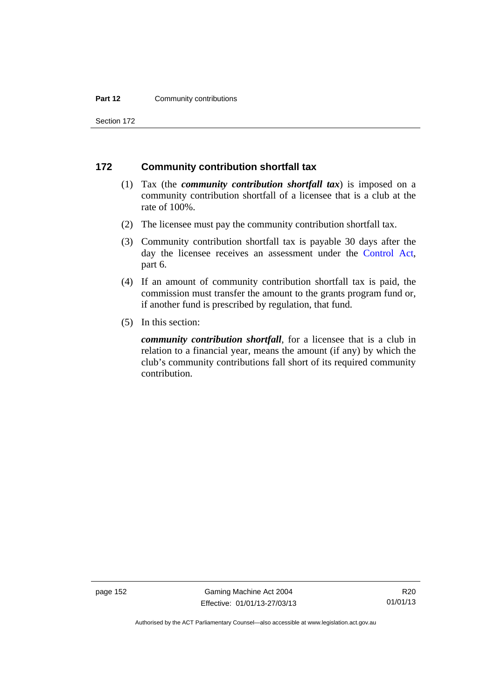#### **Part 12 Community contributions**

Section 172

#### **172 Community contribution shortfall tax**

- (1) Tax (the *community contribution shortfall tax*) is imposed on a community contribution shortfall of a licensee that is a club at the rate of 100%.
- (2) The licensee must pay the community contribution shortfall tax.
- (3) Community contribution shortfall tax is payable 30 days after the day the licensee receives an assessment under the [Control Act](http://www.legislation.act.gov.au/a/1999-46), part 6.
- (4) If an amount of community contribution shortfall tax is paid, the commission must transfer the amount to the grants program fund or, if another fund is prescribed by regulation, that fund.
- (5) In this section:

*community contribution shortfall*, for a licensee that is a club in relation to a financial year, means the amount (if any) by which the club's community contributions fall short of its required community contribution.

page 152 Gaming Machine Act 2004 Effective: 01/01/13-27/03/13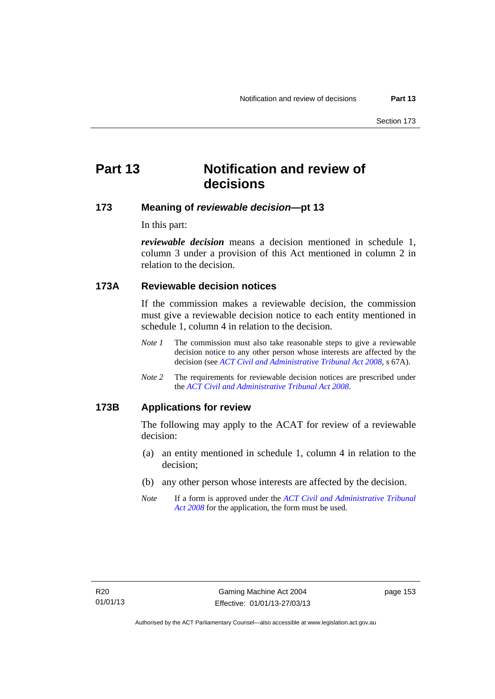# **Part 13 Notification and review of decisions**

#### **173 Meaning of** *reviewable decision***—pt 13**

In this part:

*reviewable decision* means a decision mentioned in schedule 1, column 3 under a provision of this Act mentioned in column 2 in relation to the decision.

#### **173A Reviewable decision notices**

If the commission makes a reviewable decision, the commission must give a reviewable decision notice to each entity mentioned in schedule 1, column 4 in relation to the decision.

- *Note 1* The commission must also take reasonable steps to give a reviewable decision notice to any other person whose interests are affected by the decision (see *[ACT Civil and Administrative Tribunal Act 2008](http://www.legislation.act.gov.au/a/2008-35)*, s 67A).
- *Note 2* The requirements for reviewable decision notices are prescribed under the *[ACT Civil and Administrative Tribunal Act 2008](http://www.legislation.act.gov.au/a/2008-35)*.

#### **173B Applications for review**

The following may apply to the ACAT for review of a reviewable decision:

- (a) an entity mentioned in schedule 1, column 4 in relation to the decision;
- (b) any other person whose interests are affected by the decision.
- *Note* If a form is approved under the *[ACT Civil and Administrative Tribunal](http://www.legislation.act.gov.au/a/2008-35)  [Act 2008](http://www.legislation.act.gov.au/a/2008-35)* for the application, the form must be used.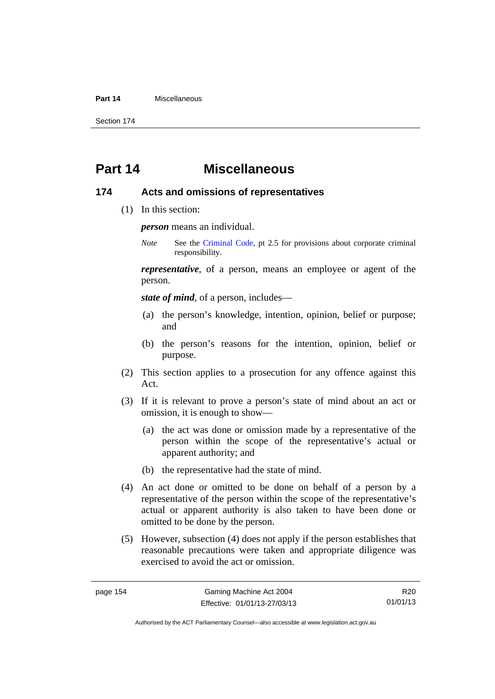#### **Part 14** Miscellaneous

Section 174

## **Part 14 Miscellaneous**

#### **174 Acts and omissions of representatives**

(1) In this section:

*person* means an individual.

*Note* See the [Criminal Code,](http://www.legislation.act.gov.au/a/2002-51) pt 2.5 for provisions about corporate criminal responsibility.

*representative*, of a person, means an employee or agent of the person.

*state of mind*, of a person, includes—

- (a) the person's knowledge, intention, opinion, belief or purpose; and
- (b) the person's reasons for the intention, opinion, belief or purpose.
- (2) This section applies to a prosecution for any offence against this Act.
- (3) If it is relevant to prove a person's state of mind about an act or omission, it is enough to show—
	- (a) the act was done or omission made by a representative of the person within the scope of the representative's actual or apparent authority; and
	- (b) the representative had the state of mind.
- (4) An act done or omitted to be done on behalf of a person by a representative of the person within the scope of the representative's actual or apparent authority is also taken to have been done or omitted to be done by the person.
- (5) However, subsection (4) does not apply if the person establishes that reasonable precautions were taken and appropriate diligence was exercised to avoid the act or omission.

R20 01/01/13

Authorised by the ACT Parliamentary Counsel—also accessible at www.legislation.act.gov.au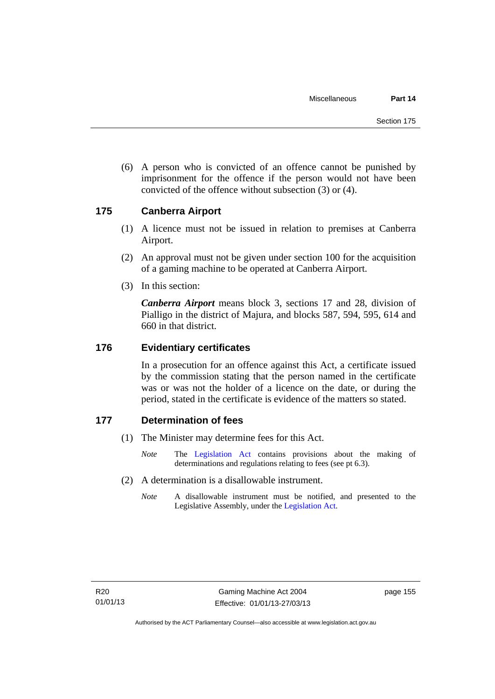(6) A person who is convicted of an offence cannot be punished by imprisonment for the offence if the person would not have been convicted of the offence without subsection (3) or (4).

#### **175 Canberra Airport**

- (1) A licence must not be issued in relation to premises at Canberra Airport.
- (2) An approval must not be given under section 100 for the acquisition of a gaming machine to be operated at Canberra Airport.
- (3) In this section:

*Canberra Airport* means block 3, sections 17 and 28, division of Pialligo in the district of Majura, and blocks 587, 594, 595, 614 and 660 in that district.

#### **176 Evidentiary certificates**

In a prosecution for an offence against this Act, a certificate issued by the commission stating that the person named in the certificate was or was not the holder of a licence on the date, or during the period, stated in the certificate is evidence of the matters so stated.

#### **177 Determination of fees**

- (1) The Minister may determine fees for this Act.
	- *Note* The [Legislation Act](http://www.legislation.act.gov.au/a/2001-14) contains provisions about the making of determinations and regulations relating to fees (see pt 6.3).
- (2) A determination is a disallowable instrument.
	- *Note* A disallowable instrument must be notified, and presented to the Legislative Assembly, under the [Legislation Act.](http://www.legislation.act.gov.au/a/2001-14)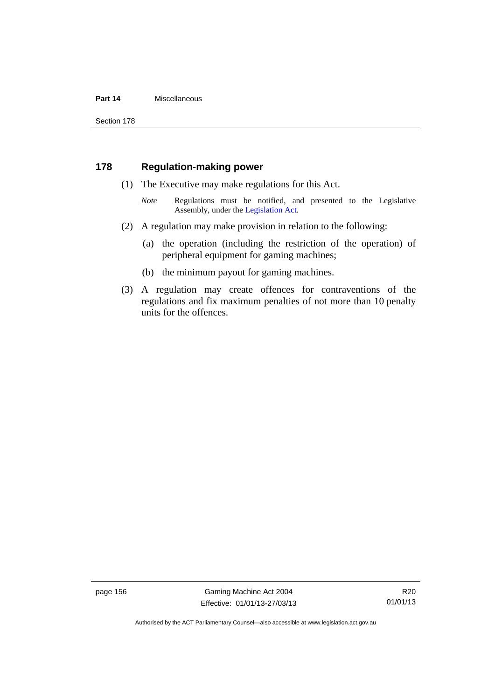#### **Part 14** Miscellaneous

Section 178

#### **178 Regulation-making power**

- (1) The Executive may make regulations for this Act.
	- *Note* Regulations must be notified, and presented to the Legislative Assembly, under the [Legislation Act](http://www.legislation.act.gov.au/a/2001-14).
- (2) A regulation may make provision in relation to the following:
	- (a) the operation (including the restriction of the operation) of peripheral equipment for gaming machines;
	- (b) the minimum payout for gaming machines.
- (3) A regulation may create offences for contraventions of the regulations and fix maximum penalties of not more than 10 penalty units for the offences.

page 156 Gaming Machine Act 2004 Effective: 01/01/13-27/03/13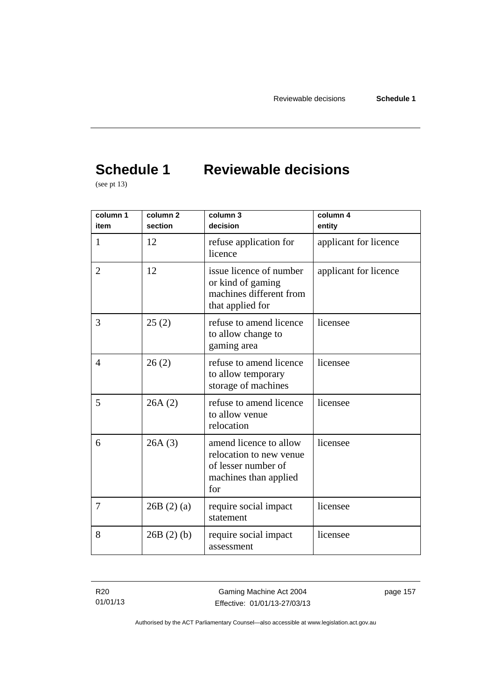# **Schedule 1 Reviewable decisions**

(see pt 13)

| column 1<br>item | column <sub>2</sub><br>section | column 3<br>decision                                                                                     | column 4<br>entity    |
|------------------|--------------------------------|----------------------------------------------------------------------------------------------------------|-----------------------|
| 1                | 12                             | refuse application for<br>licence                                                                        | applicant for licence |
| $\overline{2}$   | 12                             | issue licence of number<br>or kind of gaming<br>machines different from<br>that applied for              | applicant for licence |
| 3                | 25(2)                          | refuse to amend licence<br>to allow change to<br>gaming area                                             | licensee              |
| $\overline{4}$   | 26(2)                          | refuse to amend licence<br>to allow temporary<br>storage of machines                                     | licensee              |
| 5                | 26A(2)                         | refuse to amend licence<br>to allow venue<br>relocation                                                  | licensee              |
| 6                | 26A(3)                         | amend licence to allow<br>relocation to new venue<br>of lesser number of<br>machines than applied<br>for | licensee              |
| $\tau$           | 26B(2)(a)                      | require social impact<br>statement                                                                       | licensee              |
| 8                | 26B(2)(b)                      | require social impact<br>assessment                                                                      | licensee              |

R20 01/01/13

Gaming Machine Act 2004 Effective: 01/01/13-27/03/13 page 157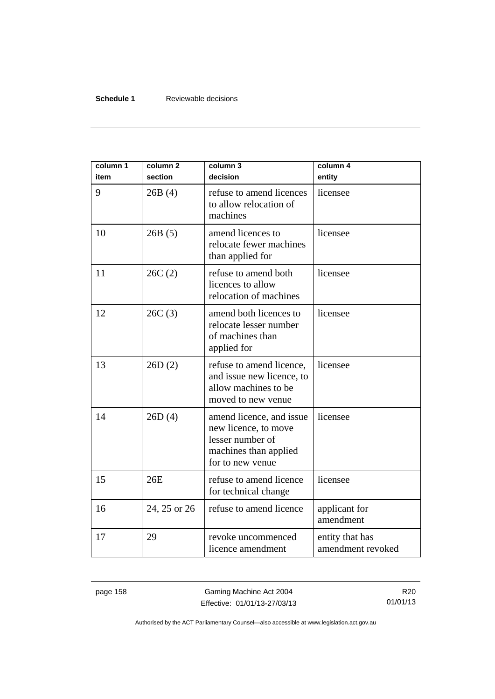#### **Schedule 1** Reviewable decisions

| column 1<br>item | column <sub>2</sub><br>section | column 3<br>decision                                                                                              | column 4<br>entity                   |
|------------------|--------------------------------|-------------------------------------------------------------------------------------------------------------------|--------------------------------------|
| 9                | 26B(4)                         | refuse to amend licences<br>to allow relocation of<br>machines                                                    | licensee                             |
| 10               | 26B(5)                         | amend licences to<br>relocate fewer machines<br>than applied for                                                  | licensee                             |
| 11               | 26C(2)                         | refuse to amend both<br>licences to allow<br>relocation of machines                                               | licensee                             |
| 12               | 26C(3)                         | amend both licences to<br>relocate lesser number<br>of machines than<br>applied for                               | licensee                             |
| 13               | 26D(2)                         | refuse to amend licence,<br>and issue new licence, to<br>allow machines to be<br>moved to new venue               | licensee                             |
| 14               | 26D(4)                         | amend licence, and issue<br>new licence, to move<br>lesser number of<br>machines than applied<br>for to new venue | licensee                             |
| 15               | 26E                            | refuse to amend licence<br>for technical change                                                                   | licensee                             |
| 16               | 24, 25 or 26                   | refuse to amend licence                                                                                           | applicant for<br>amendment           |
| 17               | 29                             | revoke uncommenced<br>licence amendment                                                                           | entity that has<br>amendment revoked |

page 158 Gaming Machine Act 2004 Effective: 01/01/13-27/03/13

R20 01/01/13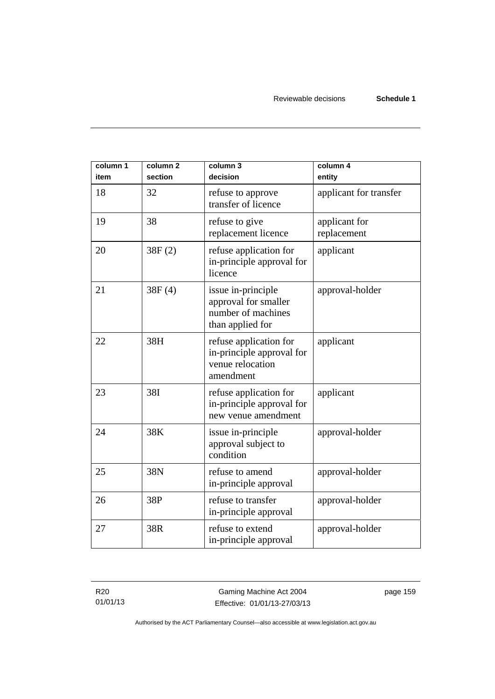| column 1<br>item | column <sub>2</sub><br>section | column 3<br>decision                                                                 | column 4<br>entity           |
|------------------|--------------------------------|--------------------------------------------------------------------------------------|------------------------------|
| 18               | 32                             | refuse to approve<br>transfer of licence                                             | applicant for transfer       |
| 19               | 38                             | refuse to give<br>replacement licence                                                | applicant for<br>replacement |
| 20               | 38F(2)                         | refuse application for<br>in-principle approval for<br>licence                       | applicant                    |
| 21               | 38F(4)                         | issue in-principle<br>approval for smaller<br>number of machines<br>than applied for | approval-holder              |
| 22               | 38H                            | refuse application for<br>in-principle approval for<br>venue relocation<br>amendment | applicant                    |
| 23               | 38I                            | refuse application for<br>in-principle approval for<br>new venue amendment           | applicant                    |
| 24               | 38K                            | issue in-principle<br>approval subject to<br>condition                               | approval-holder              |
| 25               | 38N                            | refuse to amend<br>in-principle approval                                             | approval-holder              |
| 26               | 38P                            | refuse to transfer<br>in-principle approval                                          | approval-holder              |
| 27               | 38R                            | refuse to extend<br>in-principle approval                                            | approval-holder              |

R20 01/01/13

Gaming Machine Act 2004 Effective: 01/01/13-27/03/13 page 159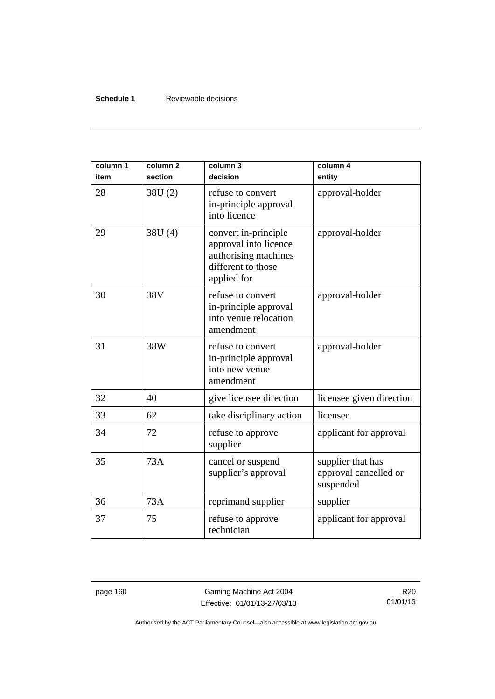#### **Schedule 1** Reviewable decisions

| column 1<br>item | column <sub>2</sub><br>section | column 3<br>decision                                                                                       | column 4<br>entity                                      |
|------------------|--------------------------------|------------------------------------------------------------------------------------------------------------|---------------------------------------------------------|
| 28               | 38U(2)                         | refuse to convert<br>in-principle approval<br>into licence                                                 | approval-holder                                         |
| 29               | 38U (4)                        | convert in-principle<br>approval into licence<br>authorising machines<br>different to those<br>applied for | approval-holder                                         |
| 30               | 38V                            | refuse to convert<br>in-principle approval<br>into venue relocation<br>amendment                           | approval-holder                                         |
| 31               | 38W                            | refuse to convert<br>in-principle approval<br>into new venue<br>amendment                                  | approval-holder                                         |
| 32               | 40                             | give licensee direction                                                                                    | licensee given direction                                |
| 33               | 62                             | take disciplinary action                                                                                   | licensee                                                |
| 34               | 72                             | refuse to approve<br>supplier                                                                              | applicant for approval                                  |
| 35               | 73A                            | cancel or suspend<br>supplier's approval                                                                   | supplier that has<br>approval cancelled or<br>suspended |
| 36               | 73A                            | reprimand supplier                                                                                         | supplier                                                |
| 37               | 75                             | refuse to approve<br>technician                                                                            | applicant for approval                                  |

page 160 Gaming Machine Act 2004 Effective: 01/01/13-27/03/13

R20 01/01/13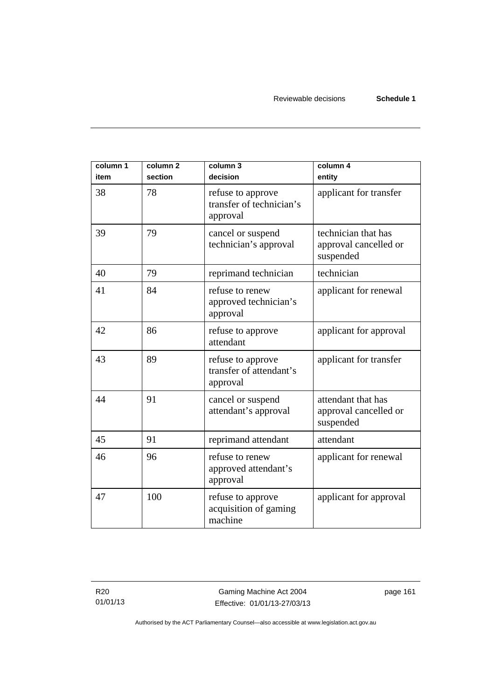| column 1<br>item | column <sub>2</sub><br>section | column 3<br>decision                                      | column 4<br>entity                                        |
|------------------|--------------------------------|-----------------------------------------------------------|-----------------------------------------------------------|
| 38               | 78                             | refuse to approve<br>transfer of technician's<br>approval | applicant for transfer                                    |
| 39               | 79                             | cancel or suspend<br>technician's approval                | technician that has<br>approval cancelled or<br>suspended |
| 40               | 79                             | reprimand technician                                      | technician                                                |
| 41               | 84                             | refuse to renew<br>approved technician's<br>approval      | applicant for renewal                                     |
| 42               | 86                             | refuse to approve<br>attendant                            | applicant for approval                                    |
| 43               | 89                             | refuse to approve<br>transfer of attendant's<br>approval  | applicant for transfer                                    |
| 44               | 91                             | cancel or suspend<br>attendant's approval                 | attendant that has<br>approval cancelled or<br>suspended  |
| 45               | 91                             | reprimand attendant                                       | attendant                                                 |
| 46               | 96                             | refuse to renew<br>approved attendant's<br>approval       | applicant for renewal                                     |
| 47               | 100                            | refuse to approve<br>acquisition of gaming<br>machine     | applicant for approval                                    |

R20 01/01/13

Gaming Machine Act 2004 Effective: 01/01/13-27/03/13 page 161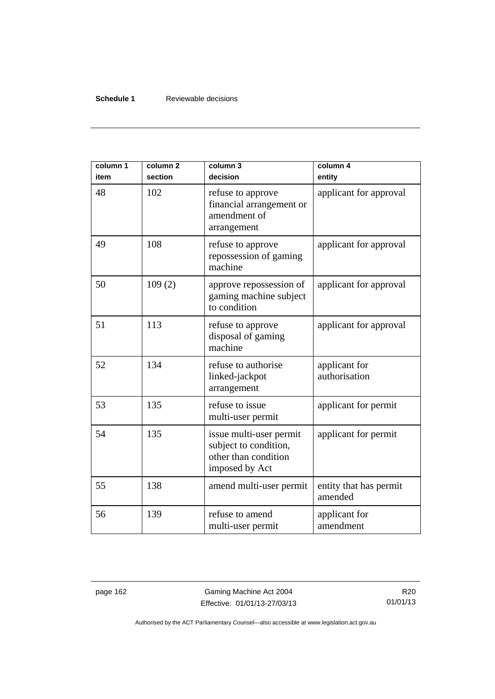#### **Schedule 1** Reviewable decisions

| column 1<br>item | column <sub>2</sub><br>section | column 3<br>decision                                                                       | column 4<br>entity                |
|------------------|--------------------------------|--------------------------------------------------------------------------------------------|-----------------------------------|
| 48               | 102                            | refuse to approve<br>financial arrangement or<br>amendment of<br>arrangement               | applicant for approval            |
| 49               | 108                            | refuse to approve<br>repossession of gaming<br>machine                                     | applicant for approval            |
| 50               | 109(2)                         | approve repossession of<br>gaming machine subject<br>to condition                          | applicant for approval            |
| 51               | 113                            | refuse to approve<br>disposal of gaming<br>machine                                         | applicant for approval            |
| 52               | 134                            | refuse to authorise<br>linked-jackpot<br>arrangement                                       | applicant for<br>authorisation    |
| 53               | 135                            | refuse to issue<br>multi-user permit                                                       | applicant for permit              |
| 54               | 135                            | issue multi-user permit<br>subject to condition,<br>other than condition<br>imposed by Act | applicant for permit              |
| 55               | 138                            | amend multi-user permit                                                                    | entity that has permit<br>amended |
| 56               | 139                            | refuse to amend<br>multi-user permit                                                       | applicant for<br>amendment        |

page 162 Gaming Machine Act 2004 Effective: 01/01/13-27/03/13

R20 01/01/13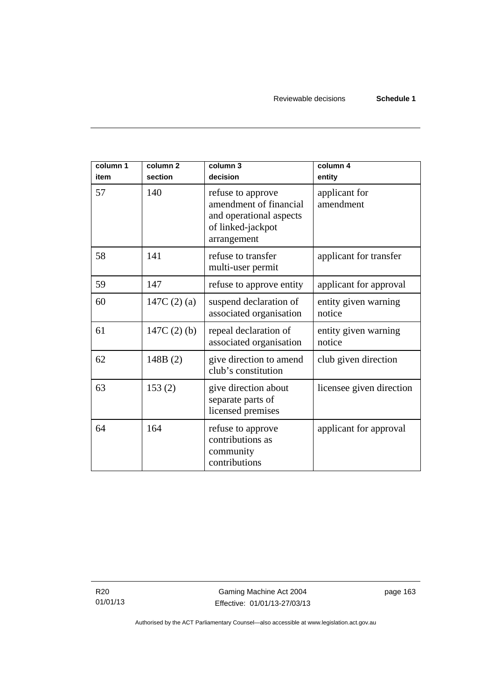| column 1<br>item | column <sub>2</sub><br>section | column 3<br>decision                                                                                       | column 4<br>entity             |
|------------------|--------------------------------|------------------------------------------------------------------------------------------------------------|--------------------------------|
| 57               | 140                            | refuse to approve<br>amendment of financial<br>and operational aspects<br>of linked-jackpot<br>arrangement | applicant for<br>amendment     |
| 58               | 141                            | refuse to transfer<br>multi-user permit                                                                    | applicant for transfer         |
| 59               | 147                            | refuse to approve entity                                                                                   | applicant for approval         |
| 60               | 147C $(2)$ $(a)$               | suspend declaration of<br>associated organisation                                                          | entity given warning<br>notice |
| 61               | $147C(2)$ (b)                  | repeal declaration of<br>associated organisation                                                           | entity given warning<br>notice |
| 62               | 148B(2)                        | give direction to amend<br>club's constitution                                                             | club given direction           |
| 63               | 153(2)                         | give direction about<br>separate parts of<br>licensed premises                                             | licensee given direction       |
| 64               | 164                            | refuse to approve<br>contributions as<br>community<br>contributions                                        | applicant for approval         |

R20 01/01/13 page 163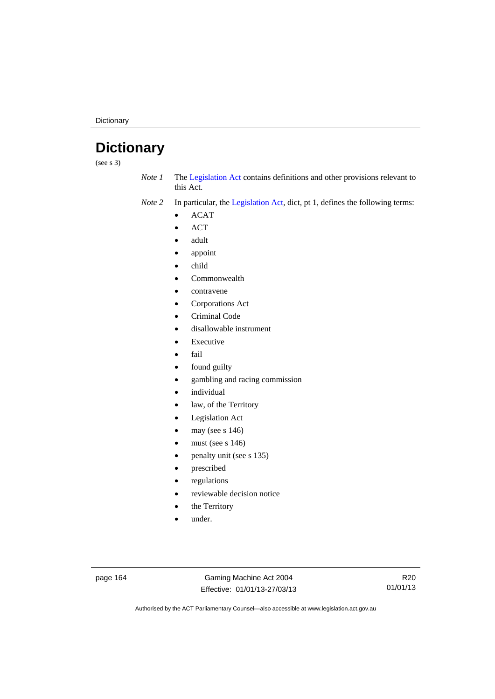**Dictionary** 

# **Dictionary**

(see s 3)

*Note 1* The [Legislation Act](http://www.legislation.act.gov.au/a/2001-14) contains definitions and other provisions relevant to this Act.

*Note 2* In particular, the [Legislation Act,](http://www.legislation.act.gov.au/a/2001-14) dict, pt 1, defines the following terms:

- ACAT
- ACT
- adult
- appoint
- child
- Commonwealth
- contravene
- Corporations Act
- Criminal Code
- disallowable instrument
- Executive
- fail
- found guilty
- gambling and racing commission
- individual
- law, of the Territory
- Legislation Act
- may (see s 146)
- must (see s 146)
- penalty unit (see s 135)
- prescribed
- regulations
- reviewable decision notice
- the Territory
- under.

page 164 Gaming Machine Act 2004 Effective: 01/01/13-27/03/13

R20 01/01/13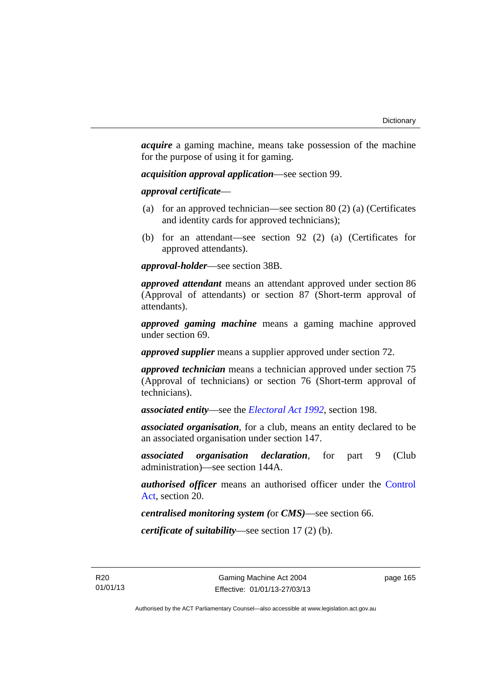*acquire* a gaming machine, means take possession of the machine for the purpose of using it for gaming.

*acquisition approval application*—see section 99.

*approval certificate*—

- (a) for an approved technician—see section 80 (2) (a) (Certificates and identity cards for approved technicians);
- (b) for an attendant—see section 92 (2) (a) (Certificates for approved attendants).

*approval-holder*—see section 38B.

*approved attendant* means an attendant approved under section 86 (Approval of attendants) or section 87 (Short-term approval of attendants).

*approved gaming machine* means a gaming machine approved under section 69.

*approved supplier* means a supplier approved under section 72.

*approved technician* means a technician approved under section 75 (Approval of technicians) or section 76 (Short-term approval of technicians).

*associated entity*—see the *[Electoral Act 1992](http://www.legislation.act.gov.au/a/1992-71)*, section 198.

*associated organisation*, for a club, means an entity declared to be an associated organisation under section 147.

*associated organisation declaration*, for part 9 (Club administration)—see section 144A.

*authorised officer* means an authorised officer under the [Control](http://www.legislation.act.gov.au/a/1999-46)  [Act](http://www.legislation.act.gov.au/a/1999-46), section 20.

*centralised monitoring system (*or *CMS)*—see section 66.

*certificate of suitability*—see section 17 (2) (b).

R20 01/01/13 page 165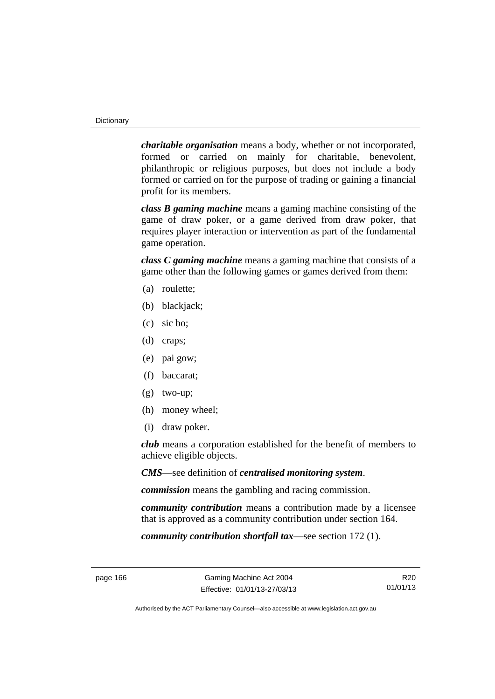*charitable organisation* means a body, whether or not incorporated, formed or carried on mainly for charitable, benevolent, philanthropic or religious purposes, but does not include a body formed or carried on for the purpose of trading or gaining a financial profit for its members.

*class B gaming machine* means a gaming machine consisting of the game of draw poker, or a game derived from draw poker, that requires player interaction or intervention as part of the fundamental game operation.

*class C gaming machine* means a gaming machine that consists of a game other than the following games or games derived from them:

- (a) roulette;
- (b) blackjack;
- (c) sic bo;
- (d) craps;
- (e) pai gow;
- (f) baccarat;
- (g) two-up;
- (h) money wheel;
- (i) draw poker.

*club* means a corporation established for the benefit of members to achieve eligible objects.

*CMS*—see definition of *centralised monitoring system*.

*commission* means the gambling and racing commission.

*community contribution* means a contribution made by a licensee that is approved as a community contribution under section 164.

*community contribution shortfall tax*—see section 172 (1).

R20 01/01/13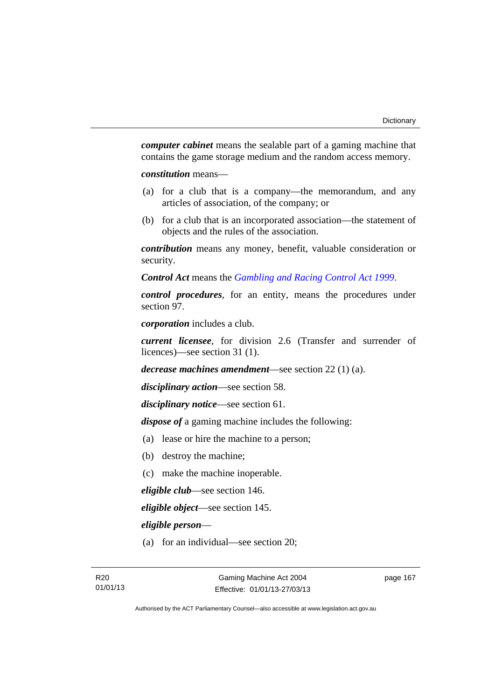*computer cabinet* means the sealable part of a gaming machine that contains the game storage medium and the random access memory.

*constitution* means—

- (a) for a club that is a company—the memorandum, and any articles of association, of the company; or
- (b) for a club that is an incorporated association—the statement of objects and the rules of the association.

*contribution* means any money, benefit, valuable consideration or security.

*Control Act* means the *[Gambling and Racing Control Act 1999](http://www.legislation.act.gov.au/a/1999-46)*.

*control procedures*, for an entity, means the procedures under section 97.

*corporation* includes a club.

*current licensee*, for division 2.6 (Transfer and surrender of licences)—see section 31 (1).

*decrease machines amendment*—see section 22 (1) (a).

*disciplinary action*—see section 58.

*disciplinary notice*—see section 61.

*dispose of* a gaming machine includes the following:

- (a) lease or hire the machine to a person;
- (b) destroy the machine;
- (c) make the machine inoperable.

*eligible club*—see section 146.

*eligible object*—see section 145.

*eligible person*—

(a) for an individual—see section 20;

page 167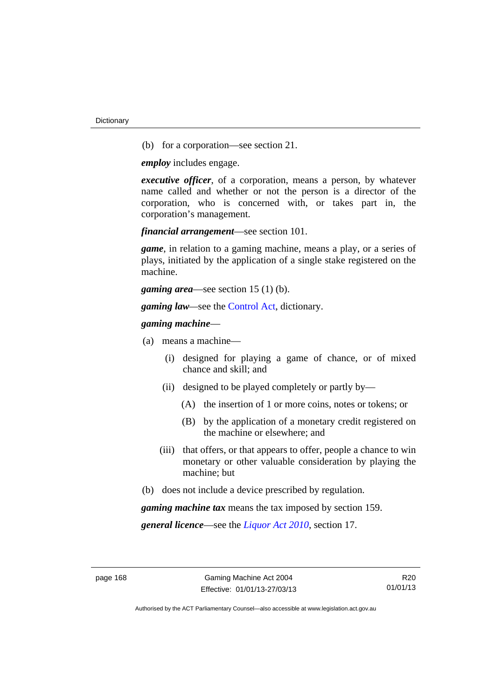(b) for a corporation—see section 21.

*employ* includes engage.

*executive officer*, of a corporation, means a person, by whatever name called and whether or not the person is a director of the corporation, who is concerned with, or takes part in, the corporation's management.

*financial arrangement*—see section 101.

*game*, in relation to a gaming machine, means a play, or a series of plays, initiated by the application of a single stake registered on the machine.

*gaming area*—see section 15 (1) (b).

*gaming law—*see the [Control Act](http://www.legislation.act.gov.au/a/1999-46), dictionary.

#### *gaming machine*—

- (a) means a machine—
	- (i) designed for playing a game of chance, or of mixed chance and skill; and
	- (ii) designed to be played completely or partly by—
		- (A) the insertion of 1 or more coins, notes or tokens; or
		- (B) by the application of a monetary credit registered on the machine or elsewhere; and
	- (iii) that offers, or that appears to offer, people a chance to win monetary or other valuable consideration by playing the machine; but
- (b) does not include a device prescribed by regulation.

*gaming machine tax* means the tax imposed by section 159.

*general licence*—see the *[Liquor Act 2010](http://www.legislation.act.gov.au/a/2010-35)*, section 17.

R20 01/01/13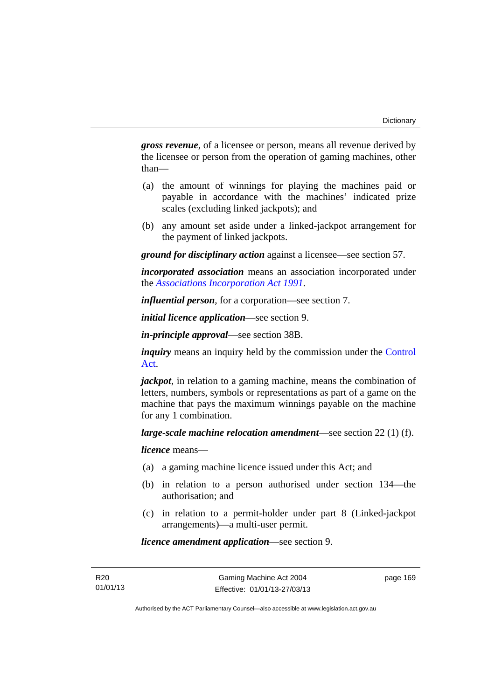*gross revenue*, of a licensee or person, means all revenue derived by the licensee or person from the operation of gaming machines, other than—

- (a) the amount of winnings for playing the machines paid or payable in accordance with the machines' indicated prize scales (excluding linked jackpots); and
- (b) any amount set aside under a linked-jackpot arrangement for the payment of linked jackpots.

*ground for disciplinary action* against a licensee—see section 57.

*incorporated association* means an association incorporated under the *[Associations Incorporation Act 1991](http://www.legislation.act.gov.au/a/1991-46)*.

*influential person*, for a corporation—see section 7.

*initial licence application*—see section 9.

*in-principle approval*—see section 38B.

*inquiry* means an inquiry held by the commission under the Control [Act](http://www.legislation.act.gov.au/a/1999-46).

*jackpot*, in relation to a gaming machine, means the combination of letters, numbers, symbols or representations as part of a game on the machine that pays the maximum winnings payable on the machine for any 1 combination.

*large-scale machine relocation amendment*—see section 22 (1) (f).

*licence* means—

- (a) a gaming machine licence issued under this Act; and
- (b) in relation to a person authorised under section 134—the authorisation; and
- (c) in relation to a permit-holder under part 8 (Linked-jackpot arrangements)—a multi-user permit.

*licence amendment application*—see section 9.

page 169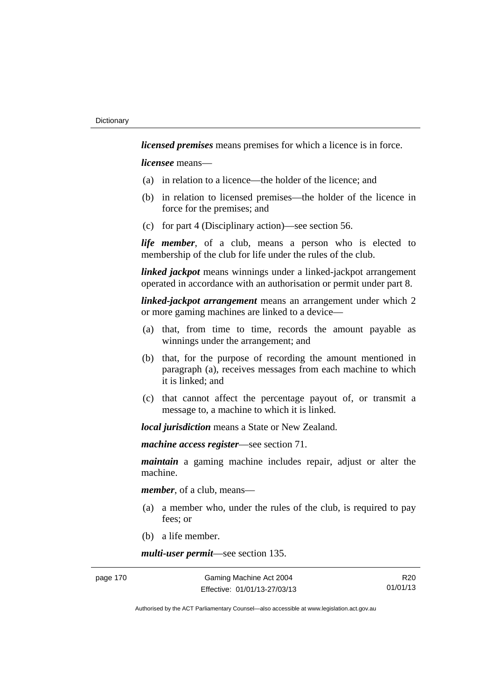*licensed premises* means premises for which a licence is in force.

*licensee* means—

- (a) in relation to a licence—the holder of the licence; and
- (b) in relation to licensed premises—the holder of the licence in force for the premises; and
- (c) for part 4 (Disciplinary action)—see section 56.

*life member*, of a club, means a person who is elected to membership of the club for life under the rules of the club.

*linked jackpot* means winnings under a linked-jackpot arrangement operated in accordance with an authorisation or permit under part 8.

*linked-jackpot arrangement* means an arrangement under which 2 or more gaming machines are linked to a device—

- (a) that, from time to time, records the amount payable as winnings under the arrangement; and
- (b) that, for the purpose of recording the amount mentioned in paragraph (a), receives messages from each machine to which it is linked; and
- (c) that cannot affect the percentage payout of, or transmit a message to, a machine to which it is linked.

*local jurisdiction* means a State or New Zealand.

*machine access register*—see section 71.

*maintain* a gaming machine includes repair, adjust or alter the machine.

*member*, of a club, means—

- (a) a member who, under the rules of the club, is required to pay fees; or
- (b) a life member.

*multi-user permit*—see section 135.

R20 01/01/13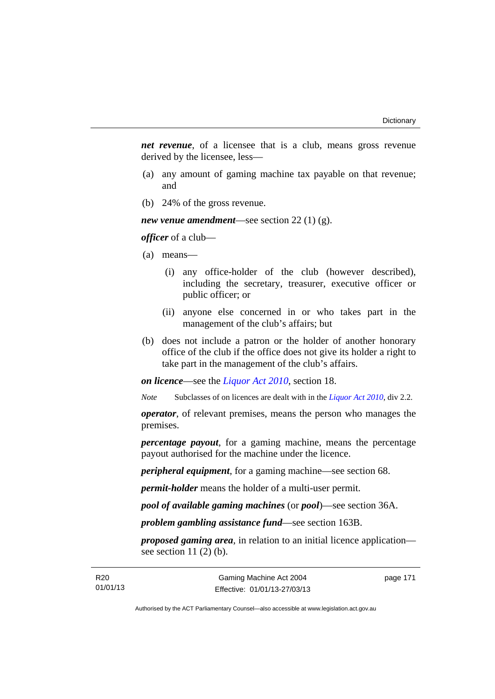*net revenue*, of a licensee that is a club, means gross revenue derived by the licensee, less—

- (a) any amount of gaming machine tax payable on that revenue; and
- (b) 24% of the gross revenue.

*new venue amendment*—see section 22 (1) (g).

*officer* of a club—

- (a) means—
	- (i) any office-holder of the club (however described), including the secretary, treasurer, executive officer or public officer; or
	- (ii) anyone else concerned in or who takes part in the management of the club's affairs; but
- (b) does not include a patron or the holder of another honorary office of the club if the office does not give its holder a right to take part in the management of the club's affairs.

*on licence*—see the *[Liquor Act 2010](http://www.legislation.act.gov.au/a/2010-35)*, section 18.

*Note* Subclasses of on licences are dealt with in the *[Liquor Act 2010](http://www.legislation.act.gov.au/a/2010-35)*, div 2.2.

*operator*, of relevant premises, means the person who manages the premises.

*percentage payout*, for a gaming machine, means the percentage payout authorised for the machine under the licence.

*peripheral equipment*, for a gaming machine—see section 68.

*permit-holder* means the holder of a multi-user permit.

*pool of available gaming machines* (or *pool*)—see section 36A.

*problem gambling assistance fund*—see section 163B.

*proposed gaming area*, in relation to an initial licence application see section  $11(2)$  (b).

page 171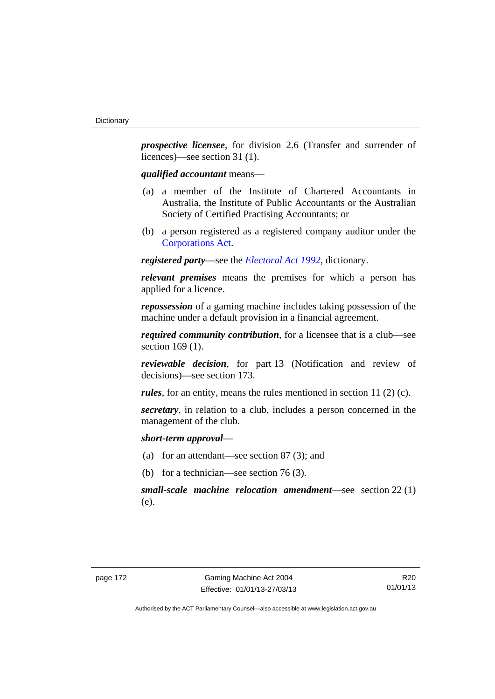*prospective licensee*, for division 2.6 (Transfer and surrender of licences)—see section 31 (1).

*qualified accountant* means—

- (a) a member of the Institute of Chartered Accountants in Australia, the Institute of Public Accountants or the Australian Society of Certified Practising Accountants; or
- (b) a person registered as a registered company auditor under the [Corporations Act.](http://www.comlaw.gov.au/Series/C2004A00818)

*registered party*—see the *[Electoral Act 1992](http://www.legislation.act.gov.au/a/1992-71)*, dictionary.

*relevant premises* means the premises for which a person has applied for a licence.

*repossession* of a gaming machine includes taking possession of the machine under a default provision in a financial agreement.

*required community contribution*, for a licensee that is a club—see section 169 (1).

*reviewable decision*, for part 13 (Notification and review of decisions)—see section 173.

*rules*, for an entity, means the rules mentioned in section 11 (2) (c).

*secretary*, in relation to a club, includes a person concerned in the management of the club.

*short-term approval*—

- (a) for an attendant—see section 87 (3); and
- (b) for a technician—see section 76 (3).

*small-scale machine relocation amendment*—see section 22 (1) (e).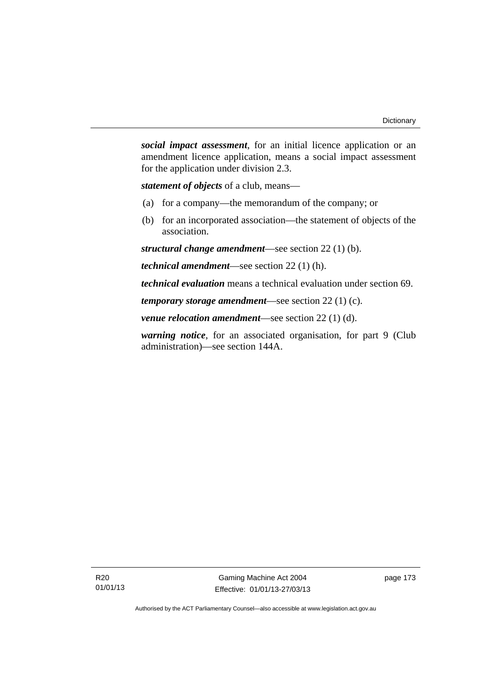*social impact assessment*, for an initial licence application or an amendment licence application, means a social impact assessment for the application under division 2.3.

*statement of objects* of a club, means—

- (a) for a company—the memorandum of the company; or
- (b) for an incorporated association—the statement of objects of the association.

*structural change amendment*—see section 22 (1) (b).

*technical amendment*—see section 22 (1) (h).

*technical evaluation* means a technical evaluation under section 69.

*temporary storage amendment*—see section 22 (1) (c).

*venue relocation amendment*—see section 22 (1) (d).

*warning notice*, for an associated organisation, for part 9 (Club administration)—see section 144A.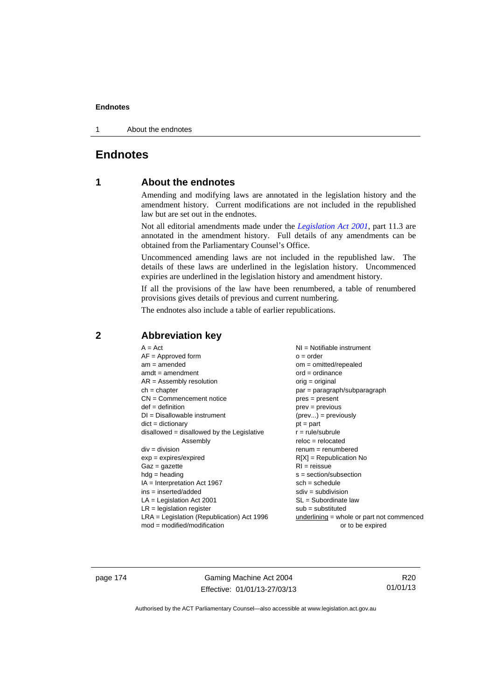1 About the endnotes

# **Endnotes**

# **1 About the endnotes**

Amending and modifying laws are annotated in the legislation history and the amendment history. Current modifications are not included in the republished law but are set out in the endnotes.

Not all editorial amendments made under the *[Legislation Act 2001](http://www.legislation.act.gov.au/a/2001-14)*, part 11.3 are annotated in the amendment history. Full details of any amendments can be obtained from the Parliamentary Counsel's Office.

Uncommenced amending laws are not included in the republished law. The details of these laws are underlined in the legislation history. Uncommenced expiries are underlined in the legislation history and amendment history.

If all the provisions of the law have been renumbered, a table of renumbered provisions gives details of previous and current numbering.

The endnotes also include a table of earlier republications.

| $A = Act$                                    | NI = Notifiable instrument                  |
|----------------------------------------------|---------------------------------------------|
| $AF =$ Approved form                         | $o = order$                                 |
| $am = amended$                               | $om = omitted/repealed$                     |
| $amdt = amendment$                           | $ord = ordinance$                           |
| $AR = Assembly resolution$                   | $orig = original$                           |
| $ch = chapter$                               | $par = paragraph/subparagraph$              |
| $CN =$ Commencement notice                   | $pres = present$                            |
| $def = definition$                           | $prev = previous$                           |
| $DI = Disallowable instrument$               | $(\text{prev}) = \text{previously}$         |
| $dict = dictionary$                          | $pt = part$                                 |
| $disallowed = disallowed by the Legislative$ | $r = rule/subrule$                          |
| Assembly                                     | $reloc = relocated$                         |
| $div = division$                             | $renum = renumbered$                        |
| $exp = expires/expired$                      | $R[X]$ = Republication No                   |
| $Gaz = gazette$                              | $RI = reissue$                              |
| $hdg =$ heading                              | $s = section/subsection$                    |
| $IA = Interpretation Act 1967$               | $sch = schedule$                            |
| $ins = inserted/added$                       | $sdiv = subdivision$                        |
| $LA =$ Legislation Act 2001                  | $SL = Subordinate$ law                      |
| $LR =$ legislation register                  | $sub =$ substituted                         |
|                                              |                                             |
| $LRA =$ Legislation (Republication) Act 1996 | $underlining = whole or part not commenced$ |
| $mod = modified/modification$                | or to be expired                            |

# **2 Abbreviation key**

page 174 Gaming Machine Act 2004 Effective: 01/01/13-27/03/13

R20 01/01/13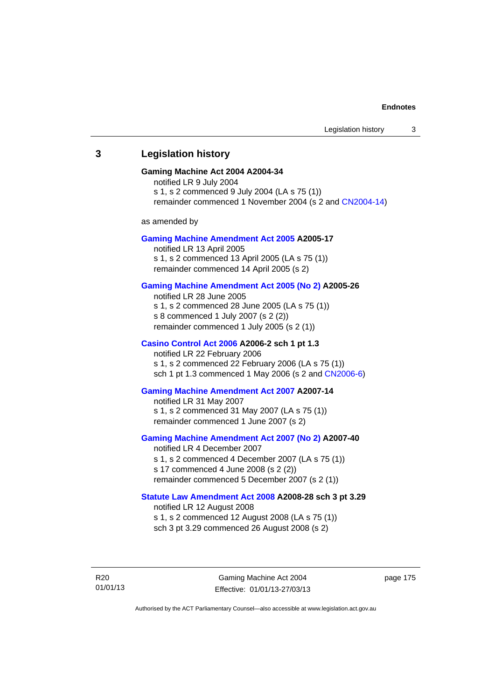# **3 Legislation history**

## **Gaming Machine Act 2004 A2004-34**

notified LR 9 July 2004 s 1, s 2 commenced 9 July 2004 (LA s 75 (1)) remainder commenced 1 November 2004 (s 2 and [CN2004-14](http://www.legislation.act.gov.au/cn/2004-14/default.asp))

as amended by

## **[Gaming Machine Amendment Act 2005](http://www.legislation.act.gov.au/a/2005-17) A2005-17**

notified LR 13 April 2005 s 1, s 2 commenced 13 April 2005 (LA s 75 (1)) remainder commenced 14 April 2005 (s 2)

## **[Gaming Machine Amendment Act 2005 \(No 2\)](http://www.legislation.act.gov.au/a/2005-26) A2005-26**

notified LR 28 June 2005 s 1, s 2 commenced 28 June 2005 (LA s 75 (1)) s 8 commenced 1 July 2007 (s 2 (2)) remainder commenced 1 July 2005 (s 2 (1))

# **[Casino Control Act 2006](http://www.legislation.act.gov.au/a/2006-2) A2006-2 sch 1 pt 1.3**

notified LR 22 February 2006 s 1, s 2 commenced 22 February 2006 (LA s 75 (1)) sch 1 pt 1.3 commenced 1 May 2006 (s 2 and [CN2006-6](http://www.legislation.act.gov.au/cn/2006-6/default.asp))

## **[Gaming Machine Amendment Act 2007](http://www.legislation.act.gov.au/a/2007-14) A2007-14**

notified LR 31 May 2007 s 1, s 2 commenced 31 May 2007 (LA s 75 (1)) remainder commenced 1 June 2007 (s 2)

# **[Gaming Machine Amendment Act 2007 \(No 2\)](http://www.legislation.act.gov.au/a/2007-40) A2007-40**

notified LR 4 December 2007 s 1, s 2 commenced 4 December 2007 (LA s 75 (1)) s 17 commenced 4 June 2008 (s 2 (2)) remainder commenced 5 December 2007 (s 2 (1))

## **[Statute Law Amendment Act 2008](http://www.legislation.act.gov.au/a/2008-28) A2008-28 sch 3 pt 3.29**  notified LR 12 August 2008

s 1, s 2 commenced 12 August 2008 (LA s 75 (1)) sch 3 pt 3.29 commenced 26 August 2008 (s 2)

R20 01/01/13 page 175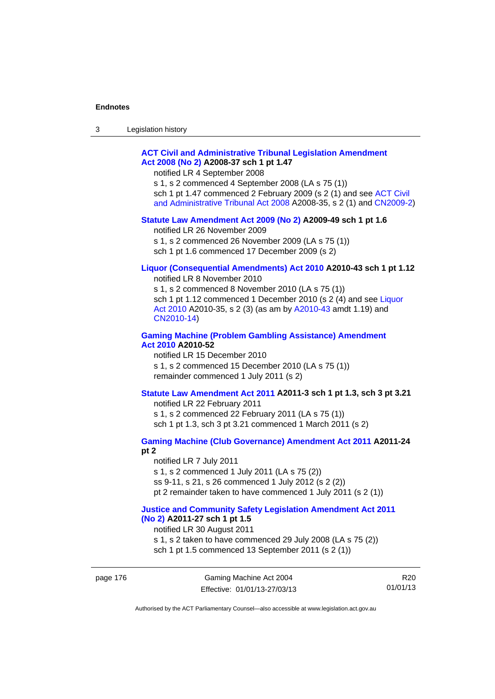| 3 | Legislation history |  |
|---|---------------------|--|
|---|---------------------|--|

# **[ACT Civil and Administrative Tribunal Legislation Amendment](http://www.legislation.act.gov.au/a/2008-37)  [Act 2008 \(No 2\)](http://www.legislation.act.gov.au/a/2008-37) A2008-37 sch 1 pt 1.47**

notified LR 4 September 2008

s 1, s 2 commenced 4 September 2008 (LA s 75 (1)) sch 1 pt 1.47 commenced 2 February 2009 (s 2 (1) and see [ACT Civil](http://www.legislation.act.gov.au/a/2008-35)  [and Administrative Tribunal Act 2008](http://www.legislation.act.gov.au/a/2008-35) A2008-35, s 2 (1) and [CN2009-2](http://www.legislation.act.gov.au/cn/2009-2/default.asp))

### **[Statute Law Amendment Act 2009 \(No 2\)](http://www.legislation.act.gov.au/a/2009-49) A2009-49 sch 1 pt 1.6**

notified LR 26 November 2009

s 1, s 2 commenced 26 November 2009 (LA s 75 (1))

sch 1 pt 1.6 commenced 17 December 2009 (s 2)

# **[Liquor \(Consequential Amendments\) Act 2010](http://www.legislation.act.gov.au/a/2010-43) A2010-43 sch 1 pt 1.12**

notified LR 8 November 2010

s 1, s 2 commenced 8 November 2010 (LA s 75 (1)) sch 1 pt 1.12 commenced 1 December 2010 (s 2 (4) and see Liquor [Act 2010](http://www.legislation.act.gov.au/a/2010-35) A2010-35, s 2 (3) (as am by [A2010-43](http://www.legislation.act.gov.au/a/2010-43) amdt 1.19) and [CN2010-14](http://www.legislation.act.gov.au/cn/2010-14/default.asp))

# **[Gaming Machine \(Problem Gambling Assistance\) Amendment](http://www.legislation.act.gov.au/a/2010-52)  [Act 2010](http://www.legislation.act.gov.au/a/2010-52) A2010-52**

notified LR 15 December 2010 s 1, s 2 commenced 15 December 2010 (LA s 75 (1)) remainder commenced 1 July 2011 (s 2)

# **[Statute Law Amendment Act 2011](http://www.legislation.act.gov.au/a/2011-3) A2011-3 sch 1 pt 1.3, sch 3 pt 3.21**

notified LR 22 February 2011 s 1, s 2 commenced 22 February 2011 (LA s 75 (1)) sch 1 pt 1.3, sch 3 pt 3.21 commenced 1 March 2011 (s 2)

# **[Gaming Machine \(Club Governance\) Amendment Act 2011](http://www.legislation.act.gov.au/a/2011-24) A2011-24**

**pt 2** 

notified LR 7 July 2011 s 1, s 2 commenced 1 July 2011 (LA s 75 (2)) ss 9-11, s 21, s 26 commenced 1 July 2012 (s 2 (2)) pt 2 remainder taken to have commenced 1 July 2011 (s 2 (1))

## **[Justice and Community Safety Legislation Amendment Act 2011](http://www.legislation.act.gov.au/a/2011-27)  [\(No 2\)](http://www.legislation.act.gov.au/a/2011-27) A2011-27 sch 1 pt 1.5**

notified LR 30 August 2011

s 1, s 2 taken to have commenced 29 July 2008 (LA s 75 (2)) sch 1 pt 1.5 commenced 13 September 2011 (s 2 (1))

R20 01/01/13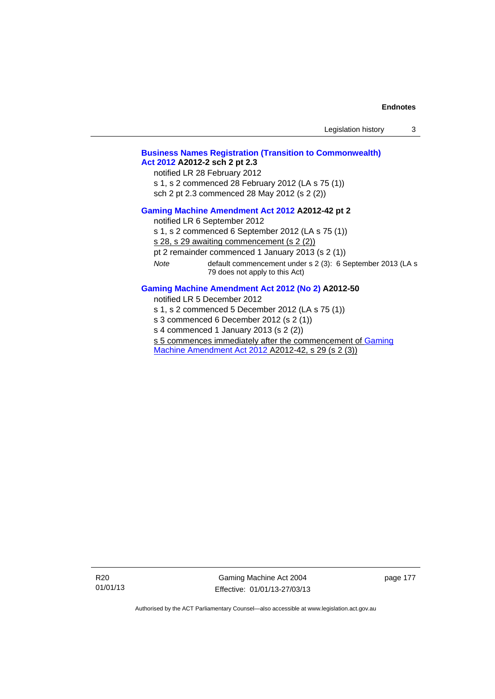|      | Legislation history                                                                                                                                                                                                                                                                                                                     | 3 |
|------|-----------------------------------------------------------------------------------------------------------------------------------------------------------------------------------------------------------------------------------------------------------------------------------------------------------------------------------------|---|
|      | <b>Business Names Registration (Transition to Commonwealth)</b><br>Act 2012 A2012-2 sch 2 pt 2.3<br>notified LR 28 February 2012<br>s 1, s 2 commenced 28 February 2012 (LA s 75 (1))<br>sch 2 pt 2.3 commenced 28 May 2012 (s 2 (2))                                                                                                   |   |
| Note | Gaming Machine Amendment Act 2012 A2012-42 pt 2<br>notified LR 6 September 2012<br>s 1, s 2 commenced 6 September 2012 (LA s 75 (1))<br>s 28, s 29 awaiting commencement (s 2 (2))<br>pt 2 remainder commenced 1 January 2013 (s 2 (1))<br>default commencement under s 2 (3): 6 September 2013 (LA s<br>79 does not apply to this Act) |   |
|      | Gaming Machine Amendment Act 2012 (No 2) A2012-50<br>notified LR 5 December 2012<br>s 1, s 2 commenced 5 December 2012 (LA s 75 (1))<br>s 3 commenced 6 December 2012 (s 2 (1))<br>s 4 commenced 1 January 2013 (s 2 (2))                                                                                                               |   |

s 5 commences immediately after the commencement of Gaming

[Machine Amendment Act 2012](http://www.legislation.act.gov.au/a/2012-42) A2012-42, s 29 (s 2 (3))

R20 01/01/13

Gaming Machine Act 2004 Effective: 01/01/13-27/03/13 page 177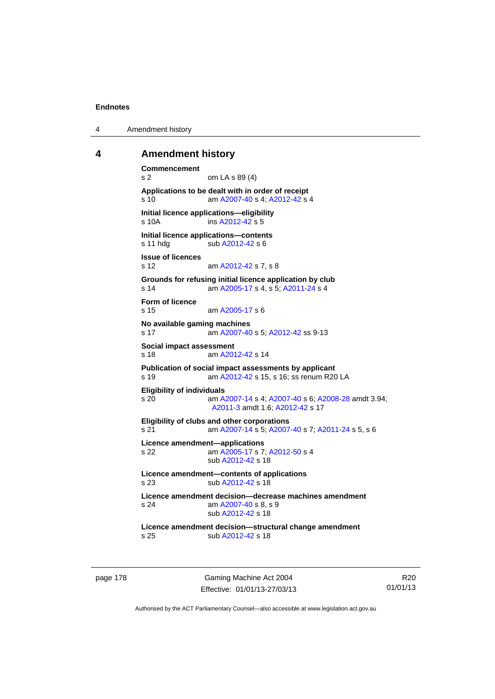4 Amendment history

## **4 Amendment history**

```
Commencement 
s 2 om LA s 89 (4) 
Applications to be dealt with in order of receipt 
s 10 am A2007-40 s 4; A2012-42 s 4 
Initial licence applications—eligibility 
s 10A ins A2012-42 s 5
Initial licence applications—contents 
A2012-42 s 6
Issue of licences 
s 12 am A2012-42 s 7, s 8 
Grounds for refusing initial licence application by club 
s 14 am A2005-17 s 4, s 5; A2011-24 s 4 
Form of licence 
s 15 am A2005-17 s 6 
No available gaming machines 
s 17 am A2007-40 s 5; A2012-42 ss 9-13 
Social impact assessment 
s 18 am A2012-42 s 14 
Publication of social impact assessments by applicant 
s 19 am A2012-42 s 15, s 16; ss renum R20 LA 
Eligibility of individuals 
s 20 am A2007-14 s 4; A2007-40 s 6; A2008-28 amdt 3.94; 
                A2011-3 amdt 1.6; A2012-42 s 17 
Eligibility of clubs and other corporations 
s 21 am A2007-14 s 5; A2007-40 s 7; A2011-24 s 5, s 6 
Licence amendment—applications 
s 22 am A2005-17 s 7; A2012-50 s 4 
                sub A2012-42 s 18 
Licence amendment—contents of applications 
s 23 sub A2012-42 s 18 
Licence amendment decision—decrease machines amendment 
s 24 am A2007-40 s 8, s 9 
                sub A2012-42 s 18 
Licence amendment decision—structural change amendment 
s 25 sub A2012-42 s 18
```
page 178 Gaming Machine Act 2004 Effective: 01/01/13-27/03/13

R20 01/01/13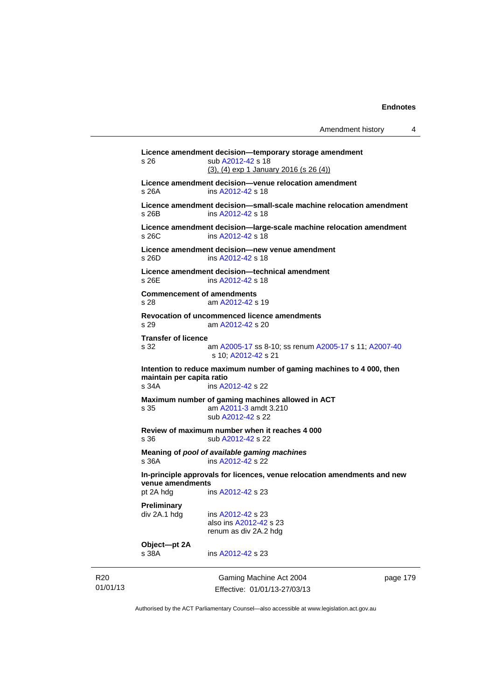Gaming Machine Act 2004 **Licence amendment decision—temporary storage amendment**  s 26 sub [A2012-42](http://www.legislation.act.gov.au/a/2012-42) s 18 (3), (4) exp 1 January 2016 (s 26 (4)) **Licence amendment decision—venue relocation amendment**  s 26A ins [A2012-42](http://www.legislation.act.gov.au/a/2012-42) s 18 **Licence amendment decision—small-scale machine relocation amendment**  s 26B ins [A2012-42](http://www.legislation.act.gov.au/a/2012-42) s 18 **Licence amendment decision—large-scale machine relocation amendment**  s 26C ins [A2012-42](http://www.legislation.act.gov.au/a/2012-42) s 18 **Licence amendment decision—new venue amendment**  s 26D ins [A2012-42](http://www.legislation.act.gov.au/a/2012-42) s 18 **Licence amendment decision—technical amendment**  s 26E ins [A2012-42](http://www.legislation.act.gov.au/a/2012-42) s 18 **Commencement of amendments**  s 28 am [A2012-42](http://www.legislation.act.gov.au/a/2012-42) s 19 **Revocation of uncommenced licence amendments**  s 29 am [A2012-42](http://www.legislation.act.gov.au/a/2012-42) s 20 **Transfer of licence**  s 32 am [A2005-17](http://www.legislation.act.gov.au/a/2005-17) ss 8-10; ss renum [A2005-17](http://www.legislation.act.gov.au/a/2005-17) s 11; [A2007-40](http://www.legislation.act.gov.au/a/2007-40) s 10; [A2012-42](http://www.legislation.act.gov.au/a/2012-42) s 21 **Intention to reduce maximum number of gaming machines to 4 000, then maintain per capita ratio**  s 34A ins [A2012-42](http://www.legislation.act.gov.au/a/2012-42) s 22 **Maximum number of gaming machines allowed in ACT**  s 35 am [A2011-3](http://www.legislation.act.gov.au/a/2011-3) amdt 3.210 sub [A2012-42](http://www.legislation.act.gov.au/a/2012-42) s 22 **Review of maximum number when it reaches 4 000**  s 36 sub [A2012-42](http://www.legislation.act.gov.au/a/2012-42) s 22 **Meaning of** *pool of available gaming machines* s 36A ins [A2012-42](http://www.legislation.act.gov.au/a/2012-42) s 22 **In-principle approvals for licences, venue relocation amendments and new venue amendments**  pt 2A hdg ins [A2012-42](http://www.legislation.act.gov.au/a/2012-42) s 23 **Preliminary**  div 2A.1 hdg ins [A2012-42](http://www.legislation.act.gov.au/a/2012-42) s 23 also ins [A2012-42](http://www.legislation.act.gov.au/a/2012-42) s 23 renum as div 2A.2 hdg **Object—pt 2A**  s 38A ins [A2012-42](http://www.legislation.act.gov.au/a/2012-42) s 23

R20 01/01/13

Effective: 01/01/13-27/03/13

page 179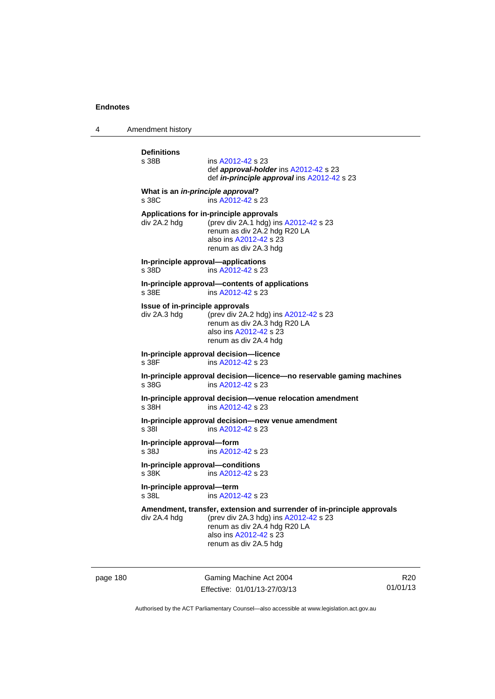4 Amendment history

| <b>Definitions</b><br>s 38B                     | ins A2012-42 s 23<br>def <b>approval-holder</b> ins A2012-42 s 23<br>def in-principle approval ins A2012-42 s 23                                                                                   |
|-------------------------------------------------|----------------------------------------------------------------------------------------------------------------------------------------------------------------------------------------------------|
| What is an in-principle approval?<br>s 38C      | ins A2012-42 s 23                                                                                                                                                                                  |
| div 2A.2 hdg                                    | Applications for in-principle approvals<br>(prev div 2A.1 hdg) ins A2012-42 s 23<br>renum as div 2A.2 hdg R20 LA<br>also ins A2012-42 s 23<br>renum as div 2A.3 hdg                                |
| s 38D                                           | In-principle approval-applications<br>ins A2012-42 s 23                                                                                                                                            |
| s 38E                                           | In-principle approval-contents of applications<br>ins A2012-42 s 23                                                                                                                                |
| Issue of in-principle approvals<br>div 2A.3 hdg | (prev div 2A.2 hdg) ins A2012-42 s 23<br>renum as div 2A.3 hdg R20 LA<br>also ins A2012-42 s 23<br>renum as div 2A.4 hdg                                                                           |
| s 38F                                           | In-principle approval decision-licence<br>ins A2012-42 s 23                                                                                                                                        |
| s 38G                                           | In-principle approval decision-licence-no reservable gaming machines<br>ins A2012-42 s 23                                                                                                          |
| s 38H                                           | In-principle approval decision-venue relocation amendment<br>ins A2012-42 s 23                                                                                                                     |
| s 381                                           | In-principle approval decision-new venue amendment<br>ins A2012-42 s 23                                                                                                                            |
| In-principle approval-form<br>s 38J             | ins A2012-42 s 23                                                                                                                                                                                  |
| In-principle approval-conditions<br>s 38K       | ins A2012-42 s 23                                                                                                                                                                                  |
| In-principle approval-term<br>s 38L             | ins A2012-42 s 23                                                                                                                                                                                  |
| div 2A.4 hdg                                    | Amendment, transfer, extension and surrender of in-principle approvals<br>(prev div 2A.3 hdg) ins A2012-42 s 23<br>renum as div 2A.4 hdg R20 LA<br>also ins A2012-42 s 23<br>renum as div 2A.5 hdg |

page 180 Gaming Machine Act 2004 Effective: 01/01/13-27/03/13

R20 01/01/13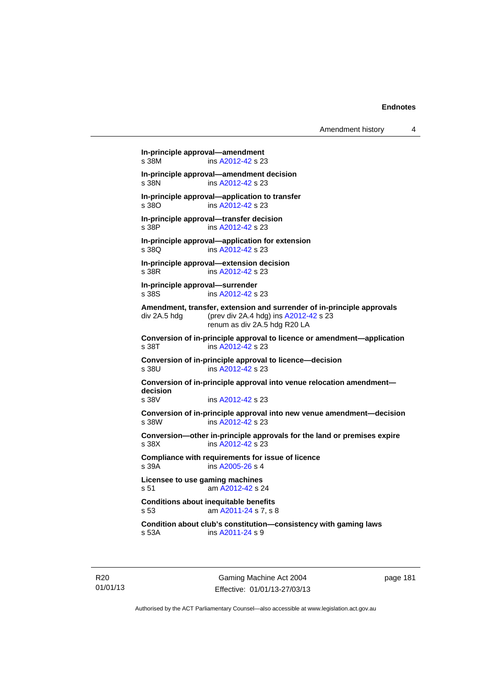Amendment history 4

```
In-principle approval—amendment 
 A2012-42 s 23
In-principle approval—amendment decision 
               A2012-42 s 23
In-principle approval—application to transfer 
s 38O ins A2012-42 s 23 
In-principle approval—transfer decision 
s 38P ins A2012-42 s 23 
In-principle approval—application for extension 
 A2012-42 s 23
In-principle approval—extension decision 
s 38R ins A2012-42 s 23 
In-principle approval—surrender 
s 38S ins A2012-42 s 23 
Amendment, transfer, extension and surrender of in-principle approvals 
div 2A.5 hdg (prev div 2A.4 hdg) ins A2012-42 s 23 
                renum as div 2A.5 hdg R20 LA 
Conversion of in-principle approval to licence or amendment—application 
A2012-42 s 23
Conversion of in-principle approval to licence—decision 
               A2012-42 s 23
Conversion of in-principle approval into venue relocation amendment—
decision 
s 38V ins A2012-42 s 23 
Conversion of in-principle approval into new venue amendment—decision 
s 38W ins A2012-42 s 23 
Conversion—other in-principle approvals for the land or premises expire 
s 38X ins A2012-42 s 23 
Compliance with requirements for issue of licence 
s 39A ins A2005-26 s 4
Licensee to use gaming machines 
s 51 am A2012-42 s 24 
Conditions about inequitable benefits 
s 53 am A2011-24 s 7, s 8 
Condition about club's constitution—consistency with gaming laws 
s 53A ins A2011-24 s 9
```
R20 01/01/13

Gaming Machine Act 2004 Effective: 01/01/13-27/03/13 page 181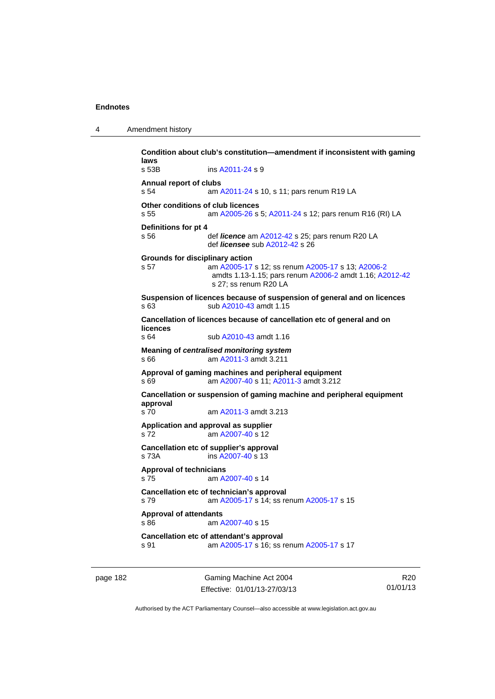| 4 | Amendment history |
|---|-------------------|
|---|-------------------|

**Condition about club's constitution—amendment if inconsistent with gaming laws**  s 53B ins [A2011-24](http://www.legislation.act.gov.au/a/2011-24) s 9 **Annual report of clubs**  s 54 am [A2011-24](http://www.legislation.act.gov.au/a/2011-24) s 10, s 11; pars renum R19 LA **Other conditions of club licences**  s 55 am [A2005-26](http://www.legislation.act.gov.au/a/2005-26) s 5; [A2011-24](http://www.legislation.act.gov.au/a/2011-24) s 12; pars renum R16 (RI) LA **Definitions for pt 4**  s 56 def *licence* am [A2012-42](http://www.legislation.act.gov.au/a/2012-42) s 25; pars renum R20 LA def *licensee* sub [A2012-42](http://www.legislation.act.gov.au/a/2012-42) s 26 **Grounds for disciplinary action**  s 57 am [A2005-17](http://www.legislation.act.gov.au/a/2005-17) s 12; ss renum [A2005-17](http://www.legislation.act.gov.au/a/2005-17) s 13; [A2006-2](http://www.legislation.act.gov.au/a/2006-2) amdts 1.13-1.15; pars renum [A2006-2](http://www.legislation.act.gov.au/a/2006-2) amdt 1.16; [A2012-42](http://www.legislation.act.gov.au/a/2012-42) s 27; ss renum R20 LA **Suspension of licences because of suspension of general and on licences**  s 63 sub [A2010-43](http://www.legislation.act.gov.au/a/2010-43) amdt 1.15 **Cancellation of licences because of cancellation etc of general and on licences**  s 64 sub [A2010-43](http://www.legislation.act.gov.au/a/2010-43) amdt 1.16 **Meaning of** *centralised monitoring system* s 66 am [A2011-3](http://www.legislation.act.gov.au/a/2011-3) amdt 3.211 **Approval of gaming machines and peripheral equipment**  s 69 am [A2007-40](http://www.legislation.act.gov.au/a/2007-40) s 11; [A2011-3](http://www.legislation.act.gov.au/a/2011-3) amdt 3.212 **Cancellation or suspension of gaming machine and peripheral equipment approval**  s 70 am [A2011-3](http://www.legislation.act.gov.au/a/2011-3) amdt 3.213 **Application and approval as supplier**  s 72 am [A2007-40](http://www.legislation.act.gov.au/a/2007-40) s 12 **Cancellation etc of supplier's approval**  s 73A ins [A2007-40](http://www.legislation.act.gov.au/a/2007-40) s 13 **Approval of technicians**  s 75 am [A2007-40](http://www.legislation.act.gov.au/a/2007-40) s 14 **Cancellation etc of technician's approval**  s 79 am [A2005-17](http://www.legislation.act.gov.au/a/2005-17) s 14; ss renum [A2005-17](http://www.legislation.act.gov.au/a/2005-17) s 15 **Approval of attendants**  s 86 am [A2007-40](http://www.legislation.act.gov.au/a/2007-40) s 15 **Cancellation etc of attendant's approval**  s 91 **am [A2005-17](http://www.legislation.act.gov.au/a/2005-17) s 16; ss renum [A2005-17](http://www.legislation.act.gov.au/a/2005-17) s 17** 

page 182 Gaming Machine Act 2004 Effective: 01/01/13-27/03/13

R20 01/01/13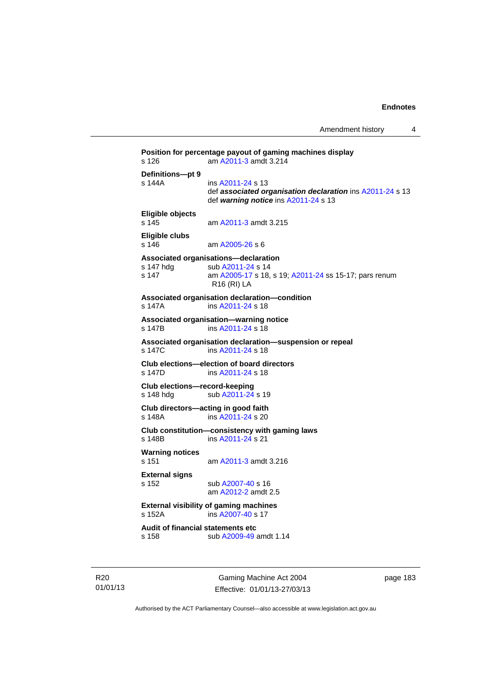```
Position for percentage payout of gaming machines display 
s 126 am A2011-3 amdt 3.214 
Definitions—pt 9 
s 144A ins A2011-24 s 13 
                 def associated organisation declaration ins A2011-24 s 13 
                 def warning notice ins A2011-24 s 13 
Eligible objects 
s 145 am A2011-3 amdt 3.215 
Eligible clubs 
s 146 am A2005-26 s 6 
Associated organisations—declaration 
A2011-24 s 14
s 147 am A2005-17 s 18, s 19; A2011-24 ss 15-17; pars renum 
                R16 (RI) LA 
Associated organisation declaration—condition 
s 147A ins A2011-24 s 18 
Associated organisation—warning notice 
s 147B ins A2011-24 s 18 
Associated organisation declaration—suspension or repeal 
               A2011-24 s 18
Club elections—election of board directors 
s 147D ins A2011-24 s 18 
Club elections—record-keeping 
A2011-24 s 19
Club directors—acting in good faith 
s 148A ins A2011-24 s 20 
Club constitution—consistency with gaming laws 
s 148B ins A2011-24 s 21 
Warning notices 
s 151 am A2011-3 amdt 3.216 
External signs 
s 152 sub A2007-40 s 16 
                am A2012-2 amdt 2.5 
External visibility of gaming machines 
s 152A ins A2007-40 s 17 
Audit of financial statements etc 
s 158 sub A2009-49 amdt 1.14
```
R20 01/01/13

Gaming Machine Act 2004 Effective: 01/01/13-27/03/13 page 183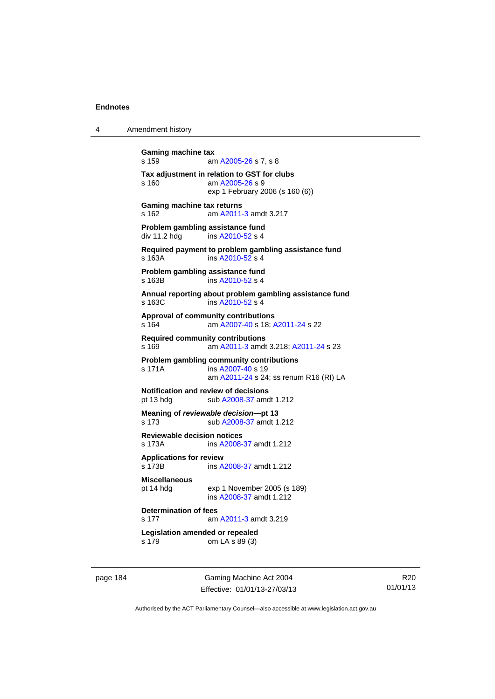4 Amendment history

```
Gaming machine tax 
A2005-26 s 7, s 8
Tax adjustment in relation to GST for clubs 
s 160 am A2005-26 s 9 
                exp 1 February 2006 (s 160 (6)) 
Gaming machine tax returns 
s 162 am A2011-3 amdt 3.217 
Problem gambling assistance fund<br>div 11.2 hdq ins A2010-52 s 4
                A2010-52 s 4
Required payment to problem gambling assistance fund 
s 163A ins A2010-52 s 4
Problem gambling assistance fund 
 A2010-52 s 4
Annual reporting about problem gambling assistance fund 
s 163C ins A2010-52 s 4
Approval of community contributions 
s 164 am A2007-40 s 18; A2011-24 s 22 
Required community contributions 
s 169 am A2011-3 amdt 3.218; A2011-24 s 23 
Problem gambling community contributions 
                A2007-40 s 19
                 am A2011-24 s 24; ss renum R16 (RI) LA
Notification and review of decisions 
A2008-37 amdt 1.212
Meaning of reviewable decision—pt 13 
s 173 sub A2008-37 amdt 1.212 
Reviewable decision notices 
s 173A ins A2008-37 amdt 1.212 
Applications for review 
s 173B ins A2008-37 amdt 1.212 
Miscellaneous 
pt 14 hdg exp 1 November 2005 (s 189) 
                ins A2008-37 amdt 1.212 
Determination of fees 
s 177 am A2011-3 amdt 3.219 
Legislation amended or repealed 
s 179 om LA s 89 (3)
```
page 184 Gaming Machine Act 2004 Effective: 01/01/13-27/03/13

R20 01/01/13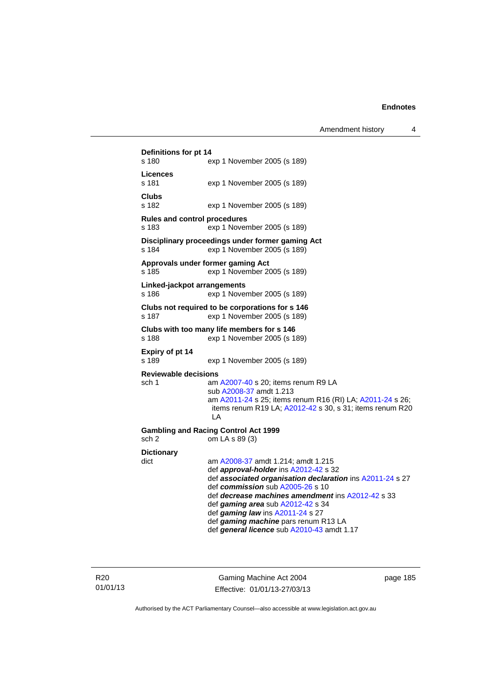```
Definitions for pt 14 
s 180 exp 1 November 2005 (s 189) 
Licences 
                 exp 1 November 2005 (s 189)
Clubs 
                 exp 1 November 2005 (s 189)
Rules and control procedures 
s 183 exp 1 November 2005 (s 189) 
Disciplinary proceedings under former gaming Act 
s 184 exp 1 November 2005 (s 189)
Approvals under former gaming Act 
s 185 exp 1 November 2005 (s 189) 
Linked-jackpot arrangements 
s 186 exp 1 November 2005 (s 189) 
Clubs not required to be corporations for s 146 
s 187 exp 1 November 2005 (s 189) 
Clubs with too many life members for s 146 
s 188 exp 1 November 2005 (s 189) 
Expiry of pt 14 
s 189 exp 1 November 2005 (s 189) 
Reviewable decisions 
 A2007-40 s 20; items renum R9 LA
                  sub A2008-37 amdt 1.213 
                  am A2011-24 s 25; items renum R16 (RI) LA; A2011-24 s 26; 
                 items renum R19 LA; A2012-42 s 30, s 31; items renum R20 
                  LA 
Gambling and Racing Control Act 1999 
sch 2 om LA s 89 (3) 
Dictionary 
dict am A2008-37 amdt 1.214; amdt 1.215 
                  def approval-holder ins A2012-42 s 32 
                  def associated organisation declaration ins A2011-24 s 27 
                  def commission sub A2005-26 s 10 
                  def decrease machines amendment ins A2012-42 s 33 
                  def gaming area sub A2012-42 s 34 
                  def gaming law ins A2011-24 s 27 
                  def gaming machine pars renum R13 LA 
                  def general licence sub A2010-43 amdt 1.17
```
R20 01/01/13

Gaming Machine Act 2004 Effective: 01/01/13-27/03/13 page 185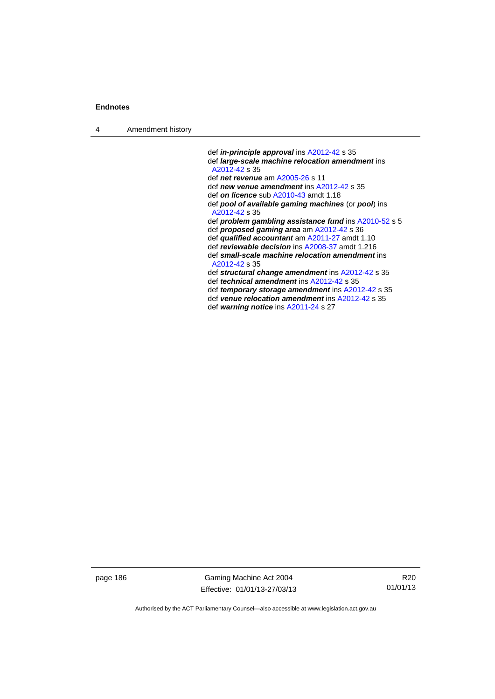4 Amendment history

 def *in-principle approval* ins [A2012-42](http://www.legislation.act.gov.au/a/2012-42) s 35 def *large-scale machine relocation amendment* ins [A2012-42](http://www.legislation.act.gov.au/a/2012-42) s 35 def *net revenue* am [A2005-26](http://www.legislation.act.gov.au/a/2005-26) s 11 def *new venue amendment* ins [A2012-42](http://www.legislation.act.gov.au/a/2012-42) s 35 def *on licence* sub [A2010-43](http://www.legislation.act.gov.au/a/2010-43) amdt 1.18 def *pool of available gaming machines* (or *pool*) ins [A2012-42](http://www.legislation.act.gov.au/a/2012-42) s 35 def *problem gambling assistance fund* ins [A2010-52](http://www.legislation.act.gov.au/a/2010-52) s 5 def *proposed gaming area* am [A2012-42](http://www.legislation.act.gov.au/a/2012-42) s 36 def *qualified accountant* am [A2011-27](http://www.legislation.act.gov.au/a/2011-27) amdt 1.10 def *reviewable decision* ins [A2008-37](http://www.legislation.act.gov.au/a/2008-37) amdt 1.216 def *small-scale machine relocation amendment* ins [A2012-42](http://www.legislation.act.gov.au/a/2012-42) s 35 def *structural change amendment* ins [A2012-42](http://www.legislation.act.gov.au/a/2012-42) s 35 def *technical amendment* ins [A2012-42](http://www.legislation.act.gov.au/a/2012-42) s 35 def *temporary storage amendment* ins [A2012-42](http://www.legislation.act.gov.au/a/2012-42) s 35 def *venue relocation amendment* ins [A2012-42](http://www.legislation.act.gov.au/a/2012-42) s 35 def *warning notice* ins [A2011-24](http://www.legislation.act.gov.au/a/2011-24) s 27

page 186 Gaming Machine Act 2004 Effective: 01/01/13-27/03/13

R20 01/01/13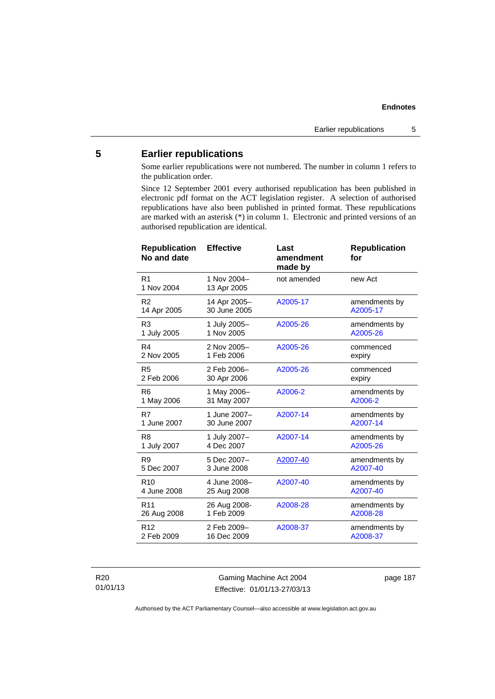# **5 Earlier republications**

Some earlier republications were not numbered. The number in column 1 refers to the publication order.

Since 12 September 2001 every authorised republication has been published in electronic pdf format on the ACT legislation register. A selection of authorised republications have also been published in printed format. These republications are marked with an asterisk (\*) in column 1. Electronic and printed versions of an authorised republication are identical.

| <b>Effective</b>             | Last<br>amendment<br>made by | <b>Republication</b><br>for |
|------------------------------|------------------------------|-----------------------------|
| 1 Nov 2004-<br>13 Apr 2005   | not amended                  | new Act                     |
| 14 Apr 2005-<br>30 June 2005 | A2005-17                     | amendments by<br>A2005-17   |
| 1 July 2005-<br>1 Nov 2005   | A2005-26                     | amendments by<br>A2005-26   |
| 2 Nov 2005-<br>1 Feb 2006    | A2005-26                     | commenced<br>expiry         |
| 2 Feb 2006-<br>30 Apr 2006   | A2005-26                     | commenced<br>expiry         |
| 1 May 2006-<br>31 May 2007   | A2006-2                      | amendments by<br>A2006-2    |
| 1 June 2007-<br>30 June 2007 | A2007-14                     | amendments by<br>A2007-14   |
| 1 July 2007-<br>4 Dec 2007   | A2007-14                     | amendments by<br>A2005-26   |
| 5 Dec 2007-<br>3 June 2008   | A2007-40                     | amendments by<br>A2007-40   |
| 4 June 2008-<br>25 Aug 2008  | A2007-40                     | amendments by<br>A2007-40   |
| 26 Aug 2008-<br>1 Feb 2009   | A2008-28                     | amendments by<br>A2008-28   |
| 2 Feb 2009-<br>16 Dec 2009   | A2008-37                     | amendments by<br>A2008-37   |
|                              |                              |                             |

R20 01/01/13

Gaming Machine Act 2004 Effective: 01/01/13-27/03/13 page 187